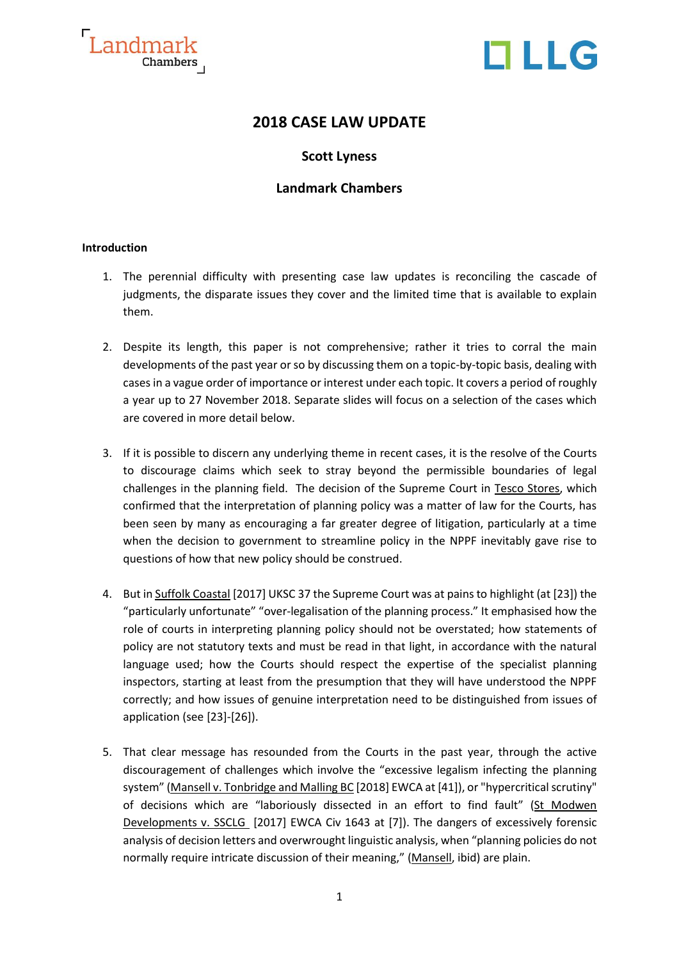



### **2018 CASE LAW UPDATE**

### **Scott Lyness**

### **Landmark Chambers**

#### **Introduction**

- 1. The perennial difficulty with presenting case law updates is reconciling the cascade of judgments, the disparate issues they cover and the limited time that is available to explain them.
- 2. Despite its length, this paper is not comprehensive; rather it tries to corral the main developments of the past year or so by discussing them on a topic-by-topic basis, dealing with cases in a vague order of importance or interest under each topic. It covers a period of roughly a year up to 27 November 2018. Separate slides will focus on a selection of the cases which are covered in more detail below.
- 3. If it is possible to discern any underlying theme in recent cases, it is the resolve of the Courts to discourage claims which seek to stray beyond the permissible boundaries of legal challenges in the planning field. The decision of the Supreme Court in Tesco Stores, which confirmed that the interpretation of planning policy was a matter of law for the Courts, has been seen by many as encouraging a far greater degree of litigation, particularly at a time when the decision to government to streamline policy in the NPPF inevitably gave rise to questions of how that new policy should be construed.
- 4. But in Suffolk Coastal [2017] UKSC 37 the Supreme Court was at pains to highlight (at [23]) the "particularly unfortunate" "over-legalisation of the planning process." It emphasised how the role of courts in interpreting planning policy should not be overstated; how statements of policy are not statutory texts and must be read in that light, in accordance with the natural language used; how the Courts should respect the expertise of the specialist planning inspectors, starting at least from the presumption that they will have understood the NPPF correctly; and how issues of genuine interpretation need to be distinguished from issues of application (see [23]-[26]).
- 5. That clear message has resounded from the Courts in the past year, through the active discouragement of challenges which involve the "excessive legalism infecting the planning system" (Mansell v. Tonbridge and Malling BC [2018] EWCA at [41]), or "hypercritical scrutiny" of decisions which are "laboriously dissected in an effort to find fault" (St Modwen Developments v. SSCLG [2017] EWCA Civ 1643 at [7]). The dangers of excessively forensic analysis of decision letters and overwrought linguistic analysis, when "planning policies do not normally require intricate discussion of their meaning," (Mansell, ibid) are plain.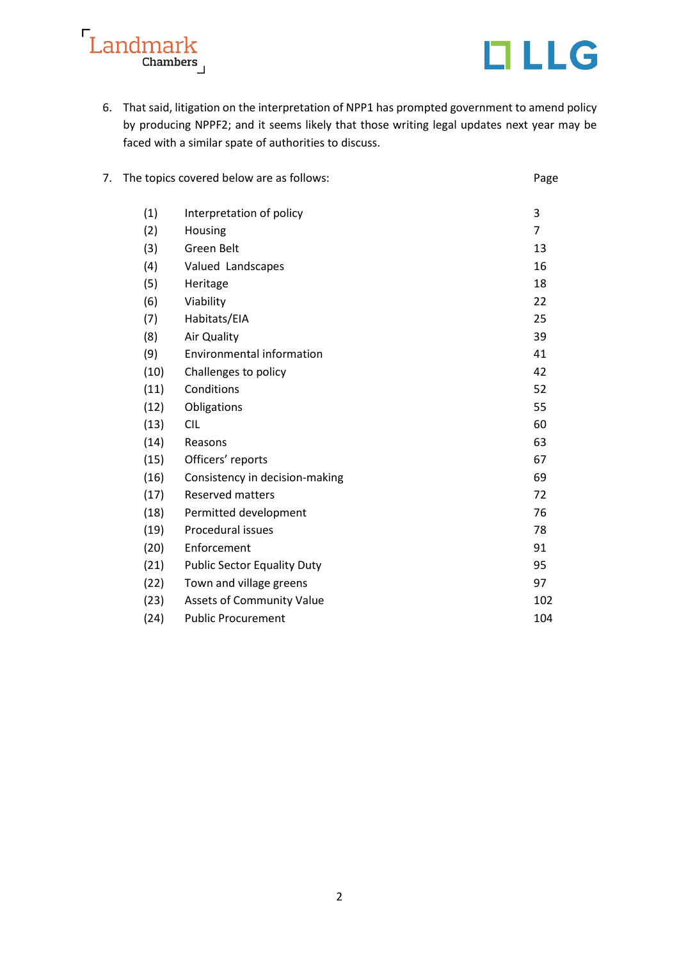



6. That said, litigation on the interpretation of NPP1 has prompted government to amend policy by producing NPPF2; and it seems likely that those writing legal updates next year may be faced with a similar spate of authorities to discuss.

| 7. | The topics covered below are as follows: |                                    | Page           |
|----|------------------------------------------|------------------------------------|----------------|
|    | (1)                                      | Interpretation of policy           | 3              |
|    | (2)                                      | Housing                            | $\overline{7}$ |
|    | (3)                                      | Green Belt                         | 13             |
|    | (4)                                      | Valued Landscapes                  | 16             |
|    | (5)                                      | Heritage                           | 18             |
|    | (6)                                      | Viability                          | 22             |
|    | (7)                                      | Habitats/EIA                       | 25             |
|    | (8)                                      | Air Quality                        | 39             |
|    | (9)                                      | <b>Environmental information</b>   | 41             |
|    | (10)                                     | Challenges to policy               | 42             |
|    | (11)                                     | Conditions                         | 52             |
|    | (12)                                     | Obligations                        | 55             |
|    | (13)                                     | <b>CIL</b>                         | 60             |
|    | (14)                                     | Reasons                            | 63             |
|    | (15)                                     | Officers' reports                  | 67             |
|    | (16)                                     | Consistency in decision-making     | 69             |
|    | (17)                                     | <b>Reserved matters</b>            | 72             |
|    | (18)                                     | Permitted development              | 76             |
|    | (19)                                     | Procedural issues                  | 78             |
|    | (20)                                     | Enforcement                        | 91             |
|    | (21)                                     | <b>Public Sector Equality Duty</b> | 95             |
|    | (22)                                     | Town and village greens            | 97             |
|    | (23)                                     | <b>Assets of Community Value</b>   | 102            |
|    | (24)                                     | <b>Public Procurement</b>          | 104            |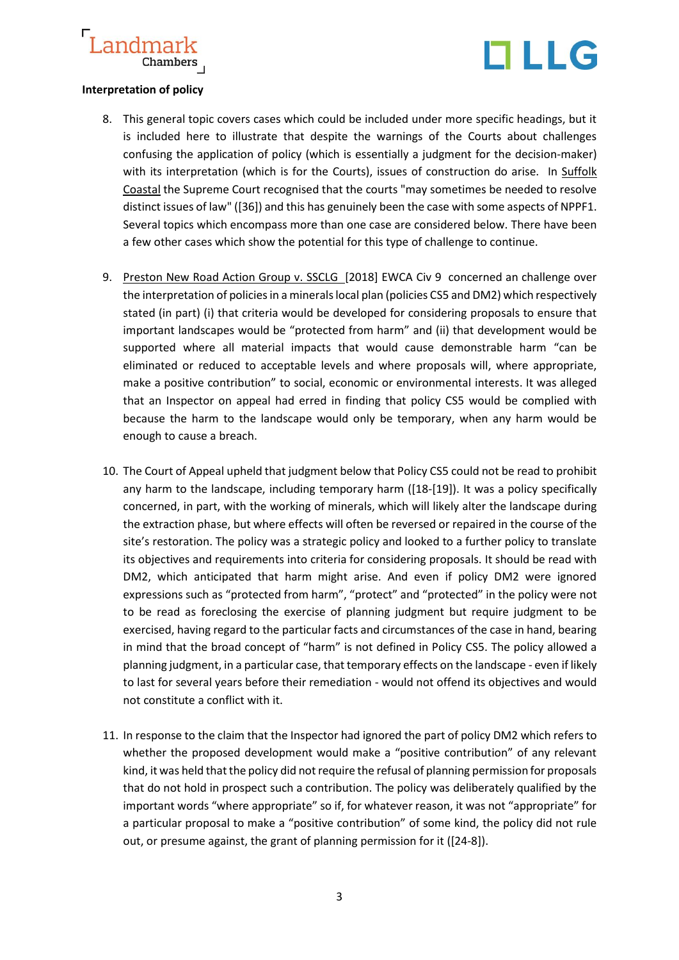

### **Interpretation of policy**

- 8. This general topic covers cases which could be included under more specific headings, but it is included here to illustrate that despite the warnings of the Courts about challenges confusing the application of policy (which is essentially a judgment for the decision-maker) with its interpretation (which is for the Courts), issues of construction do arise. In Suffolk Coastal the Supreme Court recognised that the courts "may sometimes be needed to resolve distinct issues of law" ([36]) and this has genuinely been the case with some aspects of NPPF1. Several topics which encompass more than one case are considered below. There have been a few other cases which show the potential for this type of challenge to continue.
- 9. Preston New Road Action Group v. SSCLG [2018] EWCA Civ 9 concerned an challenge over the interpretation of policies in a minerals local plan (policies CS5 and DM2) which respectively stated (in part) (i) that criteria would be developed for considering proposals to ensure that important landscapes would be "protected from harm" and (ii) that development would be supported where all material impacts that would cause demonstrable harm "can be eliminated or reduced to acceptable levels and where proposals will, where appropriate, make a positive contribution" to social, economic or environmental interests. It was alleged that an Inspector on appeal had erred in finding that policy CS5 would be complied with because the harm to the landscape would only be temporary, when any harm would be enough to cause a breach.
- 10. The Court of Appeal upheld that judgment below that Policy CS5 could not be read to prohibit any harm to the landscape, including temporary harm ([18-[19]). It was a policy specifically concerned, in part, with the working of minerals, which will likely alter the landscape during the extraction phase, but where effects will often be reversed or repaired in the course of the site's restoration. The policy was a strategic policy and looked to a further policy to translate its objectives and requirements into criteria for considering proposals. It should be read with DM2, which anticipated that harm might arise. And even if policy DM2 were ignored expressions such as "protected from harm", "protect" and "protected" in the policy were not to be read as foreclosing the exercise of planning judgment but require judgment to be exercised, having regard to the particular facts and circumstances of the case in hand, bearing in mind that the broad concept of "harm" is not defined in Policy CS5. The policy allowed a planning judgment, in a particular case, that temporary effects on the landscape - even if likely to last for several years before their remediation - would not offend its objectives and would not constitute a conflict with it.
- 11. In response to the claim that the Inspector had ignored the part of policy DM2 which refers to whether the proposed development would make a "positive contribution" of any relevant kind, it was held that the policy did not require the refusal of planning permission for proposals that do not hold in prospect such a contribution. The policy was deliberately qualified by the important words "where appropriate" so if, for whatever reason, it was not "appropriate" for a particular proposal to make a "positive contribution" of some kind, the policy did not rule out, or presume against, the grant of planning permission for it ([24-8]).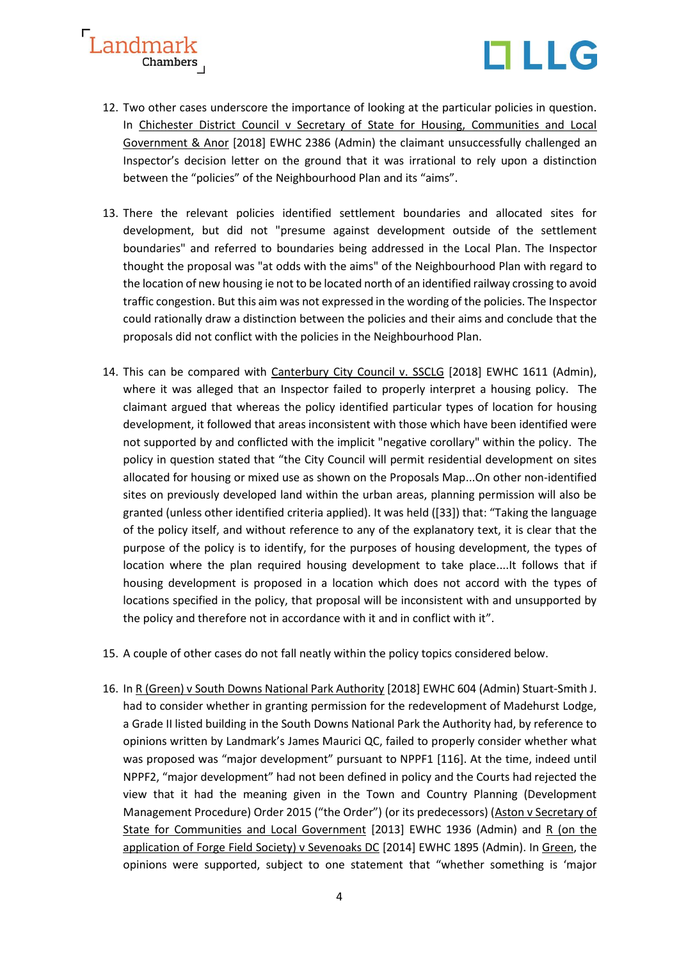



- 12. Two other cases underscore the importance of looking at the particular policies in question. In Chichester District Council v Secretary of State for Housing, Communities and Local Government & Anor [2018] EWHC 2386 (Admin) the claimant unsuccessfully challenged an Inspector's decision letter on the ground that it was irrational to rely upon a distinction between the "policies" of the Neighbourhood Plan and its "aims".
- 13. There the relevant policies identified settlement boundaries and allocated sites for development, but did not "presume against development outside of the settlement boundaries" and referred to boundaries being addressed in the Local Plan. The Inspector thought the proposal was "at odds with the aims" of the Neighbourhood Plan with regard to the location of new housing ie not to be located north of an identified railway crossing to avoid traffic congestion. But this aim was not expressed in the wording of the policies. The Inspector could rationally draw a distinction between the policies and their aims and conclude that the proposals did not conflict with the policies in the Neighbourhood Plan.
- 14. This can be compared with Canterbury City Council v. SSCLG [2018] EWHC 1611 (Admin), where it was alleged that an Inspector failed to properly interpret a housing policy. The claimant argued that whereas the policy identified particular types of location for housing development, it followed that areas inconsistent with those which have been identified were not supported by and conflicted with the implicit "negative corollary" within the policy. The policy in question stated that "the City Council will permit residential development on sites allocated for housing or mixed use as shown on the Proposals Map...On other non-identified sites on previously developed land within the urban areas, planning permission will also be granted (unless other identified criteria applied). It was held ([33]) that: "Taking the language of the policy itself, and without reference to any of the explanatory text, it is clear that the purpose of the policy is to identify, for the purposes of housing development, the types of location where the plan required housing development to take place....It follows that if housing development is proposed in a location which does not accord with the types of locations specified in the policy, that proposal will be inconsistent with and unsupported by the policy and therefore not in accordance with it and in conflict with it".
- 15. A couple of other cases do not fall neatly within the policy topics considered below.
- 16. In R (Green) v South Downs National Park Authority [2018] EWHC 604 (Admin) Stuart-Smith J. had to consider whether in granting permission for the redevelopment of Madehurst Lodge, a Grade II listed building in the South Downs National Park the Authority had, by reference to opinions written by Landmark's James Maurici QC, failed to properly consider whether what was proposed was "major development" pursuant to NPPF1 [116]. At the time, indeed until NPPF2, "major development" had not been defined in policy and the Courts had rejected the view that it had the meaning given in the Town and Country Planning (Development Management Procedure) Order 2015 ("the Order") (or its predecessors) (Aston v Secretary of State for Communities and Local Government [2013] EWHC 1936 (Admin) and R (on the application of Forge Field Society) v Sevenoaks DC [2014] EWHC 1895 (Admin). In Green, the opinions were supported, subject to one statement that "whether something is 'major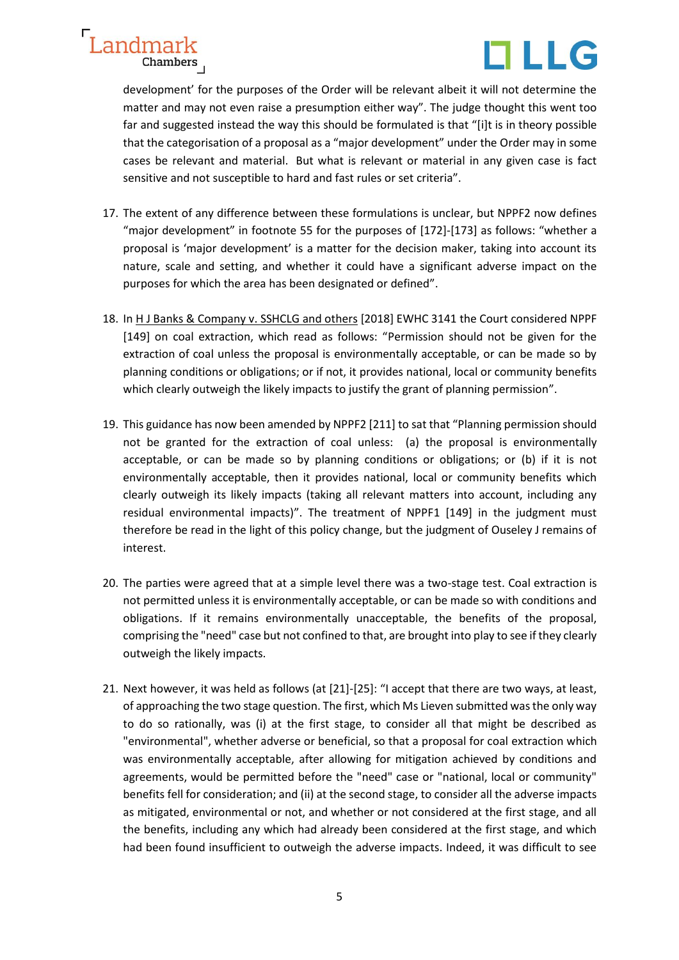

development' for the purposes of the Order will be relevant albeit it will not determine the matter and may not even raise a presumption either way". The judge thought this went too far and suggested instead the way this should be formulated is that "[i]t is in theory possible that the categorisation of a proposal as a "major development" under the Order may in some cases be relevant and material. But what is relevant or material in any given case is fact sensitive and not susceptible to hard and fast rules or set criteria".

- 17. The extent of any difference between these formulations is unclear, but NPPF2 now defines "major development" in footnote 55 for the purposes of [172]-[173] as follows: "whether a proposal is 'major development' is a matter for the decision maker, taking into account its nature, scale and setting, and whether it could have a significant adverse impact on the purposes for which the area has been designated or defined".
- 18. In H J Banks & Company v. SSHCLG and others [2018] EWHC 3141 the Court considered NPPF [149] on coal extraction, which read as follows: "Permission should not be given for the extraction of coal unless the proposal is environmentally acceptable, or can be made so by planning conditions or obligations; or if not, it provides national, local or community benefits which clearly outweigh the likely impacts to justify the grant of planning permission".
- 19. This guidance has now been amended by NPPF2 [211] to sat that "Planning permission should not be granted for the extraction of coal unless: (a) the proposal is environmentally acceptable, or can be made so by planning conditions or obligations; or (b) if it is not environmentally acceptable, then it provides national, local or community benefits which clearly outweigh its likely impacts (taking all relevant matters into account, including any residual environmental impacts)". The treatment of NPPF1 [149] in the judgment must therefore be read in the light of this policy change, but the judgment of Ouseley J remains of interest.
- 20. The parties were agreed that at a simple level there was a two-stage test. Coal extraction is not permitted unless it is environmentally acceptable, or can be made so with conditions and obligations. If it remains environmentally unacceptable, the benefits of the proposal, comprising the "need" case but not confined to that, are brought into play to see if they clearly outweigh the likely impacts.
- 21. Next however, it was held as follows (at [21]-[25]: "I accept that there are two ways, at least, of approaching the two stage question. The first, which Ms Lieven submitted was the only way to do so rationally, was (i) at the first stage, to consider all that might be described as "environmental", whether adverse or beneficial, so that a proposal for coal extraction which was environmentally acceptable, after allowing for mitigation achieved by conditions and agreements, would be permitted before the "need" case or "national, local or community" benefits fell for consideration; and (ii) at the second stage, to consider all the adverse impacts as mitigated, environmental or not, and whether or not considered at the first stage, and all the benefits, including any which had already been considered at the first stage, and which had been found insufficient to outweigh the adverse impacts. Indeed, it was difficult to see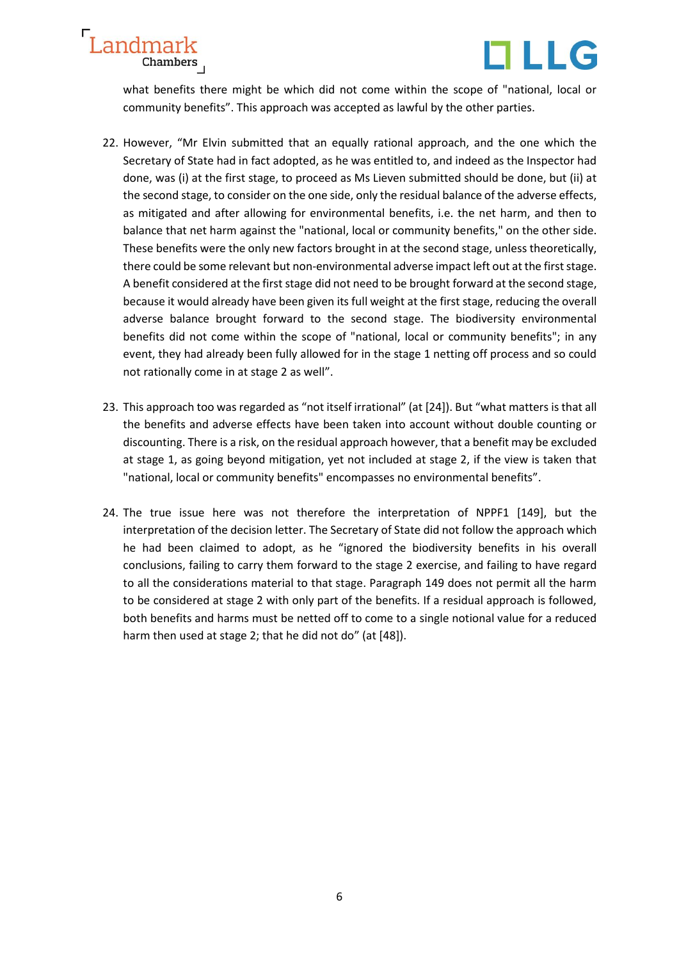



what benefits there might be which did not come within the scope of "national, local or community benefits". This approach was accepted as lawful by the other parties.

- 22. However, "Mr Elvin submitted that an equally rational approach, and the one which the Secretary of State had in fact adopted, as he was entitled to, and indeed as the Inspector had done, was (i) at the first stage, to proceed as Ms Lieven submitted should be done, but (ii) at the second stage, to consider on the one side, only the residual balance of the adverse effects, as mitigated and after allowing for environmental benefits, i.e. the net harm, and then to balance that net harm against the "national, local or community benefits," on the other side. These benefits were the only new factors brought in at the second stage, unless theoretically, there could be some relevant but non-environmental adverse impact left out at the first stage. A benefit considered at the first stage did not need to be brought forward at the second stage, because it would already have been given its full weight at the first stage, reducing the overall adverse balance brought forward to the second stage. The biodiversity environmental benefits did not come within the scope of "national, local or community benefits"; in any event, they had already been fully allowed for in the stage 1 netting off process and so could not rationally come in at stage 2 as well".
- 23. This approach too was regarded as "not itself irrational" (at [24]). But "what matters is that all the benefits and adverse effects have been taken into account without double counting or discounting. There is a risk, on the residual approach however, that a benefit may be excluded at stage 1, as going beyond mitigation, yet not included at stage 2, if the view is taken that "national, local or community benefits" encompasses no environmental benefits".
- 24. The true issue here was not therefore the interpretation of NPPF1 [149], but the interpretation of the decision letter. The Secretary of State did not follow the approach which he had been claimed to adopt, as he "ignored the biodiversity benefits in his overall conclusions, failing to carry them forward to the stage 2 exercise, and failing to have regard to all the considerations material to that stage. Paragraph 149 does not permit all the harm to be considered at stage 2 with only part of the benefits. If a residual approach is followed, both benefits and harms must be netted off to come to a single notional value for a reduced harm then used at stage 2; that he did not do" (at [48]).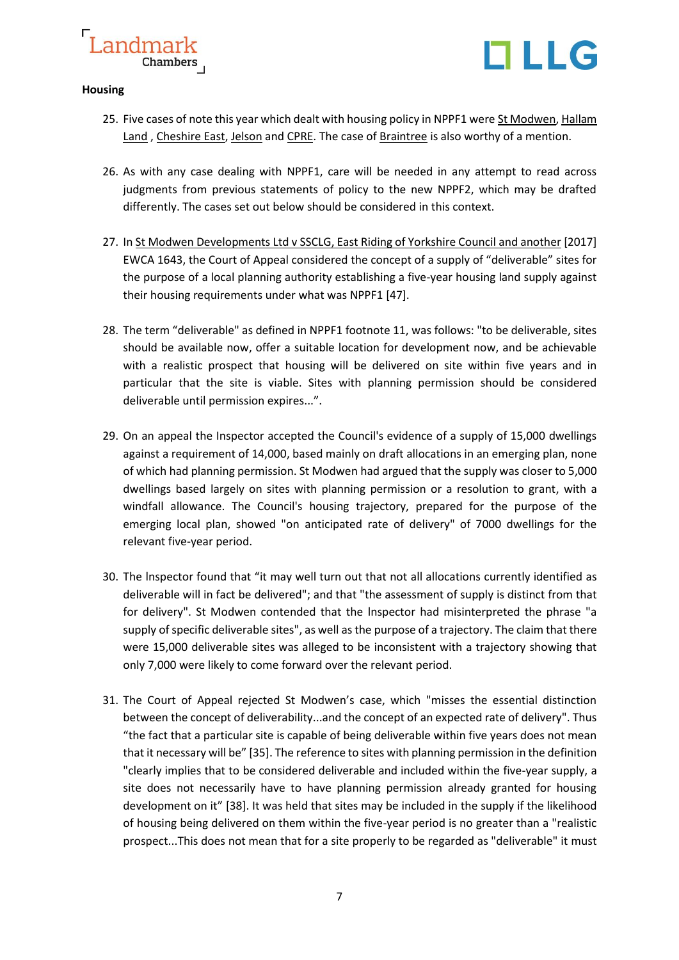



### **Housing**

- 25. Five cases of note this year which dealt with housing policy in NPPF1 were St Modwen, Hallam Land, Cheshire East, Jelson and CPRE. The case of Braintree is also worthy of a mention.
- 26. As with any case dealing with NPPF1, care will be needed in any attempt to read across judgments from previous statements of policy to the new NPPF2, which may be drafted differently. The cases set out below should be considered in this context.
- 27. In St Modwen Developments Ltd v SSCLG, East Riding of Yorkshire Council and another [2017] EWCA 1643, the Court of Appeal considered the concept of a supply of "deliverable" sites for the purpose of a local planning authority establishing a five-year housing land supply against their housing requirements under what was NPPF1 [47].
- 28. The term "deliverable" as defined in NPPF1 footnote 11, was follows: "to be deliverable, sites should be available now, offer a suitable location for development now, and be achievable with a realistic prospect that housing will be delivered on site within five years and in particular that the site is viable. Sites with planning permission should be considered deliverable until permission expires...".
- 29. On an appeal the Inspector accepted the Council's evidence of a supply of 15,000 dwellings against a requirement of 14,000, based mainly on draft allocations in an emerging plan, none of which had planning permission. St Modwen had argued that the supply was closer to 5,000 dwellings based largely on sites with planning permission or a resolution to grant, with a windfall allowance. The Council's housing trajectory, prepared for the purpose of the emerging local plan, showed "on anticipated rate of delivery" of 7000 dwellings for the relevant five-year period.
- 30. The lnspector found that "it may well turn out that not all allocations currently identified as deliverable will in fact be delivered"; and that "the assessment of supply is distinct from that for delivery". St Modwen contended that the lnspector had misinterpreted the phrase "a supply of specific deliverable sites", as well as the purpose of a trajectory. The claim that there were 15,000 deliverable sites was alleged to be inconsistent with a trajectory showing that only 7,000 were likely to come forward over the relevant period.
- 31. The Court of Appeal rejected St Modwen's case, which "misses the essential distinction between the concept of deliverability...and the concept of an expected rate of delivery". Thus "the fact that a particular site is capable of being deliverable within five years does not mean that it necessary will be" [35]. The reference to sites with planning permission in the definition "clearly implies that to be considered deliverable and included within the five-year supply, a site does not necessarily have to have planning permission already granted for housing development on it" [38]. It was held that sites may be included in the supply if the likelihood of housing being delivered on them within the five-year period is no greater than a "realistic prospect...This does not mean that for a site properly to be regarded as "deliverable" it must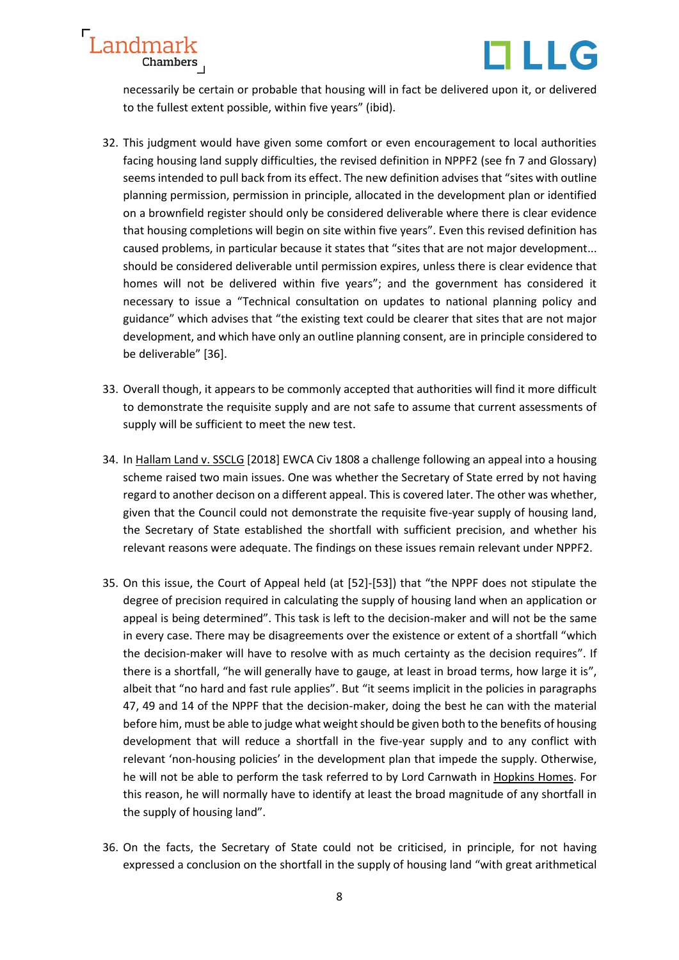



necessarily be certain or probable that housing will in fact be delivered upon it, or delivered to the fullest extent possible, within five years" (ibid).

- 32. This judgment would have given some comfort or even encouragement to local authorities facing housing land supply difficulties, the revised definition in NPPF2 (see fn 7 and Glossary) seems intended to pull back from its effect. The new definition advises that "sites with outline planning permission, permission in principle, allocated in the development plan or identified on a brownfield register should only be considered deliverable where there is clear evidence that housing completions will begin on site within five years". Even this revised definition has caused problems, in particular because it states that "sites that are not major development... should be considered deliverable until permission expires, unless there is clear evidence that homes will not be delivered within five years"; and the government has considered it necessary to issue a "Technical consultation on updates to national planning policy and guidance" which advises that "the existing text could be clearer that sites that are not major development, and which have only an outline planning consent, are in principle considered to be deliverable" [36].
- 33. Overall though, it appears to be commonly accepted that authorities will find it more difficult to demonstrate the requisite supply and are not safe to assume that current assessments of supply will be sufficient to meet the new test.
- 34. In Hallam Land v. SSCLG [2018] EWCA Civ 1808 a challenge following an appeal into a housing scheme raised two main issues. One was whether the Secretary of State erred by not having regard to another decison on a different appeal. This is covered later. The other was whether, given that the Council could not demonstrate the requisite five-year supply of housing land, the Secretary of State established the shortfall with sufficient precision, and whether his relevant reasons were adequate. The findings on these issues remain relevant under NPPF2.
- 35. On this issue, the Court of Appeal held (at [52]-[53]) that "the NPPF does not stipulate the degree of precision required in calculating the supply of housing land when an application or appeal is being determined". This task is left to the decision-maker and will not be the same in every case. There may be disagreements over the existence or extent of a shortfall "which the decision-maker will have to resolve with as much certainty as the decision requires". If there is a shortfall, "he will generally have to gauge, at least in broad terms, how large it is", albeit that "no hard and fast rule applies". But "it seems implicit in the policies in paragraphs 47, 49 and 14 of the NPPF that the decision-maker, doing the best he can with the material before him, must be able to judge what weight should be given both to the benefits of housing development that will reduce a shortfall in the five-year supply and to any conflict with relevant 'non-housing policies' in the development plan that impede the supply. Otherwise, he will not be able to perform the task referred to by Lord Carnwath in [Hopkins Homes.](https://login.westlaw.co.uk/maf/wluk/app/document?src=doc&linktype=ref&context=81&crumb-action=replace&docguid=IE1890910EC3E11E589798FD4B9DFB221) For this reason, he will normally have to identify at least the broad magnitude of any shortfall in the supply of housing land".
- 36. On the facts, the Secretary of State could not be criticised, in principle, for not having expressed a conclusion on the shortfall in the supply of housing land "with great arithmetical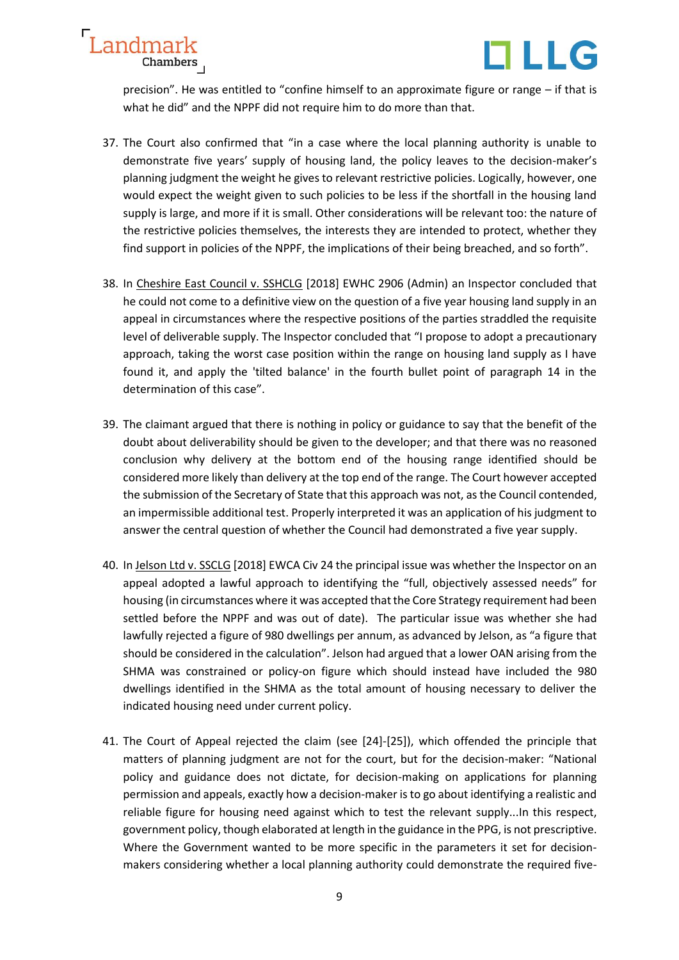



precision". He was entitled to "confine himself to an approximate figure or range – if that is what he did" and the NPPF did not require him to do more than that.

- 37. The Court also confirmed that "in a case where the local planning authority is unable to demonstrate five years' supply of housing land, the policy leaves to the decision-maker's planning judgment the weight he gives to relevant restrictive policies. Logically, however, one would expect the weight given to such policies to be less if the shortfall in the housing land supply is large, and more if it is small. Other considerations will be relevant too: the nature of the restrictive policies themselves, the interests they are intended to protect, whether they find support in policies of the NPPF, the implications of their being breached, and so forth".
- 38. In Cheshire East Council v. SSHCLG [2018] EWHC 2906 (Admin) an Inspector concluded that he could not come to a definitive view on the question of a five year housing land supply in an appeal in circumstances where the respective positions of the parties straddled the requisite level of deliverable supply. The Inspector concluded that "I propose to adopt a precautionary approach, taking the worst case position within the range on housing land supply as I have found it, and apply the 'tilted balance' in the fourth bullet point of paragraph 14 in the determination of this case".
- 39. The claimant argued that there is nothing in policy or guidance to say that the benefit of the doubt about deliverability should be given to the developer; and that there was no reasoned conclusion why delivery at the bottom end of the housing range identified should be considered more likely than delivery at the top end of the range. The Court however accepted the submission of the Secretary of State that this approach was not, as the Council contended, an impermissible additional test. Properly interpreted it was an application of his judgment to answer the central question of whether the Council had demonstrated a five year supply.
- 40. In Jelson Ltd v. SSCLG [2018] EWCA Civ 24 the principal issue was whether the Inspector on an appeal adopted a lawful approach to identifying the "full, objectively assessed needs" for housing (in circumstances where it was accepted that the Core Strategy requirement had been settled before the NPPF and was out of date). The particular issue was whether she had lawfully rejected a figure of 980 dwellings per annum, as advanced by Jelson, as "a figure that should be considered in the calculation". Jelson had argued that a lower OAN arising from the SHMA was constrained or policy-on figure which should instead have included the 980 dwellings identified in the SHMA as the total amount of housing necessary to deliver the indicated housing need under current policy.
- 41. The Court of Appeal rejected the claim (see [24]-[25]), which offended the principle that matters of planning judgment are not for the court, but for the decision-maker: "National policy and guidance does not dictate, for decision-making on applications for planning permission and appeals, exactly how a decision-maker is to go about identifying a realistic and reliable figure for housing need against which to test the relevant supply...In this respect, government policy, though elaborated at length in the guidance in the PPG, is not prescriptive. Where the Government wanted to be more specific in the parameters it set for decisionmakers considering whether a local planning authority could demonstrate the required five-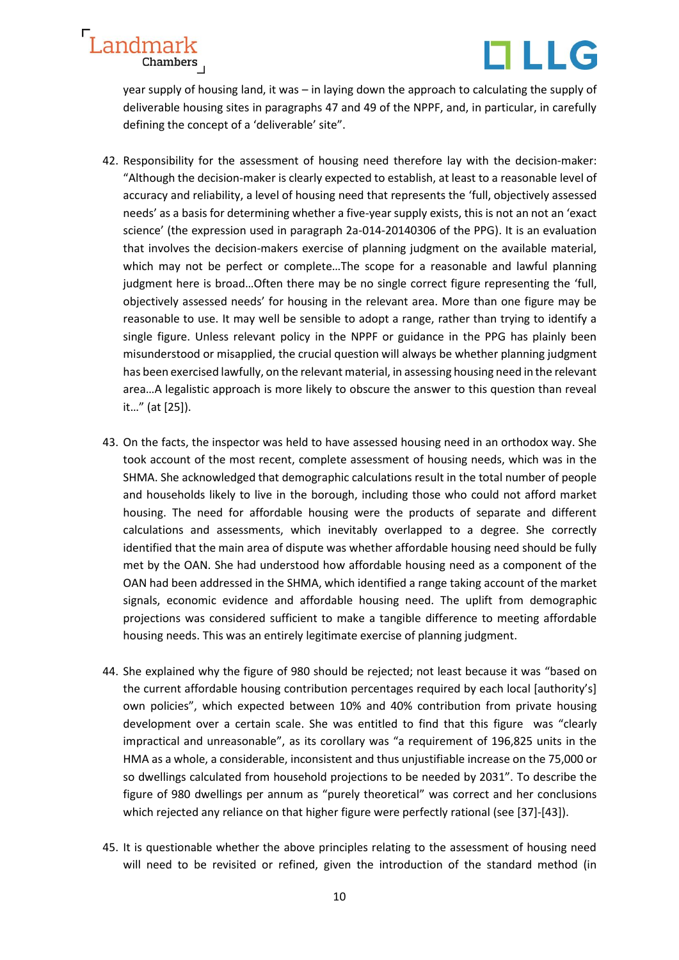

year supply of housing land, it was – in laying down the approach to calculating the supply of deliverable housing sites in paragraphs 47 and 49 of the NPPF, and, in particular, in carefully defining the concept of a 'deliverable' site".

- 42. Responsibility for the assessment of housing need therefore lay with the decision-maker: "Although the decision-maker is clearly expected to establish, at least to a reasonable level of accuracy and reliability, a level of housing need that represents the 'full, objectively assessed needs' as a basis for determining whether a five-yearsupply exists, this is not an not an 'exact science' (the expression used in paragraph 2a-014-20140306 of the PPG). It is an evaluation that involves the decision-makers exercise of planning judgment on the available material, which may not be perfect or complete…The scope for a reasonable and lawful planning judgment here is broad…Often there may be no single correct figure representing the 'full, objectively assessed needs' for housing in the relevant area. More than one figure may be reasonable to use. It may well be sensible to adopt a range, rather than trying to identify a single figure. Unless relevant policy in the NPPF or guidance in the PPG has plainly been misunderstood or misapplied, the crucial question will always be whether planning judgment has been exercised lawfully, on the relevant material, in assessing housing need in the relevant area…A legalistic approach is more likely to obscure the answer to this question than reveal it…" (at [25]).
- 43. On the facts, the inspector was held to have assessed housing need in an orthodox way. She took account of the most recent, complete assessment of housing needs, which was in the SHMA. She acknowledged that demographic calculations result in the total number of people and households likely to live in the borough, including those who could not afford market housing. The need for affordable housing were the products of separate and different calculations and assessments, which inevitably overlapped to a degree. She correctly identified that the main area of dispute was whether affordable housing need should be fully met by the OAN. She had understood how affordable housing need as a component of the OAN had been addressed in the SHMA, which identified a range taking account of the market signals, economic evidence and affordable housing need. The uplift from demographic projections was considered sufficient to make a tangible difference to meeting affordable housing needs. This was an entirely legitimate exercise of planning judgment.
- 44. She explained why the figure of 980 should be rejected; not least because it was "based on the current affordable housing contribution percentages required by each local [authority's] own policies", which expected between 10% and 40% contribution from private housing development over a certain scale. She was entitled to find that this figure was "clearly impractical and unreasonable", as its corollary was "a requirement of 196,825 units in the HMA as a whole, a considerable, inconsistent and thus unjustifiable increase on the 75,000 or so dwellings calculated from household projections to be needed by 2031". To describe the figure of 980 dwellings per annum as "purely theoretical" was correct and her conclusions which rejected any reliance on that higher figure were perfectly rational (see [37]-[43]).
- 45. It is questionable whether the above principles relating to the assessment of housing need will need to be revisited or refined, given the introduction of the standard method (in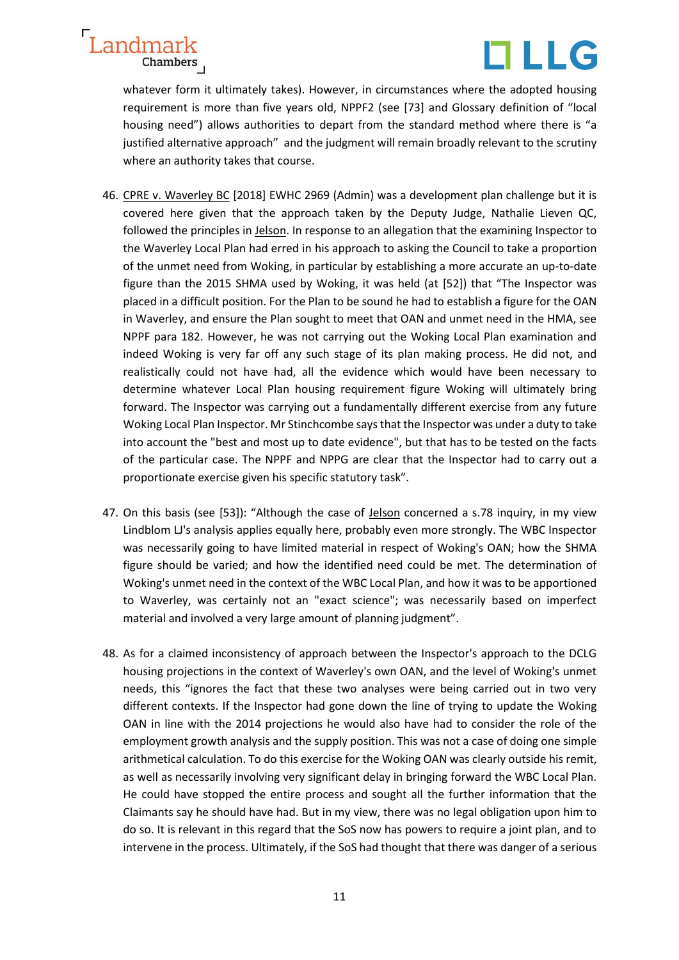



whatever form it ultimately takes). However, in circumstances where the adopted housing requirement is more than five years old, NPPF2 (see [73] and Glossary definition of "local housing need") allows authorities to depart from the standard method where there is "a justified alternative approach" and the judgment will remain broadly relevant to the scrutiny where an authority takes that course.

- 46. CPRE v. Waverley BC [2018] EWHC 2969 (Admin) was a development plan challenge but it is covered here given that the approach taken by the Deputy Judge, Nathalie Lieven QC, followed the principles in Jelson. In response to an allegation that the examining Inspector to the Waverley Local Plan had erred in his approach to asking the Council to take a proportion of the unmet need from Woking, in particular by establishing a more accurate an up-to-date figure than the 2015 SHMA used by Woking, it was held (at [52]) that "The Inspector was placed in a difficult position. For the Plan to be sound he had to establish a figure for the OAN in Waverley, and ensure the Plan sought to meet that OAN and unmet need in the HMA, see NPPF para 182. However, he was not carrying out the Woking Local Plan examination and indeed Woking is very far off any such stage of its plan making process. He did not, and realistically could not have had, all the evidence which would have been necessary to determine whatever Local Plan housing requirement figure Woking will ultimately bring forward. The Inspector was carrying out a fundamentally different exercise from any future Woking Local Plan Inspector. Mr Stinchcombe says that the Inspector was under a duty to take into account the "best and most up to date evidence", but that has to be tested on the facts of the particular case. The NPPF and NPPG are clear that the Inspector had to carry out a proportionate exercise given his specific statutory task".
- 47. On this basis (see [53]): "Although the case of Jelson concerned a s.78 inquiry, in my view Lindblom LJ's analysis applies equally here, probably even more strongly. The WBC Inspector was necessarily going to have limited material in respect of Woking's OAN; how the SHMA figure should be varied; and how the identified need could be met. The determination of Woking's unmet need in the context of the WBC Local Plan, and how it was to be apportioned to Waverley, was certainly not an "exact science"; was necessarily based on imperfect material and involved a very large amount of planning judgment".
- 48. As for a claimed inconsistency of approach between the Inspector's approach to the DCLG housing projections in the context of Waverley's own OAN, and the level of Woking's unmet needs, this "ignores the fact that these two analyses were being carried out in two very different contexts. If the Inspector had gone down the line of trying to update the Woking OAN in line with the 2014 projections he would also have had to consider the role of the employment growth analysis and the supply position. This was not a case of doing one simple arithmetical calculation. To do this exercise for the Woking OAN was clearly outside his remit, as well as necessarily involving very significant delay in bringing forward the WBC Local Plan. He could have stopped the entire process and sought all the further information that the Claimants say he should have had. But in my view, there was no legal obligation upon him to do so. It is relevant in this regard that the SoS now has powers to require a joint plan, and to intervene in the process. Ultimately, if the SoS had thought that there was danger of a serious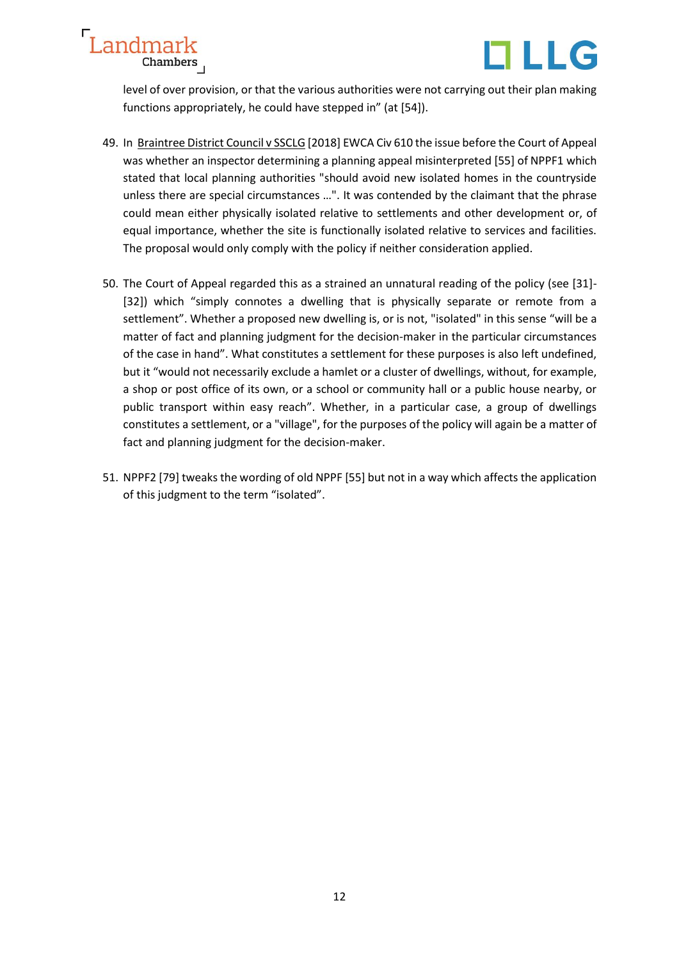



level of over provision, or that the various authorities were not carrying out their plan making functions appropriately, he could have stepped in" (at [54]).

- 49. In Braintree District Council v SSCLG [2018] EWCA Civ 610 the issue before the Court of Appeal was whether an inspector determining a planning appeal misinterpreted [55] of NPPF1 which stated that local planning authorities "should avoid new isolated homes in the countryside unless there are special circumstances …". It was contended by the claimant that the phrase could mean either physically isolated relative to settlements and other development or, of equal importance, whether the site is functionally isolated relative to services and facilities. The proposal would only comply with the policy if neither consideration applied.
- 50. The Court of Appeal regarded this as a strained an unnatural reading of the policy (see [31]- [32]) which "simply connotes a dwelling that is physically separate or remote from a settlement". Whether a proposed new dwelling is, or is not, "isolated" in this sense "will be a matter of fact and planning judgment for the decision-maker in the particular circumstances of the case in hand". What constitutes a settlement for these purposes is also left undefined, but it "would not necessarily exclude a hamlet or a cluster of dwellings, without, for example, a shop or post office of its own, or a school or community hall or a public house nearby, or public transport within easy reach". Whether, in a particular case, a group of dwellings constitutes a settlement, or a "village", for the purposes of the policy will again be a matter of fact and planning judgment for the decision-maker.
- 51. NPPF2 [79] tweaks the wording of old NPPF [55] but not in a way which affects the application of this judgment to the term "isolated".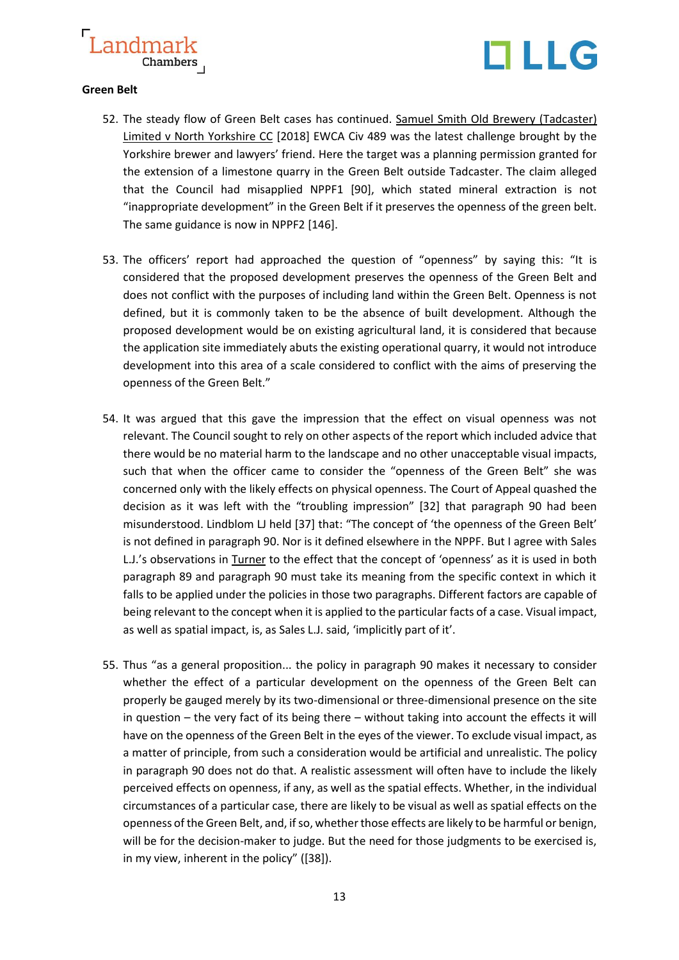



### **Green Belt**

- 52. The steady flow of Green Belt cases has continued. Samuel Smith Old Brewery (Tadcaster) Limited v North Yorkshire CC [2018] EWCA Civ 489 was the latest challenge brought by the Yorkshire brewer and lawyers' friend. Here the target was a planning permission granted for the extension of a limestone quarry in the Green Belt outside Tadcaster. The claim alleged that the Council had misapplied NPPF1 [90], which stated mineral extraction is not "inappropriate development" in the Green Belt if it preserves the openness of the green belt. The same guidance is now in NPPF2 [146].
- 53. The officers' report had approached the question of "openness" by saying this: "It is considered that the proposed development preserves the openness of the Green Belt and does not conflict with the purposes of including land within the Green Belt. Openness is not defined, but it is commonly taken to be the absence of built development. Although the proposed development would be on existing agricultural land, it is considered that because the application site immediately abuts the existing operational quarry, it would not introduce development into this area of a scale considered to conflict with the aims of preserving the openness of the Green Belt."
- 54. It was argued that this gave the impression that the effect on visual openness was not relevant. The Council sought to rely on other aspects of the report which included advice that there would be no material harm to the landscape and no other unacceptable visual impacts, such that when the officer came to consider the "openness of the Green Belt" she was concerned only with the likely effects on physical openness. The Court of Appeal quashed the decision as it was left with the "troubling impression" [32] that paragraph 90 had been misunderstood. Lindblom LJ held [37] that: "The concept of 'the openness of the Green Belt' is not defined in paragraph 90. Nor is it defined elsewhere in the NPPF. But I agree with Sales L.J.'s observations in Turner to the effect that the concept of 'openness' as it is used in both paragraph 89 and paragraph 90 must take its meaning from the specific context in which it falls to be applied under the policies in those two paragraphs. Different factors are capable of being relevant to the concept when it is applied to the particular facts of a case. Visual impact, as well as spatial impact, is, as Sales L.J. said, 'implicitly part of it'.
- 55. Thus "as a general proposition... the policy in paragraph 90 makes it necessary to consider whether the effect of a particular development on the openness of the Green Belt can properly be gauged merely by its two-dimensional or three-dimensional presence on the site in question – the very fact of its being there – without taking into account the effects it will have on the openness of the Green Belt in the eyes of the viewer. To exclude visual impact, as a matter of principle, from such a consideration would be artificial and unrealistic. The policy in paragraph 90 does not do that. A realistic assessment will often have to include the likely perceived effects on openness, if any, as well as the spatial effects. Whether, in the individual circumstances of a particular case, there are likely to be visual as well as spatial effects on the openness of the Green Belt, and, if so, whether those effects are likely to be harmful or benign, will be for the decision-maker to judge. But the need for those judgments to be exercised is, in my view, inherent in the policy" ([38]).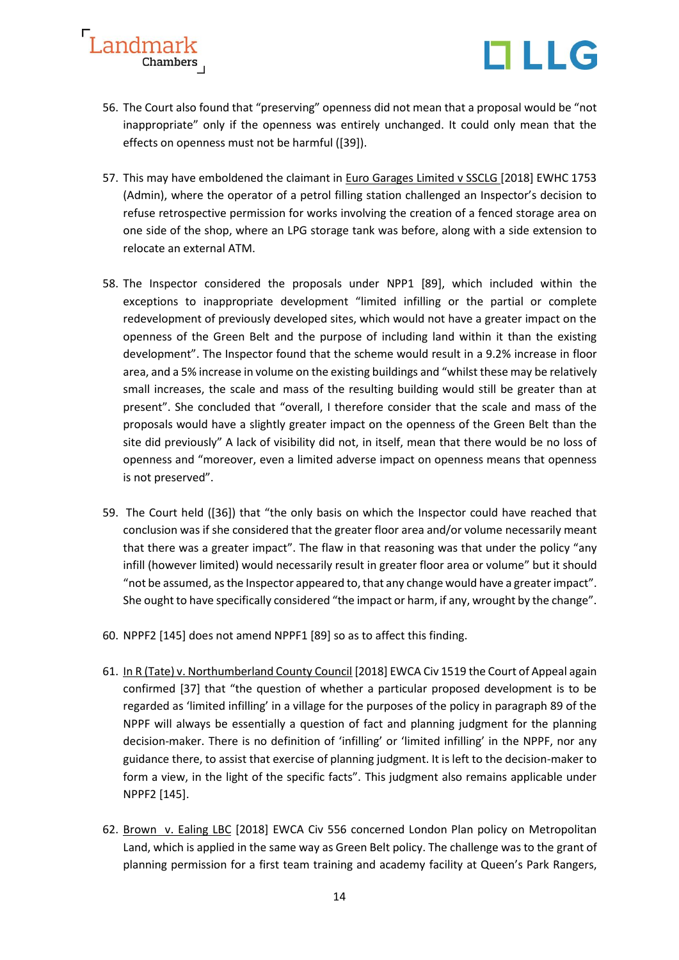



- 56. The Court also found that "preserving" openness did not mean that a proposal would be "not inappropriate" only if the openness was entirely unchanged. It could only mean that the effects on openness must not be harmful ([39]).
- 57. This may have emboldened the claimant in Euro Garages Limited v SSCLG [2018] EWHC 1753 (Admin), where the operator of a petrol filling station challenged an Inspector's decision to refuse retrospective permission for works involving the creation of a fenced storage area on one side of the shop, where an LPG storage tank was before, along with a side extension to relocate an external ATM.
- 58. The Inspector considered the proposals under NPP1 [89], which included within the exceptions to inappropriate development "limited infilling or the partial or complete redevelopment of previously developed sites, which would not have a greater impact on the openness of the Green Belt and the purpose of including land within it than the existing development". The Inspector found that the scheme would result in a 9.2% increase in floor area, and a 5% increase in volume on the existing buildings and "whilst these may be relatively small increases, the scale and mass of the resulting building would still be greater than at present". She concluded that "overall, I therefore consider that the scale and mass of the proposals would have a slightly greater impact on the openness of the Green Belt than the site did previously" A lack of visibility did not, in itself, mean that there would be no loss of openness and "moreover, even a limited adverse impact on openness means that openness is not preserved".
- 59. The Court held ([36]) that "the only basis on which the Inspector could have reached that conclusion was if she considered that the greater floor area and/or volume necessarily meant that there was a greater impact". The flaw in that reasoning was that under the policy "any infill (however limited) would necessarily result in greater floor area or volume" but it should "not be assumed, as the Inspector appeared to, that any change would have a greater impact". She ought to have specifically considered "the impact or harm, if any, wrought by the change".
- 60. NPPF2 [145] does not amend NPPF1 [89] so as to affect this finding.
- 61. In R (Tate) v. Northumberland County Council [2018] EWCA Civ 1519 the Court of Appeal again confirmed [37] that "the question of whether a particular proposed development is to be regarded as 'limited infilling' in a village for the purposes of the policy in paragraph 89 of the NPPF will always be essentially a question of fact and planning judgment for the planning decision-maker. There is no definition of 'infilling' or 'limited infilling' in the NPPF, nor any guidance there, to assist that exercise of planning judgment. It is left to the decision-maker to form a view, in the light of the specific facts". This judgment also remains applicable under NPPF2 [145].
- 62. Brown v. Ealing LBC [2018] EWCA Civ 556 concerned London Plan policy on Metropolitan Land, which is applied in the same way as Green Belt policy. The challenge was to the grant of planning permission for a first team training and academy facility at Queen's Park Rangers,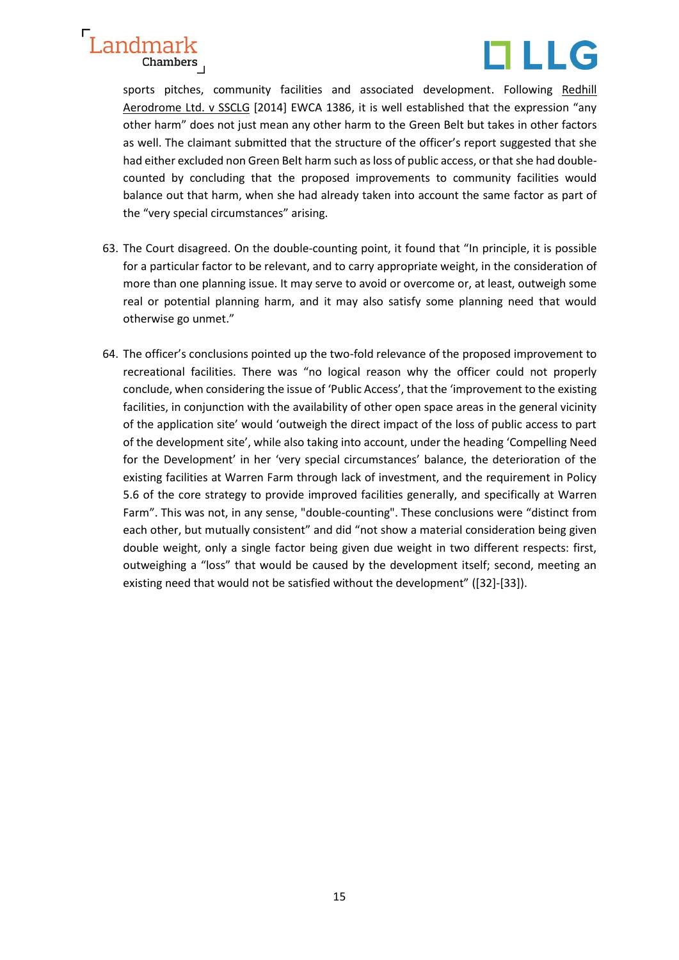

sports pitches, community facilities and associated development. Following Redhill Aerodrome Ltd. v SSCLG [2014] EWCA 1386, it is well established that the expression "any other harm" does not just mean any other harm to the Green Belt but takes in other factors as well. The claimant submitted that the structure of the officer's report suggested that she had either excluded non Green Belt harm such as loss of public access, or that she had doublecounted by concluding that the proposed improvements to community facilities would balance out that harm, when she had already taken into account the same factor as part of the "very special circumstances" arising.

- 63. The Court disagreed. On the double-counting point, it found that "In principle, it is possible for a particular factor to be relevant, and to carry appropriate weight, in the consideration of more than one planning issue. It may serve to avoid or overcome or, at least, outweigh some real or potential planning harm, and it may also satisfy some planning need that would otherwise go unmet."
- 64. The officer's conclusions pointed up the two-fold relevance of the proposed improvement to recreational facilities. There was "no logical reason why the officer could not properly conclude, when considering the issue of 'Public Access', that the 'improvement to the existing facilities, in conjunction with the availability of other open space areas in the general vicinity of the application site' would 'outweigh the direct impact of the loss of public access to part of the development site', while also taking into account, under the heading 'Compelling Need for the Development' in her 'very special circumstances' balance, the deterioration of the existing facilities at Warren Farm through lack of investment, and the requirement in Policy 5.6 of the core strategy to provide improved facilities generally, and specifically at Warren Farm". This was not, in any sense, "double-counting". These conclusions were "distinct from each other, but mutually consistent" and did "not show a material consideration being given double weight, only a single factor being given due weight in two different respects: first, outweighing a "loss" that would be caused by the development itself; second, meeting an existing need that would not be satisfied without the development" ([32]-[33]).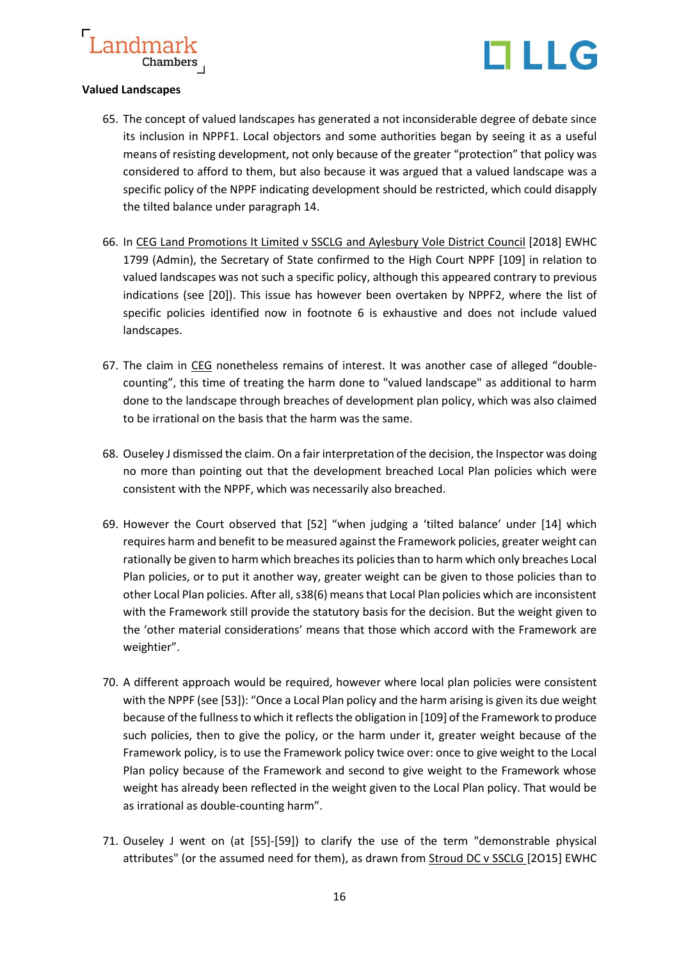



### **Valued Landscapes**

- 65. The concept of valued landscapes has generated a not inconsiderable degree of debate since its inclusion in NPPF1. Local objectors and some authorities began by seeing it as a useful means of resisting development, not only because of the greater "protection" that policy was considered to afford to them, but also because it was argued that a valued landscape was a specific policy of the NPPF indicating development should be restricted, which could disapply the tilted balance under paragraph 14.
- 66. In CEG Land Promotions It Limited v SSCLG and Aylesbury Vole District Council [2018] EWHC 1799 (Admin), the Secretary of State confirmed to the High Court NPPF [109] in relation to valued landscapes was not such a specific policy, although this appeared contrary to previous indications (see [20]). This issue has however been overtaken by NPPF2, where the list of specific policies identified now in footnote 6 is exhaustive and does not include valued landscapes.
- 67. The claim in CEG nonetheless remains of interest. It was another case of alleged "doublecounting", this time of treating the harm done to "valued landscape" as additional to harm done to the landscape through breaches of development plan policy, which was also claimed to be irrational on the basis that the harm was the same.
- 68. Ouseley J dismissed the claim. On a fair interpretation of the decision, the Inspector was doing no more than pointing out that the development breached Local Plan policies which were consistent with the NPPF, which was necessarily also breached.
- 69. However the Court observed that [52] "when judging a 'tilted balance' under [14] which requires harm and benefit to be measured against the Framework policies, greater weight can rationally be given to harm which breaches its policies than to harm which only breaches Local Plan policies, or to put it another way, greater weight can be given to those policies than to other Local Plan policies. After all, s38(6) means that Local Plan policies which are inconsistent with the Framework still provide the statutory basis for the decision. But the weight given to the 'other material considerations' means that those which accord with the Framework are weightier".
- 70. A different approach would be required, however where local plan policies were consistent with the NPPF (see [53]): "Once a Local Plan policy and the harm arising is given its due weight because of the fullness to which it reflects the obligation in [109] of the Framework to produce such policies, then to give the policy, or the harm under it, greater weight because of the Framework policy, is to use the Framework policy twice over: once to give weight to the Local Plan policy because of the Framework and second to give weight to the Framework whose weight has already been reflected in the weight given to the Local Plan policy. That would be as irrational as double-counting harm".
- 71. Ouseley J went on (at [55]-[59]) to clarify the use of the term "demonstrable physical attributes" (or the assumed need for them), as drawn from Stroud DC v SSCLG [2O15] EWHC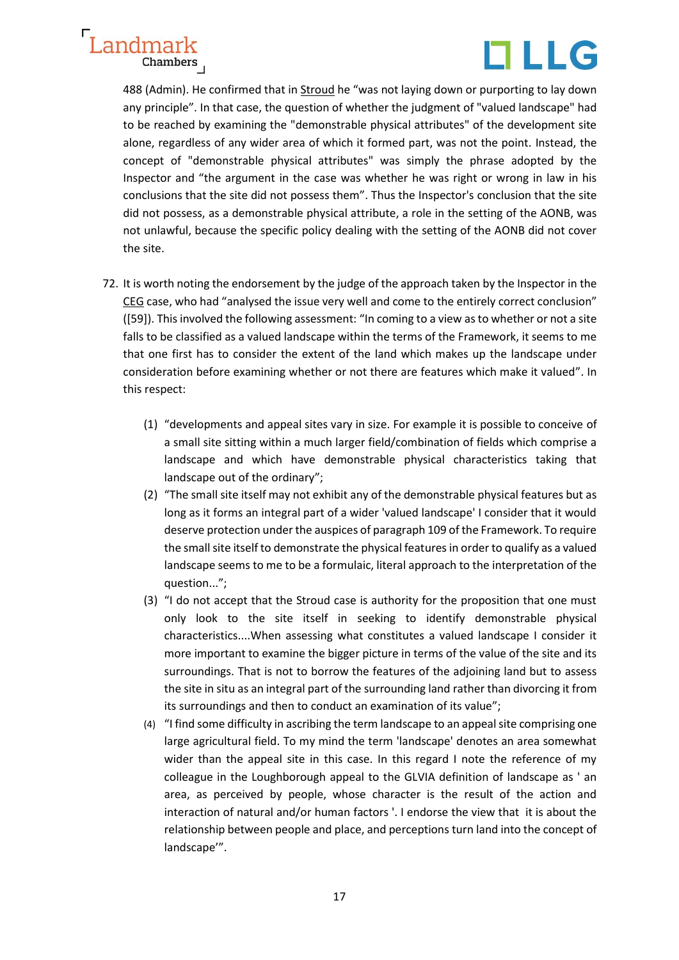



488 (Admin). He confirmed that in Stroud he "was not laying down or purporting to lay down any principle". In that case, the question of whether the judgment of "valued landscape" had to be reached by examining the "demonstrable physical attributes" of the development site alone, regardless of any wider area of which it formed part, was not the point. Instead, the concept of "demonstrable physical attributes" was simply the phrase adopted by the Inspector and "the argument in the case was whether he was right or wrong in law in his conclusions that the site did not possess them". Thus the Inspector's conclusion that the site did not possess, as a demonstrable physical attribute, a role in the setting of the AONB, was not unlawful, because the specific policy dealing with the setting of the AONB did not cover the site.

- 72. It is worth noting the endorsement by the judge of the approach taken by the Inspector in the CEG case, who had "analysed the issue very well and come to the entirely correct conclusion" ([59]). This involved the following assessment: "In coming to a view as to whether or not a site falls to be classified as a valued landscape within the terms of the Framework, it seems to me that one first has to consider the extent of the land which makes up the landscape under consideration before examining whether or not there are features which make it valued". In this respect:
	- (1) "developments and appeal sites vary in size. For example it is possible to conceive of a small site sitting within a much larger field/combination of fields which comprise a landscape and which have demonstrable physical characteristics taking that landscape out of the ordinary";
	- (2) "The small site itself may not exhibit any of the demonstrable physical features but as long as it forms an integral part of a wider 'valued landscape' I consider that it would deserve protection under the auspices of paragraph 109 of the Framework. To require the small site itself to demonstrate the physical features in order to qualify as a valued landscape seems to me to be a formulaic, literal approach to the interpretation of the question...";
	- (3) "I do not accept that the Stroud case is authority for the proposition that one must only look to the site itself in seeking to identify demonstrable physical characteristics....When assessing what constitutes a valued landscape I consider it more important to examine the bigger picture in terms of the value of the site and its surroundings. That is not to borrow the features of the adjoining land but to assess the site in situ as an integral part of the surrounding land rather than divorcing it from its surroundings and then to conduct an examination of its value";
	- (4) "I find some difficulty in ascribing the term landscape to an appeal site comprising one large agricultural field. To my mind the term 'landscape' denotes an area somewhat wider than the appeal site in this case. In this regard I note the reference of my colleague in the Loughborough appeal to the GLVIA definition of landscape as ' an area, as perceived by people, whose character is the result of the action and interaction of natural and/or human factors '. I endorse the view that it is about the relationship between people and place, and perceptions turn land into the concept of landscape'".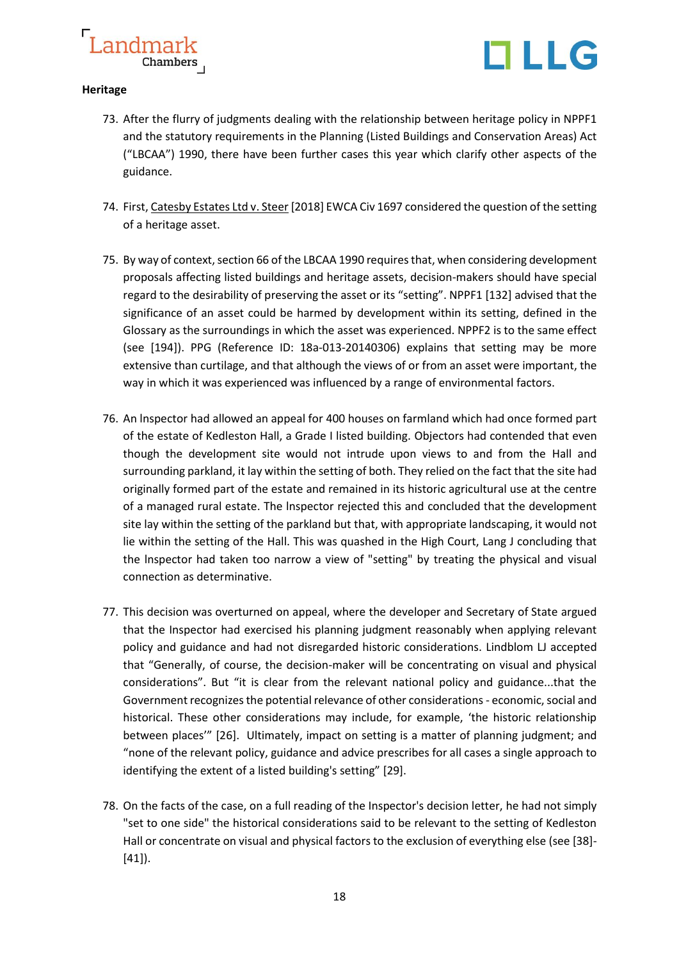



### **Heritage**

- 73. After the flurry of judgments dealing with the relationship between heritage policy in NPPF1 and the statutory requirements in the Planning (Listed Buildings and Conservation Areas) Act ("LBCAA") 1990, there have been further cases this year which clarify other aspects of the guidance.
- 74. First, Catesby Estates Ltd v. Steer [2018] EWCA Civ 1697 considered the question of the setting of a heritage asset.
- 75. By way of context, section 66 of the LBCAA 1990 requires that, when considering development proposals affecting listed buildings and heritage assets, decision-makers should have special regard to the desirability of preserving the asset or its "setting". NPPF1 [132] advised that the significance of an asset could be harmed by development within its setting, defined in the Glossary as the surroundings in which the asset was experienced. NPPF2 is to the same effect (see [194]). PPG (Reference ID: 18a-013-20140306) explains that setting may be more extensive than curtilage, and that although the views of or from an asset were important, the way in which it was experienced was influenced by a range of environmental factors.
- 76. An lnspector had allowed an appeal for 400 houses on farmland which had once formed part of the estate of Kedleston Hall, a Grade I listed building. Objectors had contended that even though the development site would not intrude upon views to and from the Hall and surrounding parkland, it lay within the setting of both. They relied on the fact that the site had originally formed part of the estate and remained in its historic agricultural use at the centre of a managed rural estate. The lnspector rejected this and concluded that the development site lay within the setting of the parkland but that, with appropriate landscaping, it would not lie within the setting of the Hall. This was quashed in the High Court, Lang J concluding that the lnspector had taken too narrow a view of "setting" by treating the physical and visual connection as determinative.
- 77. This decision was overturned on appeal, where the developer and Secretary of State argued that the Inspector had exercised his planning judgment reasonably when applying relevant policy and guidance and had not disregarded historic considerations. Lindblom LJ accepted that "Generally, of course, the decision-maker will be concentrating on visual and physical considerations". But "it is clear from the relevant national policy and guidance...that the Government recognizes the potential relevance of other considerations - economic, social and historical. These other considerations may include, for example, 'the historic relationship between places'" [26]. Ultimately, impact on setting is a matter of planning judgment; and "none of the relevant policy, guidance and advice prescribes for all cases a single approach to identifying the extent of a listed building's setting" [29].
- 78. On the facts of the case, on a full reading of the Inspector's decision letter, he had not simply "set to one side" the historical considerations said to be relevant to the setting of Kedleston Hall or concentrate on visual and physical factors to the exclusion of everything else (see [38]- [41]).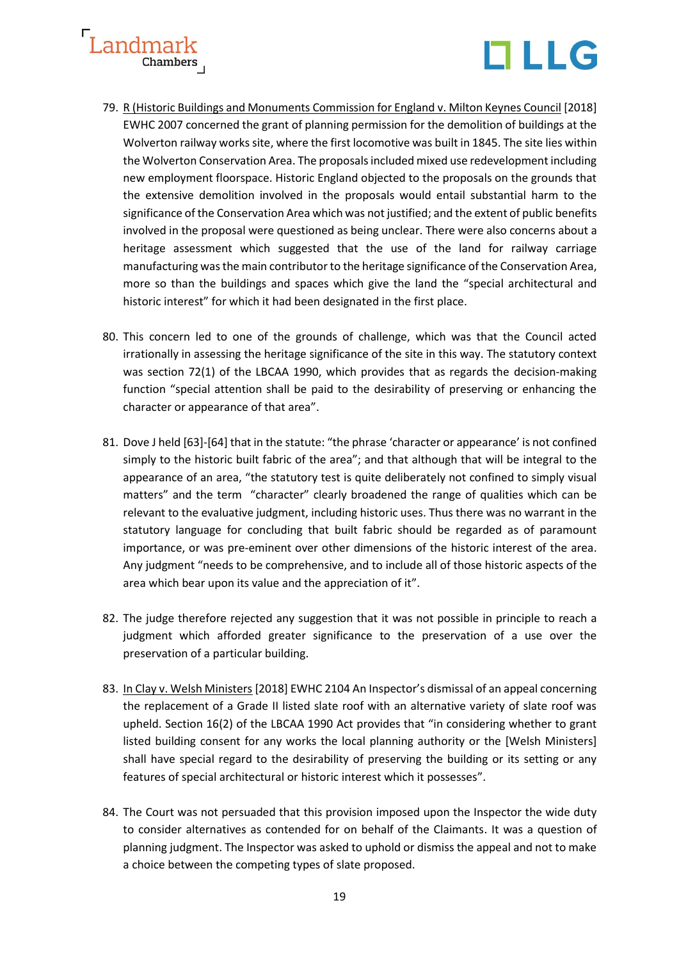



- 79. R (Historic Buildings and Monuments Commission for England v. Milton Keynes Council [2018] EWHC 2007 concerned the grant of planning permission for the demolition of buildings at the Wolverton railway works site, where the first locomotive was built in 1845. The site lies within the Wolverton Conservation Area. The proposals included mixed use redevelopment including new employment floorspace. Historic England objected to the proposals on the grounds that the extensive demolition involved in the proposals would entail substantial harm to the significance of the Conservation Area which was not justified; and the extent of public benefits involved in the proposal were questioned as being unclear. There were also concerns about a heritage assessment which suggested that the use of the land for railway carriage manufacturing was the main contributor to the heritage significance of the Conservation Area, more so than the buildings and spaces which give the land the "special architectural and historic interest" for which it had been designated in the first place.
- 80. This concern led to one of the grounds of challenge, which was that the Council acted irrationally in assessing the heritage significance of the site in this way. The statutory context was section 72(1) of the LBCAA 1990, which provides that as regards the decision-making function "special attention shall be paid to the desirability of preserving or enhancing the character or appearance of that area".
- 81. Dove J held [63]-[64] that in the statute: "the phrase 'character or appearance' is not confined simply to the historic built fabric of the area"; and that although that will be integral to the appearance of an area, "the statutory test is quite deliberately not confined to simply visual matters" and the term "character" clearly broadened the range of qualities which can be relevant to the evaluative judgment, including historic uses. Thus there was no warrant in the statutory language for concluding that built fabric should be regarded as of paramount importance, or was pre-eminent over other dimensions of the historic interest of the area. Any judgment "needs to be comprehensive, and to include all of those historic aspects of the area which bear upon its value and the appreciation of it".
- 82. The judge therefore rejected any suggestion that it was not possible in principle to reach a judgment which afforded greater significance to the preservation of a use over the preservation of a particular building.
- 83. In Clay v. Welsh Ministers [2018] EWHC 2104 An Inspector's dismissal of an appeal concerning the replacement of a Grade II listed slate roof with an alternative variety of slate roof was upheld. Section 16(2) of the LBCAA 1990 Act provides that "in considering whether to grant listed building consent for any works the local planning authority or the [Welsh Ministers] shall have special regard to the desirability of preserving the building or its setting or any features of special architectural or historic interest which it possesses".
- 84. The Court was not persuaded that this provision imposed upon the Inspector the wide duty to consider alternatives as contended for on behalf of the Claimants. It was a question of planning judgment. The Inspector was asked to uphold or dismiss the appeal and not to make a choice between the competing types of slate proposed.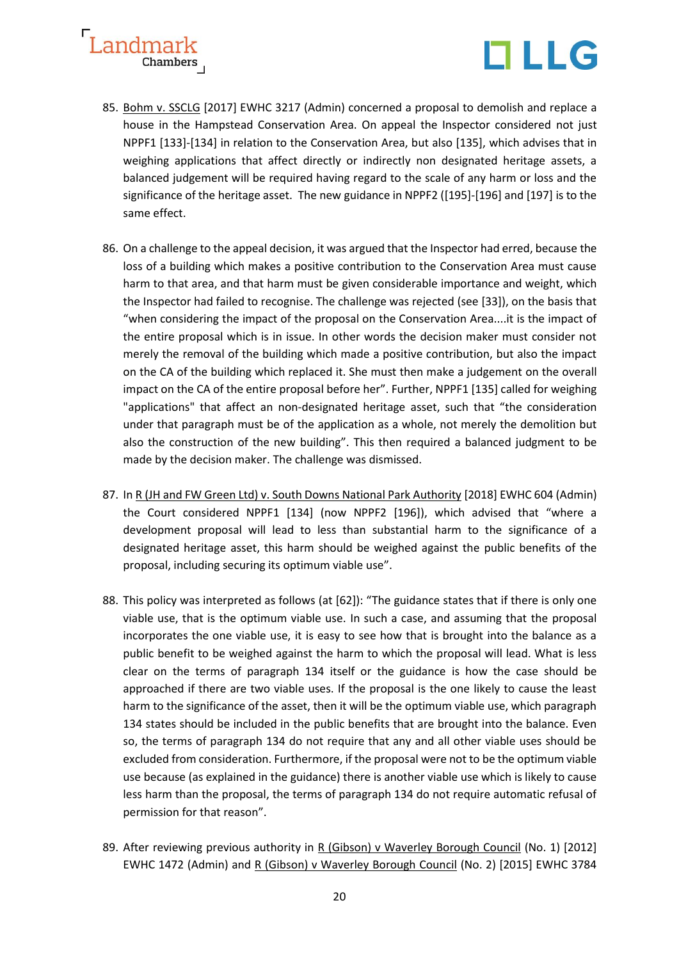



- 85. Bohm v. SSCLG [2017] EWHC 3217 (Admin) concerned a proposal to demolish and replace a house in the Hampstead Conservation Area. On appeal the Inspector considered not just NPPF1 [133]-[134] in relation to the Conservation Area, but also [135], which advises that in weighing applications that affect directly or indirectly non designated heritage assets, a balanced judgement will be required having regard to the scale of any harm or loss and the significance of the heritage asset. The new guidance in NPPF2 ([195]-[196] and [197] is to the same effect.
- 86. On a challenge to the appeal decision, it was argued that the Inspector had erred, because the loss of a building which makes a positive contribution to the Conservation Area must cause harm to that area, and that harm must be given considerable importance and weight, which the Inspector had failed to recognise. The challenge was rejected (see [33]), on the basis that "when considering the impact of the proposal on the Conservation Area....it is the impact of the entire proposal which is in issue. In other words the decision maker must consider not merely the removal of the building which made a positive contribution, but also the impact on the CA of the building which replaced it. She must then make a judgement on the overall impact on the CA of the entire proposal before her". Further, NPPF1 [135] called for weighing "applications" that affect an non-designated heritage asset, such that "the consideration under that paragraph must be of the application as a whole, not merely the demolition but also the construction of the new building". This then required a balanced judgment to be made by the decision maker. The challenge was dismissed.
- 87. In R (JH and FW Green Ltd) v. South Downs National Park Authority [2018] EWHC 604 (Admin) the Court considered NPPF1 [134] (now NPPF2 [196]), which advised that "where a development proposal will lead to less than substantial harm to the significance of a designated heritage asset, this harm should be weighed against the public benefits of the proposal, including securing its optimum viable use".
- 88. This policy was interpreted as follows (at [62]): "The guidance states that if there is only one viable use, that is the optimum viable use. In such a case, and assuming that the proposal incorporates the one viable use, it is easy to see how that is brought into the balance as a public benefit to be weighed against the harm to which the proposal will lead. What is less clear on the terms of paragraph 134 itself or the guidance is how the case should be approached if there are two viable uses. If the proposal is the one likely to cause the least harm to the significance of the asset, then it will be the optimum viable use, which paragraph 134 states should be included in the public benefits that are brought into the balance. Even so, the terms of paragraph 134 do not require that any and all other viable uses should be excluded from consideration. Furthermore, if the proposal were not to be the optimum viable use because (as explained in the guidance) there is another viable use which is likely to cause less harm than the proposal, the terms of paragraph 134 do not require automatic refusal of permission for that reason".
- 89. After reviewing previous authority in R (Gibson) v Waverley Borough Council (No. 1) [2012] EWHC 1472 (Admin) and R (Gibson) v Waverley Borough Council (No. 2) [2015] EWHC 3784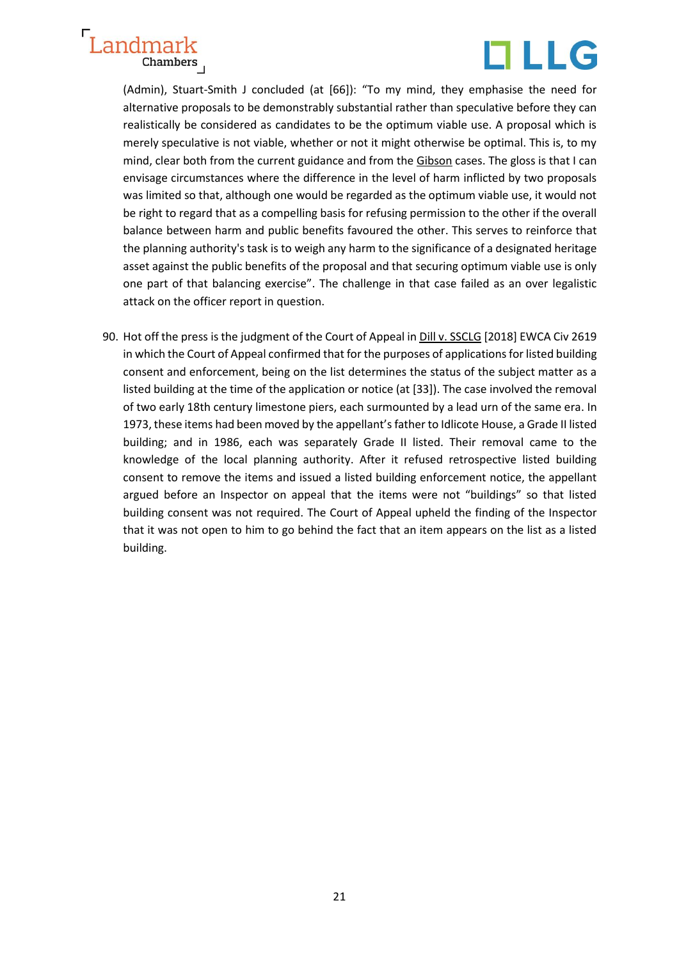



(Admin), Stuart-Smith J concluded (at [66]): "To my mind, they emphasise the need for alternative proposals to be demonstrably substantial rather than speculative before they can realistically be considered as candidates to be the optimum viable use. A proposal which is merely speculative is not viable, whether or not it might otherwise be optimal. This is, to my mind, clear both from the current guidance and from the Gibson cases. The gloss is that I can envisage circumstances where the difference in the level of harm inflicted by two proposals was limited so that, although one would be regarded as the optimum viable use, it would not be right to regard that as a compelling basis for refusing permission to the other if the overall balance between harm and public benefits favoured the other. This serves to reinforce that the planning authority's task is to weigh any harm to the significance of a designated heritage asset against the public benefits of the proposal and that securing optimum viable use is only one part of that balancing exercise". The challenge in that case failed as an over legalistic attack on the officer report in question.

90. Hot off the press is the judgment of the Court of Appeal in Dill v. SSCLG [2018] EWCA Civ 2619 in which the Court of Appeal confirmed that for the purposes of applications for listed building consent and enforcement, being on the list determines the status of the subject matter as a listed building at the time of the application or notice (at [33]). The case involved the removal of two early 18th century limestone piers, each surmounted by a lead urn of the same era. In 1973, these items had been moved by the appellant's father to Idlicote House, a Grade II listed building; and in 1986, each was separately Grade II listed. Their removal came to the knowledge of the local planning authority. After it refused retrospective listed building consent to remove the items and issued a listed building enforcement notice, the appellant argued before an Inspector on appeal that the items were not "buildings" so that listed building consent was not required. The Court of Appeal upheld the finding of the Inspector that it was not open to him to go behind the fact that an item appears on the list as a listed building.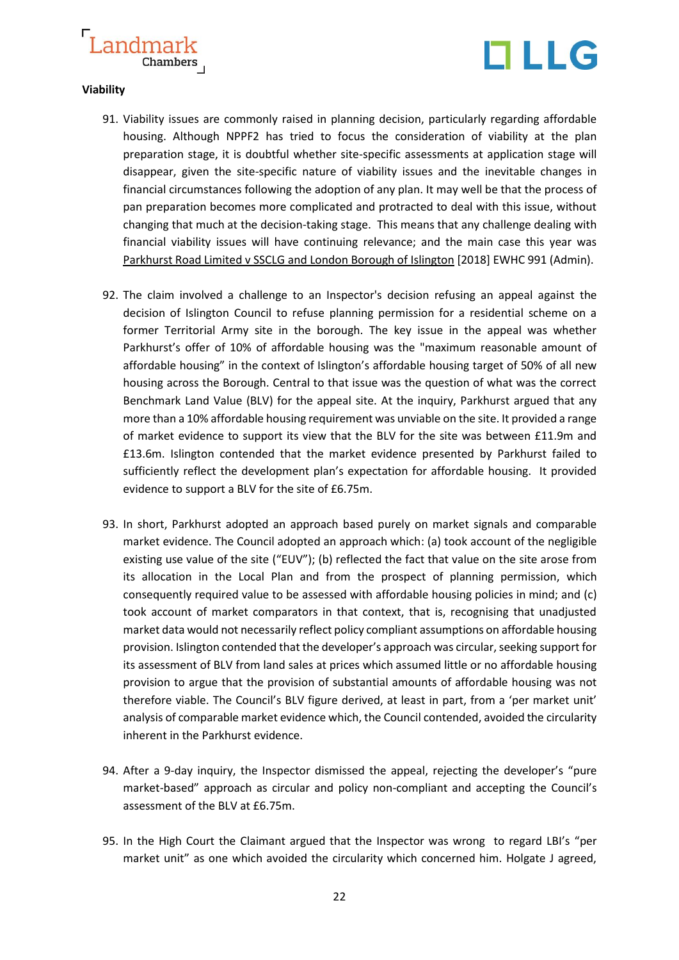



#### **Viability**

- 91. Viability issues are commonly raised in planning decision, particularly regarding affordable housing. Although NPPF2 has tried to focus the consideration of viability at the plan preparation stage, it is doubtful whether site-specific assessments at application stage will disappear, given the site-specific nature of viability issues and the inevitable changes in financial circumstances following the adoption of any plan. It may well be that the process of pan preparation becomes more complicated and protracted to deal with this issue, without changing that much at the decision-taking stage. This means that any challenge dealing with financial viability issues will have continuing relevance; and the main case this year was Parkhurst Road Limited v SSCLG and London Borough of Islington [2018] EWHC 991 (Admin).
- 92. The claim involved a challenge to an Inspector's decision refusing an appeal against the decision of Islington Council to refuse planning permission for a residential scheme on a former Territorial Army site in the borough. The key issue in the appeal was whether Parkhurst's offer of 10% of affordable housing was the "maximum reasonable amount of affordable housing" in the context of Islington's affordable housing target of 50% of all new housing across the Borough. Central to that issue was the question of what was the correct Benchmark Land Value (BLV) for the appeal site. At the inquiry, Parkhurst argued that any more than a 10% affordable housing requirement was unviable on the site. It provided a range of market evidence to support its view that the BLV for the site was between £11.9m and £13.6m. Islington contended that the market evidence presented by Parkhurst failed to sufficiently reflect the development plan's expectation for affordable housing. It provided evidence to support a BLV for the site of £6.75m.
- 93. In short, Parkhurst adopted an approach based purely on market signals and comparable market evidence. The Council adopted an approach which: (a) took account of the negligible existing use value of the site ("EUV"); (b) reflected the fact that value on the site arose from its allocation in the Local Plan and from the prospect of planning permission, which consequently required value to be assessed with affordable housing policies in mind; and (c) took account of market comparators in that context, that is, recognising that unadjusted market data would not necessarily reflect policy compliant assumptions on affordable housing provision. Islington contended that the developer's approach was circular, seeking support for its assessment of BLV from land sales at prices which assumed little or no affordable housing provision to argue that the provision of substantial amounts of affordable housing was not therefore viable. The Council's BLV figure derived, at least in part, from a 'per market unit' analysis of comparable market evidence which, the Council contended, avoided the circularity inherent in the Parkhurst evidence.
- 94. After a 9-day inquiry, the Inspector dismissed the appeal, rejecting the developer's "pure market-based" approach as circular and policy non-compliant and accepting the Council's assessment of the BLV at £6.75m.
- 95. In the High Court the Claimant argued that the Inspector was wrong to regard LBI's "per market unit" as one which avoided the circularity which concerned him. Holgate J agreed,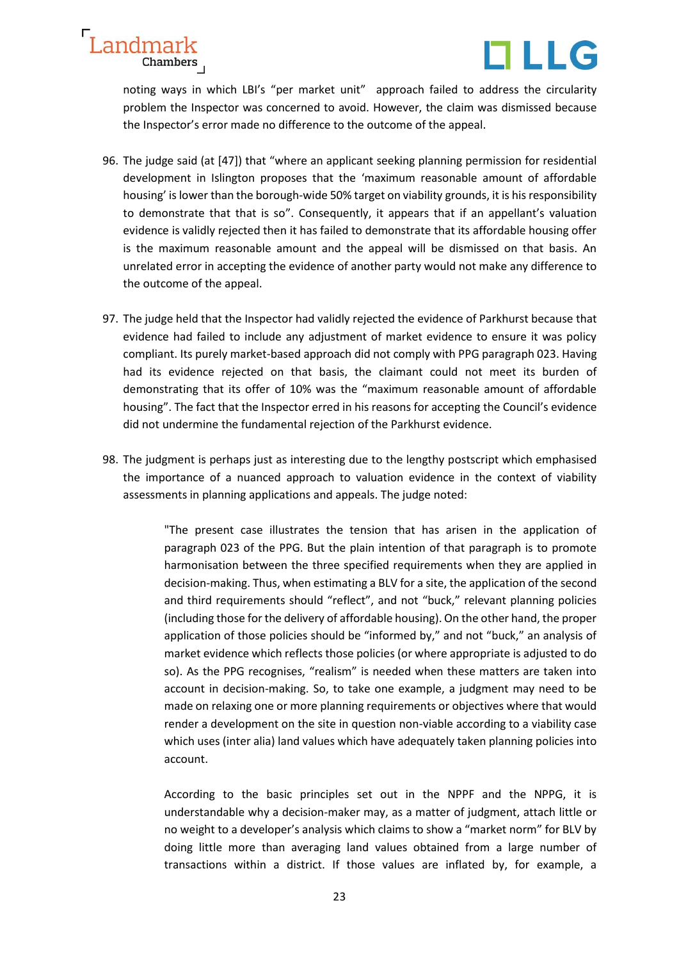



noting ways in which LBI's "per market unit" approach failed to address the circularity problem the Inspector was concerned to avoid. However, the claim was dismissed because the Inspector's error made no difference to the outcome of the appeal.

- 96. The judge said (at [47]) that "where an applicant seeking planning permission for residential development in Islington proposes that the 'maximum reasonable amount of affordable housing' is lower than the borough-wide 50% target on viability grounds, it is his responsibility to demonstrate that that is so". Consequently, it appears that if an appellant's valuation evidence is validly rejected then it has failed to demonstrate that its affordable housing offer is the maximum reasonable amount and the appeal will be dismissed on that basis. An unrelated error in accepting the evidence of another party would not make any difference to the outcome of the appeal.
- 97. The judge held that the Inspector had validly rejected the evidence of Parkhurst because that evidence had failed to include any adjustment of market evidence to ensure it was policy compliant. Its purely market-based approach did not comply with PPG paragraph 023. Having had its evidence rejected on that basis, the claimant could not meet its burden of demonstrating that its offer of 10% was the "maximum reasonable amount of affordable housing". The fact that the Inspector erred in his reasons for accepting the Council's evidence did not undermine the fundamental rejection of the Parkhurst evidence.
- 98. The judgment is perhaps just as interesting due to the lengthy postscript which emphasised the importance of a nuanced approach to valuation evidence in the context of viability assessments in planning applications and appeals. The judge noted:

"The present case illustrates the tension that has arisen in the application of paragraph 023 of the PPG. But the plain intention of that paragraph is to promote harmonisation between the three specified requirements when they are applied in decision-making. Thus, when estimating a BLV for a site, the application of the second and third requirements should "reflect", and not "buck," relevant planning policies (including those for the delivery of affordable housing). On the other hand, the proper application of those policies should be "informed by," and not "buck," an analysis of market evidence which reflects those policies (or where appropriate is adjusted to do so). As the PPG recognises, "realism" is needed when these matters are taken into account in decision-making. So, to take one example, a judgment may need to be made on relaxing one or more planning requirements or objectives where that would render a development on the site in question non-viable according to a viability case which uses (inter alia) land values which have adequately taken planning policies into account.

According to the basic principles set out in the NPPF and the NPPG, it is understandable why a decision-maker may, as a matter of judgment, attach little or no weight to a developer's analysis which claims to show a "market norm" for BLV by doing little more than averaging land values obtained from a large number of transactions within a district. If those values are inflated by, for example, a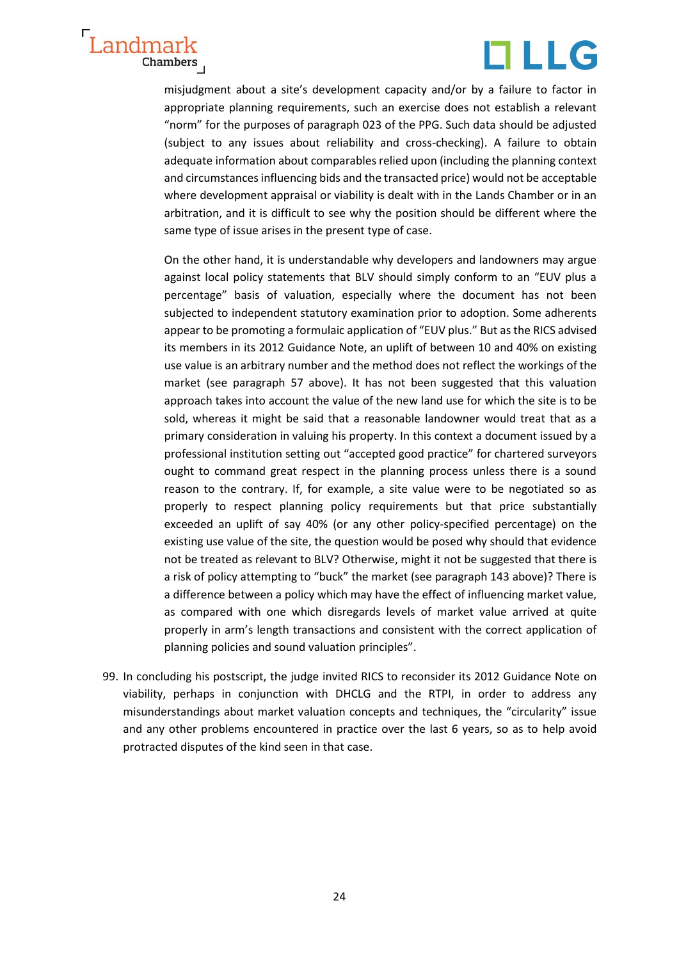



misjudgment about a site's development capacity and/or by a failure to factor in appropriate planning requirements, such an exercise does not establish a relevant "norm" for the purposes of paragraph 023 of the PPG. Such data should be adjusted (subject to any issues about reliability and cross-checking). A failure to obtain adequate information about comparables relied upon (including the planning context and circumstances influencing bids and the transacted price) would not be acceptable where development appraisal or viability is dealt with in the Lands Chamber or in an arbitration, and it is difficult to see why the position should be different where the same type of issue arises in the present type of case.

On the other hand, it is understandable why developers and landowners may argue against local policy statements that BLV should simply conform to an "EUV plus a percentage" basis of valuation, especially where the document has not been subjected to independent statutory examination prior to adoption. Some adherents appear to be promoting a formulaic application of "EUV plus." But as the RICS advised its members in its 2012 Guidance Note, an uplift of between 10 and 40% on existing use value is an arbitrary number and the method does not reflect the workings of the market (see paragraph 57 above). It has not been suggested that this valuation approach takes into account the value of the new land use for which the site is to be sold, whereas it might be said that a reasonable landowner would treat that as a primary consideration in valuing his property. In this context a document issued by a professional institution setting out "accepted good practice" for chartered surveyors ought to command great respect in the planning process unless there is a sound reason to the contrary. If, for example, a site value were to be negotiated so as properly to respect planning policy requirements but that price substantially exceeded an uplift of say 40% (or any other policy-specified percentage) on the existing use value of the site, the question would be posed why should that evidence not be treated as relevant to BLV? Otherwise, might it not be suggested that there is a risk of policy attempting to "buck" the market (see paragraph 143 above)? There is a difference between a policy which may have the effect of influencing market value, as compared with one which disregards levels of market value arrived at quite properly in arm's length transactions and consistent with the correct application of planning policies and sound valuation principles".

99. In concluding his postscript, the judge invited RICS to reconsider its 2012 Guidance Note on viability, perhaps in conjunction with DHCLG and the RTPI, in order to address any misunderstandings about market valuation concepts and techniques, the "circularity" issue and any other problems encountered in practice over the last 6 years, so as to help avoid protracted disputes of the kind seen in that case.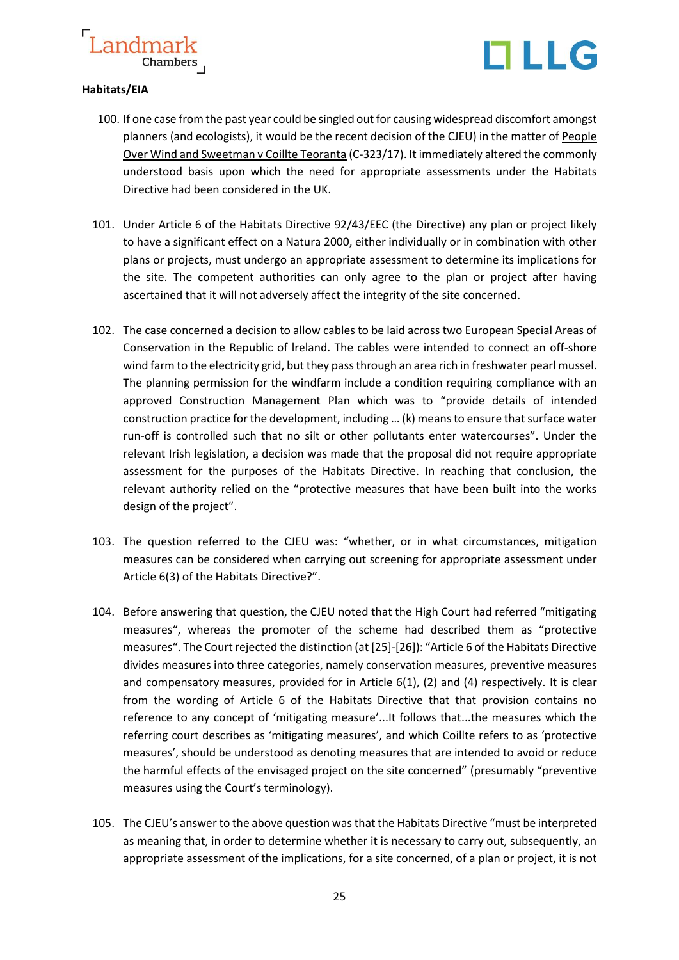



### **Habitats/EIA**

- 100. If one case from the past year could be singled out for causing widespread discomfort amongst planners (and ecologists), it would be the recent decision of the CJEU) in the matter of People Over Wind and Sweetman v Coillte Teoranta (C-323/17). It immediately altered the commonly understood basis upon which the need for appropriate assessments under the Habitats Directive had been considered in the UK.
- 101. Under Article 6 of the Habitats Directive 92/43/EEC (the Directive) any plan or project likely to have a significant effect on a Natura 2000, either individually or in combination with other plans or projects, must undergo an appropriate assessment to determine its implications for the site. The competent authorities can only agree to the plan or project after having ascertained that it will not adversely affect the integrity of the site concerned.
- 102. The case concerned a decision to allow cables to be laid across two European Special Areas of Conservation in the Republic of lreland. The cables were intended to connect an off-shore wind farm to the electricity grid, but they pass through an area rich in freshwater pearl mussel. The planning permission for the windfarm include a condition requiring compliance with an approved Construction Management Plan which was to "provide details of intended construction practice for the development, including … (k) means to ensure that surface water run-off is controlled such that no silt or other pollutants enter watercourses". Under the relevant Irish legislation, a decision was made that the proposal did not require appropriate assessment for the purposes of the Habitats Directive. In reaching that conclusion, the relevant authority relied on the "protective measures that have been built into the works design of the project".
- 103. The question referred to the CJEU was: "whether, or in what circumstances, mitigation measures can be considered when carrying out screening for appropriate assessment under Article 6(3) of the Habitats Directive?".
- 104. Before answering that question, the CJEU noted that the High Court had referred "mitigating measures", whereas the promoter of the scheme had described them as "protective measures". The Court rejected the distinction (at [25]-[26]): "Article 6 of the Habitats Directive divides measures into three categories, namely conservation measures, preventive measures and compensatory measures, provided for in Article 6(1), (2) and (4) respectively. It is clear from the wording of Article 6 of the Habitats Directive that that provision contains no reference to any concept of 'mitigating measure'...It follows that...the measures which the referring court describes as 'mitigating measures', and which Coillte refers to as 'protective measures', should be understood as denoting measures that are intended to avoid or reduce the harmful effects of the envisaged project on the site concerned" (presumably "preventive measures using the Court's terminology).
- 105. The CJEU's answer to the above question was that the Habitats Directive "must be interpreted as meaning that, in order to determine whether it is necessary to carry out, subsequently, an appropriate assessment of the implications, for a site concerned, of a plan or project, it is not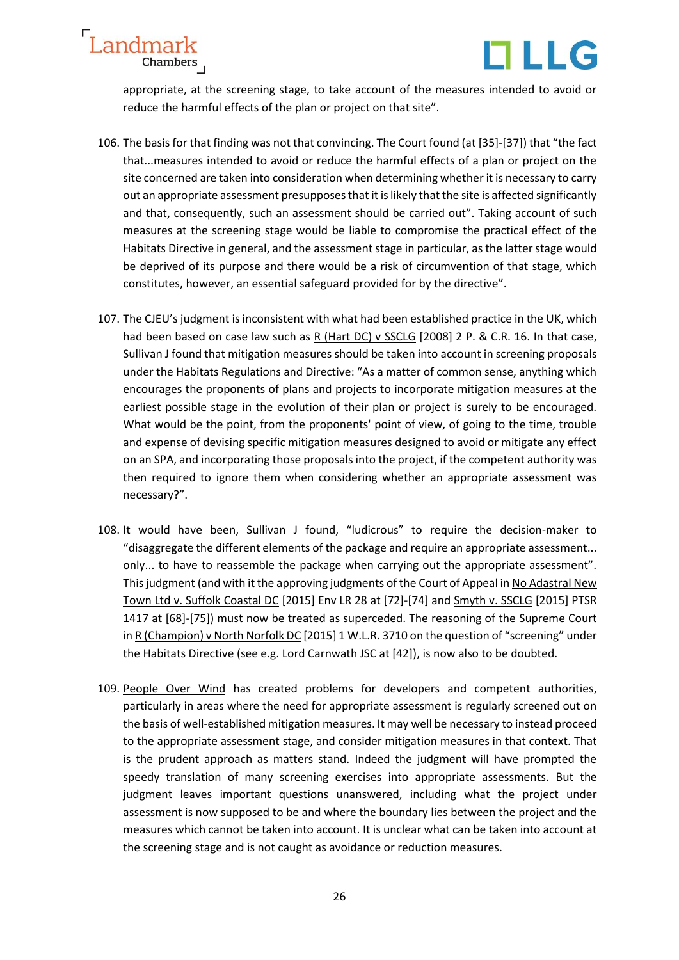



appropriate, at the screening stage, to take account of the measures intended to avoid or reduce the harmful effects of the plan or project on that site".

- 106. The basis for that finding was not that convincing. The Court found (at [35]-[37]) that "the fact that...measures intended to avoid or reduce the harmful effects of a plan or project on the site concerned are taken into consideration when determining whether it is necessary to carry out an appropriate assessment presupposes that it is likely that the site is affected significantly and that, consequently, such an assessment should be carried out". Taking account of such measures at the screening stage would be liable to compromise the practical effect of the Habitats Directive in general, and the assessment stage in particular, as the latter stage would be deprived of its purpose and there would be a risk of circumvention of that stage, which constitutes, however, an essential safeguard provided for by the directive".
- 107. The CJEU's judgment is inconsistent with what had been established practice in the UK, which had been based on case law such as R (Hart DC) v SSCLG [2008] 2 P. & C.R. 16. In that case, Sullivan J found that mitigation measures should be taken into account in screening proposals under the Habitats Regulations and Directive: "As a matter of common sense, anything which encourages the proponents of plans and projects to incorporate mitigation measures at the earliest possible stage in the evolution of their plan or project is surely to be encouraged. What would be the point, from the proponents' point of view, of going to the time, trouble and expense of devising specific mitigation measures designed to avoid or mitigate any effect on an SPA, and incorporating those proposals into the project, if the competent authority was then required to ignore them when considering whether an appropriate assessment was necessary?".
- 108. It would have been, Sullivan J found, "ludicrous" to require the decision-maker to "disaggregate the different elements of the package and require an appropriate assessment... only... to have to reassemble the package when carrying out the appropriate assessment". This judgment (and with it the approving judgments of the Court of Appeal in No Adastral New Town Ltd v. Suffolk Coastal DC [2015] Env LR 28 at [72]-[74] and Smyth v. SSCLG [2015] PTSR 1417 at [68]-[75]) must now be treated as superceded. The reasoning of the Supreme Court in R (Champion) v North Norfolk DC [2015] 1 W.L.R. 3710 on the question of "screening" under the Habitats Directive (see e.g. Lord Carnwath JSC at [42]), is now also to be doubted.
- 109. People Over Wind has created problems for developers and competent authorities, particularly in areas where the need for appropriate assessment is regularly screened out on the basis of well-established mitigation measures. It may well be necessary to instead proceed to the appropriate assessment stage, and consider mitigation measures in that context. That is the prudent approach as matters stand. Indeed the judgment will have prompted the speedy translation of many screening exercises into appropriate assessments. But the judgment leaves important questions unanswered, including what the project under assessment is now supposed to be and where the boundary lies between the project and the measures which cannot be taken into account. It is unclear what can be taken into account at the screening stage and is not caught as avoidance or reduction measures.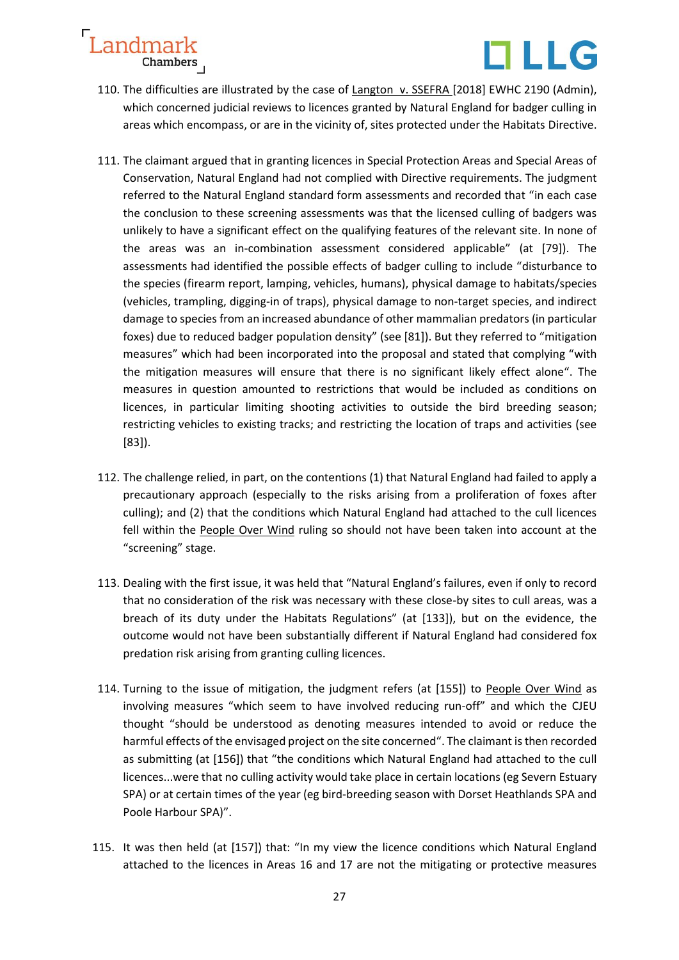

- 110. The difficulties are illustrated by the case of Langton v. SSEFRA [2018] EWHC 2190 (Admin), which concerned judicial reviews to licences granted by Natural England for badger culling in areas which encompass, or are in the vicinity of, sites protected under the Habitats Directive.
- 111. The claimant argued that in granting licences in Special Protection Areas and Special Areas of Conservation, Natural England had not complied with Directive requirements. The judgment referred to the Natural England standard form assessments and recorded that "in each case the conclusion to these screening assessments was that the licensed culling of badgers was unlikely to have a significant effect on the qualifying features of the relevant site. In none of the areas was an in-combination assessment considered applicable" (at [79]). The assessments had identified the possible effects of badger culling to include "disturbance to the species (firearm report, lamping, vehicles, humans), physical damage to habitats/species (vehicles, trampling, digging-in of traps), physical damage to non-target species, and indirect damage to species from an increased abundance of other mammalian predators (in particular foxes) due to reduced badger population density" (see [81]). But they referred to "mitigation measures" which had been incorporated into the proposal and stated that complying "with the mitigation measures will ensure that there is no significant likely effect alone". The measures in question amounted to restrictions that would be included as conditions on licences, in particular limiting shooting activities to outside the bird breeding season; restricting vehicles to existing tracks; and restricting the location of traps and activities (see [83]).
- 112. The challenge relied, in part, on the contentions (1) that Natural England had failed to apply a precautionary approach (especially to the risks arising from a proliferation of foxes after culling); and (2) that the conditions which Natural England had attached to the cull licences fell within the People Over Wind ruling so should not have been taken into account at the "screening" stage.
- 113. Dealing with the first issue, it was held that "Natural England's failures, even if only to record that no consideration of the risk was necessary with these close-by sites to cull areas, was a breach of its duty under the Habitats Regulations" (at [133]), but on the evidence, the outcome would not have been substantially different if Natural England had considered fox predation risk arising from granting culling licences.
- 114. Turning to the issue of mitigation, the judgment refers (at [155]) to People Over Wind as involving measures "which seem to have involved reducing run-off" and which the CJEU thought "should be understood as denoting measures intended to avoid or reduce the harmful effects of the envisaged project on the site concerned". The claimant is then recorded as submitting (at [156]) that "the conditions which Natural England had attached to the cull licences...were that no culling activity would take place in certain locations (eg Severn Estuary SPA) or at certain times of the year (eg bird-breeding season with Dorset Heathlands SPA and Poole Harbour SPA)".
- 115. It was then held (at [157]) that: "In my view the licence conditions which Natural England attached to the licences in Areas 16 and 17 are not the mitigating or protective measures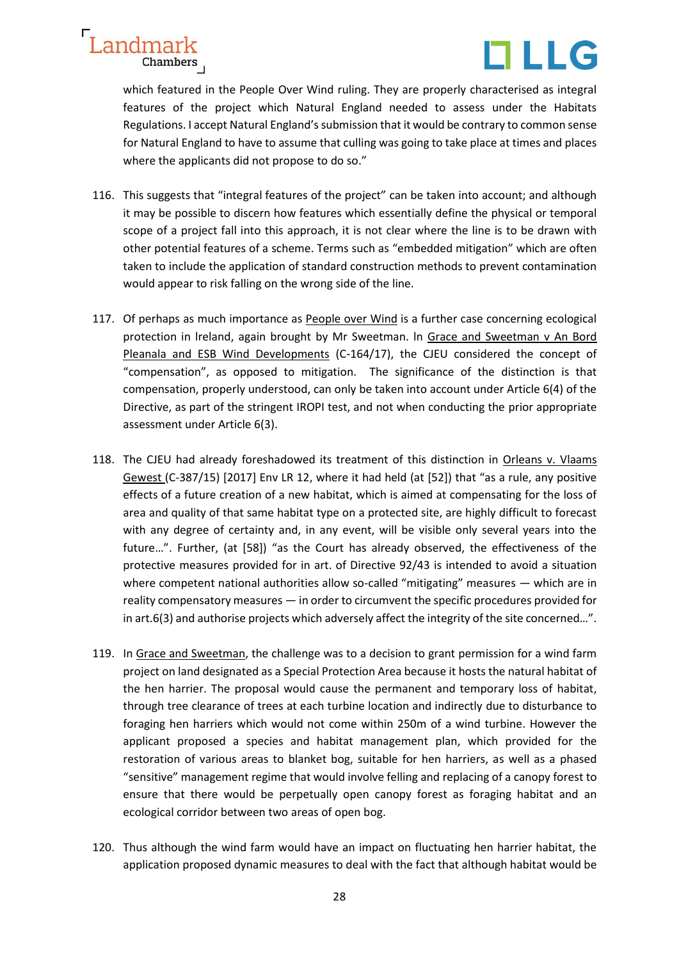



which featured in the People Over Wind ruling. They are properly characterised as integral features of the project which Natural England needed to assess under the Habitats Regulations. I accept Natural England's submission that it would be contrary to common sense for Natural England to have to assume that culling was going to take place at times and places where the applicants did not propose to do so."

- 116. This suggests that "integral features of the project" can be taken into account; and although it may be possible to discern how features which essentially define the physical or temporal scope of a project fall into this approach, it is not clear where the line is to be drawn with other potential features of a scheme. Terms such as "embedded mitigation" which are often taken to include the application of standard construction methods to prevent contamination would appear to risk falling on the wrong side of the line.
- 117. Of perhaps as much importance as People over Wind is a further case concerning ecological protection in lreland, again brought by Mr Sweetman. ln Grace and Sweetman v An Bord Pleanala and ESB Wind Developments (C‑164/17), the CJEU considered the concept of "compensation", as opposed to mitigation. The significance of the distinction is that compensation, properly understood, can only be taken into account under Article 6(4) of the Directive, as part of the stringent IROPI test, and not when conducting the prior appropriate assessment under Article 6(3).
- 118. The CJEU had already foreshadowed its treatment of this distinction in Orleans v. Vlaams Gewest (C-387/15) [2017] Env LR 12, where it had held (at [52]) that "as a rule, any positive effects of a future creation of a new habitat, which is aimed at compensating for the loss of area and quality of that same habitat type on a protected site, are highly difficult to forecast with any degree of certainty and, in any event, will be visible only several years into the future…". Further, (at [58]) "as the Court has already observed, the effectiveness of the protective measures provided for in art. of Directive 92/43 is intended to avoid a situation where competent national authorities allow so-called "mitigating" measures — which are in reality compensatory measures — in order to circumvent the specific procedures provided for in art.6(3) and authorise projects which adversely affect the integrity of the site concerned…".
- 119. In Grace and Sweetman, the challenge was to a decision to grant permission for a wind farm project on land designated as a Special Protection Area because it hosts the natural habitat of the hen harrier. The proposal would cause the permanent and temporary loss of habitat, through tree clearance of trees at each turbine location and indirectly due to disturbance to foraging hen harriers which would not come within 250m of a wind turbine. However the applicant proposed a species and habitat management plan, which provided for the restoration of various areas to blanket bog, suitable for hen harriers, as well as a phased "sensitive" management regime that would involve felling and replacing of a canopy forest to ensure that there would be perpetually open canopy forest as foraging habitat and an ecological corridor between two areas of open bog.
- 120. Thus although the wind farm would have an impact on fluctuating hen harrier habitat, the application proposed dynamic measures to deal with the fact that although habitat would be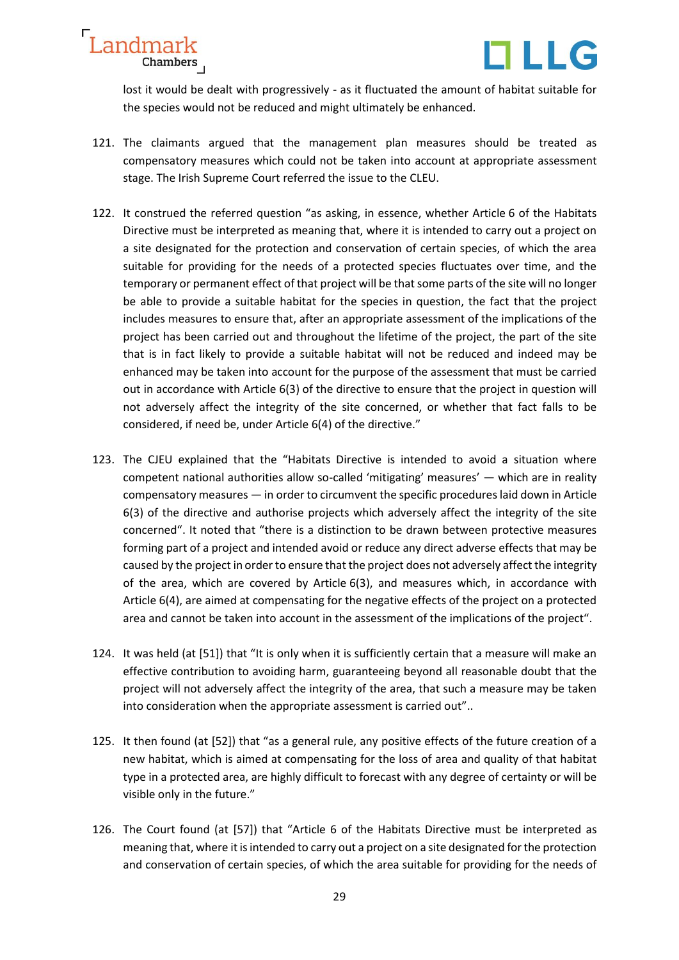



lost it would be dealt with progressively - as it fluctuated the amount of habitat suitable for the species would not be reduced and might ultimately be enhanced.

- 121. The claimants argued that the management plan measures should be treated as compensatory measures which could not be taken into account at appropriate assessment stage. The Irish Supreme Court referred the issue to the CLEU.
- 122. It construed the referred question "as asking, in essence, whether Article 6 of the Habitats Directive must be interpreted as meaning that, where it is intended to carry out a project on a site designated for the protection and conservation of certain species, of which the area suitable for providing for the needs of a protected species fluctuates over time, and the temporary or permanent effect of that project will be that some parts of the site will no longer be able to provide a suitable habitat for the species in question, the fact that the project includes measures to ensure that, after an appropriate assessment of the implications of the project has been carried out and throughout the lifetime of the project, the part of the site that is in fact likely to provide a suitable habitat will not be reduced and indeed may be enhanced may be taken into account for the purpose of the assessment that must be carried out in accordance with Article 6(3) of the directive to ensure that the project in question will not adversely affect the integrity of the site concerned, or whether that fact falls to be considered, if need be, under Article 6(4) of the directive."
- 123. The CJEU explained that the "Habitats Directive is intended to avoid a situation where competent national authorities allow so-called 'mitigating' measures' — which are in reality compensatory measures — in order to circumvent the specific procedures laid down in Article 6(3) of the directive and authorise projects which adversely affect the integrity of the site concerned". It noted that "there is a distinction to be drawn between protective measures forming part of a project and intended avoid or reduce any direct adverse effects that may be caused by the project in order to ensure that the project does not adversely affect the integrity of the area, which are covered by Article 6(3), and measures which, in accordance with Article 6(4), are aimed at compensating for the negative effects of the project on a protected area and cannot be taken into account in the assessment of the implications of the project".
- 124. It was held (at [51]) that "It is only when it is sufficiently certain that a measure will make an effective contribution to avoiding harm, guaranteeing beyond all reasonable doubt that the project will not adversely affect the integrity of the area, that such a measure may be taken into consideration when the appropriate assessment is carried out"..
- 125. It then found (at [52]) that "as a general rule, any positive effects of the future creation of a new habitat, which is aimed at compensating for the loss of area and quality of that habitat type in a protected area, are highly difficult to forecast with any degree of certainty or will be visible only in the future."
- 126. The Court found (at [57]) that "Article 6 of the Habitats Directive must be interpreted as meaning that, where it is intended to carry out a project on a site designated for the protection and conservation of certain species, of which the area suitable for providing for the needs of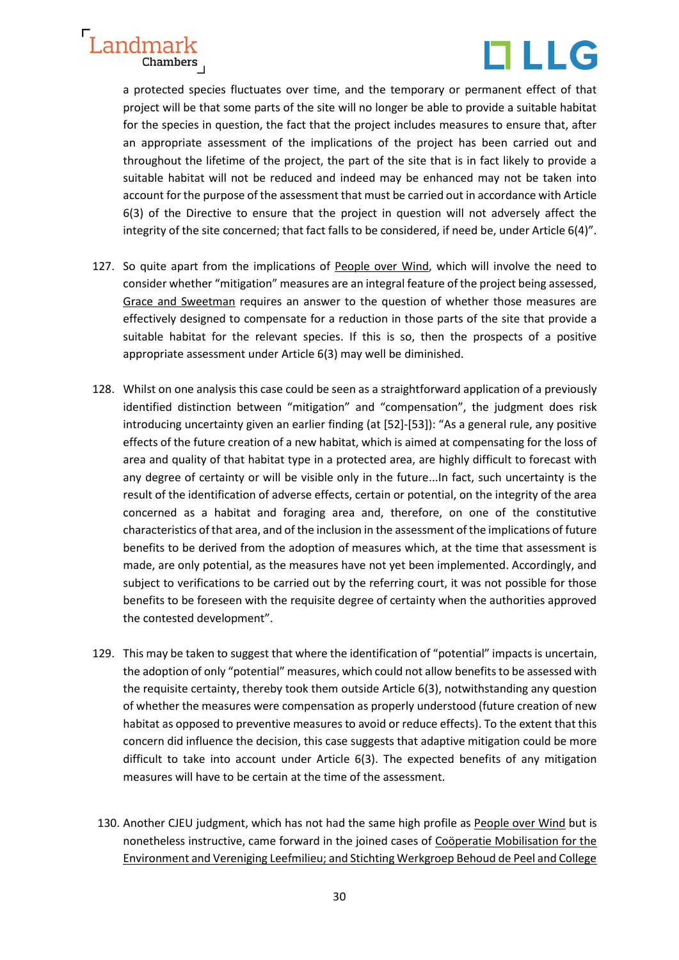

a protected species fluctuates over time, and the temporary or permanent effect of that project will be that some parts of the site will no longer be able to provide a suitable habitat for the species in question, the fact that the project includes measures to ensure that, after an appropriate assessment of the implications of the project has been carried out and throughout the lifetime of the project, the part of the site that is in fact likely to provide a suitable habitat will not be reduced and indeed may be enhanced may not be taken into account for the purpose of the assessment that must be carried out in accordance with Article 6(3) of the Directive to ensure that the project in question will not adversely affect the integrity of the site concerned; that fact falls to be considered, if need be, under Article 6(4)".

- 127. So quite apart from the implications of People over Wind, which will involve the need to consider whether "mitigation" measures are an integral feature of the project being assessed, Grace and Sweetman requires an answer to the question of whether those measures are effectively designed to compensate for a reduction in those parts of the site that provide a suitable habitat for the relevant species. If this is so, then the prospects of a positive appropriate assessment under Article 6(3) may well be diminished.
- 128. Whilst on one analysis this case could be seen as a straightforward application of a previously identified distinction between "mitigation" and "compensation", the judgment does risk introducing uncertainty given an earlier finding (at [52]-[53]): "As a general rule, any positive effects of the future creation of a new habitat, which is aimed at compensating for the loss of area and quality of that habitat type in a protected area, are highly difficult to forecast with any degree of certainty or will be visible only in the future...In fact, such uncertainty is the result of the identification of adverse effects, certain or potential, on the integrity of the area concerned as a habitat and foraging area and, therefore, on one of the constitutive characteristics of that area, and of the inclusion in the assessment of the implications of future benefits to be derived from the adoption of measures which, at the time that assessment is made, are only potential, as the measures have not yet been implemented. Accordingly, and subject to verifications to be carried out by the referring court, it was not possible for those benefits to be foreseen with the requisite degree of certainty when the authorities approved the contested development".
- 129. This may be taken to suggest that where the identification of "potential" impacts is uncertain, the adoption of only "potential" measures, which could not allow benefits to be assessed with the requisite certainty, thereby took them outside Article 6(3), notwithstanding any question of whether the measures were compensation as properly understood (future creation of new habitat as opposed to preventive measures to avoid or reduce effects). To the extent that this concern did influence the decision, this case suggests that adaptive mitigation could be more difficult to take into account under Article 6(3). The expected benefits of any mitigation measures will have to be certain at the time of the assessment.
- 130. Another CJEU judgment, which has not had the same high profile as People over Wind but is nonetheless instructive, came forward in the joined cases of Coöperatie Mobilisation for the Environment and Vereniging Leefmilieu; and Stichting Werkgroep Behoud de Peel and College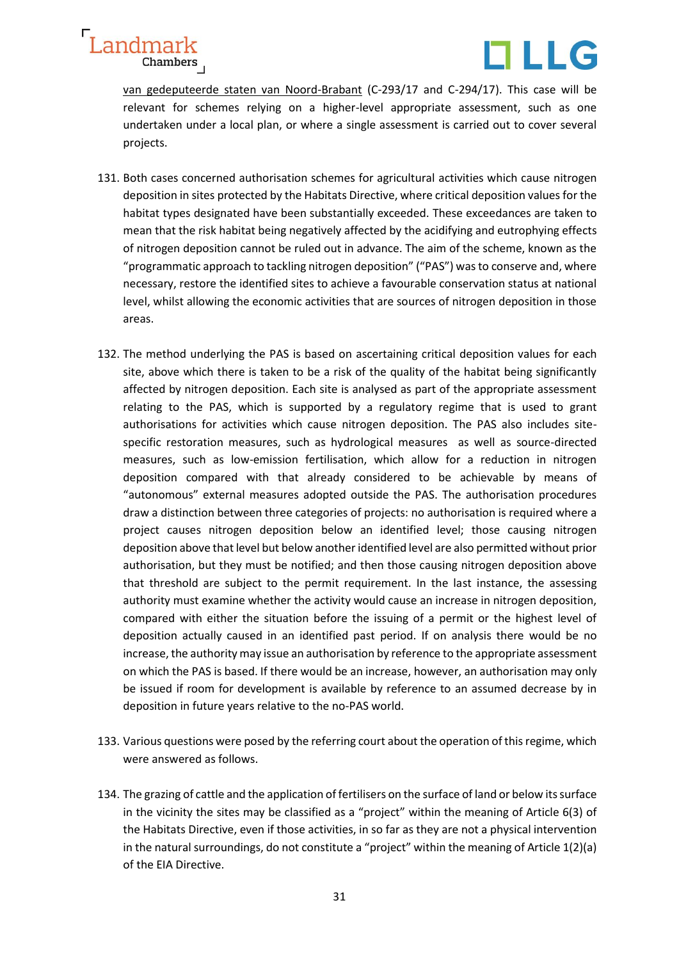

van gedeputeerde staten van Noord-Brabant (C-293/17 and C-294/17). This case will be relevant for schemes relying on a higher-level appropriate assessment, such as one undertaken under a local plan, or where a single assessment is carried out to cover several projects.

- 131. Both cases concerned authorisation schemes for agricultural activities which cause nitrogen deposition in sites protected by the Habitats Directive, where critical deposition values for the habitat types designated have been substantially exceeded. These exceedances are taken to mean that the risk habitat being negatively affected by the acidifying and eutrophying effects of nitrogen deposition cannot be ruled out in advance. The aim of the scheme, known as the "programmatic approach to tackling nitrogen deposition" ("PAS") was to conserve and, where necessary, restore the identified sites to achieve a favourable conservation status at national level, whilst allowing the economic activities that are sources of nitrogen deposition in those areas.
- 132. The method underlying the PAS is based on ascertaining critical deposition values for each site, above which there is taken to be a risk of the quality of the habitat being significantly affected by nitrogen deposition. Each site is analysed as part of the appropriate assessment relating to the PAS, which is supported by a regulatory regime that is used to grant authorisations for activities which cause nitrogen deposition. The PAS also includes sitespecific restoration measures, such as hydrological measures as well as source-directed measures, such as low-emission fertilisation, which allow for a reduction in nitrogen deposition compared with that already considered to be achievable by means of "autonomous" external measures adopted outside the PAS. The authorisation procedures draw a distinction between three categories of projects: no authorisation is required where a project causes nitrogen deposition below an identified level; those causing nitrogen deposition above that level but below another identified level are also permitted without prior authorisation, but they must be notified; and then those causing nitrogen deposition above that threshold are subject to the permit requirement. In the last instance, the assessing authority must examine whether the activity would cause an increase in nitrogen deposition, compared with either the situation before the issuing of a permit or the highest level of deposition actually caused in an identified past period. If on analysis there would be no increase, the authority may issue an authorisation by reference to the appropriate assessment on which the PAS is based. If there would be an increase, however, an authorisation may only be issued if room for development is available by reference to an assumed decrease by in deposition in future years relative to the no-PAS world.
- 133. Various questions were posed by the referring court about the operation of this regime, which were answered as follows.
- 134. The grazing of cattle and the application of fertilisers on the surface of land or below its surface in the vicinity the sites may be classified as a "project" within the meaning of Article 6(3) of the Habitats Directive, even if those activities, in so far as they are not a physical intervention in the natural surroundings, do not constitute a "project" within the meaning of Article 1(2)(a) of the EIA Directive.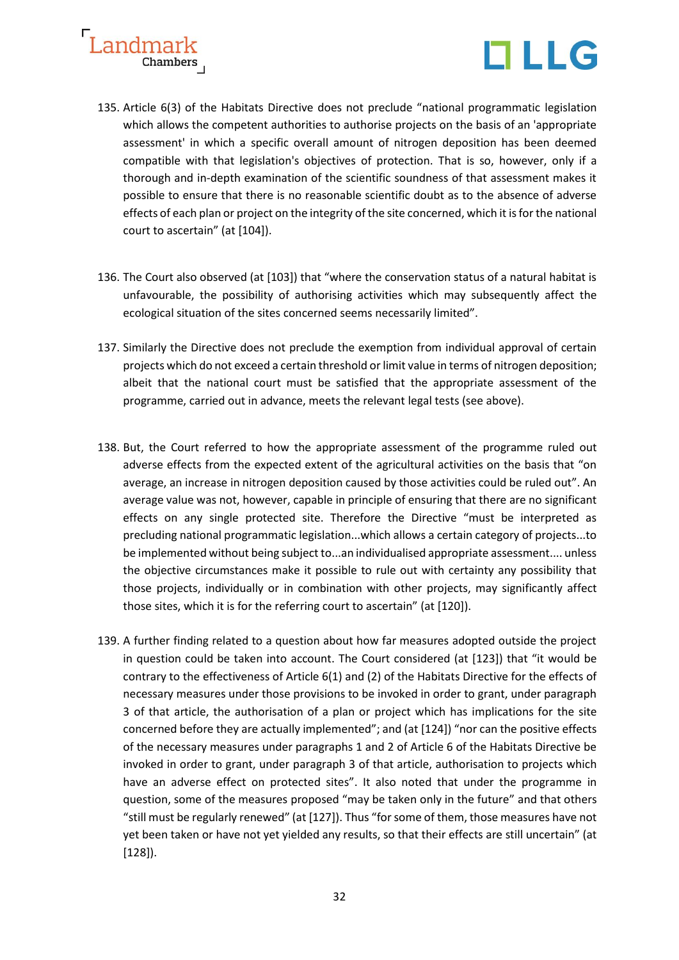



- 135. Article 6(3) of the Habitats Directive does not preclude "national programmatic legislation which allows the competent authorities to authorise projects on the basis of an 'appropriate assessment' in which a specific overall amount of nitrogen deposition has been deemed compatible with that legislation's objectives of protection. That is so, however, only if a thorough and in-depth examination of the scientific soundness of that assessment makes it possible to ensure that there is no reasonable scientific doubt as to the absence of adverse effects of each plan or project on the integrity of the site concerned, which it is for the national court to ascertain" (at [104]).
- 136. The Court also observed (at [103]) that "where the conservation status of a natural habitat is unfavourable, the possibility of authorising activities which may subsequently affect the ecological situation of the sites concerned seems necessarily limited".
- 137. Similarly the Directive does not preclude the exemption from individual approval of certain projects which do not exceed a certain threshold or limit value in terms of nitrogen deposition; albeit that the national court must be satisfied that the appropriate assessment of the programme, carried out in advance, meets the relevant legal tests (see above).
- 138. But, the Court referred to how the appropriate assessment of the programme ruled out adverse effects from the expected extent of the agricultural activities on the basis that "on average, an increase in nitrogen deposition caused by those activities could be ruled out". An average value was not, however, capable in principle of ensuring that there are no significant effects on any single protected site. Therefore the Directive "must be interpreted as precluding national programmatic legislation...which allows a certain category of projects...to be implemented without being subject to...an individualised appropriate assessment.... unless the objective circumstances make it possible to rule out with certainty any possibility that those projects, individually or in combination with other projects, may significantly affect those sites, which it is for the referring court to ascertain" (at [120]).
- 139. A further finding related to a question about how far measures adopted outside the project in question could be taken into account. The Court considered (at [123]) that "it would be contrary to the effectiveness of Article 6(1) and (2) of the Habitats Directive for the effects of necessary measures under those provisions to be invoked in order to grant, under paragraph 3 of that article, the authorisation of a plan or project which has implications for the site concerned before they are actually implemented"; and (at [124]) "nor can the positive effects of the necessary measures under paragraphs 1 and 2 of Article 6 of the Habitats Directive be invoked in order to grant, under paragraph 3 of that article, authorisation to projects which have an adverse effect on protected sites". It also noted that under the programme in question, some of the measures proposed "may be taken only in the future" and that others "still must be regularly renewed" (at [127]). Thus "for some of them, those measures have not yet been taken or have not yet yielded any results, so that their effects are still uncertain" (at [128]).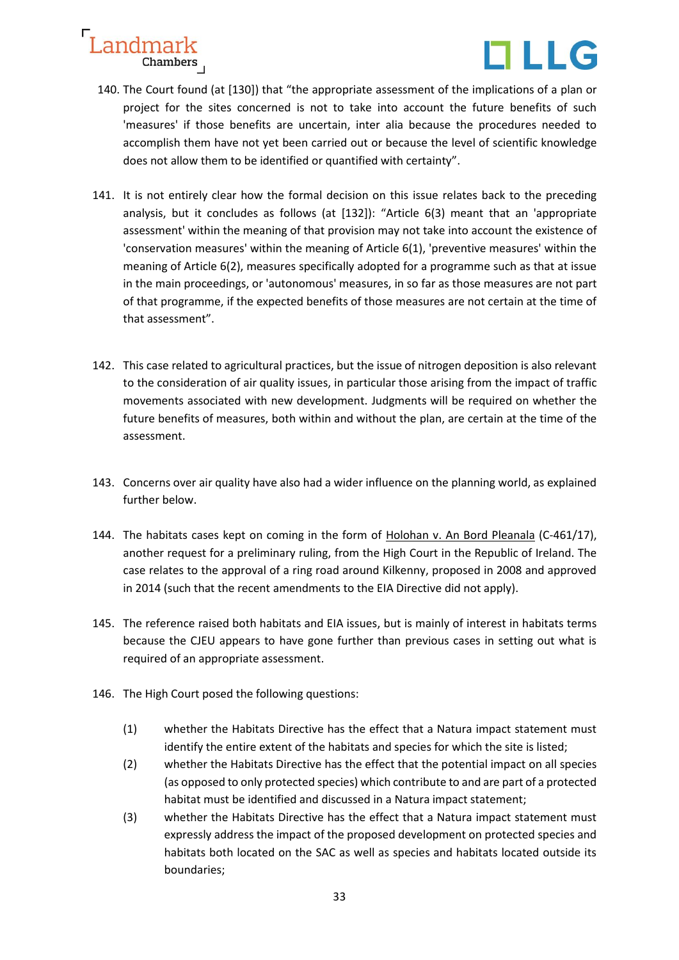



- 140. The Court found (at [130]) that "the appropriate assessment of the implications of a plan or project for the sites concerned is not to take into account the future benefits of such 'measures' if those benefits are uncertain, inter alia because the procedures needed to accomplish them have not yet been carried out or because the level of scientific knowledge does not allow them to be identified or quantified with certainty".
- 141. It is not entirely clear how the formal decision on this issue relates back to the preceding analysis, but it concludes as follows (at [132]): "Article 6(3) meant that an 'appropriate assessment' within the meaning of that provision may not take into account the existence of 'conservation measures' within the meaning of Article 6(1), 'preventive measures' within the meaning of Article 6(2), measures specifically adopted for a programme such as that at issue in the main proceedings, or 'autonomous' measures, in so far as those measures are not part of that programme, if the expected benefits of those measures are not certain at the time of that assessment".
- 142. This case related to agricultural practices, but the issue of nitrogen deposition is also relevant to the consideration of air quality issues, in particular those arising from the impact of traffic movements associated with new development. Judgments will be required on whether the future benefits of measures, both within and without the plan, are certain at the time of the assessment.
- 143. Concerns over air quality have also had a wider influence on the planning world, as explained further below.
- 144. The habitats cases kept on coming in the form of Holohan v. An Bord Pleanala (C-461/17), another request for a preliminary ruling, from the High Court in the Republic of Ireland. The case relates to the approval of a ring road around Kilkenny, proposed in 2008 and approved in 2014 (such that the recent amendments to the EIA Directive did not apply).
- 145. The reference raised both habitats and EIA issues, but is mainly of interest in habitats terms because the CJEU appears to have gone further than previous cases in setting out what is required of an appropriate assessment.
- 146. The High Court posed the following questions:
	- (1) whether the Habitats Directive has the effect that a Natura impact statement must identify the entire extent of the habitats and species for which the site is listed;
	- (2) whether the Habitats Directive has the effect that the potential impact on all species (as opposed to only protected species) which contribute to and are part of a protected habitat must be identified and discussed in a Natura impact statement;
	- (3) whether the Habitats Directive has the effect that a Natura impact statement must expressly address the impact of the proposed development on protected species and habitats both located on the SAC as well as species and habitats located outside its boundaries;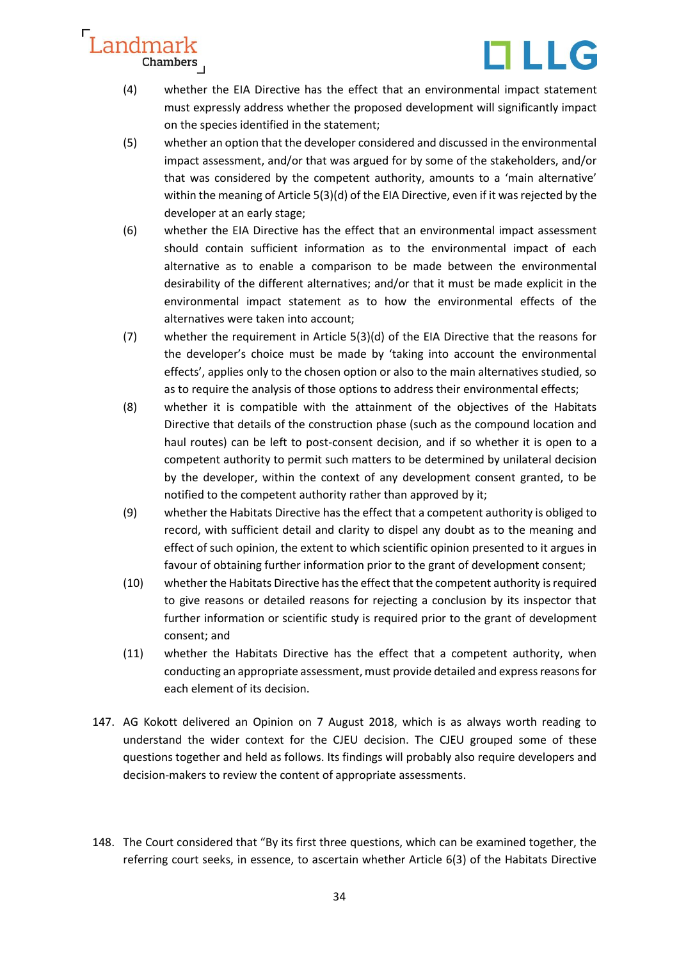

- (4) whether the EIA Directive has the effect that an environmental impact statement must expressly address whether the proposed development will significantly impact on the species identified in the statement;
- (5) whether an option that the developer considered and discussed in the environmental impact assessment, and/or that was argued for by some of the stakeholders, and/or that was considered by the competent authority, amounts to a 'main alternative' within the meaning of Article 5(3)(d) of the EIA Directive, even if it was rejected by the developer at an early stage;
- (6) whether the EIA Directive has the effect that an environmental impact assessment should contain sufficient information as to the environmental impact of each alternative as to enable a comparison to be made between the environmental desirability of the different alternatives; and/or that it must be made explicit in the environmental impact statement as to how the environmental effects of the alternatives were taken into account;
- (7) whether the requirement in Article 5(3)(d) of the EIA Directive that the reasons for the developer's choice must be made by 'taking into account the environmental effects', applies only to the chosen option or also to the main alternatives studied, so as to require the analysis of those options to address their environmental effects;
- (8) whether it is compatible with the attainment of the objectives of the Habitats Directive that details of the construction phase (such as the compound location and haul routes) can be left to post-consent decision, and if so whether it is open to a competent authority to permit such matters to be determined by unilateral decision by the developer, within the context of any development consent granted, to be notified to the competent authority rather than approved by it;
- (9) whether the Habitats Directive has the effect that a competent authority is obliged to record, with sufficient detail and clarity to dispel any doubt as to the meaning and effect of such opinion, the extent to which scientific opinion presented to it argues in favour of obtaining further information prior to the grant of development consent;
- (10) whether the Habitats Directive has the effect that the competent authority is required to give reasons or detailed reasons for rejecting a conclusion by its inspector that further information or scientific study is required prior to the grant of development consent; and
- (11) whether the Habitats Directive has the effect that a competent authority, when conducting an appropriate assessment, must provide detailed and express reasons for each element of its decision.
- 147. AG Kokott delivered an Opinion on 7 August 2018, which is as always worth reading to understand the wider context for the CJEU decision. The CJEU grouped some of these questions together and held as follows. Its findings will probably also require developers and decision-makers to review the content of appropriate assessments.
- 148. The Court considered that "By its first three questions, which can be examined together, the referring court seeks, in essence, to ascertain whether Article 6(3) of the Habitats Directive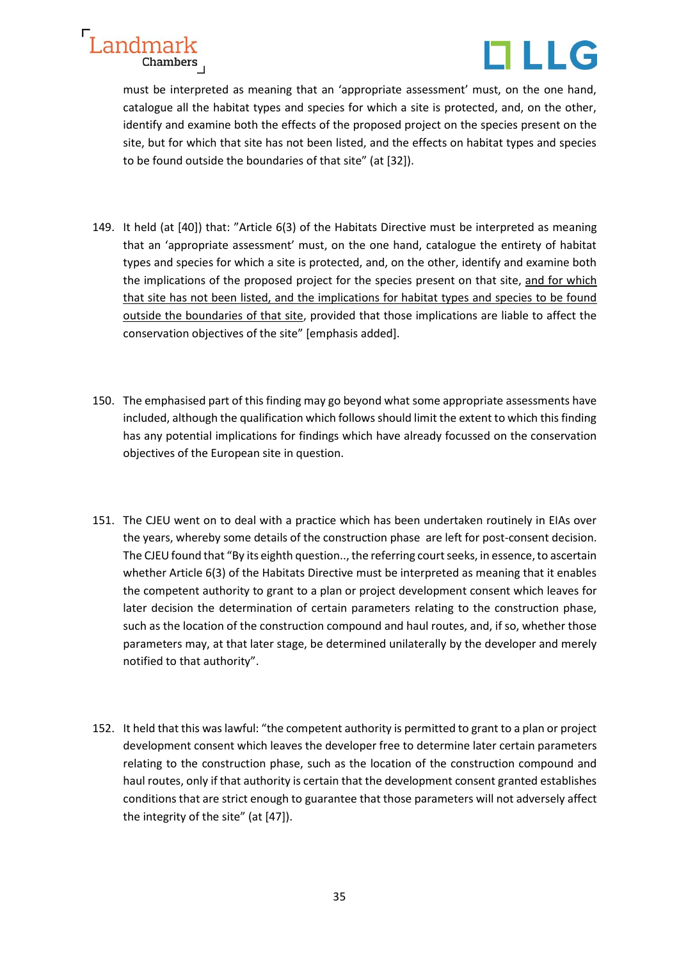



must be interpreted as meaning that an 'appropriate assessment' must, on the one hand, catalogue all the habitat types and species for which a site is protected, and, on the other, identify and examine both the effects of the proposed project on the species present on the site, but for which that site has not been listed, and the effects on habitat types and species to be found outside the boundaries of that site" (at [32]).

- 149. It held (at [40]) that: "Article 6(3) of the Habitats Directive must be interpreted as meaning that an 'appropriate assessment' must, on the one hand, catalogue the entirety of habitat types and species for which a site is protected, and, on the other, identify and examine both the implications of the proposed project for the species present on that site, and for which that site has not been listed, and the implications for habitat types and species to be found outside the boundaries of that site, provided that those implications are liable to affect the conservation objectives of the site" [emphasis added].
- 150. The emphasised part of this finding may go beyond what some appropriate assessments have included, although the qualification which follows should limit the extent to which this finding has any potential implications for findings which have already focussed on the conservation objectives of the European site in question.
- 151. The CJEU went on to deal with a practice which has been undertaken routinely in EIAs over the years, whereby some details of the construction phase are left for post-consent decision. The CJEU found that "By its eighth question.., the referring court seeks, in essence, to ascertain whether Article 6(3) of the Habitats Directive must be interpreted as meaning that it enables the competent authority to grant to a plan or project development consent which leaves for later decision the determination of certain parameters relating to the construction phase, such as the location of the construction compound and haul routes, and, if so, whether those parameters may, at that later stage, be determined unilaterally by the developer and merely notified to that authority".
- 152. It held that this was lawful: "the competent authority is permitted to grant to a plan or project development consent which leaves the developer free to determine later certain parameters relating to the construction phase, such as the location of the construction compound and haul routes, only if that authority is certain that the development consent granted establishes conditions that are strict enough to guarantee that those parameters will not adversely affect the integrity of the site" (at [47]).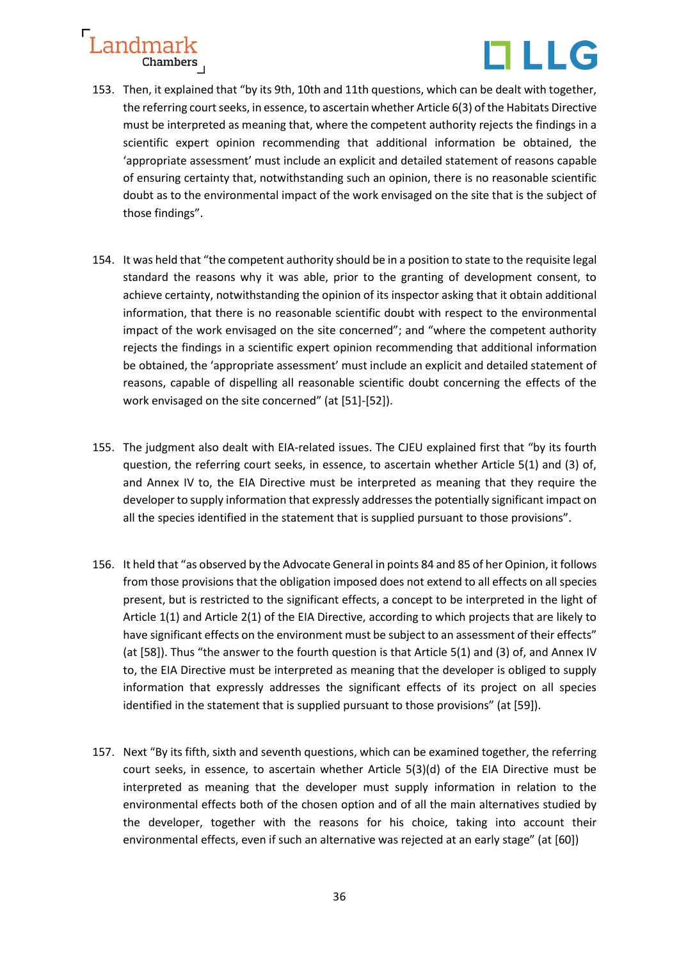

- 153. Then, it explained that "by its 9th, 10th and 11th questions, which can be dealt with together, the referring court seeks, in essence, to ascertain whether Article 6(3) of the Habitats Directive must be interpreted as meaning that, where the competent authority rejects the findings in a scientific expert opinion recommending that additional information be obtained, the 'appropriate assessment' must include an explicit and detailed statement of reasons capable of ensuring certainty that, notwithstanding such an opinion, there is no reasonable scientific doubt as to the environmental impact of the work envisaged on the site that is the subject of those findings".
- 154. It was held that "the competent authority should be in a position to state to the requisite legal standard the reasons why it was able, prior to the granting of development consent, to achieve certainty, notwithstanding the opinion of its inspector asking that it obtain additional information, that there is no reasonable scientific doubt with respect to the environmental impact of the work envisaged on the site concerned"; and "where the competent authority rejects the findings in a scientific expert opinion recommending that additional information be obtained, the 'appropriate assessment' must include an explicit and detailed statement of reasons, capable of dispelling all reasonable scientific doubt concerning the effects of the work envisaged on the site concerned" (at [51]-[52]).
- 155. The judgment also dealt with EIA-related issues. The CJEU explained first that "by its fourth question, the referring court seeks, in essence, to ascertain whether Article 5(1) and (3) of, and Annex IV to, the EIA Directive must be interpreted as meaning that they require the developer to supply information that expressly addresses the potentially significant impact on all the species identified in the statement that is supplied pursuant to those provisions".
- 156. It held that "as observed by the Advocate General in points 84 and 85 of her Opinion, it follows from those provisions that the obligation imposed does not extend to all effects on all species present, but is restricted to the significant effects, a concept to be interpreted in the light of Article 1(1) and Article 2(1) of the EIA Directive, according to which projects that are likely to have significant effects on the environment must be subject to an assessment of their effects" (at [58]). Thus "the answer to the fourth question is that Article 5(1) and (3) of, and Annex IV to, the EIA Directive must be interpreted as meaning that the developer is obliged to supply information that expressly addresses the significant effects of its project on all species identified in the statement that is supplied pursuant to those provisions" (at [59]).
- 157. Next "By its fifth, sixth and seventh questions, which can be examined together, the referring court seeks, in essence, to ascertain whether Article 5(3)(d) of the EIA Directive must be interpreted as meaning that the developer must supply information in relation to the environmental effects both of the chosen option and of all the main alternatives studied by the developer, together with the reasons for his choice, taking into account their environmental effects, even if such an alternative was rejected at an early stage" (at [60])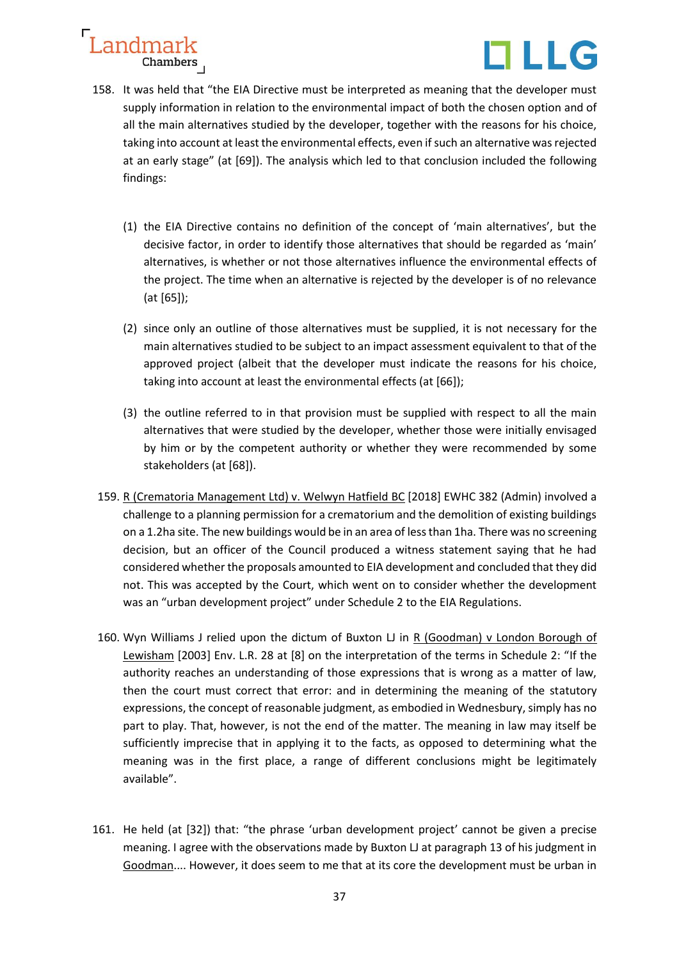

- 158. It was held that "the EIA Directive must be interpreted as meaning that the developer must supply information in relation to the environmental impact of both the chosen option and of all the main alternatives studied by the developer, together with the reasons for his choice, taking into account at least the environmental effects, even if such an alternative was rejected at an early stage" (at [69]). The analysis which led to that conclusion included the following findings:
	- (1) the EIA Directive contains no definition of the concept of 'main alternatives', but the decisive factor, in order to identify those alternatives that should be regarded as 'main' alternatives, is whether or not those alternatives influence the environmental effects of the project. The time when an alternative is rejected by the developer is of no relevance (at [65]);
	- (2) since only an outline of those alternatives must be supplied, it is not necessary for the main alternatives studied to be subject to an impact assessment equivalent to that of the approved project (albeit that the developer must indicate the reasons for his choice, taking into account at least the environmental effects (at [66]);
	- (3) the outline referred to in that provision must be supplied with respect to all the main alternatives that were studied by the developer, whether those were initially envisaged by him or by the competent authority or whether they were recommended by some stakeholders (at [68]).
- 159. R (Crematoria Management Ltd) v. Welwyn Hatfield BC [2018] EWHC 382 (Admin) involved a challenge to a planning permission for a crematorium and the demolition of existing buildings on a 1.2ha site. The new buildings would be in an area of less than 1ha. There was no screening decision, but an officer of the Council produced a witness statement saying that he had considered whether the proposals amounted to EIA development and concluded that they did not. This was accepted by the Court, which went on to consider whether the development was an "urban development project" under Schedule 2 to the EIA Regulations.
- 160. Wyn Williams J relied upon the dictum of Buxton LJ in R (Goodman) v London Borough of Lewisham [2003] Env. L.R. 28 at [8] on the interpretation of the terms in Schedule 2: "If the authority reaches an understanding of those expressions that is wrong as a matter of law, then the court must correct that error: and in determining the meaning of the statutory expressions, the concept of reasonable judgment, as embodied in Wednesbury, simply has no part to play. That, however, is not the end of the matter. The meaning in law may itself be sufficiently imprecise that in applying it to the facts, as opposed to determining what the meaning was in the first place, a range of different conclusions might be legitimately available".
- 161. He held (at [32]) that: "the phrase 'urban development project' cannot be given a precise meaning. I agree with the observations made by Buxton LJ at paragraph 13 of his judgment in Goodman.... However, it does seem to me that at its core the development must be urban in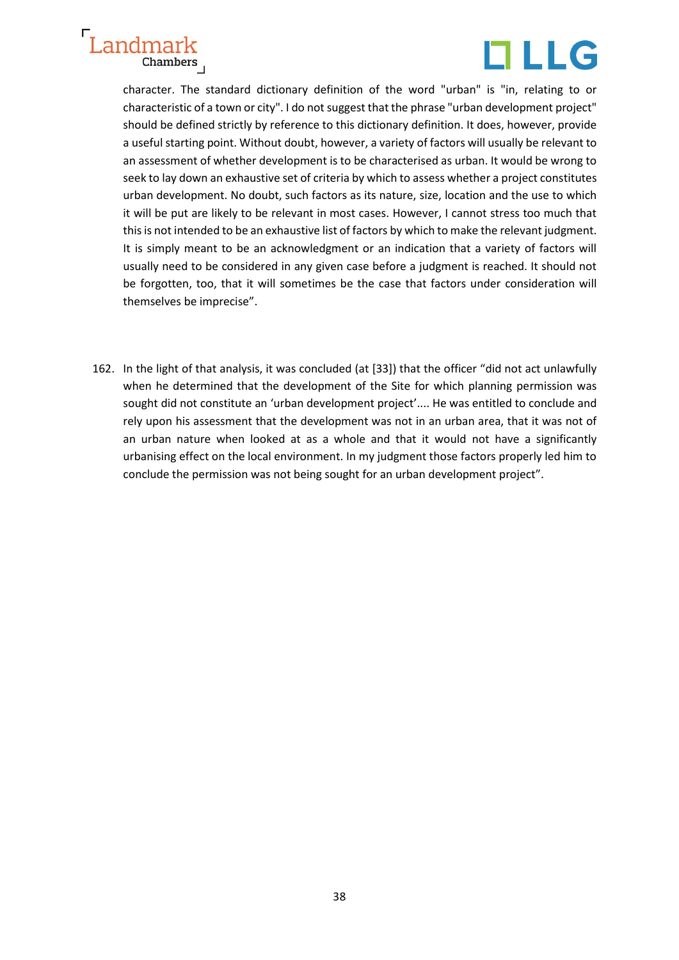

character. The standard dictionary definition of the word "urban" is "in, relating to or characteristic of a town or city". I do not suggest that the phrase "urban development project" should be defined strictly by reference to this dictionary definition. It does, however, provide a useful starting point. Without doubt, however, a variety of factors will usually be relevant to an assessment of whether development is to be characterised as urban. It would be wrong to seek to lay down an exhaustive set of criteria by which to assess whether a project constitutes urban development. No doubt, such factors as its nature, size, location and the use to which it will be put are likely to be relevant in most cases. However, I cannot stress too much that this is not intended to be an exhaustive list of factors by which to make the relevant judgment. It is simply meant to be an acknowledgment or an indication that a variety of factors will usually need to be considered in any given case before a judgment is reached. It should not be forgotten, too, that it will sometimes be the case that factors under consideration will themselves be imprecise".

162. In the light of that analysis, it was concluded (at [33]) that the officer "did not act unlawfully when he determined that the development of the Site for which planning permission was sought did not constitute an 'urban development project'.... He was entitled to conclude and rely upon his assessment that the development was not in an urban area, that it was not of an urban nature when looked at as a whole and that it would not have a significantly urbanising effect on the local environment. In my judgment those factors properly led him to conclude the permission was not being sought for an urban development project".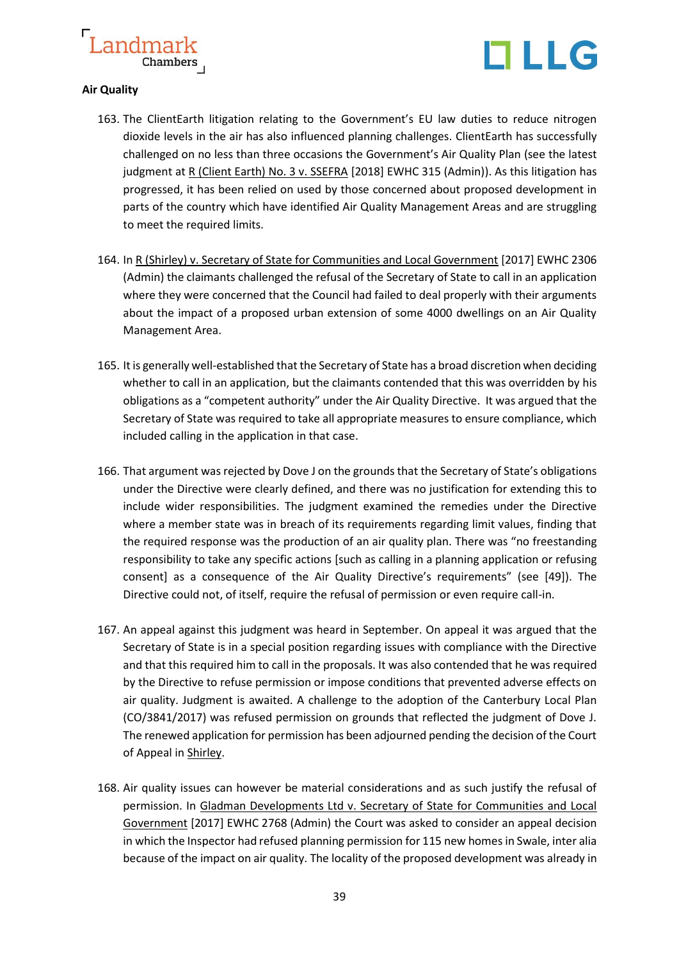

#### **Air Quality**

- 163. The ClientEarth litigation relating to the Government's EU law duties to reduce nitrogen dioxide levels in the air has also influenced planning challenges. ClientEarth has successfully challenged on no less than three occasions the Government's Air Quality Plan (see the latest judgment at R (Client Earth) No. 3 v. SSEFRA [2018] EWHC 315 (Admin)). As this litigation has progressed, it has been relied on used by those concerned about proposed development in parts of the country which have identified Air Quality Management Areas and are struggling to meet the required limits.
- 164. In R (Shirley) v. Secretary of State for Communities and Local Government [2017] EWHC 2306 (Admin) the claimants challenged the refusal of the Secretary of State to call in an application where they were concerned that the Council had failed to deal properly with their arguments about the impact of a proposed urban extension of some 4000 dwellings on an Air Quality Management Area.
- 165. It is generally well-established that the Secretary of State has a broad discretion when deciding whether to call in an application, but the claimants contended that this was overridden by his obligations as a "competent authority" under the Air Quality Directive. It was argued that the Secretary of State was required to take all appropriate measures to ensure compliance, which included calling in the application in that case.
- 166. That argument was rejected by Dove J on the grounds that the Secretary of State's obligations under the Directive were clearly defined, and there was no justification for extending this to include wider responsibilities. The judgment examined the remedies under the Directive where a member state was in breach of its requirements regarding limit values, finding that the required response was the production of an air quality plan. There was "no freestanding responsibility to take any specific actions [such as calling in a planning application or refusing consent] as a consequence of the Air Quality Directive's requirements" (see [49]). The Directive could not, of itself, require the refusal of permission or even require call-in.
- 167. An appeal against this judgment was heard in September. On appeal it was argued that the Secretary of State is in a special position regarding issues with compliance with the Directive and that this required him to call in the proposals. It was also contended that he was required by the Directive to refuse permission or impose conditions that prevented adverse effects on air quality. Judgment is awaited. A challenge to the adoption of the Canterbury Local Plan (CO/3841/2017) was refused permission on grounds that reflected the judgment of Dove J. The renewed application for permission has been adjourned pending the decision of the Court of Appeal in Shirley.
- 168. Air quality issues can however be material considerations and as such justify the refusal of permission. In Gladman Developments Ltd v. Secretary of State for Communities and Local Government [2017] EWHC 2768 (Admin) the Court was asked to consider an appeal decision in which the Inspector had refused planning permission for 115 new homes in Swale, inter alia because of the impact on air quality. The locality of the proposed development was already in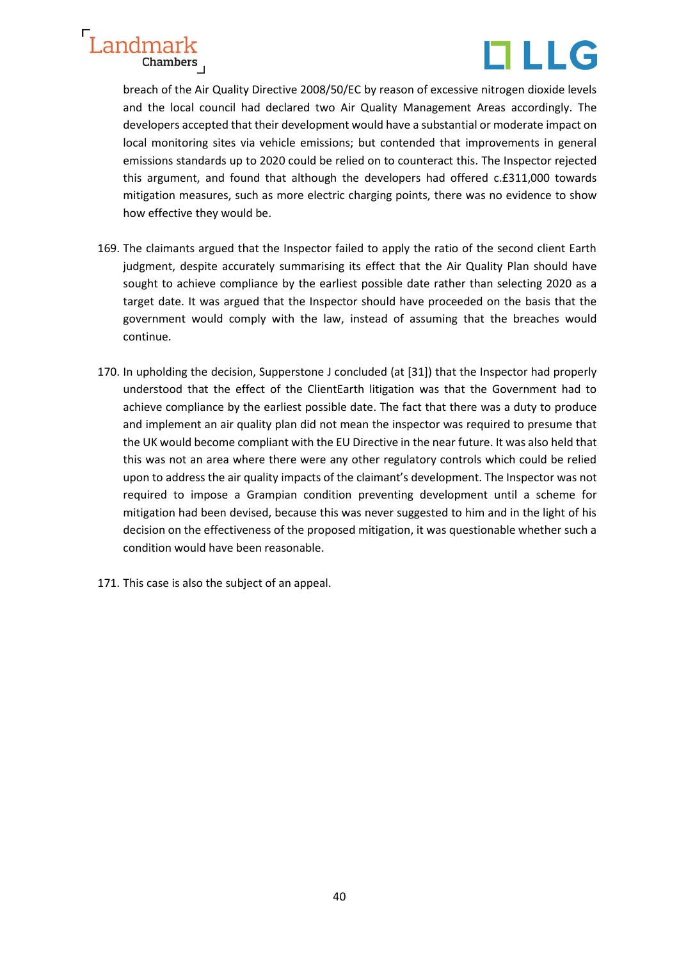



breach of the Air Quality Directive 2008/50/EC by reason of excessive nitrogen dioxide levels and the local council had declared two Air Quality Management Areas accordingly. The developers accepted that their development would have a substantial or moderate impact on local monitoring sites via vehicle emissions; but contended that improvements in general emissions standards up to 2020 could be relied on to counteract this. The Inspector rejected this argument, and found that although the developers had offered c.£311,000 towards mitigation measures, such as more electric charging points, there was no evidence to show how effective they would be.

- 169. The claimants argued that the Inspector failed to apply the ratio of the second client Earth judgment, despite accurately summarising its effect that the Air Quality Plan should have sought to achieve compliance by the earliest possible date rather than selecting 2020 as a target date. It was argued that the Inspector should have proceeded on the basis that the government would comply with the law, instead of assuming that the breaches would continue.
- 170. In upholding the decision, Supperstone J concluded (at [31]) that the Inspector had properly understood that the effect of the ClientEarth litigation was that the Government had to achieve compliance by the earliest possible date. The fact that there was a duty to produce and implement an air quality plan did not mean the inspector was required to presume that the UK would become compliant with the EU Directive in the near future. It was also held that this was not an area where there were any other regulatory controls which could be relied upon to address the air quality impacts of the claimant's development. The Inspector was not required to impose a Grampian condition preventing development until a scheme for mitigation had been devised, because this was never suggested to him and in the light of his decision on the effectiveness of the proposed mitigation, it was questionable whether such a condition would have been reasonable.
- 171. This case is also the subject of an appeal.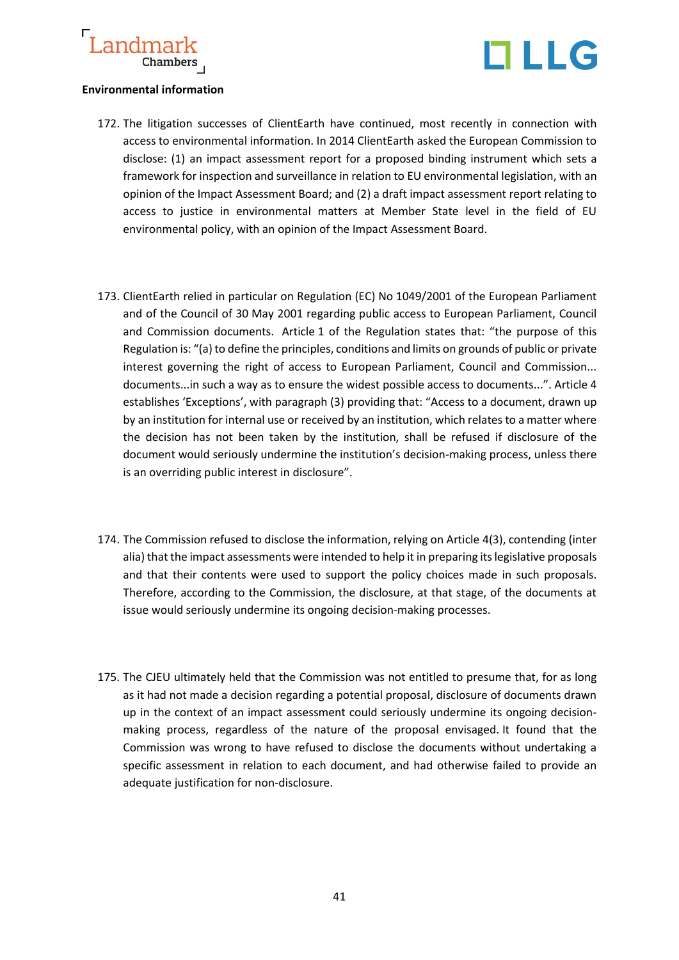



#### **Environmental information**

- 172. The litigation successes of ClientEarth have continued, most recently in connection with access to environmental information. In 2014 ClientEarth asked the European Commission to disclose: (1) an impact assessment report for a proposed binding instrument which sets a framework for inspection and surveillance in relation to EU environmental legislation, with an opinion of the Impact Assessment Board; and (2) a draft impact assessment report relating to access to justice in environmental matters at Member State level in the field of EU environmental policy, with an opinion of the Impact Assessment Board.
- 173. ClientEarth relied in particular on Regulation (EC) No 1049/2001 of the European Parliament and of the Council of 30 May 2001 regarding public access to European Parliament, Council and Commission documents. Article 1 of the Regulation states that: "the purpose of this Regulation is: "(a) to define the principles, conditions and limits on grounds of public or private interest governing the right of access to European Parliament, Council and Commission... documents...in such a way as to ensure the widest possible access to documents...". Article 4 establishes 'Exceptions', with paragraph (3) providing that: "Access to a document, drawn up by an institution for internal use or received by an institution, which relates to a matter where the decision has not been taken by the institution, shall be refused if disclosure of the document would seriously undermine the institution's decision-making process, unless there is an overriding public interest in disclosure".
- 174. The Commission refused to disclose the information, relying on Article 4(3), contending (inter alia) that the impact assessments were intended to help it in preparing its legislative proposals and that their contents were used to support the policy choices made in such proposals. Therefore, according to the Commission, the disclosure, at that stage, of the documents at issue would seriously undermine its ongoing decision-making processes.
- 175. The CJEU ultimately held that the Commission was not entitled to presume that, for as long as it had not made a decision regarding a potential proposal, disclosure of documents drawn up in the context of an impact assessment could seriously undermine its ongoing decisionmaking process, regardless of the nature of the proposal envisaged. It found that the Commission was wrong to have refused to disclose the documents without undertaking a specific assessment in relation to each document, and had otherwise failed to provide an adequate justification for non-disclosure.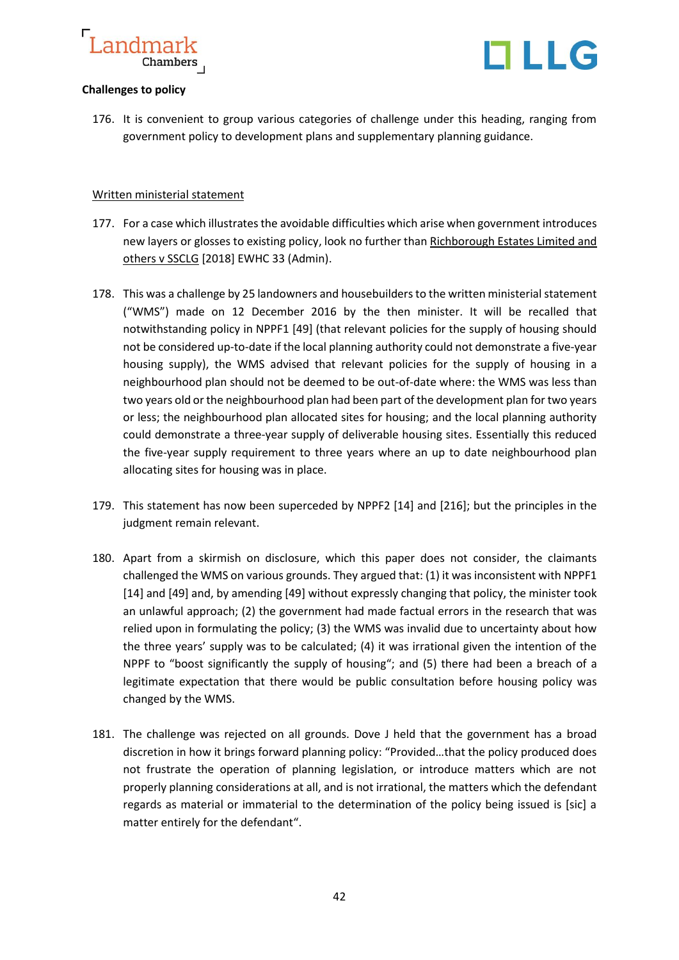

#### **Challenges to policy**

176. It is convenient to group various categories of challenge under this heading, ranging from government policy to development plans and supplementary planning guidance.

#### Written ministerial statement

- 177. For a case which illustrates the avoidable difficulties which arise when government introduces new layers or glosses to existing policy, look no further than Richborough Estates Limited and others v SSCLG [2018] EWHC 33 (Admin).
- 178. This was a challenge by 25 landowners and housebuilders to the written ministerial statement ("WMS") made on 12 December 2016 by the then minister. It will be recalled that notwithstanding policy in NPPF1 [49] (that relevant policies for the supply of housing should not be considered up-to-date if the local planning authority could not demonstrate a five-year housing supply), the WMS advised that relevant policies for the supply of housing in a neighbourhood plan should not be deemed to be out-of-date where: the WMS was less than two years old or the neighbourhood plan had been part of the development plan for two years or less; the neighbourhood plan allocated sites for housing; and the local planning authority could demonstrate a three-year supply of deliverable housing sites. Essentially this reduced the five-year supply requirement to three years where an up to date neighbourhood plan allocating sites for housing was in place.
- 179. This statement has now been superceded by NPPF2 [14] and [216]; but the principles in the judgment remain relevant.
- 180. Apart from a skirmish on disclosure, which this paper does not consider, the claimants challenged the WMS on various grounds. They argued that: (1) it was inconsistent with NPPF1 [14] and [49] and, by amending [49] without expressly changing that policy, the minister took an unlawful approach; (2) the government had made factual errors in the research that was relied upon in formulating the policy; (3) the WMS was invalid due to uncertainty about how the three years' supply was to be calculated; (4) it was irrational given the intention of the NPPF to "boost significantly the supply of housing"; and (5) there had been a breach of a legitimate expectation that there would be public consultation before housing policy was changed by the WMS.
- 181. The challenge was rejected on all grounds. Dove J held that the government has a broad discretion in how it brings forward planning policy: "Provided…that the policy produced does not frustrate the operation of planning legislation, or introduce matters which are not properly planning considerations at all, and is not irrational, the matters which the defendant regards as material or immaterial to the determination of the policy being issued is [sic] a matter entirely for the defendant".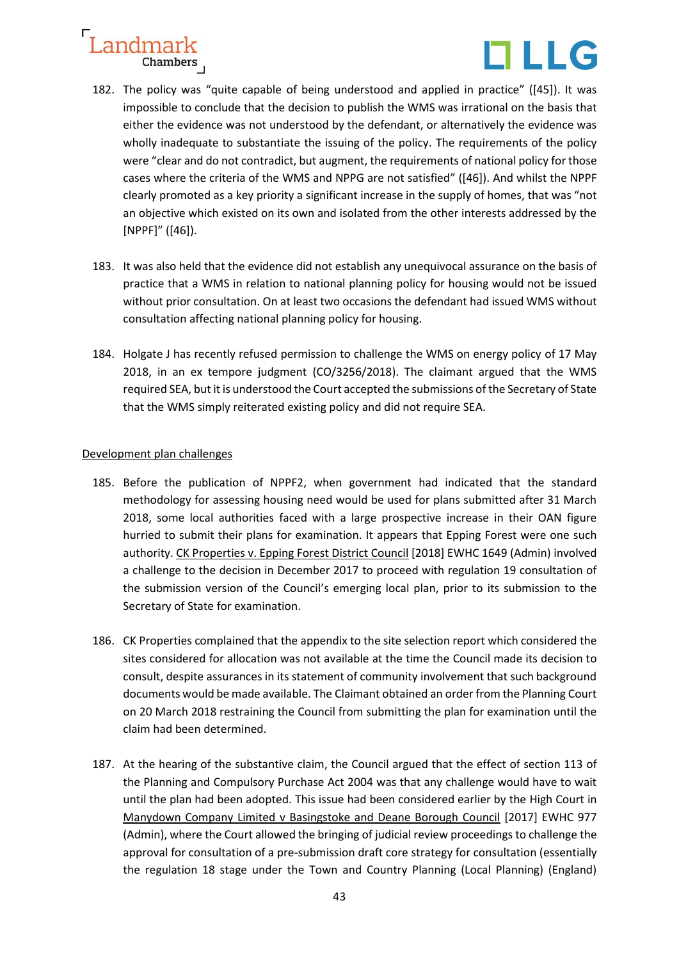

- 182. The policy was "quite capable of being understood and applied in practice" ([45]). It was impossible to conclude that the decision to publish the WMS was irrational on the basis that either the evidence was not understood by the defendant, or alternatively the evidence was wholly inadequate to substantiate the issuing of the policy. The requirements of the policy were "clear and do not contradict, but augment, the requirements of national policy for those cases where the criteria of the WMS and NPPG are not satisfied" ([46]). And whilst the NPPF clearly promoted as a key priority a significant increase in the supply of homes, that was "not an objective which existed on its own and isolated from the other interests addressed by the [NPPF]" ([46]).
- 183. It was also held that the evidence did not establish any unequivocal assurance on the basis of practice that a WMS in relation to national planning policy for housing would not be issued without prior consultation. On at least two occasions the defendant had issued WMS without consultation affecting national planning policy for housing.
- 184. Holgate J has recently refused permission to challenge the WMS on energy policy of 17 May 2018, in an ex tempore judgment (CO/3256/2018). The claimant argued that the WMS required SEA, but it is understood the Court accepted the submissions of the Secretary of State that the WMS simply reiterated existing policy and did not require SEA.

#### Development plan challenges

- 185. Before the publication of NPPF2, when government had indicated that the standard methodology for assessing housing need would be used for plans submitted after 31 March 2018, some local authorities faced with a large prospective increase in their OAN figure hurried to submit their plans for examination. It appears that Epping Forest were one such authority. CK Properties v. Epping Forest District Council [2018] EWHC 1649 (Admin) involved a challenge to the decision in December 2017 to proceed with regulation 19 consultation of the submission version of the Council's emerging local plan, prior to its submission to the Secretary of State for examination.
- 186. CK Properties complained that the appendix to the site selection report which considered the sites considered for allocation was not available at the time the Council made its decision to consult, despite assurances in its statement of community involvement that such background documents would be made available. The Claimant obtained an order from the Planning Court on 20 March 2018 restraining the Council from submitting the plan for examination until the claim had been determined.
- 187. At the hearing of the substantive claim, the Council argued that the effect of section 113 of the Planning and Compulsory Purchase Act 2004 was that any challenge would have to wait until the plan had been adopted. This issue had been considered earlier by the High Court in Manydown Company Limited v Basingstoke and Deane Borough Council [2017] EWHC 977 (Admin), where the Court allowed the bringing of judicial review proceedings to challenge the approval for consultation of a pre-submission draft core strategy for consultation (essentially the regulation 18 stage under the Town and Country Planning (Local Planning) (England)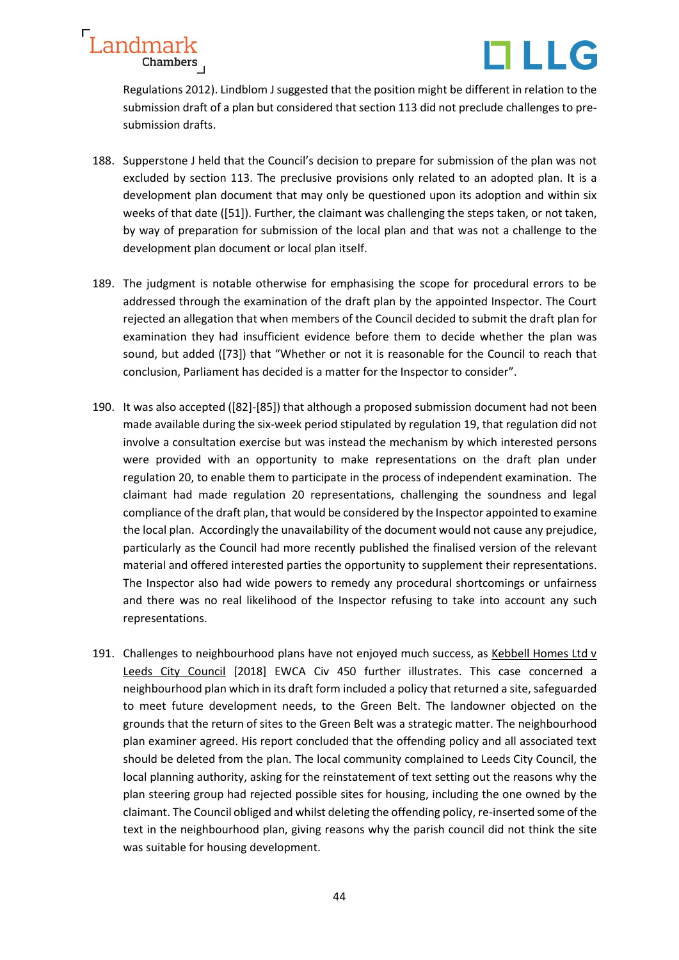

Regulations 2012). Lindblom J suggested that the position might be different in relation to the submission draft of a plan but considered that section 113 did not preclude challenges to presubmission drafts.

- 188. Supperstone J held that the Council's decision to prepare for submission of the plan was not excluded by section 113. The preclusive provisions only related to an adopted plan. It is a development plan document that may only be questioned upon its adoption and within six weeks of that date ([51]). Further, the claimant was challenging the steps taken, or not taken, by way of preparation for submission of the local plan and that was not a challenge to the development plan document or local plan itself.
- 189. The judgment is notable otherwise for emphasising the scope for procedural errors to be addressed through the examination of the draft plan by the appointed Inspector. The Court rejected an allegation that when members of the Council decided to submit the draft plan for examination they had insufficient evidence before them to decide whether the plan was sound, but added ([73]) that "Whether or not it is reasonable for the Council to reach that conclusion, Parliament has decided is a matter for the Inspector to consider".
- 190. It was also accepted ([82]-[85]) that although a proposed submission document had not been made available during the six-week period stipulated by regulation 19, that regulation did not involve a consultation exercise but was instead the mechanism by which interested persons were provided with an opportunity to make representations on the draft plan under regulation 20, to enable them to participate in the process of independent examination. The claimant had made regulation 20 representations, challenging the soundness and legal compliance of the draft plan, that would be considered by the Inspector appointed to examine the local plan. Accordingly the unavailability of the document would not cause any prejudice, particularly as the Council had more recently published the finalised version of the relevant material and offered interested parties the opportunity to supplement their representations. The Inspector also had wide powers to remedy any procedural shortcomings or unfairness and there was no real likelihood of the Inspector refusing to take into account any such representations.
- 191. Challenges to neighbourhood plans have not enjoyed much success, as Kebbell Homes Ltd v Leeds City Council [2018] EWCA Civ 450 further illustrates. This case concerned a neighbourhood plan which in its draft form included a policy that returned a site, safeguarded to meet future development needs, to the Green Belt. The landowner objected on the grounds that the return of sites to the Green Belt was a strategic matter. The neighbourhood plan examiner agreed. His report concluded that the offending policy and all associated text should be deleted from the plan. The local community complained to Leeds City Council, the local planning authority, asking for the reinstatement of text setting out the reasons why the plan steering group had rejected possible sites for housing, including the one owned by the claimant. The Council obliged and whilst deleting the offending policy, re-inserted some of the text in the neighbourhood plan, giving reasons why the parish council did not think the site was suitable for housing development.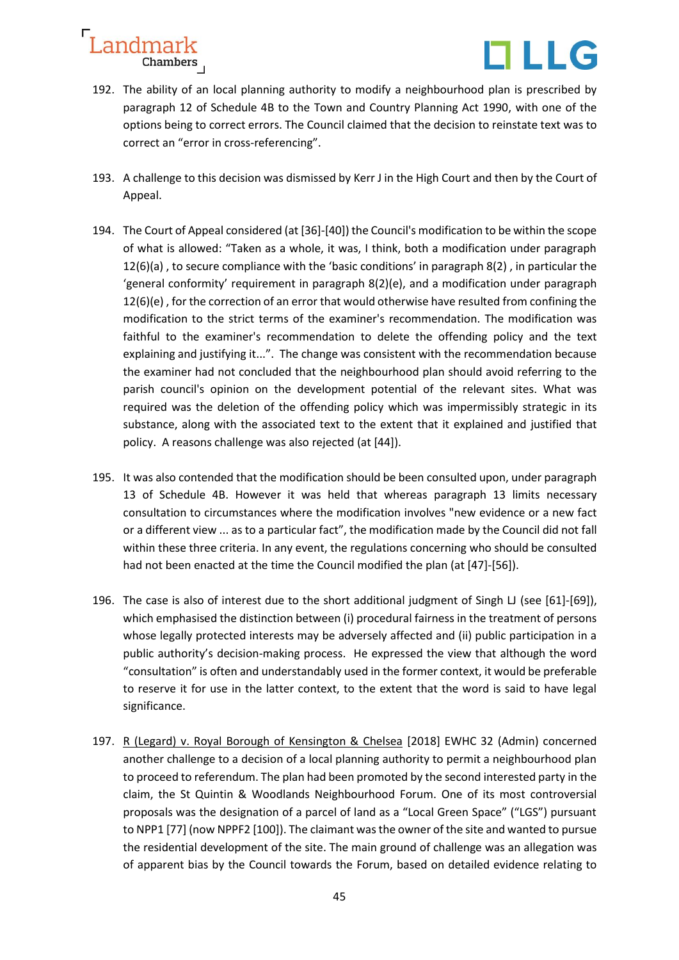

- 192. The ability of an local planning authority to modify a neighbourhood plan is prescribed by paragraph 12 of Schedule 4B to the Town and Country Planning Act 1990, with one of the options being to correct errors. The Council claimed that the decision to reinstate text was to correct an "error in cross-referencing".
- 193. A challenge to this decision was dismissed by Kerr J in the High Court and then by the Court of Appeal.
- 194. The Court of Appeal considered (at [36]-[40]) the Council's modification to be within the scope of what is allowed: "Taken as a whole, it was, I think, both a modification under paragraph 12(6)(a) , to secure compliance with the 'basic conditions' in paragraph 8(2) , in particular the 'general conformity' requirement in paragraph 8(2)(e), and a modification under paragraph 12(6)(e) , for the correction of an error that would otherwise have resulted from confining the modification to the strict terms of the examiner's recommendation. The modification was faithful to the examiner's recommendation to delete the offending policy and the text explaining and justifying it...". The change was consistent with the recommendation because the examiner had not concluded that the neighbourhood plan should avoid referring to the parish council's opinion on the development potential of the relevant sites. What was required was the deletion of the offending policy which was impermissibly strategic in its substance, along with the associated text to the extent that it explained and justified that policy. A reasons challenge was also rejected (at [44]).
- 195. It was also contended that the modification should be been consulted upon, under paragraph 13 of Schedule 4B. However it was held that whereas paragraph 13 limits necessary consultation to circumstances where the modification involves "new evidence or a new fact or a different view ... as to a particular fact", the modification made by the Council did not fall within these three criteria. In any event, the regulations concerning who should be consulted had not been enacted at the time the Council modified the plan (at [47]-[56]).
- 196. The case is also of interest due to the short additional judgment of Singh LJ (see [61]-[69]), which emphasised the distinction between (i) procedural fairness in the treatment of persons whose legally protected interests may be adversely affected and (ii) public participation in a public authority's decision-making process. He expressed the view that although the word "consultation" is often and understandably used in the former context, it would be preferable to reserve it for use in the latter context, to the extent that the word is said to have legal significance.
- 197. R (Legard) v. Royal Borough of Kensington & Chelsea [2018] EWHC 32 (Admin) concerned another challenge to a decision of a local planning authority to permit a neighbourhood plan to proceed to referendum. The plan had been promoted by the second interested party in the claim, the St Quintin & Woodlands Neighbourhood Forum. One of its most controversial proposals was the designation of a parcel of land as a "Local Green Space" ("LGS") pursuant to NPP1 [77] (now NPPF2 [100]). The claimant was the owner of the site and wanted to pursue the residential development of the site. The main ground of challenge was an allegation was of apparent bias by the Council towards the Forum, based on detailed evidence relating to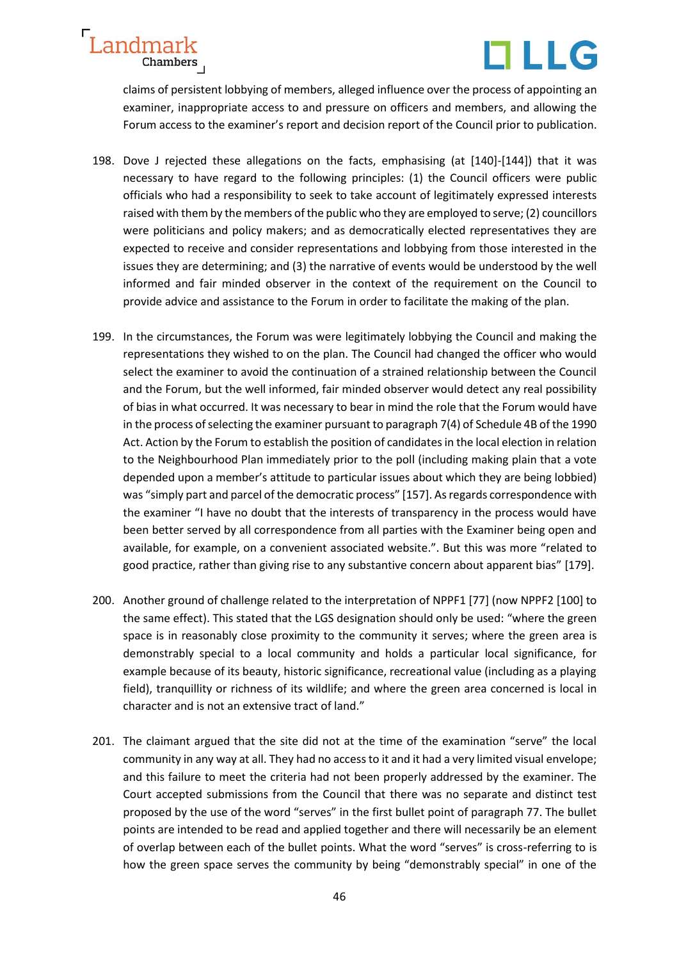



claims of persistent lobbying of members, alleged influence over the process of appointing an examiner, inappropriate access to and pressure on officers and members, and allowing the Forum access to the examiner's report and decision report of the Council prior to publication.

- 198. Dove J rejected these allegations on the facts, emphasising (at [140]-[144]) that it was necessary to have regard to the following principles: (1) the Council officers were public officials who had a responsibility to seek to take account of legitimately expressed interests raised with them by the members of the public who they are employed to serve; (2) councillors were politicians and policy makers; and as democratically elected representatives they are expected to receive and consider representations and lobbying from those interested in the issues they are determining; and (3) the narrative of events would be understood by the well informed and fair minded observer in the context of the requirement on the Council to provide advice and assistance to the Forum in order to facilitate the making of the plan.
- 199. In the circumstances, the Forum was were legitimately lobbying the Council and making the representations they wished to on the plan. The Council had changed the officer who would select the examiner to avoid the continuation of a strained relationship between the Council and the Forum, but the well informed, fair minded observer would detect any real possibility of bias in what occurred. It was necessary to bear in mind the role that the Forum would have in the process of selecting the examiner pursuant to paragraph 7(4) of Schedule 4B of the 1990 Act. Action by the Forum to establish the position of candidates in the local election in relation to the Neighbourhood Plan immediately prior to the poll (including making plain that a vote depended upon a member's attitude to particular issues about which they are being lobbied) was "simply part and parcel of the democratic process" [157]. As regards correspondence with the examiner "I have no doubt that the interests of transparency in the process would have been better served by all correspondence from all parties with the Examiner being open and available, for example, on a convenient associated website.". But this was more "related to good practice, rather than giving rise to any substantive concern about apparent bias" [179].
- 200. Another ground of challenge related to the interpretation of NPPF1 [77] (now NPPF2 [100] to the same effect). This stated that the LGS designation should only be used: "where the green space is in reasonably close proximity to the community it serves; where the green area is demonstrably special to a local community and holds a particular local significance, for example because of its beauty, historic significance, recreational value (including as a playing field), tranquillity or richness of its wildlife; and where the green area concerned is local in character and is not an extensive tract of land."
- 201. The claimant argued that the site did not at the time of the examination "serve" the local community in any way at all. They had no access to it and it had a very limited visual envelope; and this failure to meet the criteria had not been properly addressed by the examiner. The Court accepted submissions from the Council that there was no separate and distinct test proposed by the use of the word "serves" in the first bullet point of paragraph 77. The bullet points are intended to be read and applied together and there will necessarily be an element of overlap between each of the bullet points. What the word "serves" is cross-referring to is how the green space serves the community by being "demonstrably special" in one of the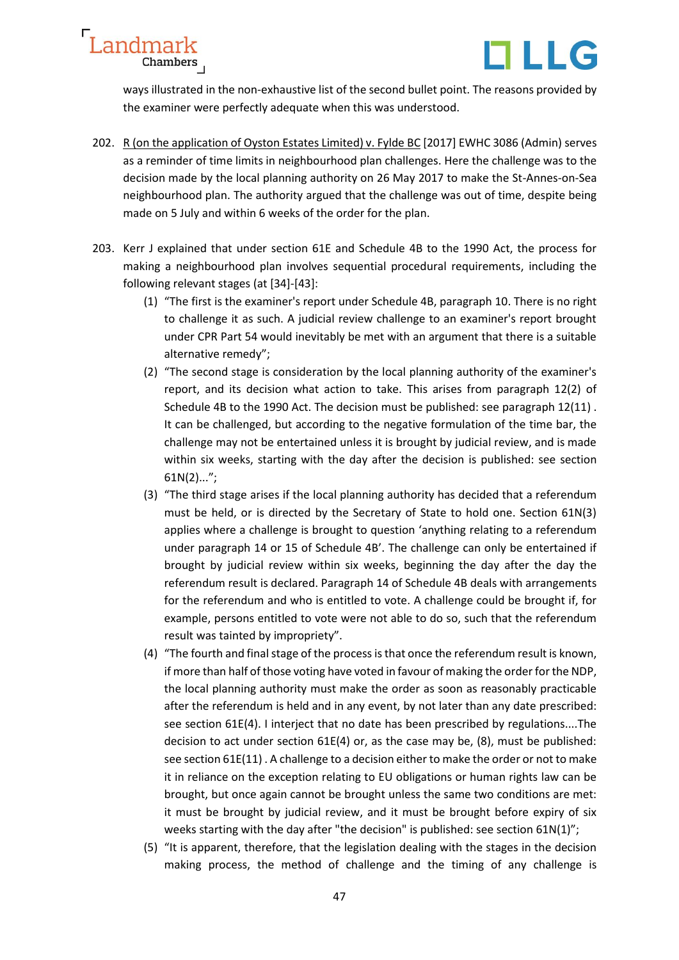



ways illustrated in the non-exhaustive list of the second bullet point. The reasons provided by the examiner were perfectly adequate when this was understood.

- 202. R (on the application of Oyston Estates Limited) v. Fylde BC [2017] EWHC 3086 (Admin) serves as a reminder of time limits in neighbourhood plan challenges. Here the challenge was to the decision made by the local planning authority on 26 May 2017 to make the St-Annes-on-Sea neighbourhood plan. The authority argued that the challenge was out of time, despite being made on 5 July and within 6 weeks of the order for the plan.
- 203. Kerr J explained that under section 61E and Schedule 4B to the 1990 Act, the process for making a neighbourhood plan involves sequential procedural requirements, including the following relevant stages (at [34]-[43]:
	- (1) "The first is the examiner's report under Schedule 4B, paragraph 10. There is no right to challenge it as such. A judicial review challenge to an examiner's report brought under CPR Part 54 would inevitably be met with an argument that there is a suitable alternative remedy";
	- (2) "The second stage is consideration by the local planning authority of the examiner's report, and its decision what action to take. This arises from paragraph 12(2) of Schedule 4B to the 1990 Act. The decision must be published: see paragraph 12(11) . It can be challenged, but according to the negative formulation of the time bar, the challenge may not be entertained unless it is brought by judicial review, and is made within six weeks, starting with the day after the decision is published: see section 61N(2)...";
	- (3) "The third stage arises if the local planning authority has decided that a referendum must be held, or is directed by the Secretary of State to hold one. Section 61N(3) applies where a challenge is brought to question 'anything relating to a referendum under paragraph 14 or 15 of Schedule 4B'. The challenge can only be entertained if brought by judicial review within six weeks, beginning the day after the day the referendum result is declared. Paragraph 14 of Schedule 4B deals with arrangements for the referendum and who is entitled to vote. A challenge could be brought if, for example, persons entitled to vote were not able to do so, such that the referendum result was tainted by impropriety".
	- (4) "The fourth and final stage of the process is that once the referendum result is known, if more than half of those voting have voted in favour of making the order for the NDP, the local planning authority must make the order as soon as reasonably practicable after the referendum is held and in any event, by not later than any date prescribed: see section 61E(4). I interject that no date has been prescribed by regulations....The decision to act under section 61E(4) or, as the case may be, (8), must be published: see section 61E(11) . A challenge to a decision either to make the order or not to make it in reliance on the exception relating to EU obligations or human rights law can be brought, but once again cannot be brought unless the same two conditions are met: it must be brought by judicial review, and it must be brought before expiry of six weeks starting with the day after "the decision" is published: see section 61N(1)";
	- (5) "It is apparent, therefore, that the legislation dealing with the stages in the decision making process, the method of challenge and the timing of any challenge is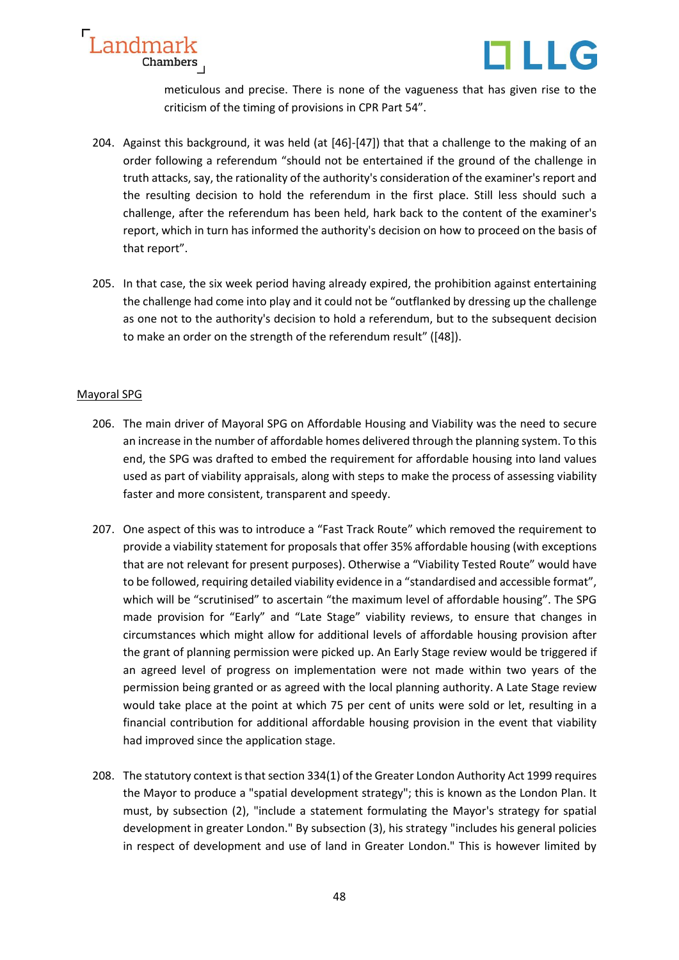

meticulous and precise. There is none of the vagueness that has given rise to the criticism of the timing of provisions in CPR Part 54".

- 204. Against this background, it was held (at [46]-[47]) that that a challenge to the making of an order following a referendum "should not be entertained if the ground of the challenge in truth attacks, say, the rationality of the authority's consideration of the examiner's report and the resulting decision to hold the referendum in the first place. Still less should such a challenge, after the referendum has been held, hark back to the content of the examiner's report, which in turn has informed the authority's decision on how to proceed on the basis of that report".
- 205. In that case, the six week period having already expired, the prohibition against entertaining the challenge had come into play and it could not be "outflanked by dressing up the challenge as one not to the authority's decision to hold a referendum, but to the subsequent decision to make an order on the strength of the referendum result" ([48]).

#### Mayoral SPG

Landmark

Chambers

- 206. The main driver of Mayoral SPG on Affordable Housing and Viability was the need to secure an increase in the number of affordable homes delivered through the planning system. To this end, the SPG was drafted to embed the requirement for affordable housing into land values used as part of viability appraisals, along with steps to make the process of assessing viability faster and more consistent, transparent and speedy.
- 207. One aspect of this was to introduce a "Fast Track Route" which removed the requirement to provide a viability statement for proposals that offer 35% affordable housing (with exceptions that are not relevant for present purposes). Otherwise a "Viability Tested Route" would have to be followed, requiring detailed viability evidence in a "standardised and accessible format", which will be "scrutinised" to ascertain "the maximum level of affordable housing". The SPG made provision for "Early" and "Late Stage" viability reviews, to ensure that changes in circumstances which might allow for additional levels of affordable housing provision after the grant of planning permission were picked up. An Early Stage review would be triggered if an agreed level of progress on implementation were not made within two years of the permission being granted or as agreed with the local planning authority. A Late Stage review would take place at the point at which 75 per cent of units were sold or let, resulting in a financial contribution for additional affordable housing provision in the event that viability had improved since the application stage.
- 208. The statutory context is that section 334(1) of the Greater London Authority Act 1999 requires the Mayor to produce a "spatial development strategy"; this is known as the London Plan. It must, by subsection (2), "include a statement formulating the Mayor's strategy for spatial development in greater London." By subsection (3), his strategy "includes his general policies in respect of development and use of land in Greater London." This is however limited by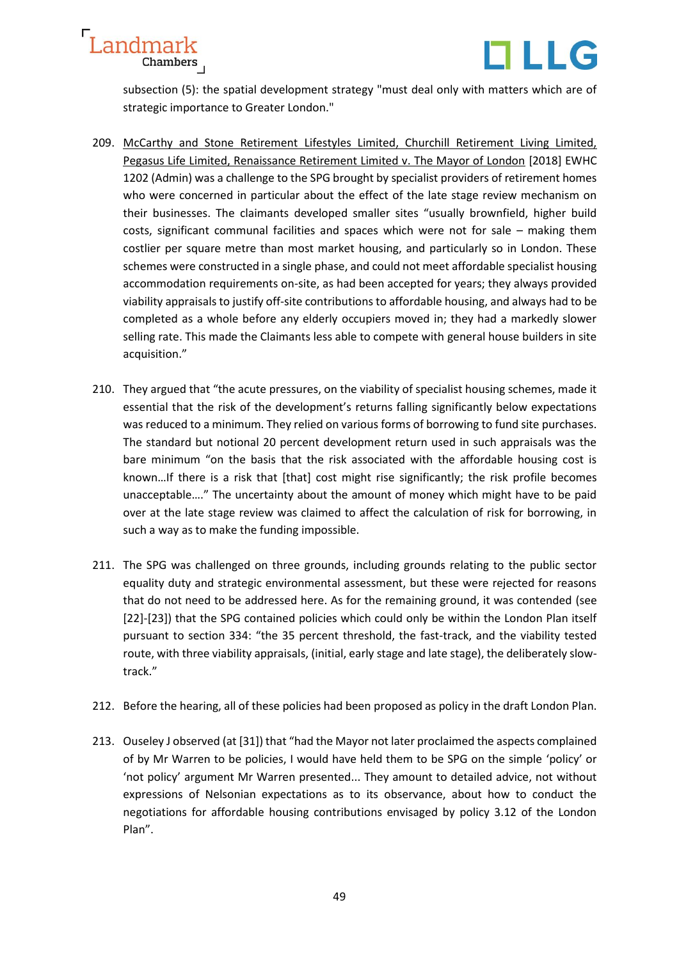

subsection (5): the spatial development strategy "must deal only with matters which are of strategic importance to Greater London."

- 209. McCarthy and Stone Retirement Lifestyles Limited, Churchill Retirement Living Limited, Pegasus Life Limited, Renaissance Retirement Limited v. The Mayor of London [2018] EWHC 1202 (Admin) was a challenge to the SPG brought by specialist providers of retirement homes who were concerned in particular about the effect of the late stage review mechanism on their businesses. The claimants developed smaller sites "usually brownfield, higher build costs, significant communal facilities and spaces which were not for sale – making them costlier per square metre than most market housing, and particularly so in London. These schemes were constructed in a single phase, and could not meet affordable specialist housing accommodation requirements on-site, as had been accepted for years; they always provided viability appraisals to justify off-site contributions to affordable housing, and always had to be completed as a whole before any elderly occupiers moved in; they had a markedly slower selling rate. This made the Claimants less able to compete with general house builders in site acquisition."
- 210. They argued that "the acute pressures, on the viability of specialist housing schemes, made it essential that the risk of the development's returns falling significantly below expectations was reduced to a minimum. They relied on various forms of borrowing to fund site purchases. The standard but notional 20 percent development return used in such appraisals was the bare minimum "on the basis that the risk associated with the affordable housing cost is known…If there is a risk that [that] cost might rise significantly; the risk profile becomes unacceptable…." The uncertainty about the amount of money which might have to be paid over at the late stage review was claimed to affect the calculation of risk for borrowing, in such a way as to make the funding impossible.
- 211. The SPG was challenged on three grounds, including grounds relating to the public sector equality duty and strategic environmental assessment, but these were rejected for reasons that do not need to be addressed here. As for the remaining ground, it was contended (see [22]-[23]) that the SPG contained policies which could only be within the London Plan itself pursuant to section 334: "the 35 percent threshold, the fast-track, and the viability tested route, with three viability appraisals, (initial, early stage and late stage), the deliberately slowtrack."
- 212. Before the hearing, all of these policies had been proposed as policy in the draft London Plan.
- 213. Ouseley J observed (at [31]) that "had the Mayor not later proclaimed the aspects complained of by Mr Warren to be policies, I would have held them to be SPG on the simple 'policy' or 'not policy' argument Mr Warren presented... They amount to detailed advice, not without expressions of Nelsonian expectations as to its observance, about how to conduct the negotiations for affordable housing contributions envisaged by policy 3.12 of the London Plan".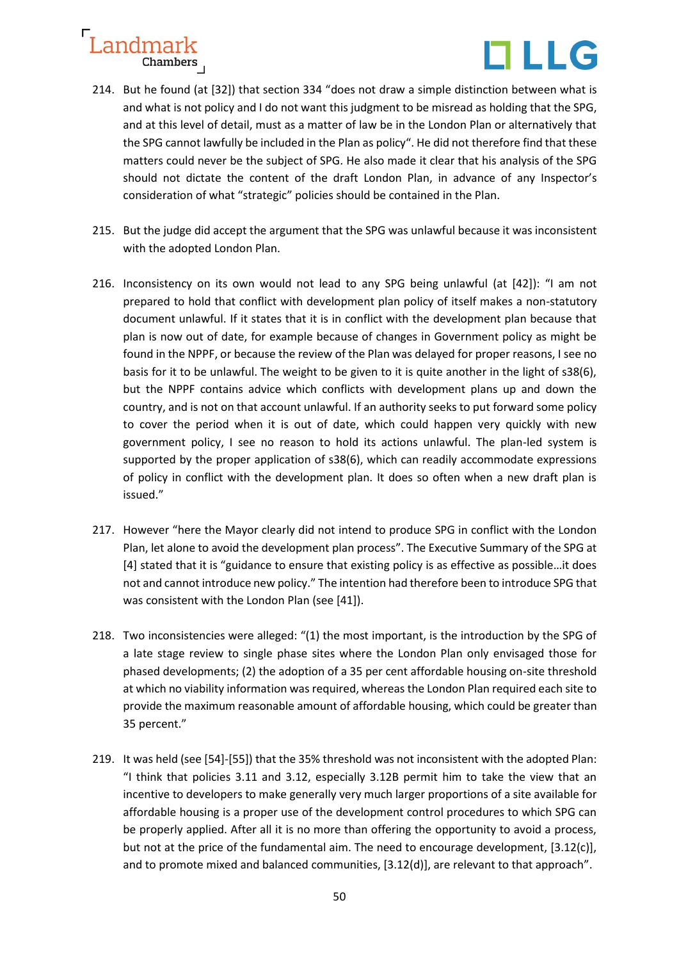

- 214. But he found (at [32]) that section 334 "does not draw a simple distinction between what is and what is not policy and I do not want this judgment to be misread as holding that the SPG, and at this level of detail, must as a matter of law be in the London Plan or alternatively that the SPG cannot lawfully be included in the Plan as policy". He did not therefore find that these matters could never be the subject of SPG. He also made it clear that his analysis of the SPG should not dictate the content of the draft London Plan, in advance of any Inspector's consideration of what "strategic" policies should be contained in the Plan.
- 215. But the judge did accept the argument that the SPG was unlawful because it was inconsistent with the adopted London Plan.
- 216. Inconsistency on its own would not lead to any SPG being unlawful (at [42]): "I am not prepared to hold that conflict with development plan policy of itself makes a non-statutory document unlawful. If it states that it is in conflict with the development plan because that plan is now out of date, for example because of changes in Government policy as might be found in the NPPF, or because the review of the Plan was delayed for proper reasons, I see no basis for it to be unlawful. The weight to be given to it is quite another in the light of s38(6), but the NPPF contains advice which conflicts with development plans up and down the country, and is not on that account unlawful. If an authority seeks to put forward some policy to cover the period when it is out of date, which could happen very quickly with new government policy, I see no reason to hold its actions unlawful. The plan-led system is supported by the proper application of s38(6), which can readily accommodate expressions of policy in conflict with the development plan. It does so often when a new draft plan is issued."
- 217. However "here the Mayor clearly did not intend to produce SPG in conflict with the London Plan, let alone to avoid the development plan process". The Executive Summary of the SPG at [4] stated that it is "guidance to ensure that existing policy is as effective as possible…it does not and cannot introduce new policy." The intention had therefore been to introduce SPG that was consistent with the London Plan (see [41]).
- 218. Two inconsistencies were alleged: "(1) the most important, is the introduction by the SPG of a late stage review to single phase sites where the London Plan only envisaged those for phased developments; (2) the adoption of a 35 per cent affordable housing on-site threshold at which no viability information was required, whereas the London Plan required each site to provide the maximum reasonable amount of affordable housing, which could be greater than 35 percent."
- 219. It was held (see [54]-[55]) that the 35% threshold was not inconsistent with the adopted Plan: "I think that policies 3.11 and 3.12, especially 3.12B permit him to take the view that an incentive to developers to make generally very much larger proportions of a site available for affordable housing is a proper use of the development control procedures to which SPG can be properly applied. After all it is no more than offering the opportunity to avoid a process, but not at the price of the fundamental aim. The need to encourage development, [3.12(c)], and to promote mixed and balanced communities, [3.12(d)], are relevant to that approach".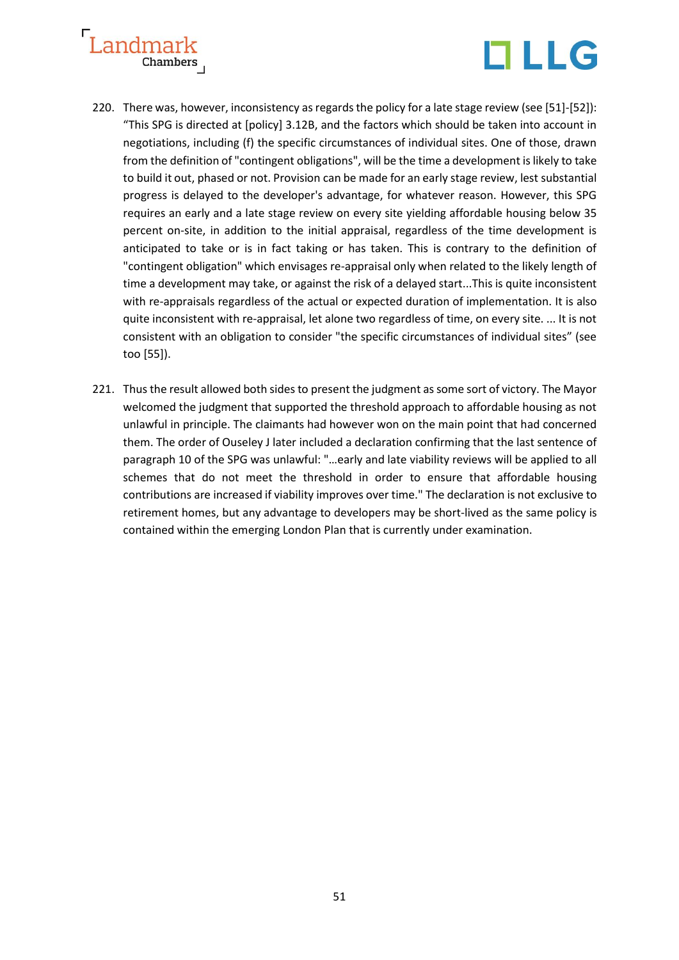



- 220. There was, however, inconsistency as regards the policy for a late stage review (see [51]-[52]): "This SPG is directed at [policy] 3.12B, and the factors which should be taken into account in negotiations, including (f) the specific circumstances of individual sites. One of those, drawn from the definition of "contingent obligations", will be the time a development is likely to take to build it out, phased or not. Provision can be made for an early stage review, lest substantial progress is delayed to the developer's advantage, for whatever reason. However, this SPG requires an early and a late stage review on every site yielding affordable housing below 35 percent on-site, in addition to the initial appraisal, regardless of the time development is anticipated to take or is in fact taking or has taken. This is contrary to the definition of "contingent obligation" which envisages re-appraisal only when related to the likely length of time a development may take, or against the risk of a delayed start...This is quite inconsistent with re-appraisals regardless of the actual or expected duration of implementation. It is also quite inconsistent with re-appraisal, let alone two regardless of time, on every site. ... It is not consistent with an obligation to consider "the specific circumstances of individual sites" (see too [55]).
- 221. Thus the result allowed both sides to present the judgment as some sort of victory. The Mayor welcomed the judgment that supported the threshold approach to affordable housing as not unlawful in principle. The claimants had however won on the main point that had concerned them. The order of Ouseley J later included a declaration confirming that the last sentence of paragraph 10 of the SPG was unlawful: "…early and late viability reviews will be applied to all schemes that do not meet the threshold in order to ensure that affordable housing contributions are increased if viability improves over time." The declaration is not exclusive to retirement homes, but any advantage to developers may be short-lived as the same policy is contained within the emerging London Plan that is currently under examination.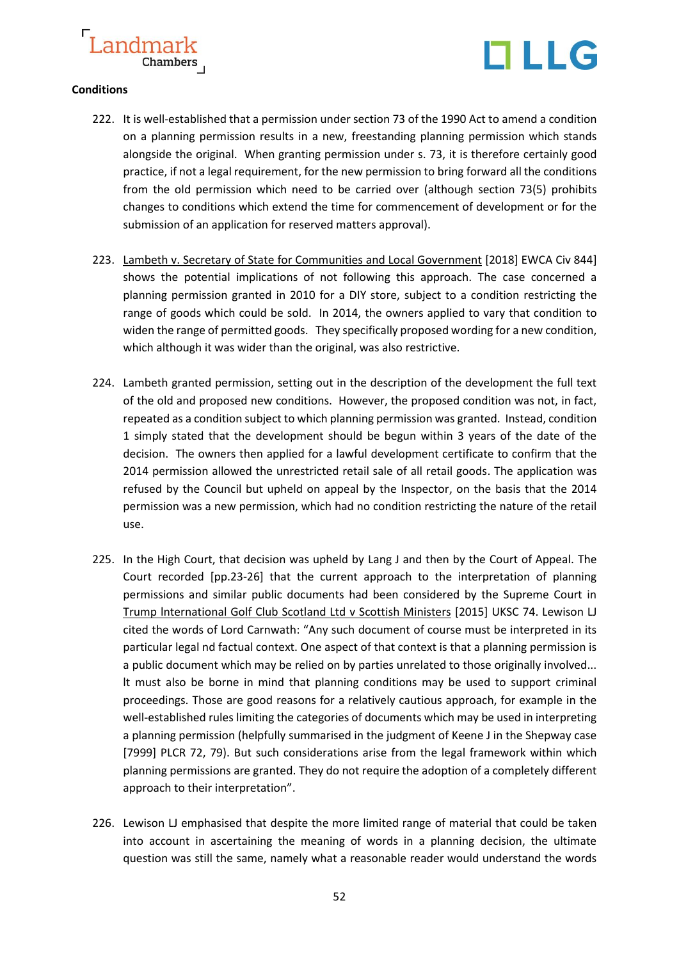

#### **Conditions**

- 222. It is well-established that a permission under section 73 of the 1990 Act to amend a condition on a planning permission results in a new, freestanding planning permission which stands alongside the original. When granting permission under s. 73, it is therefore certainly good practice, if not a legal requirement, for the new permission to bring forward all the conditions from the old permission which need to be carried over (although section 73(5) prohibits changes to conditions which extend the time for commencement of development or for the submission of an application for reserved matters approval).
- 223. Lambeth v. Secretary of State for Communities and Local Government [2018] EWCA Civ 844] shows the potential implications of not following this approach. The case concerned a planning permission granted in 2010 for a DIY store, subject to a condition restricting the range of goods which could be sold. In 2014, the owners applied to vary that condition to widen the range of permitted goods. They specifically proposed wording for a new condition, which although it was wider than the original, was also restrictive.
- 224. Lambeth granted permission, setting out in the description of the development the full text of the old and proposed new conditions. However, the proposed condition was not, in fact, repeated as a condition subject to which planning permission was granted. Instead, condition 1 simply stated that the development should be begun within 3 years of the date of the decision. The owners then applied for a lawful development certificate to confirm that the 2014 permission allowed the unrestricted retail sale of all retail goods. The application was refused by the Council but upheld on appeal by the Inspector, on the basis that the 2014 permission was a new permission, which had no condition restricting the nature of the retail use.
- 225. In the High Court, that decision was upheld by Lang J and then by the Court of Appeal. The Court recorded [pp.23-26] that the current approach to the interpretation of planning permissions and similar public documents had been considered by the Supreme Court in Trump lnternational Golf Club Scotland Ltd v Scottish Ministers [2015] UKSC 74. Lewison LJ cited the words of Lord Carnwath: "Any such document of course must be interpreted in its particular legal nd factual context. One aspect of that context is that a planning permission is a public document which may be relied on by parties unrelated to those originally involved... lt must also be borne in mind that planning conditions may be used to support criminal proceedings. Those are good reasons for a relatively cautious approach, for example in the well-established rules limiting the categories of documents which may be used in interpreting a planning permission (helpfully summarised in the judgment of Keene J in the Shepway case [7999] PLCR 72, 79). But such considerations arise from the legal framework within which planning permissions are granted. They do not require the adoption of a completely different approach to their interpretation".
- 226. Lewison LJ emphasised that despite the more limited range of material that could be taken into account in ascertaining the meaning of words in a planning decision, the ultimate question was still the same, namely what a reasonable reader would understand the words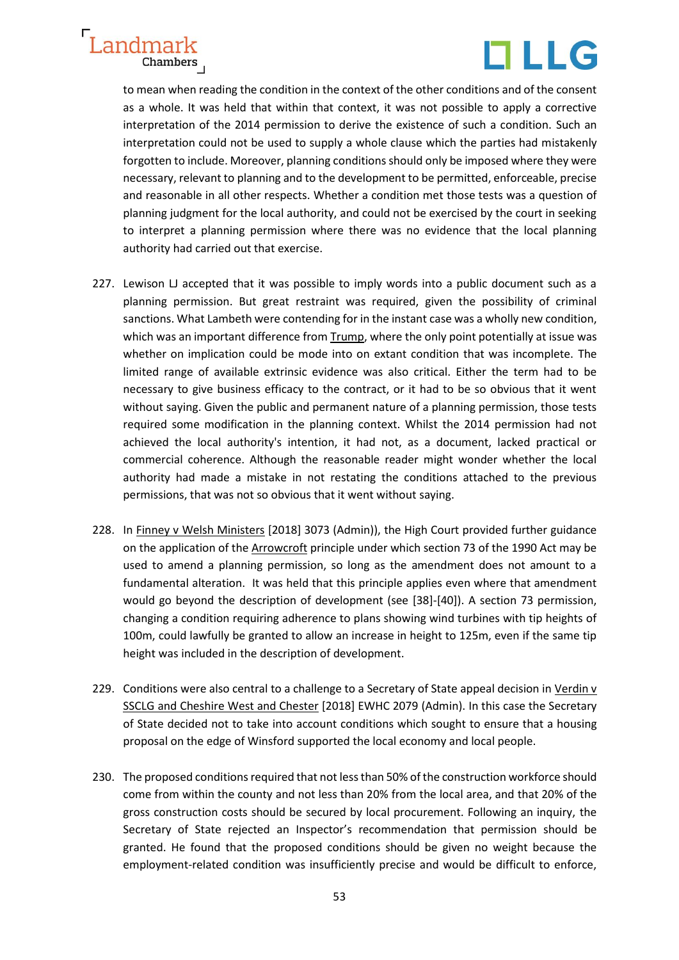



to mean when reading the condition in the context of the other conditions and of the consent as a whole. It was held that within that context, it was not possible to apply a corrective interpretation of the 2014 permission to derive the existence of such a condition. Such an interpretation could not be used to supply a whole clause which the parties had mistakenly forgotten to include. Moreover, planning conditions should only be imposed where they were necessary, relevant to planning and to the development to be permitted, enforceable, precise and reasonable in all other respects. Whether a condition met those tests was a question of planning judgment for the local authority, and could not be exercised by the court in seeking to interpret a planning permission where there was no evidence that the local planning authority had carried out that exercise.

- 227. Lewison LJ accepted that it was possible to imply words into a public document such as a planning permission. But great restraint was required, given the possibility of criminal sanctions. What Lambeth were contending for in the instant case was a wholly new condition, which was an important difference from Trump, where the only point potentially at issue was whether on implication could be mode into on extant condition that was incomplete. The limited range of available extrinsic evidence was also critical. Either the term had to be necessary to give business efficacy to the contract, or it had to be so obvious that it went without saying. Given the public and permanent nature of a planning permission, those tests required some modification in the planning context. Whilst the 2014 permission had not achieved the local authority's intention, it had not, as a document, lacked practical or commercial coherence. Although the reasonable reader might wonder whether the local authority had made a mistake in not restating the conditions attached to the previous permissions, that was not so obvious that it went without saying.
- 228. In Finney v Welsh Ministers [2018] 3073 (Admin)), the High Court provided further guidance on the application of the **Arrowcroft** principle under which section 73 of the 1990 Act may be used to amend a planning permission, so long as the amendment does not amount to a fundamental alteration. It was held that this principle applies even where that amendment would go beyond the description of development (see [38]-[40]). A section 73 permission, changing a condition requiring adherence to plans showing wind turbines with tip heights of 100m, could lawfully be granted to allow an increase in height to 125m, even if the same tip height was included in the description of development.
- 229. Conditions were also central to a challenge to a Secretary of State appeal decision in Verdin v SSCLG and Cheshire West and Chester [2018] EWHC 2079 (Admin). In this case the Secretary of State decided not to take into account conditions which sought to ensure that a housing proposal on the edge of Winsford supported the local economy and local people.
- 230. The proposed conditions required that not less than 50% of the construction workforce should come from within the county and not less than 20% from the local area, and that 20% of the gross construction costs should be secured by local procurement. Following an inquiry, the Secretary of State rejected an Inspector's recommendation that permission should be granted. He found that the proposed conditions should be given no weight because the employment-related condition was insufficiently precise and would be difficult to enforce,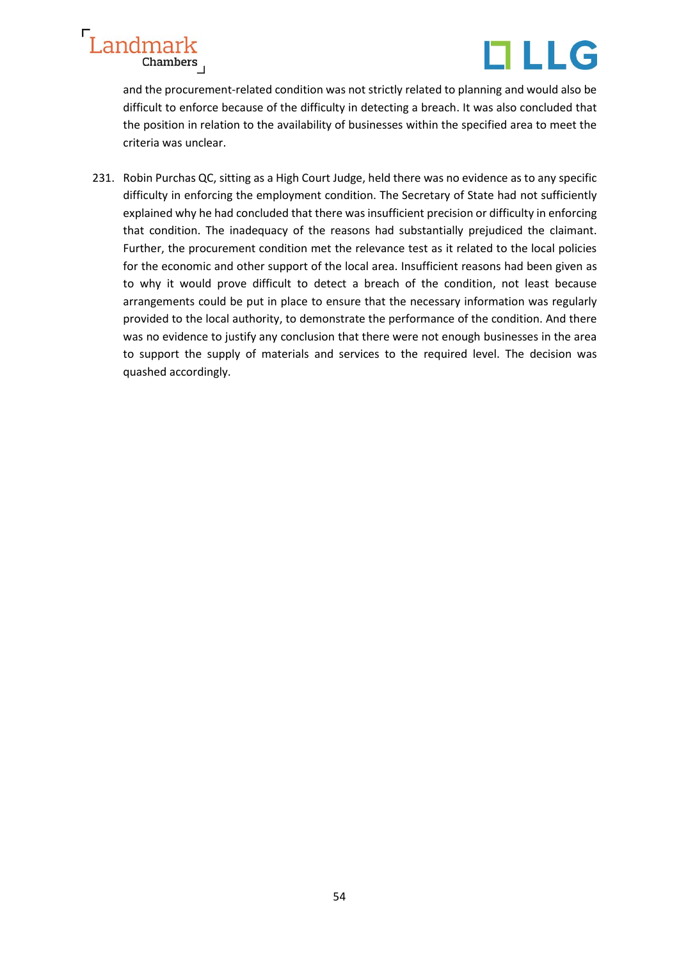

and the procurement-related condition was not strictly related to planning and would also be difficult to enforce because of the difficulty in detecting a breach. It was also concluded that the position in relation to the availability of businesses within the specified area to meet the criteria was unclear.

231. Robin Purchas QC, sitting as a High Court Judge, held there was no evidence as to any specific difficulty in enforcing the employment condition. The Secretary of State had not sufficiently explained why he had concluded that there was insufficient precision or difficulty in enforcing that condition. The inadequacy of the reasons had substantially prejudiced the claimant. Further, the procurement condition met the relevance test as it related to the local policies for the economic and other support of the local area. Insufficient reasons had been given as to why it would prove difficult to detect a breach of the condition, not least because arrangements could be put in place to ensure that the necessary information was regularly provided to the local authority, to demonstrate the performance of the condition. And there was no evidence to justify any conclusion that there were not enough businesses in the area to support the supply of materials and services to the required level. The decision was quashed accordingly.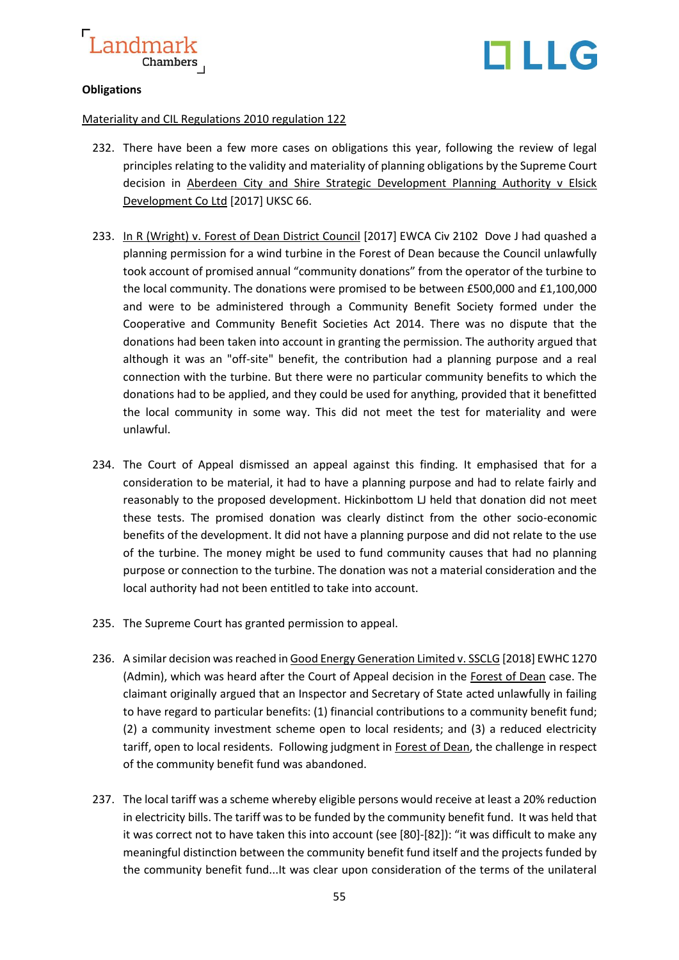

# TLLG

#### **Obligations**

#### Materiality and CIL Regulations 2010 regulation 122

- 232. There have been a few more cases on obligations this year, following the review of legal principles relating to the validity and materiality of planning obligations by the Supreme Court decision in Aberdeen City and Shire Strategic Development Planning Authority v Elsick Development Co Ltd [2017] UKSC 66.
- 233. In R (Wright) v. Forest of Dean District Council [2017] EWCA Civ 2102 Dove J had quashed a planning permission for a wind turbine in the Forest of Dean because the Council unlawfully took account of promised annual "community donations" from the operator of the turbine to the local community. The donations were promised to be between £500,000 and £1,100,000 and were to be administered through a Community Benefit Society formed under the Cooperative and Community Benefit Societies Act 2014. There was no dispute that the donations had been taken into account in granting the permission. The authority argued that although it was an "off-site" benefit, the contribution had a planning purpose and a real connection with the turbine. But there were no particular community benefits to which the donations had to be applied, and they could be used for anything, provided that it benefitted the local community in some way. This did not meet the test for materiality and were unlawful.
- 234. The Court of Appeal dismissed an appeal against this finding. It emphasised that for a consideration to be material, it had to have a planning purpose and had to relate fairly and reasonably to the proposed development. Hickinbottom LJ held that donation did not meet these tests. The promised donation was clearly distinct from the other socio-economic benefits of the development. lt did not have a planning purpose and did not relate to the use of the turbine. The money might be used to fund community causes that had no planning purpose or connection to the turbine. The donation was not a material consideration and the local authority had not been entitled to take into account.
- 235. The Supreme Court has granted permission to appeal.
- 236. A similar decision was reached in Good Energy Generation Limited v. SSCLG [2018] EWHC 1270 (Admin), which was heard after the Court of Appeal decision in the Forest of Dean case. The claimant originally argued that an Inspector and Secretary of State acted unlawfully in failing to have regard to particular benefits: (1) financial contributions to a community benefit fund; (2) a community investment scheme open to local residents; and (3) a reduced electricity tariff, open to local residents. Following judgment in Forest of Dean, the challenge in respect of the community benefit fund was abandoned.
- 237. The local tariff was a scheme whereby eligible persons would receive at least a 20% reduction in electricity bills. The tariff was to be funded by the community benefit fund. It was held that it was correct not to have taken this into account (see [80]-[82]): "it was difficult to make any meaningful distinction between the community benefit fund itself and the projects funded by the community benefit fund...It was clear upon consideration of the terms of the unilateral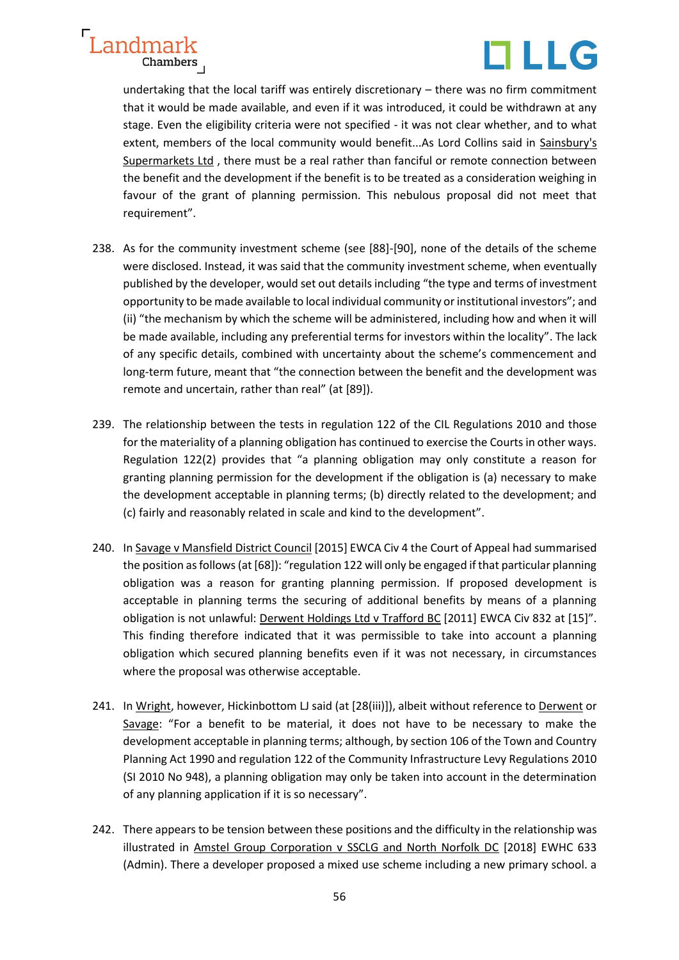



undertaking that the local tariff was entirely discretionary – there was no firm commitment that it would be made available, and even if it was introduced, it could be withdrawn at any stage. Even the eligibility criteria were not specified - it was not clear whether, and to what extent, members of the local community would benefit...As Lord Collins said in Sainsbury's Supermarkets Ltd , there must be a real rather than fanciful or remote connection between the benefit and the development if the benefit is to be treated as a consideration weighing in favour of the grant of planning permission. This nebulous proposal did not meet that requirement".

- 238. As for the community investment scheme (see [88]-[90], none of the details of the scheme were disclosed. Instead, it was said that the community investment scheme, when eventually published by the developer, would set out details including "the type and terms of investment opportunity to be made available to local individual community or institutional investors"; and (ii) "the mechanism by which the scheme will be administered, including how and when it will be made available, including any preferential terms for investors within the locality". The lack of any specific details, combined with uncertainty about the scheme's commencement and long-term future, meant that "the connection between the benefit and the development was remote and uncertain, rather than real" (at [89]).
- 239. The relationship between the tests in regulation 122 of the CIL Regulations 2010 and those for the materiality of a planning obligation has continued to exercise the Courts in other ways. Regulation 122(2) provides that "a planning obligation may only constitute a reason for granting planning permission for the development if the obligation is (a) necessary to make the development acceptable in planning terms; (b) directly related to the development; and (c) fairly and reasonably related in scale and kind to the development".
- 240. In Savage v Mansfield District Council [2015] EWCA Civ 4 the Court of Appeal had summarised the position as follows (at [68]): "regulation 122 will only be engaged if that particular planning obligation was a reason for granting planning permission. If proposed development is acceptable in planning terms the securing of additional benefits by means of a planning obligation is not unlawful: Derwent Holdings Ltd v Trafford BC [2011] EWCA Civ 832 at [15]". This finding therefore indicated that it was permissible to take into account a planning obligation which secured planning benefits even if it was not necessary, in circumstances where the proposal was otherwise acceptable.
- 241. In Wright, however, Hickinbottom LJ said (at [28(iii)]), albeit without reference to Derwent or Savage: "For a benefit to be material, it does not have to be necessary to make the development acceptable in planning terms; although, by section 106 of the Town and Country Planning Act 1990 and regulation 122 of the Community Infrastructure Levy Regulations 2010 (SI 2010 No 948), a planning obligation may only be taken into account in the determination of any planning application if it is so necessary".
- 242. There appears to be tension between these positions and the difficulty in the relationship was illustrated in Amstel Group Corporation v SSCLG and North Norfolk DC [2018] EWHC 633 (Admin). There a developer proposed a mixed use scheme including a new primary school. a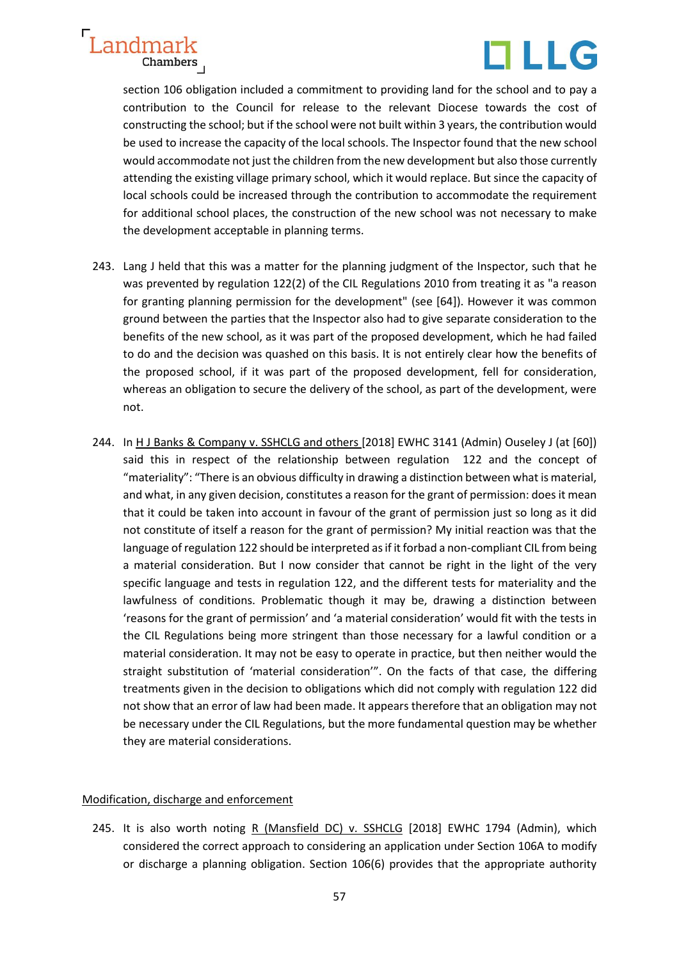



section 106 obligation included a commitment to providing land for the school and to pay a contribution to the Council for release to the relevant Diocese towards the cost of constructing the school; but if the school were not built within 3 years, the contribution would be used to increase the capacity of the local schools. The Inspector found that the new school would accommodate not just the children from the new development but also those currently attending the existing village primary school, which it would replace. But since the capacity of local schools could be increased through the contribution to accommodate the requirement for additional school places, the construction of the new school was not necessary to make the development acceptable in planning terms.

- 243. Lang J held that this was a matter for the planning judgment of the Inspector, such that he was prevented by regulation 122(2) of the CIL Regulations 2010 from treating it as "a reason for granting planning permission for the development" (see [64]). However it was common ground between the parties that the Inspector also had to give separate consideration to the benefits of the new school, as it was part of the proposed development, which he had failed to do and the decision was quashed on this basis. It is not entirely clear how the benefits of the proposed school, if it was part of the proposed development, fell for consideration, whereas an obligation to secure the delivery of the school, as part of the development, were not.
- 244. In H J Banks & Company v. SSHCLG and others [2018] EWHC 3141 (Admin) Ouseley J (at [60]) said this in respect of the relationship between regulation 122 and the concept of "materiality": "There is an obvious difficulty in drawing a distinction between what is material, and what, in any given decision, constitutes a reason for the grant of permission: does it mean that it could be taken into account in favour of the grant of permission just so long as it did not constitute of itself a reason for the grant of permission? My initial reaction was that the language of regulation 122 should be interpreted as if it forbad a non-compliant CIL from being a material consideration. But I now consider that cannot be right in the light of the very specific language and tests in regulation 122, and the different tests for materiality and the lawfulness of conditions. Problematic though it may be, drawing a distinction between 'reasons for the grant of permission' and 'a material consideration' would fit with the tests in the CIL Regulations being more stringent than those necessary for a lawful condition or a material consideration. It may not be easy to operate in practice, but then neither would the straight substitution of 'material consideration'". On the facts of that case, the differing treatments given in the decision to obligations which did not comply with regulation 122 did not show that an error of law had been made. It appears therefore that an obligation may not be necessary under the CIL Regulations, but the more fundamental question may be whether they are material considerations.

#### Modification, discharge and enforcement

245. It is also worth noting R (Mansfield DC) v. SSHCLG [2018] EWHC 1794 (Admin), which considered the correct approach to considering an application under Section 106A to modify or discharge a planning obligation. Section 106(6) provides that the appropriate authority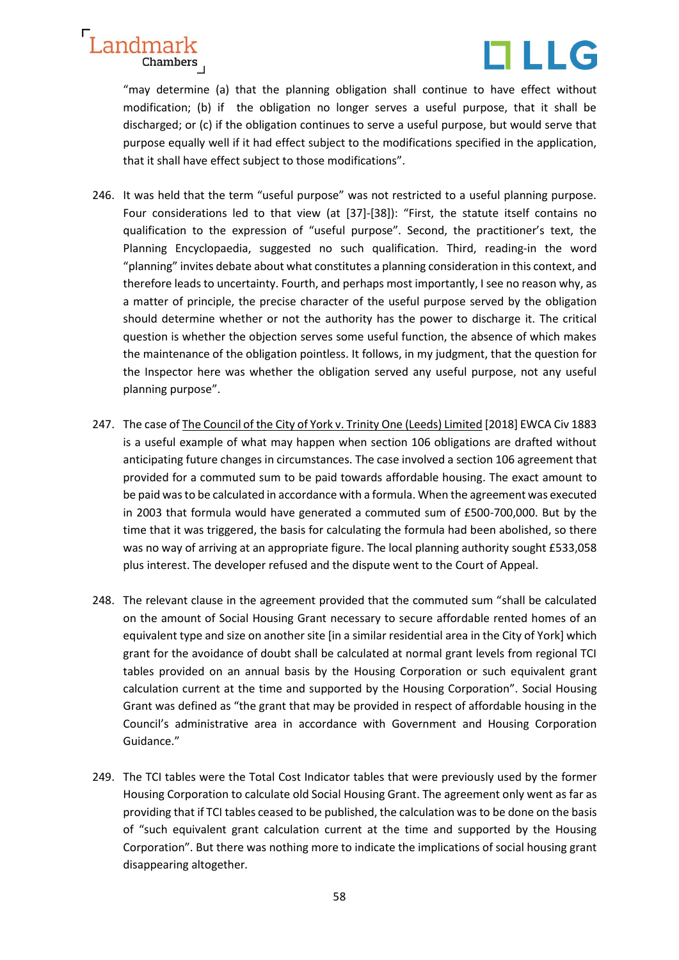



"may determine (a) that the planning obligation shall continue to have effect without modification; (b) if the obligation no longer serves a useful purpose, that it shall be discharged; or (c) if the obligation continues to serve a useful purpose, but would serve that purpose equally well if it had effect subject to the modifications specified in the application, that it shall have effect subject to those modifications".

- 246. It was held that the term "useful purpose" was not restricted to a useful planning purpose. Four considerations led to that view (at [37]-[38]): "First, the statute itself contains no qualification to the expression of "useful purpose". Second, the practitioner's text, the Planning Encyclopaedia, suggested no such qualification. Third, reading-in the word "planning" invites debate about what constitutes a planning consideration in this context, and therefore leads to uncertainty. Fourth, and perhaps most importantly, I see no reason why, as a matter of principle, the precise character of the useful purpose served by the obligation should determine whether or not the authority has the power to discharge it. The critical question is whether the objection serves some useful function, the absence of which makes the maintenance of the obligation pointless. It follows, in my judgment, that the question for the Inspector here was whether the obligation served any useful purpose, not any useful planning purpose".
- 247. The case of The Council of the City of York v. Trinity One (Leeds) Limited [2018] EWCA Civ 1883 is a useful example of what may happen when section 106 obligations are drafted without anticipating future changes in circumstances. The case involved a section 106 agreement that provided for a commuted sum to be paid towards affordable housing. The exact amount to be paid was to be calculated in accordance with a formula. When the agreement was executed in 2003 that formula would have generated a commuted sum of £500-700,000. But by the time that it was triggered, the basis for calculating the formula had been abolished, so there was no way of arriving at an appropriate figure. The local planning authority sought £533,058 plus interest. The developer refused and the dispute went to the Court of Appeal.
- 248. The relevant clause in the agreement provided that the commuted sum "shall be calculated on the amount of Social Housing Grant necessary to secure affordable rented homes of an equivalent type and size on another site [in a similar residential area in the City of York] which grant for the avoidance of doubt shall be calculated at normal grant levels from regional TCI tables provided on an annual basis by the Housing Corporation or such equivalent grant calculation current at the time and supported by the Housing Corporation". Social Housing Grant was defined as "the grant that may be provided in respect of affordable housing in the Council's administrative area in accordance with Government and Housing Corporation Guidance."
- 249. The TCI tables were the Total Cost Indicator tables that were previously used by the former Housing Corporation to calculate old Social Housing Grant. The agreement only went as far as providing that if TCI tables ceased to be published, the calculation was to be done on the basis of "such equivalent grant calculation current at the time and supported by the Housing Corporation". But there was nothing more to indicate the implications of social housing grant disappearing altogether*.*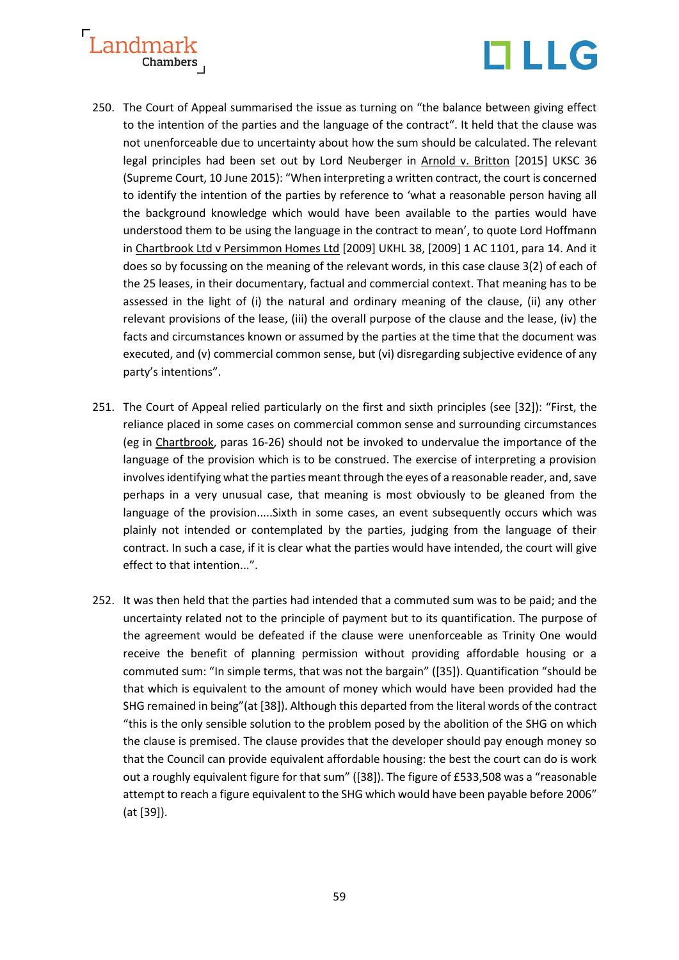



- 250. The Court of Appeal summarised the issue as turning on "the balance between giving effect to the intention of the parties and the language of the contract". It held that the clause was not unenforceable due to uncertainty about how the sum should be calculated. The relevant legal principles had been set out by Lord Neuberger in Arnold v. Britton [2015] UKSC 36 (Supreme Court, 10 June 2015): "When interpreting a written contract, the court is concerned to identify the intention of the parties by reference to 'what a reasonable person having all the background knowledge which would have been available to the parties would have understood them to be using the language in the contract to mean', to quote Lord Hoffmann in Chartbrook Ltd v Persimmon Homes Ltd [2009] UKHL 38, [2009] 1 AC 1101, para 14. And it does so by focussing on the meaning of the relevant words, in this case clause 3(2) of each of the 25 leases, in their documentary, factual and commercial context. That meaning has to be assessed in the light of (i) the natural and ordinary meaning of the clause, (ii) any other relevant provisions of the lease, (iii) the overall purpose of the clause and the lease, (iv) the facts and circumstances known or assumed by the parties at the time that the document was executed, and (v) commercial common sense, but (vi) disregarding subjective evidence of any party's intentions".
- 251. The Court of Appeal relied particularly on the first and sixth principles (see [32]): "First, the reliance placed in some cases on commercial common sense and surrounding circumstances (eg in Chartbrook, paras 16-26) should not be invoked to undervalue the importance of the language of the provision which is to be construed. The exercise of interpreting a provision involves identifying what the parties meant through the eyes of a reasonable reader, and, save perhaps in a very unusual case, that meaning is most obviously to be gleaned from the language of the provision.....Sixth in some cases, an event subsequently occurs which was plainly not intended or contemplated by the parties, judging from the language of their contract. In such a case, if it is clear what the parties would have intended, the court will give effect to that intention...".
- 252. It was then held that the parties had intended that a commuted sum was to be paid; and the uncertainty related not to the principle of payment but to its quantification. The purpose of the agreement would be defeated if the clause were unenforceable as Trinity One would receive the benefit of planning permission without providing affordable housing or a commuted sum: "In simple terms, that was not the bargain" ([35]). Quantification "should be that which is equivalent to the amount of money which would have been provided had the SHG remained in being"(at [38]). Although this departed from the literal words of the contract "this is the only sensible solution to the problem posed by the abolition of the SHG on which the clause is premised. The clause provides that the developer should pay enough money so that the Council can provide equivalent affordable housing: the best the court can do is work out a roughly equivalent figure for that sum" ([38]). The figure of £533,508 was a "reasonable attempt to reach a figure equivalent to the SHG which would have been payable before 2006" (at [39]).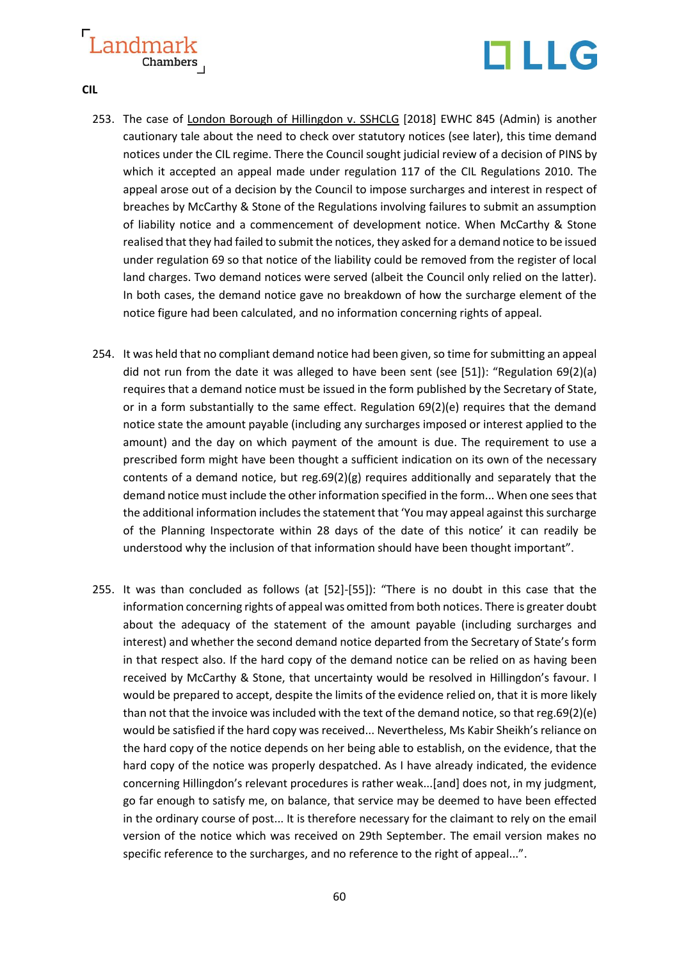

**CIL**

- 253. The case of London Borough of Hillingdon v. SSHCLG [2018] EWHC 845 (Admin) is another cautionary tale about the need to check over statutory notices (see later), this time demand notices under the CIL regime. There the Council sought judicial review of a decision of PINS by which it accepted an appeal made under regulation 117 of the CIL Regulations 2010. The appeal arose out of a decision by the Council to impose surcharges and interest in respect of breaches by McCarthy & Stone of the Regulations involving failures to submit an assumption of liability notice and a commencement of development notice. When McCarthy & Stone realised that they had failed to submit the notices, they asked for a demand notice to be issued under regulation 69 so that notice of the liability could be removed from the register of local land charges. Two demand notices were served (albeit the Council only relied on the latter). In both cases, the demand notice gave no breakdown of how the surcharge element of the notice figure had been calculated, and no information concerning rights of appeal.
- 254. It was held that no compliant demand notice had been given, so time for submitting an appeal did not run from the date it was alleged to have been sent (see [51]): "Regulation 69(2)(a) requires that a demand notice must be issued in the form published by the Secretary of State, or in a form substantially to the same effect. Regulation 69(2)(e) requires that the demand notice state the amount payable (including any surcharges imposed or interest applied to the amount) and the day on which payment of the amount is due. The requirement to use a prescribed form might have been thought a sufficient indication on its own of the necessary contents of a demand notice, but reg.69(2)(g) requires additionally and separately that the demand notice must include the other information specified in the form... When one sees that the additional information includes the statement that 'You may appeal against this surcharge of the Planning Inspectorate within 28 days of the date of this notice' it can readily be understood why the inclusion of that information should have been thought important".
- 255. It was than concluded as follows (at [52]-[55]): "There is no doubt in this case that the information concerning rights of appeal was omitted from both notices. There is greater doubt about the adequacy of the statement of the amount payable (including surcharges and interest) and whether the second demand notice departed from the Secretary of State's form in that respect also. If the hard copy of the demand notice can be relied on as having been received by McCarthy & Stone, that uncertainty would be resolved in Hillingdon's favour. I would be prepared to accept, despite the limits of the evidence relied on, that it is more likely than not that the invoice was included with the text of the demand notice, so that reg.69(2)(e) would be satisfied if the hard copy was received... Nevertheless, Ms Kabir Sheikh's reliance on the hard copy of the notice depends on her being able to establish, on the evidence, that the hard copy of the notice was properly despatched. As I have already indicated, the evidence concerning Hillingdon's relevant procedures is rather weak...[and] does not, in my judgment, go far enough to satisfy me, on balance, that service may be deemed to have been effected in the ordinary course of post... It is therefore necessary for the claimant to rely on the email version of the notice which was received on 29th September. The email version makes no specific reference to the surcharges, and no reference to the right of appeal...".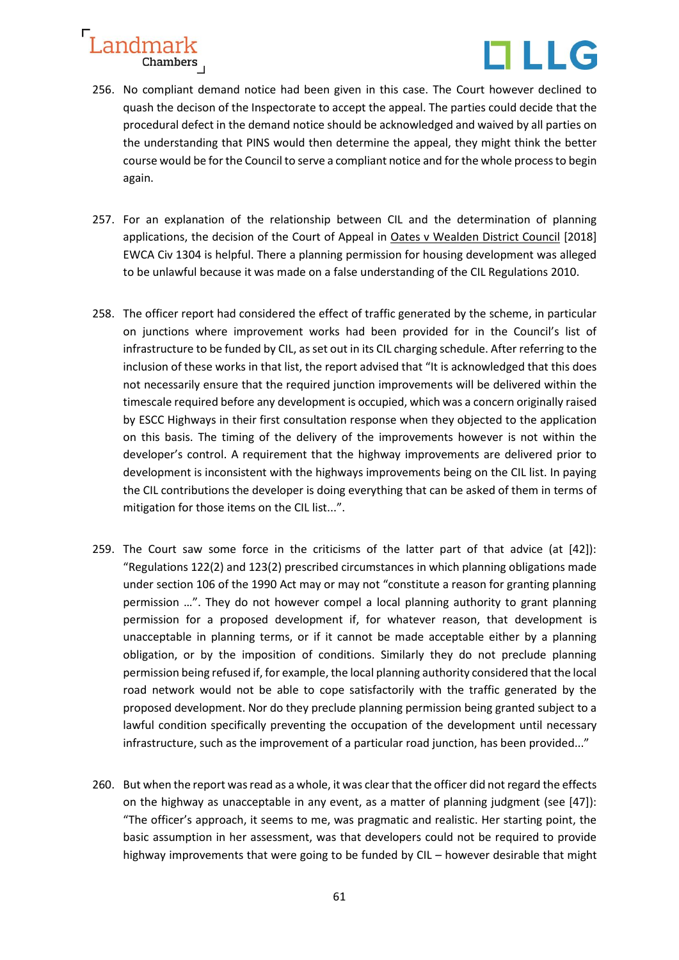

- 256. No compliant demand notice had been given in this case. The Court however declined to quash the decison of the Inspectorate to accept the appeal. The parties could decide that the procedural defect in the demand notice should be acknowledged and waived by all parties on the understanding that PINS would then determine the appeal, they might think the better course would be for the Council to serve a compliant notice and for the whole process to begin again.
- 257. For an explanation of the relationship between CIL and the determination of planning applications, the decision of the Court of Appeal in Oates v Wealden District Council [2018] EWCA Civ 1304 is helpful. There a planning permission for housing development was alleged to be unlawful because it was made on a false understanding of the CIL Regulations 2010.
- 258. The officer report had considered the effect of traffic generated by the scheme, in particular on junctions where improvement works had been provided for in the Council's list of infrastructure to be funded by CIL, as set out in its CIL charging schedule. After referring to the inclusion of these works in that list, the report advised that "It is acknowledged that this does not necessarily ensure that the required junction improvements will be delivered within the timescale required before any development is occupied, which was a concern originally raised by ESCC Highways in their first consultation response when they objected to the application on this basis. The timing of the delivery of the improvements however is not within the developer's control. A requirement that the highway improvements are delivered prior to development is inconsistent with the highways improvements being on the CIL list. In paying the CIL contributions the developer is doing everything that can be asked of them in terms of mitigation for those items on the CIL list...".
- 259. The Court saw some force in the criticisms of the latter part of that advice (at [42]): "Regulations 122(2) and 123(2) prescribed circumstances in which planning obligations made under section 106 of the 1990 Act may or may not "constitute a reason for granting planning permission …". They do not however compel a local planning authority to grant planning permission for a proposed development if, for whatever reason, that development is unacceptable in planning terms, or if it cannot be made acceptable either by a planning obligation, or by the imposition of conditions. Similarly they do not preclude planning permission being refused if, for example, the local planning authority considered that the local road network would not be able to cope satisfactorily with the traffic generated by the proposed development. Nor do they preclude planning permission being granted subject to a lawful condition specifically preventing the occupation of the development until necessary infrastructure, such as the improvement of a particular road junction, has been provided..."
- 260. But when the report was read as a whole, it was clear that the officer did not regard the effects on the highway as unacceptable in any event, as a matter of planning judgment (see [47]): "The officer's approach, it seems to me, was pragmatic and realistic. Her starting point, the basic assumption in her assessment, was that developers could not be required to provide highway improvements that were going to be funded by CIL – however desirable that might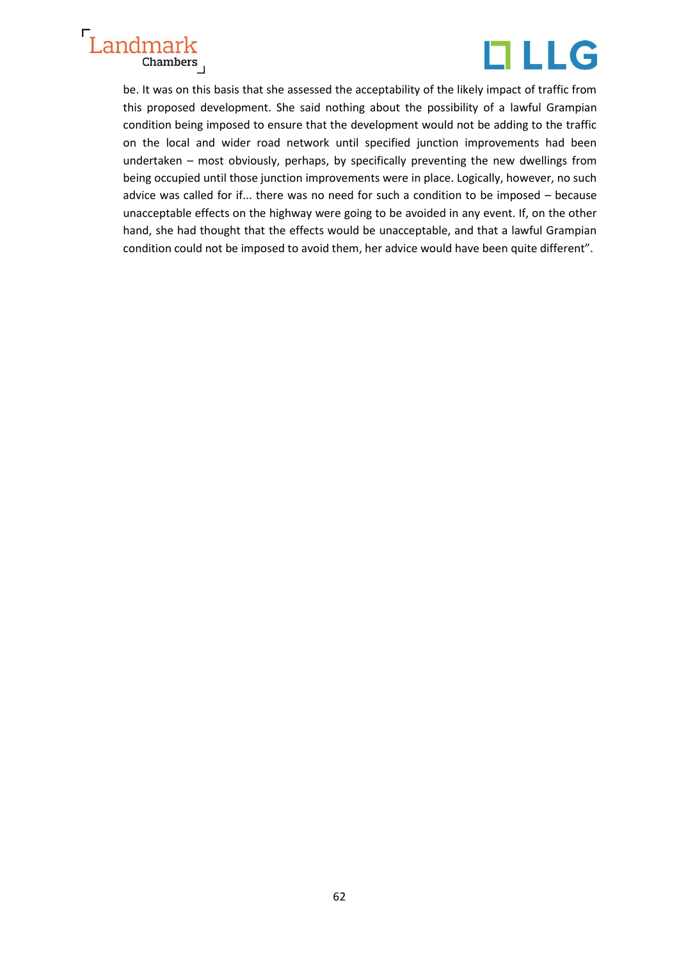

be. It was on this basis that she assessed the acceptability of the likely impact of traffic from this proposed development. She said nothing about the possibility of a lawful Grampian condition being imposed to ensure that the development would not be adding to the traffic on the local and wider road network until specified junction improvements had been undertaken – most obviously, perhaps, by specifically preventing the new dwellings from being occupied until those junction improvements were in place. Logically, however, no such advice was called for if... there was no need for such a condition to be imposed – because unacceptable effects on the highway were going to be avoided in any event. If, on the other hand, she had thought that the effects would be unacceptable, and that a lawful Grampian condition could not be imposed to avoid them, her advice would have been quite different".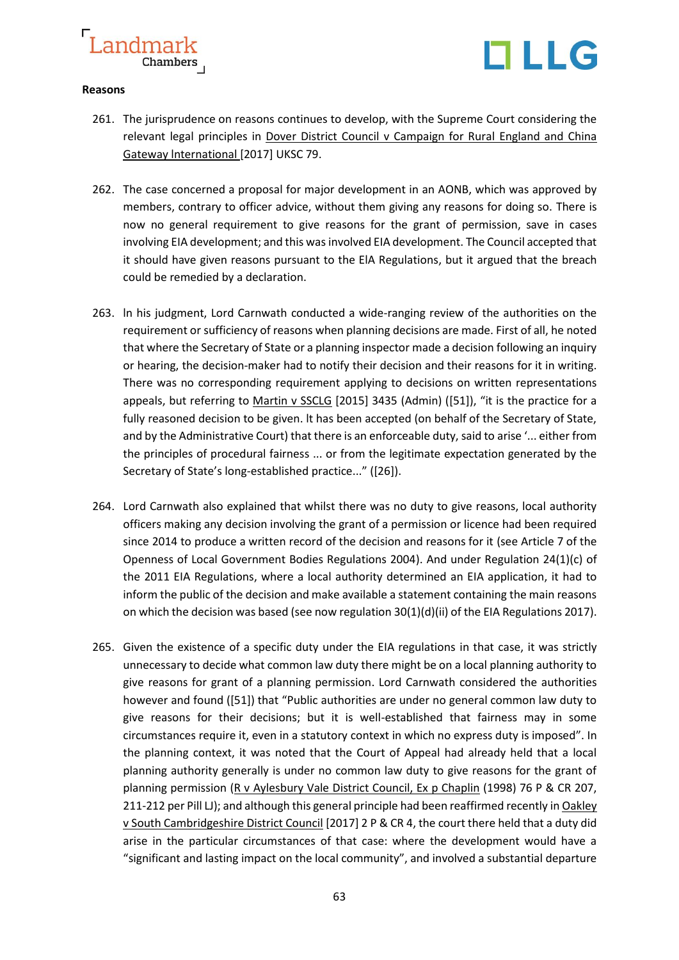

#### **Reasons**

- 261. The jurisprudence on reasons continues to develop, with the Supreme Court considering the relevant legal principles in Dover District Council v Campaign for Rural England and China Gateway lnternational [2017] UKSC 79.
- 262. The case concerned a proposal for major development in an AONB, which was approved by members, contrary to officer advice, without them giving any reasons for doing so. There is now no general requirement to give reasons for the grant of permission, save in cases involving EIA development; and this was involved EIA development. The Council accepted that it should have given reasons pursuant to the ElA Regulations, but it argued that the breach could be remedied by a declaration.
- 263. ln his judgment, Lord Carnwath conducted a wide-ranging review of the authorities on the requirement or sufficiency of reasons when planning decisions are made. First of all, he noted that where the Secretary of State or a planning inspector made a decision following an inquiry or hearing, the decision-maker had to notify their decision and their reasons for it in writing. There was no corresponding requirement applying to decisions on written representations appeals, but referring to Martin v SSCLG [2015] 3435 (Admin) ([51]), "it is the practice for a fully reasoned decision to be given. lt has been accepted (on behalf of the Secretary of State, and by the Administrative Court) that there is an enforceable duty, said to arise '... either from the principles of procedural fairness ... or from the legitimate expectation generated by the Secretary of State's long-established practice..." ([26]).
- 264. Lord Carnwath also explained that whilst there was no duty to give reasons, local authority officers making any decision involving the grant of a permission or licence had been required since 2014 to produce a written record of the decision and reasons for it (see Article 7 of the Openness of Local Government Bodies Regulations 2004). And under Regulation 24(1)(c) of the 2011 EIA Regulations, where a local authority determined an EIA application, it had to inform the public of the decision and make available a statement containing the main reasons on which the decision was based (see now regulation 30(1)(d)(ii) of the EIA Regulations 2017).
- 265. Given the existence of a specific duty under the EIA regulations in that case, it was strictly unnecessary to decide what common law duty there might be on a local planning authority to give reasons for grant of a planning permission. Lord Carnwath considered the authorities however and found ([51]) that "Public authorities are under no general common law duty to give reasons for their decisions; but it is well-established that fairness may in some circumstances require it, even in a statutory context in which no express duty is imposed". In the planning context, it was noted that the Court of Appeal had already held that a local planning authority generally is under no common law duty to give reasons for the grant of planning permission (R v Aylesbury Vale District Council, Ex p Chaplin (1998) 76 P & CR 207, 211-212 per Pill LJ); and although this general principle had been reaffirmed recently in Oakley v South Cambridgeshire District Council [2017] 2 P & CR 4, the court there held that a duty did arise in the particular circumstances of that case: where the development would have a "significant and lasting impact on the local community", and involved a substantial departure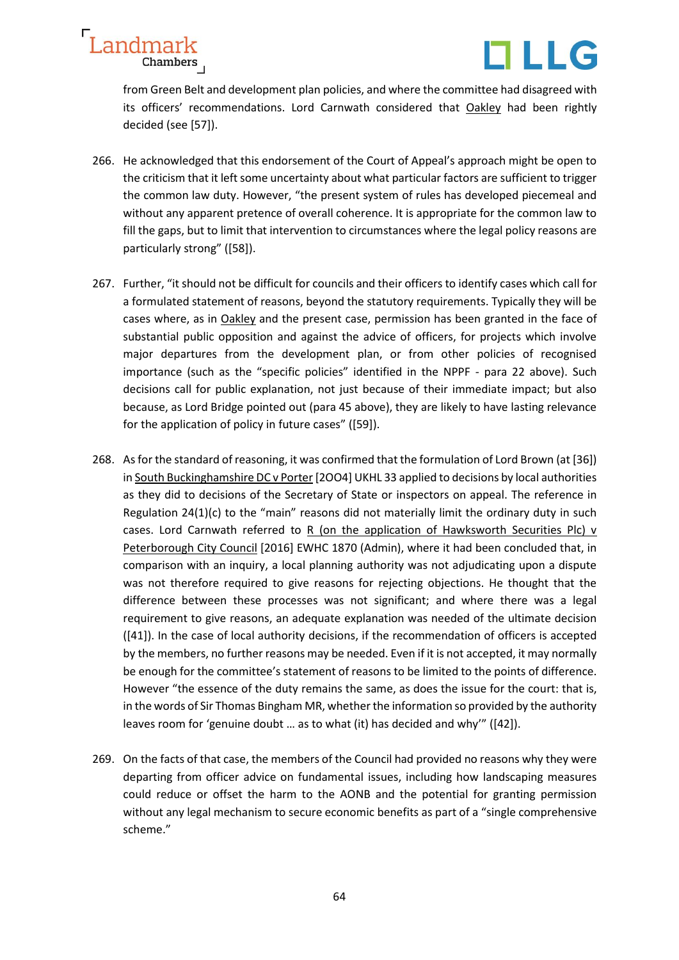

from Green Belt and development plan policies, and where the committee had disagreed with its officers' recommendations. Lord Carnwath considered that Oakley had been rightly decided (see [57]).

- 266. He acknowledged that this endorsement of the Court of Appeal's approach might be open to the criticism that it left some uncertainty about what particular factors are sufficient to trigger the common law duty. However, "the present system of rules has developed piecemeal and without any apparent pretence of overall coherence. It is appropriate for the common law to fill the gaps, but to limit that intervention to circumstances where the legal policy reasons are particularly strong" ([58]).
- 267. Further, "it should not be difficult for councils and their officers to identify cases which call for a formulated statement of reasons, beyond the statutory requirements. Typically they will be cases where, as in Oakley and the present case, permission has been granted in the face of substantial public opposition and against the advice of officers, for projects which involve major departures from the development plan, or from other policies of recognised importance (such as the "specific policies" identified in the NPPF - para 22 above). Such decisions call for public explanation, not just because of their immediate impact; but also because, as Lord Bridge pointed out (para 45 above), they are likely to have lasting relevance for the application of policy in future cases" ([59]).
- 268. As for the standard of reasoning, it was confirmed that the formulation of Lord Brown (at [36]) in South Buckinghamshire DC v Porter [2OO4] UKHL 33 applied to decisions by local authorities as they did to decisions of the Secretary of State or inspectors on appeal. The reference in Regulation  $24(1)(c)$  to the "main" reasons did not materially limit the ordinary duty in such cases. Lord Carnwath referred to R (on the application of Hawksworth Securities Plc) v Peterborough City Council [2016] EWHC 1870 (Admin), where it had been concluded that, in comparison with an inquiry, a local planning authority was not adjudicating upon a dispute was not therefore required to give reasons for rejecting objections. He thought that the difference between these processes was not significant; and where there was a legal requirement to give reasons, an adequate explanation was needed of the ultimate decision ([41]). In the case of local authority decisions, if the recommendation of officers is accepted by the members, no further reasons may be needed. Even if it is not accepted, it may normally be enough for the committee's statement of reasons to be limited to the points of difference. However "the essence of the duty remains the same, as does the issue for the court: that is, in the words of Sir Thomas Bingham MR, whether the information so provided by the authority leaves room for 'genuine doubt … as to what (it) has decided and why'" ([42]).
- 269. On the facts of that case, the members of the Council had provided no reasons why they were departing from officer advice on fundamental issues, including how landscaping measures could reduce or offset the harm to the AONB and the potential for granting permission without any legal mechanism to secure economic benefits as part of a "single comprehensive scheme."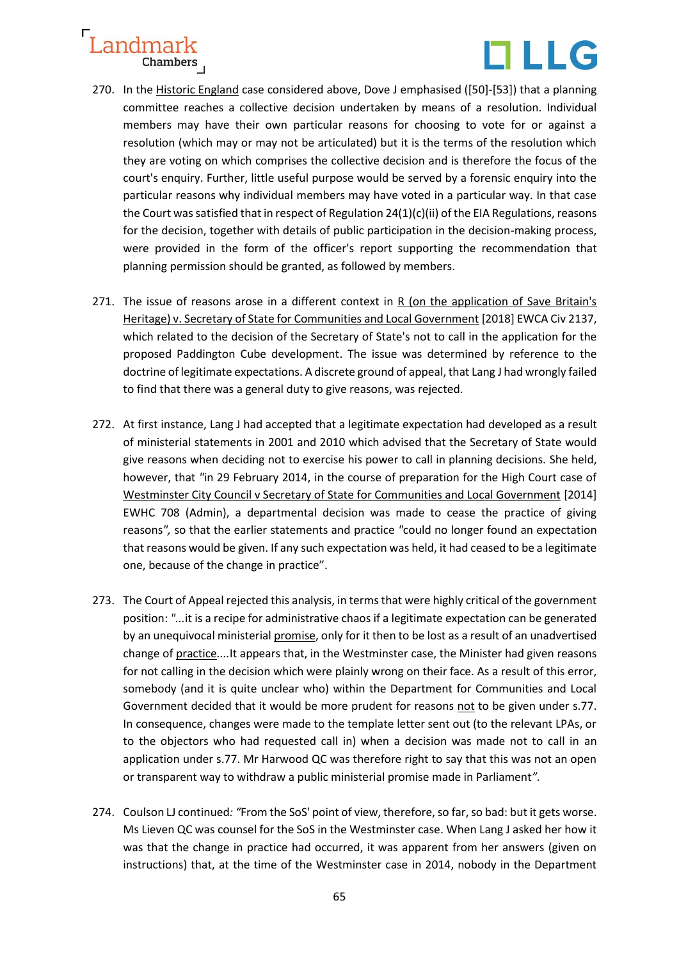

- 270. In the Historic England case considered above, Dove J emphasised ([50]-[53]) that a planning committee reaches a collective decision undertaken by means of a resolution. Individual members may have their own particular reasons for choosing to vote for or against a resolution (which may or may not be articulated) but it is the terms of the resolution which they are voting on which comprises the collective decision and is therefore the focus of the court's enquiry. Further, little useful purpose would be served by a forensic enquiry into the particular reasons why individual members may have voted in a particular way. In that case the Court was satisfied that in respect of Regulation  $24(1)(c)(ii)$  of the EIA Regulations, reasons for the decision, together with details of public participation in the decision-making process, were provided in the form of the officer's report supporting the recommendation that planning permission should be granted, as followed by members.
- 271. The issue of reasons arose in a different context in R (on the application of Save Britain's Heritage) v. Secretary of State for Communities and Local Government [2018] EWCA Civ 2137, which related to the decision of the Secretary of State's not to call in the application for the proposed Paddington Cube development. The issue was determined by reference to the doctrine of legitimate expectations. A discrete ground of appeal, that Lang J had wrongly failed to find that there was a general duty to give reasons, was rejected.
- 272. At first instance, Lang J had accepted that a legitimate expectation had developed as a result of ministerial statements in 2001 and 2010 which advised that the Secretary of State would give reasons when deciding not to exercise his power to call in planning decisions. She held, however, that *"*in 29 February 2014, in the course of preparation for the High Court case of [Westminster City Council v Secretary of State for Communities and Local Government](https://www.bailii.org/ew/cases/EWHC/Admin/2014/708.html) [2014] EWHC 708 (Admin), a departmental decision was made to cease the practice of giving reasons*",* so that the earlier statements and practice *"*could no longer found an expectation that reasons would be given. If any such expectation was held, it had ceased to be a legitimate one, because of the change in practice".
- 273. The Court of Appeal rejected this analysis, in terms that were highly critical of the government position: *"...*it is a recipe for administrative chaos if a legitimate expectation can be generated by an unequivocal ministerial promise, only for it then to be lost as a result of an unadvertised change of practice*....*It appears that, in the Westminster case, the Minister had given reasons for not calling in the decision which were plainly wrong on their face. As a result of this error, somebody (and it is quite unclear who) within the Department for Communities and Local Government decided that it would be more prudent for reasons not to be given under s.77. In consequence, changes were made to the template letter sent out (to the relevant LPAs, or to the objectors who had requested call in) when a decision was made not to call in an application under s.77. Mr Harwood QC was therefore right to say that this was not an open or transparent way to withdraw a public ministerial promise made in Parliament*".*
- 274. Coulson LJ continued*: "*From the SoS' point of view, therefore, so far, so bad: but it gets worse. Ms Lieven QC was counsel for the SoS in the Westminster case. When Lang J asked her how it was that the change in practice had occurred, it was apparent from her answers (given on instructions) that, at the time of the Westminster case in 2014, nobody in the Department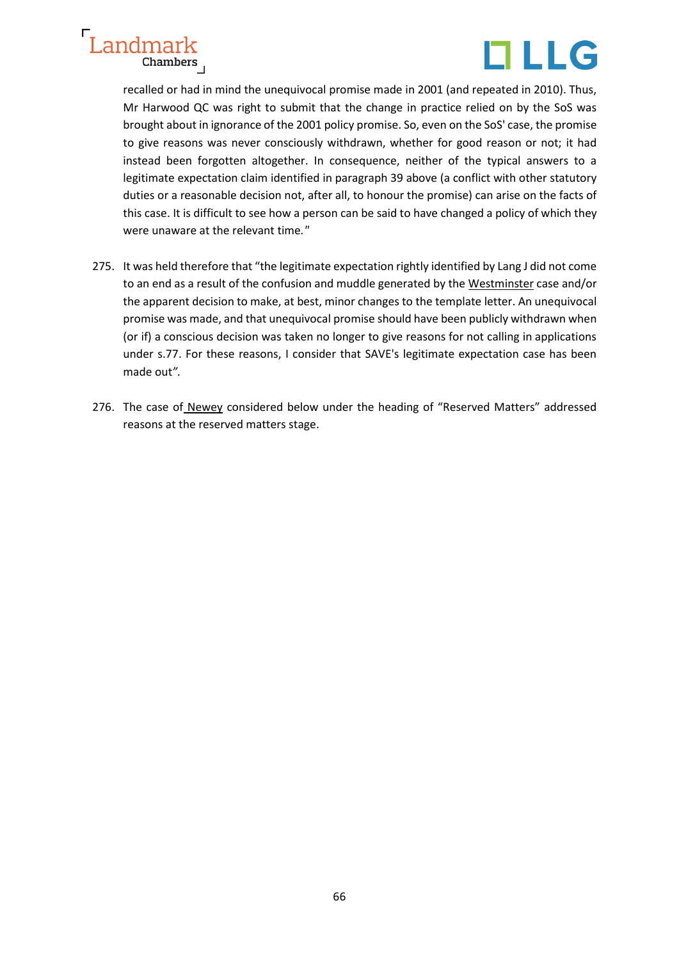



recalled or had in mind the unequivocal promise made in 2001 (and repeated in 2010). Thus, Mr Harwood QC was right to submit that the change in practice relied on by the SoS was brought about in ignorance of the 2001 policy promise. So, even on the SoS' case, the promise to give reasons was never consciously withdrawn, whether for good reason or not; it had instead been forgotten altogether. In consequence, neither of the typical answers to a legitimate expectation claim identified in paragraph 39 above (a conflict with other statutory duties or a reasonable decision not, after all, to honour the promise) can arise on the facts of this case. It is difficult to see how a person can be said to have changed a policy of which they were unaware at the relevant time*."*

- 275. It was held therefore that "the legitimate expectation rightly identified by Lang J did not come to an end as a result of the confusion and muddle generated by the Westminster case and/or the apparent decision to make, at best, minor changes to the template letter. An unequivocal promise was made, and that unequivocal promise should have been publicly withdrawn when (or if) a conscious decision was taken no longer to give reasons for not calling in applications under s.77. For these reasons, I consider that SAVE's legitimate expectation case has been made out*".*
- 276. The case of Newey considered below under the heading of "Reserved Matters" addressed reasons at the reserved matters stage.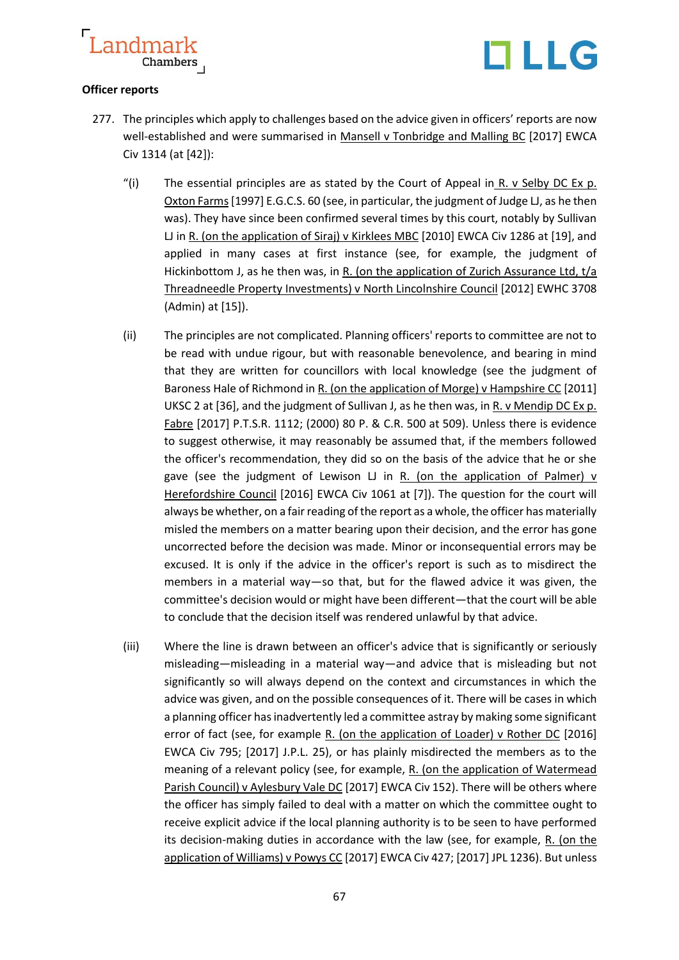

#### **Officer reports**

- 277. The principles which apply to challenges based on the advice given in officers' reports are now well-established and were summarised in Mansell v Tonbridge and Malling BC [2017] EWCA Civ 1314 (at [42]):
	- "(i) The essential principles are as stated by the Court of Appeal in R. v Selby DC Ex p. Oxton Farms[1997] E.G.C.S. 60 (see, in particular, the judgment of Judge LJ, as he then was). They have since been confirmed several times by this court, notably by Sullivan LJ in R. (on the application of Siraj) v Kirklees MBC [2010] EWCA Civ 1286 at [19], and applied in many cases at first instance (see, for example, the judgment of Hickinbottom J, as he then was, in R. (on the application of Zurich Assurance Ltd, t/a Threadneedle Property Investments) v North Lincolnshire Council [2012] EWHC 3708 (Admin) at [15]).
	- (ii) The principles are not complicated. Planning officers' reports to committee are not to be read with undue rigour, but with reasonable benevolence, and bearing in mind that they are written for councillors with local knowledge (see the judgment of Baroness Hale of Richmond in R. (on the application of Morge) v Hampshire CC [2011] UKSC 2 at [36], and the judgment of Sullivan J, as he then was, in R. v Mendip DC Ex p. Fabre [2017] P.T.S.R. 1112; (2000) 80 P. & C.R. 500 at 509). Unless there is evidence to suggest otherwise, it may reasonably be assumed that, if the members followed the officer's recommendation, they did so on the basis of the advice that he or she gave (see the judgment of Lewison LJ in R. (on the application of Palmer) v Herefordshire Council [2016] EWCA Civ 1061 at [7]). The question for the court will always be whether, on a fair reading of the report as a whole, the officer has materially misled the members on a matter bearing upon their decision, and the error has gone uncorrected before the decision was made. Minor or inconsequential errors may be excused. It is only if the advice in the officer's report is such as to misdirect the members in a material way—so that, but for the flawed advice it was given, the committee's decision would or might have been different—that the court will be able to conclude that the decision itself was rendered unlawful by that advice.
	- (iii) Where the line is drawn between an officer's advice that is significantly or seriously misleading—misleading in a material way—and advice that is misleading but not significantly so will always depend on the context and circumstances in which the advice was given, and on the possible consequences of it. There will be cases in which a planning officer has inadvertently led a committee astray by making some significant error of fact (see, for example R. (on the application of Loader) v Rother DC [2016] EWCA Civ 795; [2017] J.P.L. 25), or has plainly misdirected the members as to the meaning of a relevant policy (see, for example, R. (on the application of Watermead Parish Council) v Aylesbury Vale DC [2017] EWCA Civ 152). There will be others where the officer has simply failed to deal with a matter on which the committee ought to receive explicit advice if the local planning authority is to be seen to have performed its decision-making duties in accordance with the law (see, for example, R. (on the application of Williams) v Powys CC [2017] EWCA Civ 427; [2017] JPL 1236). But unless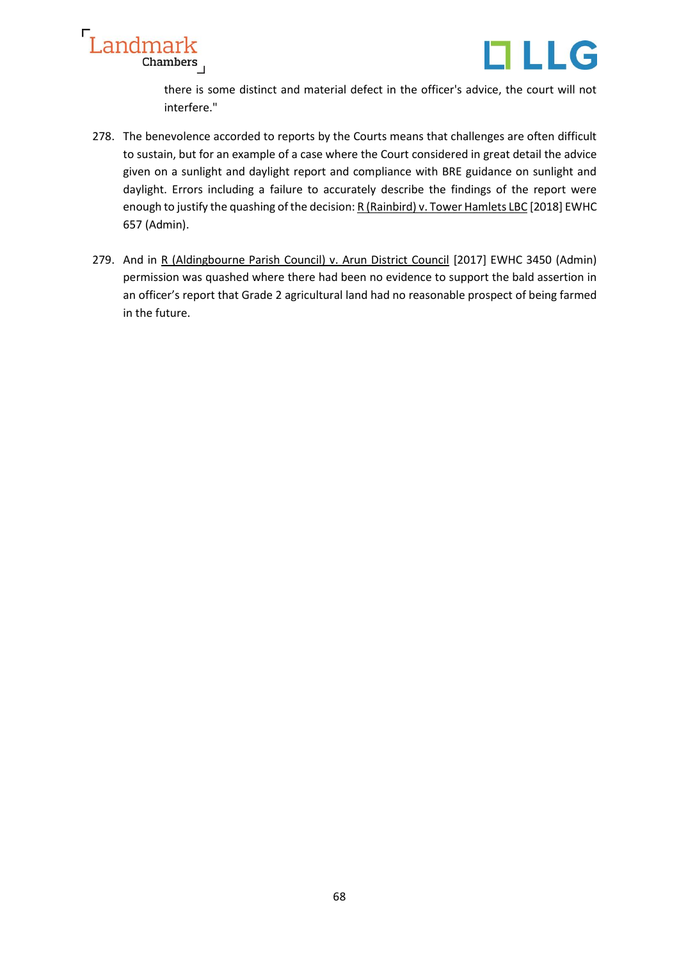



there is some distinct and material defect in the officer's advice, the court will not interfere."

- 278. The benevolence accorded to reports by the Courts means that challenges are often difficult to sustain, but for an example of a case where the Court considered in great detail the advice given on a sunlight and daylight report and compliance with BRE guidance on sunlight and daylight. Errors including a failure to accurately describe the findings of the report were enough to justify the quashing of the decision: R (Rainbird) v. Tower Hamlets LBC [2018] EWHC 657 (Admin).
- 279. And in R (Aldingbourne Parish Council) v. Arun District Council [2017] EWHC 3450 (Admin) permission was quashed where there had been no evidence to support the bald assertion in an officer's report that Grade 2 agricultural land had no reasonable prospect of being farmed in the future.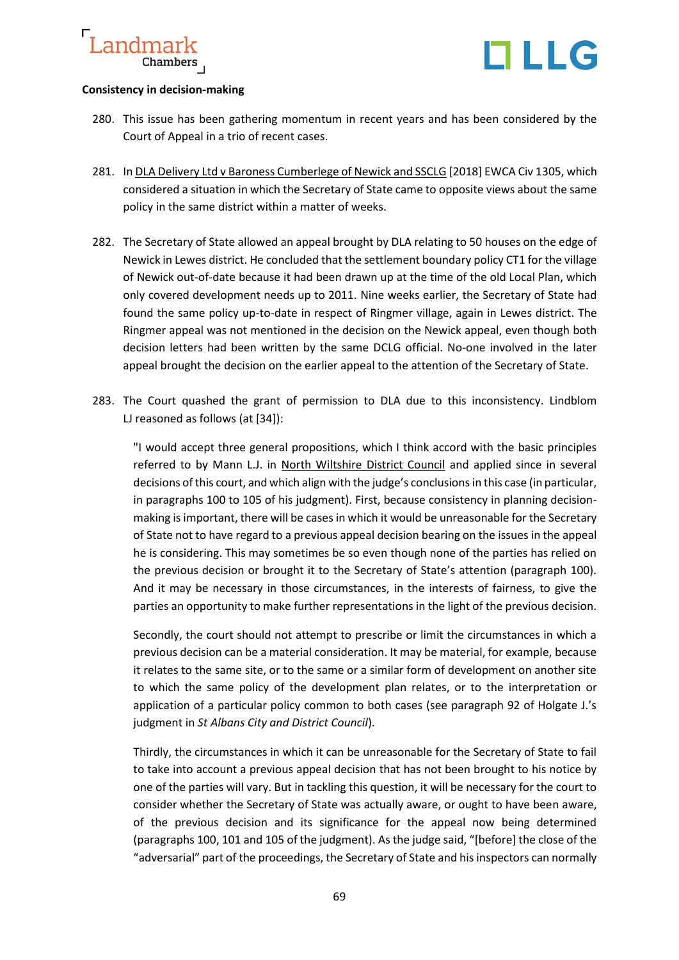

#### **Consistency in decision-making**

- 280. This issue has been gathering momentum in recent years and has been considered by the Court of Appeal in a trio of recent cases.
- 281. In DLA Delivery Ltd v Baroness Cumberlege of Newick and SSCLG [2018] EWCA Civ 1305, which considered a situation in which the Secretary of State came to opposite views about the same policy in the same district within a matter of weeks.
- 282. The Secretary of State allowed an appeal brought by DLA relating to 50 houses on the edge of Newick in Lewes district. He concluded that the settlement boundary policy CT1 for the village of Newick out-of-date because it had been drawn up at the time of the old Local Plan, which only covered development needs up to 2011. Nine weeks earlier, the Secretary of State had found the same policy up-to-date in respect of Ringmer village, again in Lewes district. The Ringmer appeal was not mentioned in the decision on the Newick appeal, even though both decision letters had been written by the same DCLG official. No-one involved in the later appeal brought the decision on the earlier appeal to the attention of the Secretary of State.
- 283. The Court quashed the grant of permission to DLA due to this inconsistency. Lindblom LJ reasoned as follows (at [34]):

"I would accept three general propositions, which I think accord with the basic principles referred to by Mann L.J. in North Wiltshire District Council and applied since in several decisions of this court, and which align with the judge's conclusions in this case (in particular, in paragraphs 100 to 105 of his judgment). First, because consistency in planning decisionmaking is important, there will be cases in which it would be unreasonable for the Secretary of State not to have regard to a previous appeal decision bearing on the issues in the appeal he is considering. This may sometimes be so even though none of the parties has relied on the previous decision or brought it to the Secretary of State's attention (paragraph 100). And it may be necessary in those circumstances, in the interests of fairness, to give the parties an opportunity to make further representations in the light of the previous decision.

Secondly, the court should not attempt to prescribe or limit the circumstances in which a previous decision can be a material consideration. It may be material, for example, because it relates to the same site, or to the same or a similar form of development on another site to which the same policy of the development plan relates, or to the interpretation or application of a particular policy common to both cases (see paragraph 92 of Holgate J.'s judgment in *St Albans City and District Council*).

Thirdly, the circumstances in which it can be unreasonable for the Secretary of State to fail to take into account a previous appeal decision that has not been brought to his notice by one of the parties will vary. But in tackling this question, it will be necessary for the court to consider whether the Secretary of State was actually aware, or ought to have been aware, of the previous decision and its significance for the appeal now being determined (paragraphs 100, 101 and 105 of the judgment). As the judge said, "[before] the close of the "adversarial" part of the proceedings, the Secretary of State and his inspectors can normally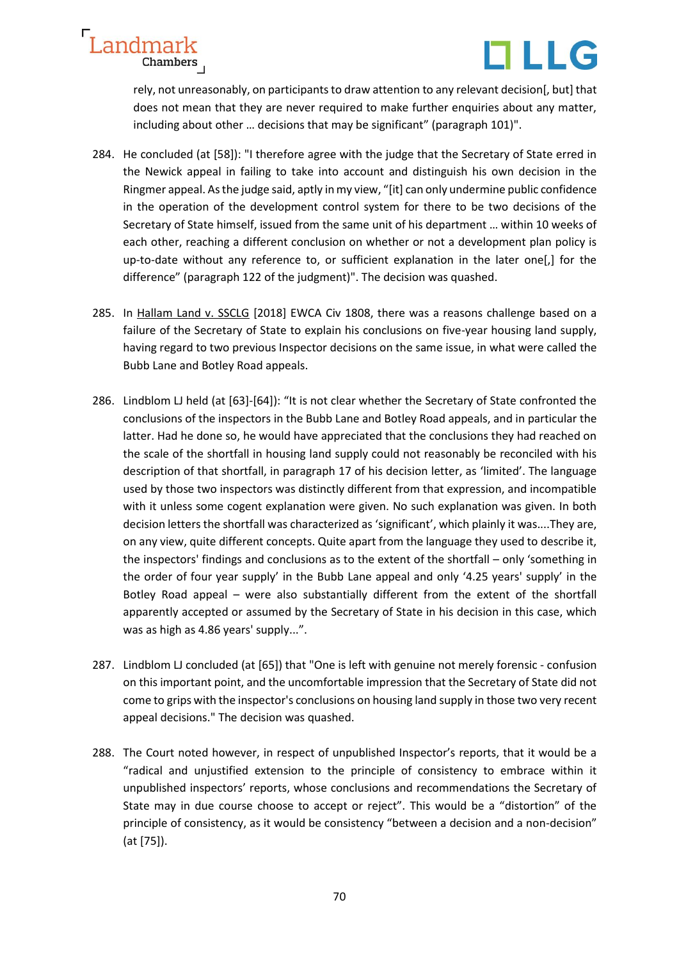

rely, not unreasonably, on participants to draw attention to any relevant decision[, but] that does not mean that they are never required to make further enquiries about any matter, including about other … decisions that may be significant" (paragraph 101)".

- 284. He concluded (at [58]): "I therefore agree with the judge that the Secretary of State erred in the Newick appeal in failing to take into account and distinguish his own decision in the Ringmer appeal. As the judge said, aptly in my view, "[it] can only undermine public confidence in the operation of the development control system for there to be two decisions of the Secretary of State himself, issued from the same unit of his department … within 10 weeks of each other, reaching a different conclusion on whether or not a development plan policy is up-to-date without any reference to, or sufficient explanation in the later one[,] for the difference" (paragraph 122 of the judgment)". The decision was quashed.
- 285. In Hallam Land v. SSCLG [2018] EWCA Civ 1808, there was a reasons challenge based on a failure of the Secretary of State to explain his conclusions on five-year housing land supply, having regard to two previous Inspector decisions on the same issue, in what were called the Bubb Lane and Botley Road appeals.
- 286. Lindblom LJ held (at [63]-[64]): "It is not clear whether the Secretary of State confronted the conclusions of the inspectors in the Bubb Lane and Botley Road appeals, and in particular the latter. Had he done so, he would have appreciated that the conclusions they had reached on the scale of the shortfall in housing land supply could not reasonably be reconciled with his description of that shortfall, in paragraph 17 of his decision letter, as 'limited'. The language used by those two inspectors was distinctly different from that expression, and incompatible with it unless some cogent explanation were given. No such explanation was given. In both decision letters the shortfall was characterized as 'significant', which plainly it was....They are, on any view, quite different concepts. Quite apart from the language they used to describe it, the inspectors' findings and conclusions as to the extent of the shortfall – only 'something in the order of four year supply' in the Bubb Lane appeal and only '4.25 years' supply' in the Botley Road appeal – were also substantially different from the extent of the shortfall apparently accepted or assumed by the Secretary of State in his decision in this case, which was as high as 4.86 years' supply...".
- 287. Lindblom LJ concluded (at [65]) that "One is left with genuine not merely forensic confusion on this important point, and the uncomfortable impression that the Secretary of State did not come to grips with the inspector's conclusions on housing land supply in those two very recent appeal decisions." The decision was quashed.
- 288. The Court noted however, in respect of unpublished Inspector's reports, that it would be a "radical and unjustified extension to the principle of consistency to embrace within it unpublished inspectors' reports, whose conclusions and recommendations the Secretary of State may in due course choose to accept or reject". This would be a "distortion" of the principle of consistency, as it would be consistency "between a decision and a non-decision" (at [75]).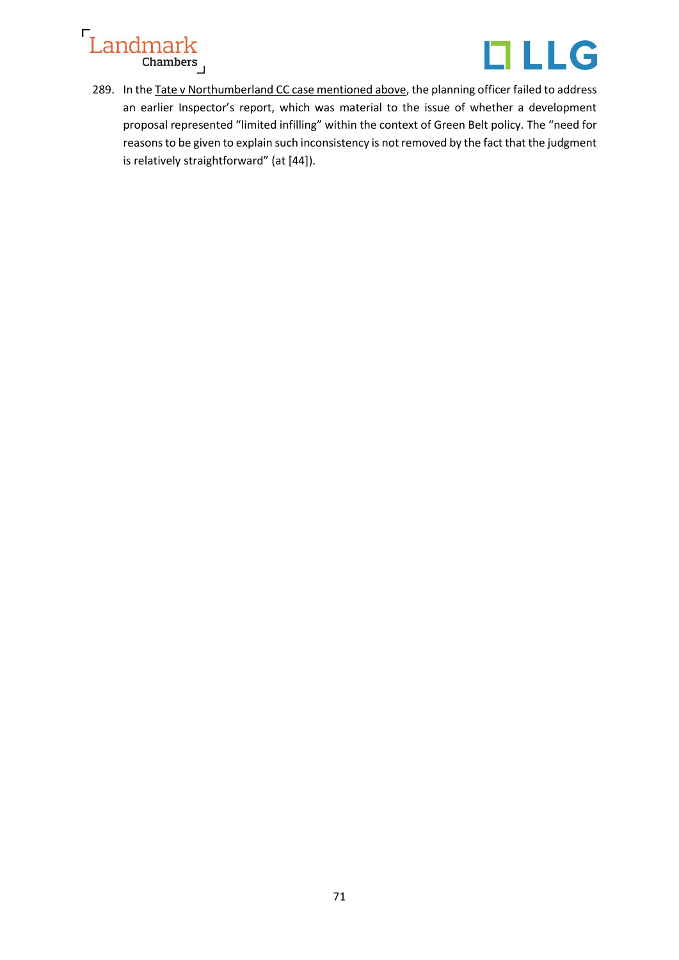



289. In the Tate v Northumberland CC case mentioned above, the planning officer failed to address an earlier Inspector's report, which was material to the issue of whether a development proposal represented "limited infilling" within the context of Green Belt policy. The "need for reasons to be given to explain such inconsistency is not removed by the fact that the judgment is relatively straightforward" (at [44]).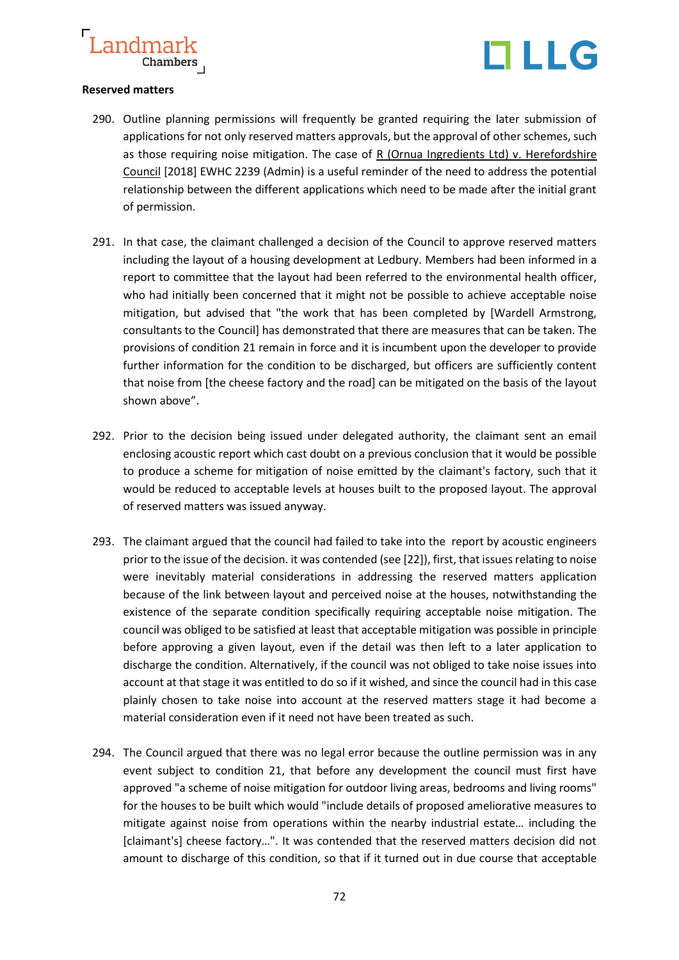

#### **Reserved matters**

- 290. Outline planning permissions will frequently be granted requiring the later submission of applications for not only reserved matters approvals, but the approval of other schemes, such as those requiring noise mitigation. The case of  $R$  (Ornua Ingredients Ltd) v. Herefordshire Council [2018] EWHC 2239 (Admin) is a useful reminder of the need to address the potential relationship between the different applications which need to be made after the initial grant of permission.
- 291. In that case, the claimant challenged a decision of the Council to approve reserved matters including the layout of a housing development at Ledbury. Members had been informed in a report to committee that the layout had been referred to the environmental health officer, who had initially been concerned that it might not be possible to achieve acceptable noise mitigation, but advised that "the work that has been completed by [Wardell Armstrong, consultants to the Council] has demonstrated that there are measures that can be taken. The provisions of condition 21 remain in force and it is incumbent upon the developer to provide further information for the condition to be discharged, but officers are sufficiently content that noise from [the cheese factory and the road] can be mitigated on the basis of the layout shown above".
- 292. Prior to the decision being issued under delegated authority, the claimant sent an email enclosing acoustic report which cast doubt on a previous conclusion that it would be possible to produce a scheme for mitigation of noise emitted by the claimant's factory, such that it would be reduced to acceptable levels at houses built to the proposed layout. The approval of reserved matters was issued anyway.
- 293. The claimant argued that the council had failed to take into the report by acoustic engineers prior to the issue of the decision. it was contended (see [22]), first, that issues relating to noise were inevitably material considerations in addressing the reserved matters application because of the link between layout and perceived noise at the houses, notwithstanding the existence of the separate condition specifically requiring acceptable noise mitigation. The council was obliged to be satisfied at least that acceptable mitigation was possible in principle before approving a given layout, even if the detail was then left to a later application to discharge the condition. Alternatively, if the council was not obliged to take noise issues into account at that stage it was entitled to do so if it wished, and since the council had in this case plainly chosen to take noise into account at the reserved matters stage it had become a material consideration even if it need not have been treated as such.
- 294. The Council argued that there was no legal error because the outline permission was in any event subject to condition 21, that before any development the council must first have approved "a scheme of noise mitigation for outdoor living areas, bedrooms and living rooms" for the houses to be built which would "include details of proposed ameliorative measures to mitigate against noise from operations within the nearby industrial estate… including the [claimant's] cheese factory…". It was contended that the reserved matters decision did not amount to discharge of this condition, so that if it turned out in due course that acceptable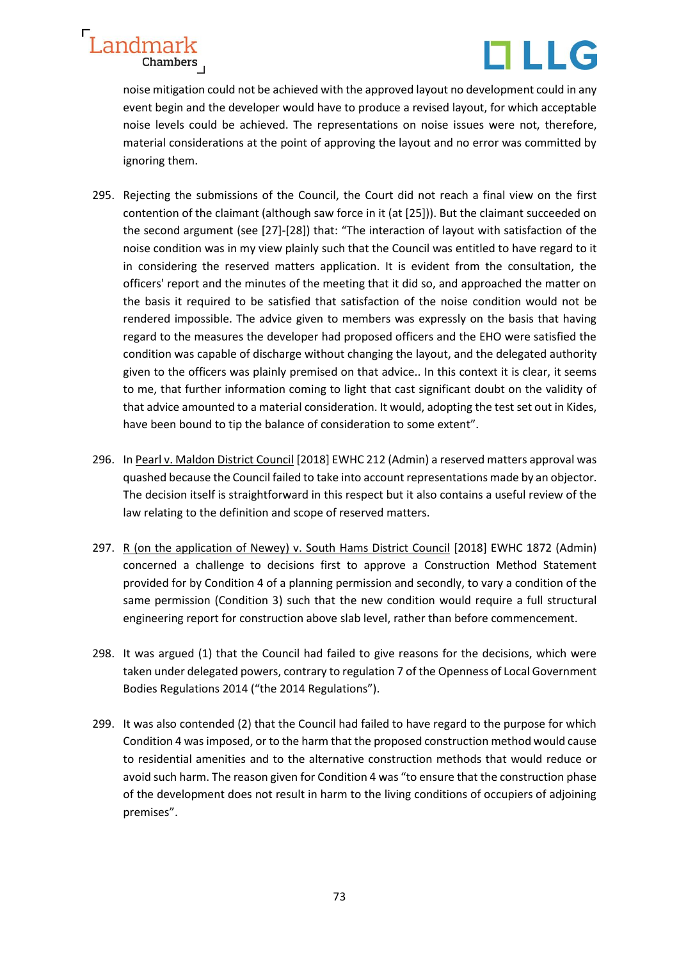



noise mitigation could not be achieved with the approved layout no development could in any event begin and the developer would have to produce a revised layout, for which acceptable noise levels could be achieved. The representations on noise issues were not, therefore, material considerations at the point of approving the layout and no error was committed by ignoring them.

- 295. Rejecting the submissions of the Council, the Court did not reach a final view on the first contention of the claimant (although saw force in it (at [25])). But the claimant succeeded on the second argument (see [27]-[28]) that: "The interaction of layout with satisfaction of the noise condition was in my view plainly such that the Council was entitled to have regard to it in considering the reserved matters application. It is evident from the consultation, the officers' report and the minutes of the meeting that it did so, and approached the matter on the basis it required to be satisfied that satisfaction of the noise condition would not be rendered impossible. The advice given to members was expressly on the basis that having regard to the measures the developer had proposed officers and the EHO were satisfied the condition was capable of discharge without changing the layout, and the delegated authority given to the officers was plainly premised on that advice.. In this context it is clear, it seems to me, that further information coming to light that cast significant doubt on the validity of that advice amounted to a material consideration. It would, adopting the test set out in Kides, have been bound to tip the balance of consideration to some extent".
- 296. In Pearl v. Maldon District Council [2018] EWHC 212 (Admin) a reserved matters approval was quashed because the Council failed to take into account representations made by an objector. The decision itself is straightforward in this respect but it also contains a useful review of the law relating to the definition and scope of reserved matters.
- 297. R (on the application of Newey) v. South Hams District Council [2018] EWHC 1872 (Admin) concerned a challenge to decisions first to approve a Construction Method Statement provided for by Condition 4 of a planning permission and secondly, to vary a condition of the same permission (Condition 3) such that the new condition would require a full structural engineering report for construction above slab level, rather than before commencement.
- 298. It was argued (1) that the Council had failed to give reasons for the decisions, which were taken under delegated powers, contrary to regulation 7 of the Openness of Local Government Bodies Regulations 2014 ("the 2014 Regulations").
- 299. It was also contended (2) that the Council had failed to have regard to the purpose for which Condition 4 was imposed, or to the harm that the proposed construction method would cause to residential amenities and to the alternative construction methods that would reduce or avoid such harm. The reason given for Condition 4 was "to ensure that the construction phase of the development does not result in harm to the living conditions of occupiers of adjoining premises".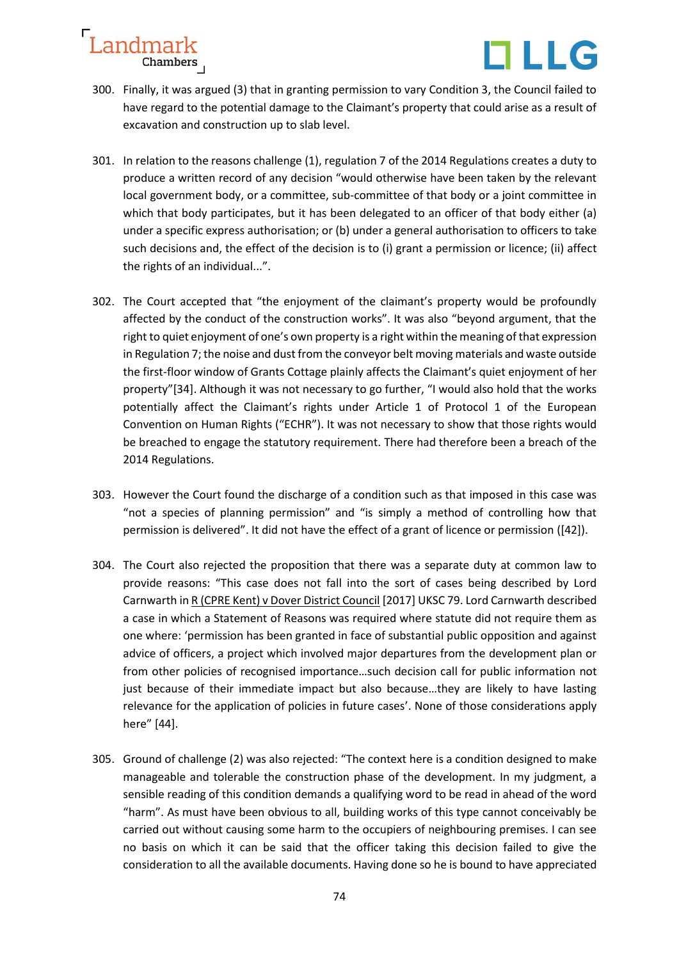

- 300. Finally, it was argued (3) that in granting permission to vary Condition 3, the Council failed to have regard to the potential damage to the Claimant's property that could arise as a result of excavation and construction up to slab level.
- 301. In relation to the reasons challenge (1), regulation 7 of the 2014 Regulations creates a duty to produce a written record of any decision "would otherwise have been taken by the relevant local government body, or a committee, sub-committee of that body or a joint committee in which that body participates, but it has been delegated to an officer of that body either (a) under a specific express authorisation; or (b) under a general authorisation to officers to take such decisions and, the effect of the decision is to (i) grant a permission or licence; (ii) affect the rights of an individual...".
- 302. The Court accepted that "the enjoyment of the claimant's property would be profoundly affected by the conduct of the construction works". It was also "beyond argument, that the right to quiet enjoyment of one's own property is a right within the meaning of that expression in Regulation 7; the noise and dust from the conveyor belt moving materials and waste outside the first-floor window of Grants Cottage plainly affects the Claimant's quiet enjoyment of her property"[34]. Although it was not necessary to go further, "I would also hold that the works potentially affect the Claimant's rights under Article 1 of Protocol 1 of the European Convention on Human Rights ("ECHR"). It was not necessary to show that those rights would be breached to engage the statutory requirement. There had therefore been a breach of the 2014 Regulations.
- 303. However the Court found the discharge of a condition such as that imposed in this case was "not a species of planning permission" and "is simply a method of controlling how that permission is delivered". It did not have the effect of a grant of licence or permission ([42]).
- 304. The Court also rejected the proposition that there was a separate duty at common law to provide reasons: "This case does not fall into the sort of cases being described by Lord Carnwarth in R (CPRE Kent) v Dover District Council [2017] UKSC 79. Lord Carnwarth described a case in which a Statement of Reasons was required where statute did not require them as one where: 'permission has been granted in face of substantial public opposition and against advice of officers, a project which involved major departures from the development plan or from other policies of recognised importance…such decision call for public information not just because of their immediate impact but also because…they are likely to have lasting relevance for the application of policies in future cases'. None of those considerations apply here" [44].
- 305. Ground of challenge (2) was also rejected: "The context here is a condition designed to make manageable and tolerable the construction phase of the development. In my judgment, a sensible reading of this condition demands a qualifying word to be read in ahead of the word "harm". As must have been obvious to all, building works of this type cannot conceivably be carried out without causing some harm to the occupiers of neighbouring premises. I can see no basis on which it can be said that the officer taking this decision failed to give the consideration to all the available documents. Having done so he is bound to have appreciated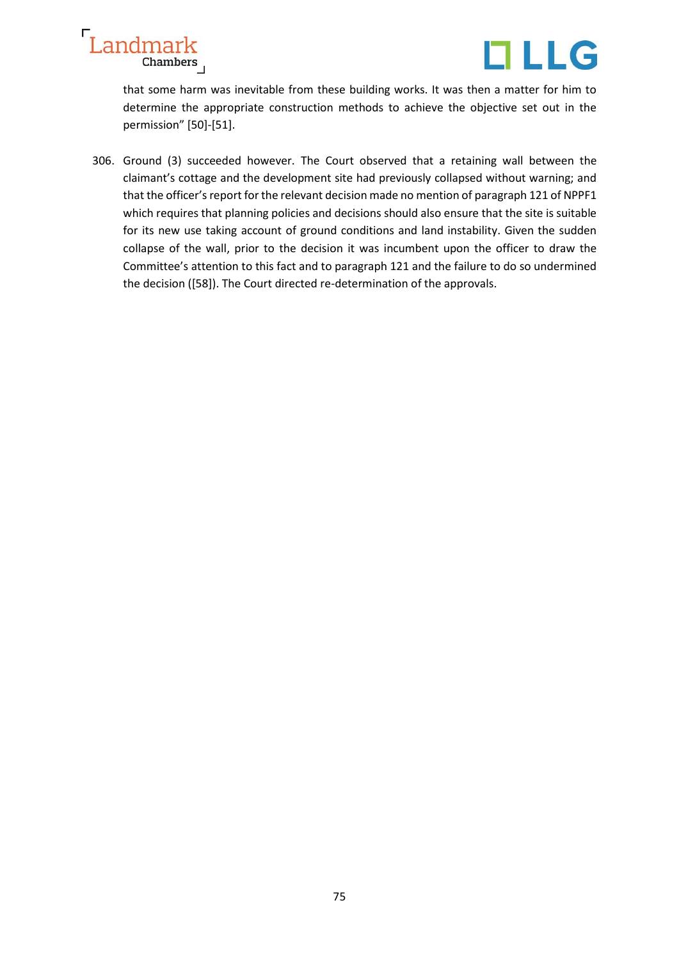



that some harm was inevitable from these building works. It was then a matter for him to determine the appropriate construction methods to achieve the objective set out in the permission" [50]-[51].

306. Ground (3) succeeded however. The Court observed that a retaining wall between the claimant's cottage and the development site had previously collapsed without warning; and that the officer's report for the relevant decision made no mention of paragraph 121 of NPPF1 which requires that planning policies and decisions should also ensure that the site is suitable for its new use taking account of ground conditions and land instability. Given the sudden collapse of the wall, prior to the decision it was incumbent upon the officer to draw the Committee's attention to this fact and to paragraph 121 and the failure to do so undermined the decision ([58]). The Court directed re-determination of the approvals.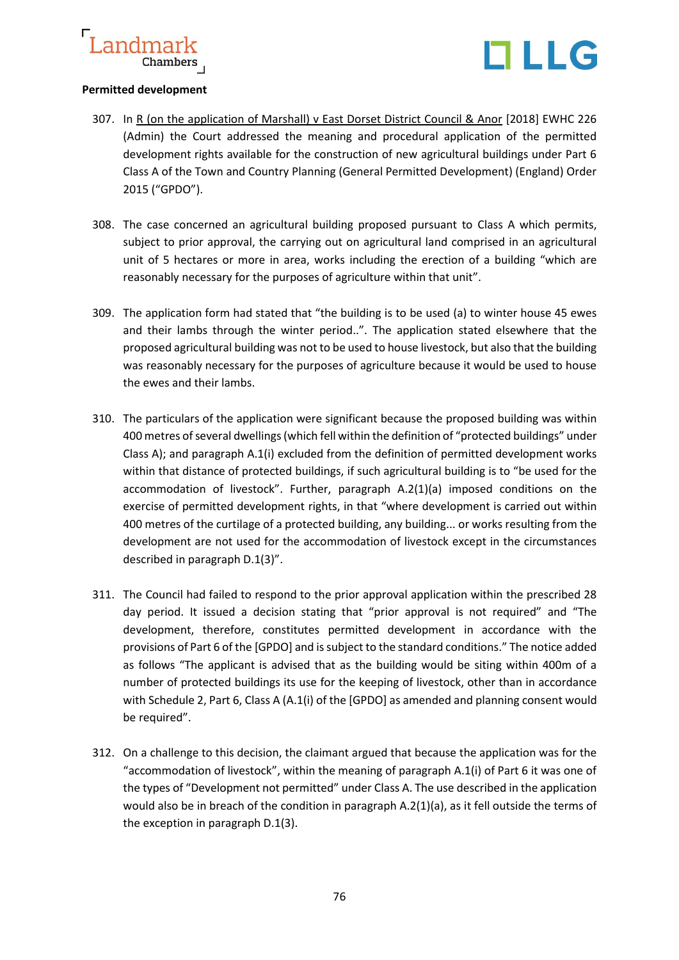



## **Permitted development**

- 307. In R (on the application of Marshall) v East Dorset District Council & Anor [2018] EWHC 226 (Admin) the Court addressed the meaning and procedural application of the permitted development rights available for the construction of new agricultural buildings under Part 6 Class A of the Town and Country Planning (General Permitted Development) (England) Order 2015 ("GPDO").
- 308. The case concerned an agricultural building proposed pursuant to Class A which permits, subject to prior approval, the carrying out on agricultural land comprised in an agricultural unit of 5 hectares or more in area, works including the erection of a building "which are reasonably necessary for the purposes of agriculture within that unit".
- 309. The application form had stated that "the building is to be used (a) to winter house 45 ewes and their lambs through the winter period..". The application stated elsewhere that the proposed agricultural building was not to be used to house livestock, but also that the building was reasonably necessary for the purposes of agriculture because it would be used to house the ewes and their lambs.
- 310. The particulars of the application were significant because the proposed building was within 400 metres of several dwellings (which fell within the definition of "protected buildings" under Class A); and paragraph A.1(i) excluded from the definition of permitted development works within that distance of protected buildings, if such agricultural building is to "be used for the accommodation of livestock". Further, paragraph A.2(1)(a) imposed conditions on the exercise of permitted development rights, in that "where development is carried out within 400 metres of the curtilage of a protected building, any building... or works resulting from the development are not used for the accommodation of livestock except in the circumstances described in paragraph D.1(3)".
- 311. The Council had failed to respond to the prior approval application within the prescribed 28 day period. It issued a decision stating that "prior approval is not required" and "The development, therefore, constitutes permitted development in accordance with the provisions of Part 6 of the [GPDO] and is subject to the standard conditions." The notice added as follows "The applicant is advised that as the building would be siting within 400m of a number of protected buildings its use for the keeping of livestock, other than in accordance with Schedule 2, Part 6, Class A (A.1(i) of the [GPDO] as amended and planning consent would be required".
- 312. On a challenge to this decision, the claimant argued that because the application was for the "accommodation of livestock", within the meaning of paragraph A.1(i) of Part 6 it was one of the types of "Development not permitted" under Class A. The use described in the application would also be in breach of the condition in paragraph A.2(1)(a), as it fell outside the terms of the exception in paragraph D.1(3).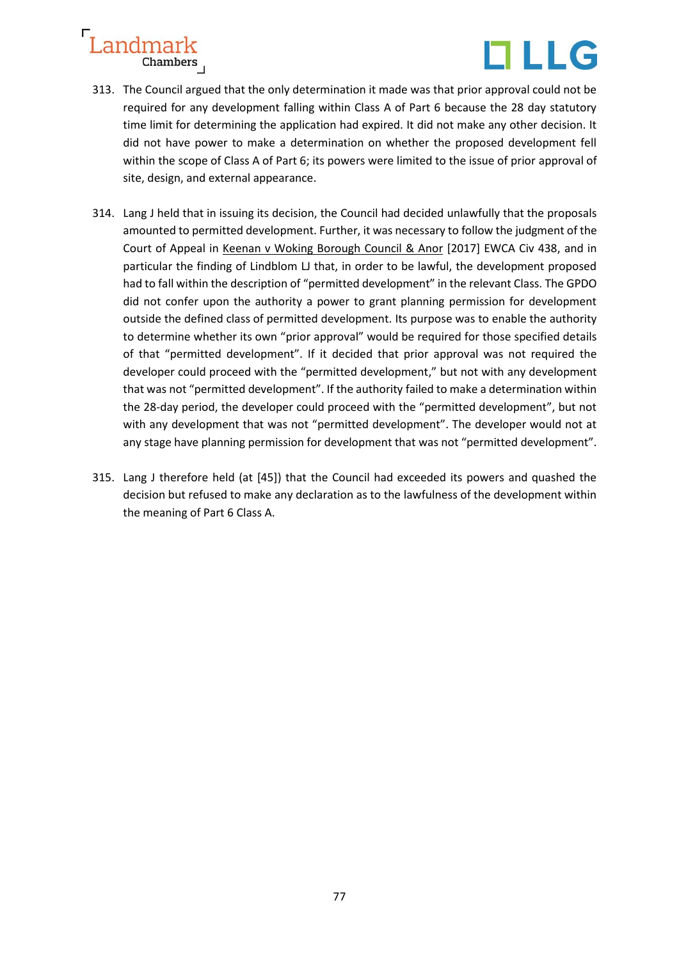

- 313. The Council argued that the only determination it made was that prior approval could not be required for any development falling within Class A of Part 6 because the 28 day statutory time limit for determining the application had expired. It did not make any other decision. It did not have power to make a determination on whether the proposed development fell within the scope of Class A of Part 6; its powers were limited to the issue of prior approval of site, design, and external appearance.
- 314. Lang J held that in issuing its decision, the Council had decided unlawfully that the proposals amounted to permitted development. Further, it was necessary to follow the judgment of the Court of Appeal in Keenan v Woking Borough Council & Anor [2017] EWCA Civ 438, and in particular the finding of Lindblom LJ that, in order to be lawful, the development proposed had to fall within the description of "permitted development" in the relevant Class. The GPDO did not confer upon the authority a power to grant planning permission for development outside the defined class of permitted development. Its purpose was to enable the authority to determine whether its own "prior approval" would be required for those specified details of that "permitted development". If it decided that prior approval was not required the developer could proceed with the "permitted development," but not with any development that was not "permitted development". If the authority failed to make a determination within the 28-day period, the developer could proceed with the "permitted development", but not with any development that was not "permitted development". The developer would not at any stage have planning permission for development that was not "permitted development".
- 315. Lang J therefore held (at [45]) that the Council had exceeded its powers and quashed the decision but refused to make any declaration as to the lawfulness of the development within the meaning of Part 6 Class A.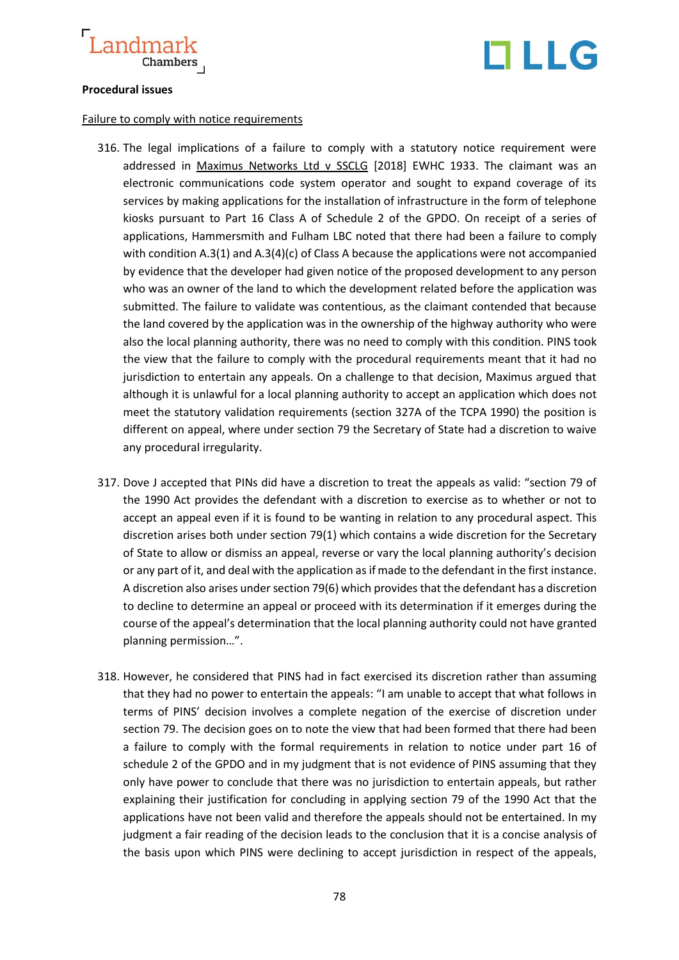



## **Procedural issues**

#### Failure to comply with notice requirements

- 316. The legal implications of a failure to comply with a statutory notice requirement were addressed in Maximus Networks Ltd v SSCLG [2018] EWHC 1933. The claimant was an electronic communications code system operator and sought to expand coverage of its services by making applications for the installation of infrastructure in the form of telephone kiosks pursuant to Part 16 Class A of Schedule 2 of the GPDO. On receipt of a series of applications, Hammersmith and Fulham LBC noted that there had been a failure to comply with condition A.3(1) and A.3(4)(c) of Class A because the applications were not accompanied by evidence that the developer had given notice of the proposed development to any person who was an owner of the land to which the development related before the application was submitted. The failure to validate was contentious, as the claimant contended that because the land covered by the application was in the ownership of the highway authority who were also the local planning authority, there was no need to comply with this condition. PINS took the view that the failure to comply with the procedural requirements meant that it had no jurisdiction to entertain any appeals. On a challenge to that decision, Maximus argued that although it is unlawful for a local planning authority to accept an application which does not meet the statutory validation requirements (section 327A of the TCPA 1990) the position is different on appeal, where under section 79 the Secretary of State had a discretion to waive any procedural irregularity.
- 317. Dove J accepted that PINs did have a discretion to treat the appeals as valid: "section 79 of the 1990 Act provides the defendant with a discretion to exercise as to whether or not to accept an appeal even if it is found to be wanting in relation to any procedural aspect. This discretion arises both under section 79(1) which contains a wide discretion for the Secretary of State to allow or dismiss an appeal, reverse or vary the local planning authority's decision or any part of it, and deal with the application as if made to the defendant in the first instance. A discretion also arises under section 79(6) which provides that the defendant has a discretion to decline to determine an appeal or proceed with its determination if it emerges during the course of the appeal's determination that the local planning authority could not have granted planning permission…".
- 318. However, he considered that PINS had in fact exercised its discretion rather than assuming that they had no power to entertain the appeals: "I am unable to accept that what follows in terms of PINS' decision involves a complete negation of the exercise of discretion under section 79. The decision goes on to note the view that had been formed that there had been a failure to comply with the formal requirements in relation to notice under part 16 of schedule 2 of the GPDO and in my judgment that is not evidence of PINS assuming that they only have power to conclude that there was no jurisdiction to entertain appeals, but rather explaining their justification for concluding in applying section 79 of the 1990 Act that the applications have not been valid and therefore the appeals should not be entertained. In my judgment a fair reading of the decision leads to the conclusion that it is a concise analysis of the basis upon which PINS were declining to accept jurisdiction in respect of the appeals,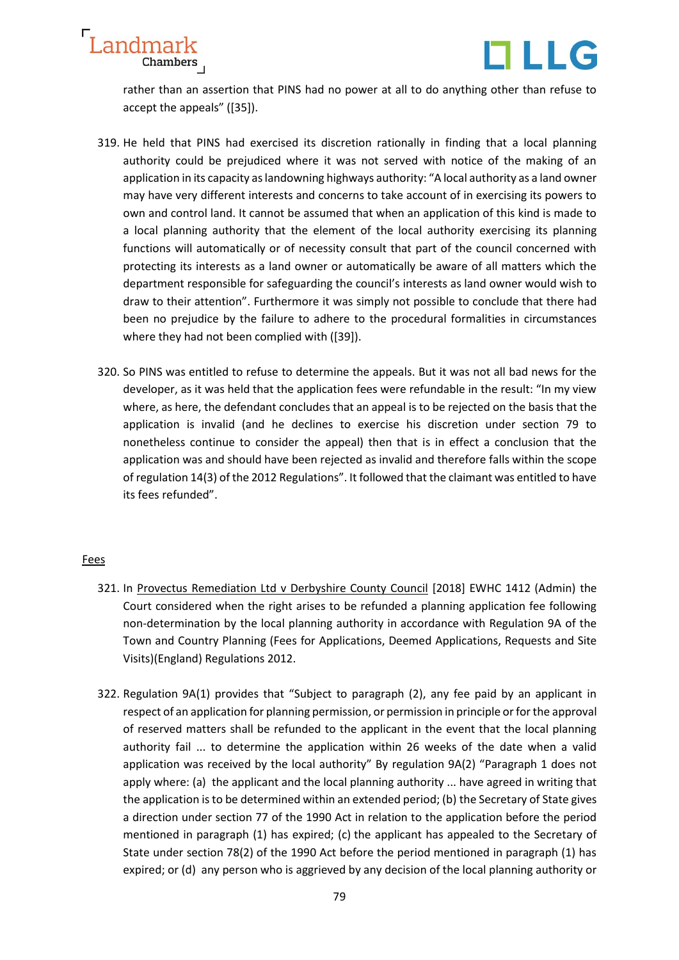



rather than an assertion that PINS had no power at all to do anything other than refuse to accept the appeals" ([35]).

- 319. He held that PINS had exercised its discretion rationally in finding that a local planning authority could be prejudiced where it was not served with notice of the making of an application in its capacity as landowning highways authority: "A local authority as a land owner may have very different interests and concerns to take account of in exercising its powers to own and control land. It cannot be assumed that when an application of this kind is made to a local planning authority that the element of the local authority exercising its planning functions will automatically or of necessity consult that part of the council concerned with protecting its interests as a land owner or automatically be aware of all matters which the department responsible for safeguarding the council's interests as land owner would wish to draw to their attention". Furthermore it was simply not possible to conclude that there had been no prejudice by the failure to adhere to the procedural formalities in circumstances where they had not been complied with ([39]).
- 320. So PINS was entitled to refuse to determine the appeals. But it was not all bad news for the developer, as it was held that the application fees were refundable in the result: "In my view where, as here, the defendant concludes that an appeal is to be rejected on the basis that the application is invalid (and he declines to exercise his discretion under section 79 to nonetheless continue to consider the appeal) then that is in effect a conclusion that the application was and should have been rejected as invalid and therefore falls within the scope of regulation 14(3) of the 2012 Regulations". It followed that the claimant was entitled to have its fees refunded".

## Fees

- 321. In Provectus Remediation Ltd v Derbyshire County Council [2018] EWHC 1412 (Admin) the Court considered when the right arises to be refunded a planning application fee following non-determination by the local planning authority in accordance with Regulation 9A of the Town and Country Planning (Fees for Applications, Deemed Applications, Requests and Site Visits)(England) Regulations 2012.
- 322. Regulation 9A(1) provides that "Subject to paragraph (2), any fee paid by an applicant in respect of an application for planning permission, or permission in principle or for the approval of reserved matters shall be refunded to the applicant in the event that the local planning authority fail ... to determine the application within 26 weeks of the date when a valid application was received by the local authority" By regulation 9A(2) "Paragraph 1 does not apply where: (a) the applicant and the local planning authority ... have agreed in writing that the application is to be determined within an extended period; (b) the Secretary of State gives a direction under section 77 of the 1990 Act in relation to the application before the period mentioned in paragraph (1) has expired; (c) the applicant has appealed to the Secretary of State under section 78(2) of the 1990 Act before the period mentioned in paragraph (1) has expired; or (d) any person who is aggrieved by any decision of the local planning authority or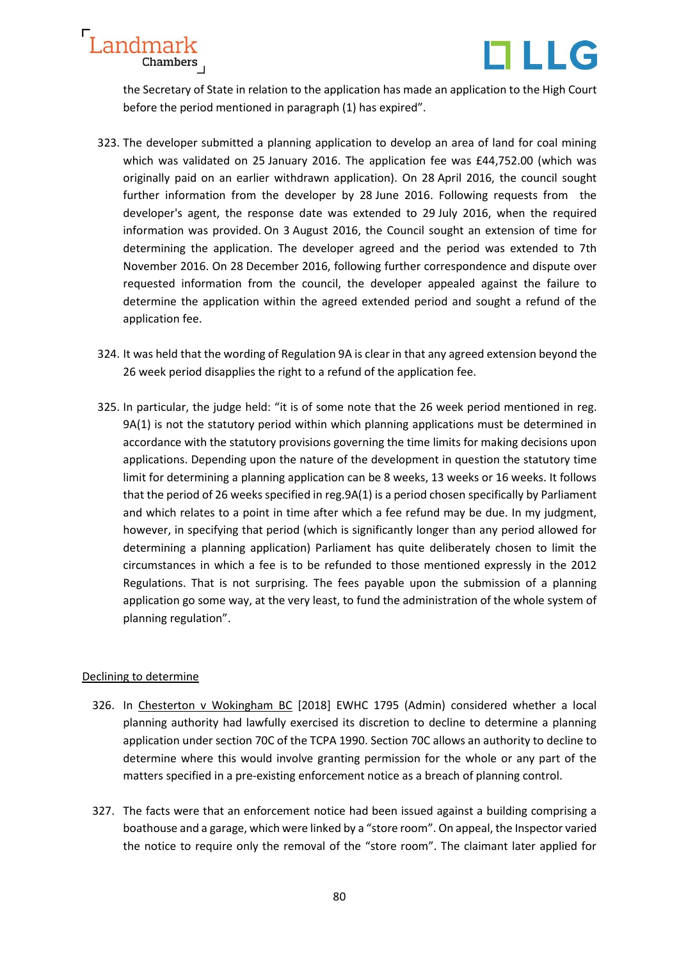



the Secretary of State in relation to the application has made an application to the High Court before the period mentioned in paragraph (1) has expired".

- 323. The developer submitted a planning application to develop an area of land for coal mining which was validated on 25 January 2016. The application fee was £44,752.00 (which was originally paid on an earlier withdrawn application). On 28 April 2016, the council sought further information from the developer by 28 June 2016. Following requests from the developer's agent, the response date was extended to 29 July 2016, when the required information was provided. On 3 August 2016, the Council sought an extension of time for determining the application. The developer agreed and the period was extended to 7th November 2016. On 28 December 2016, following further correspondence and dispute over requested information from the council, the developer appealed against the failure to determine the application within the agreed extended period and sought a refund of the application fee.
- 324. It was held that the wording of Regulation 9A is clear in that any agreed extension beyond the 26 week period disapplies the right to a refund of the application fee.
- 325. In particular, the judge held: "it is of some note that the 26 week period mentioned in reg. 9A(1) is not the statutory period within which planning applications must be determined in accordance with the statutory provisions governing the time limits for making decisions upon applications. Depending upon the nature of the development in question the statutory time limit for determining a planning application can be 8 weeks, 13 weeks or 16 weeks. It follows that the period of 26 weeks specified in reg.9A(1) is a period chosen specifically by Parliament and which relates to a point in time after which a fee refund may be due. In my judgment, however, in specifying that period (which is significantly longer than any period allowed for determining a planning application) Parliament has quite deliberately chosen to limit the circumstances in which a fee is to be refunded to those mentioned expressly in the 2012 Regulations. That is not surprising. The fees payable upon the submission of a planning application go some way, at the very least, to fund the administration of the whole system of planning regulation".

## Declining to determine

- 326. In Chesterton v Wokingham BC [2018] EWHC 1795 (Admin) considered whether a local planning authority had lawfully exercised its discretion to decline to determine a planning application under section 70C of the TCPA 1990. Section 70C allows an authority to decline to determine where this would involve granting permission for the whole or any part of the matters specified in a pre-existing enforcement notice as a breach of planning control.
- 327. The facts were that an enforcement notice had been issued against a building comprising a boathouse and a garage, which were linked by a "store room". On appeal, the Inspector varied the notice to require only the removal of the "store room". The claimant later applied for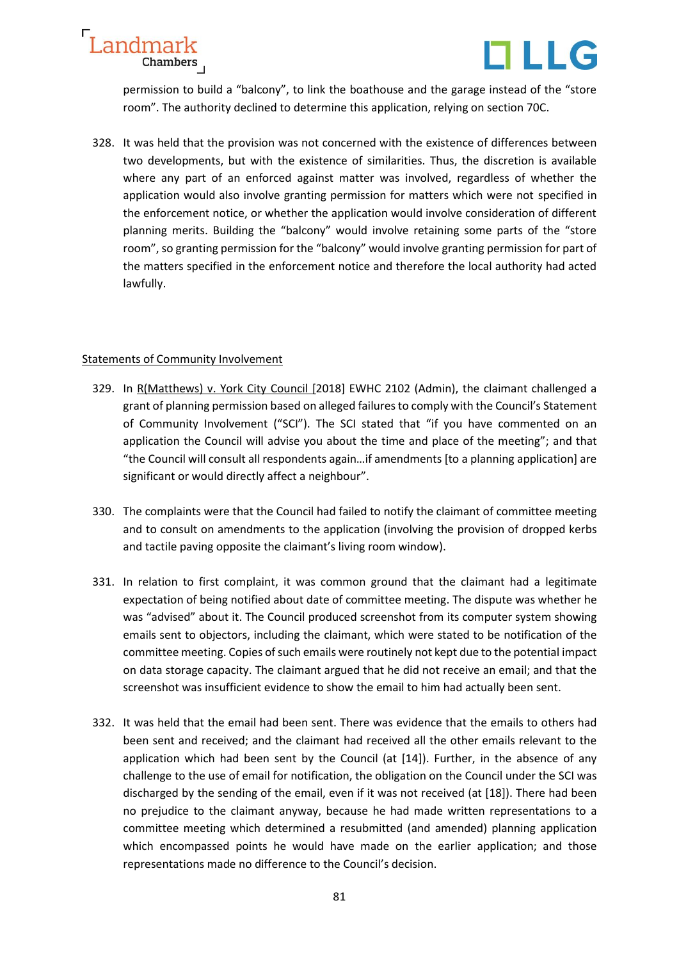



permission to build a "balcony", to link the boathouse and the garage instead of the "store room". The authority declined to determine this application, relying on section 70C.

328. It was held that the provision was not concerned with the existence of differences between two developments, but with the existence of similarities. Thus, the discretion is available where any part of an enforced against matter was involved, regardless of whether the application would also involve granting permission for matters which were not specified in the enforcement notice, or whether the application would involve consideration of different planning merits. Building the "balcony" would involve retaining some parts of the "store room", so granting permission for the "balcony" would involve granting permission for part of the matters specified in the enforcement notice and therefore the local authority had acted lawfully.

## Statements of Community Involvement

- 329. In R(Matthews) v. York City Council [2018] EWHC 2102 (Admin), the claimant challenged a grant of planning permission based on alleged failures to comply with the Council's Statement of Community Involvement ("SCI"). The SCI stated that "if you have commented on an application the Council will advise you about the time and place of the meeting"; and that "the Council will consult all respondents again…if amendments [to a planning application] are significant or would directly affect a neighbour".
- 330. The complaints were that the Council had failed to notify the claimant of committee meeting and to consult on amendments to the application (involving the provision of dropped kerbs and tactile paving opposite the claimant's living room window).
- 331. In relation to first complaint, it was common ground that the claimant had a legitimate expectation of being notified about date of committee meeting. The dispute was whether he was "advised" about it. The Council produced screenshot from its computer system showing emails sent to objectors, including the claimant, which were stated to be notification of the committee meeting. Copies of such emails were routinely not kept due to the potential impact on data storage capacity. The claimant argued that he did not receive an email; and that the screenshot was insufficient evidence to show the email to him had actually been sent.
- 332. It was held that the email had been sent. There was evidence that the emails to others had been sent and received; and the claimant had received all the other emails relevant to the application which had been sent by the Council (at [14]). Further, in the absence of any challenge to the use of email for notification, the obligation on the Council under the SCI was discharged by the sending of the email, even if it was not received (at [18]). There had been no prejudice to the claimant anyway, because he had made written representations to a committee meeting which determined a resubmitted (and amended) planning application which encompassed points he would have made on the earlier application; and those representations made no difference to the Council's decision.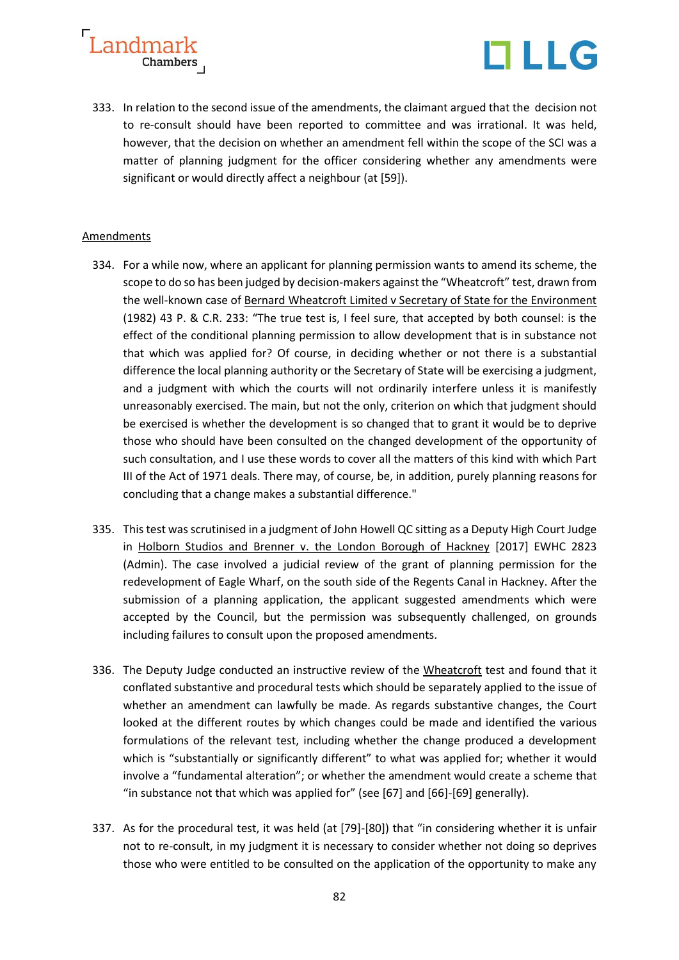



333. In relation to the second issue of the amendments, the claimant argued that the decision not to re-consult should have been reported to committee and was irrational. It was held, however, that the decision on whether an amendment fell within the scope of the SCI was a matter of planning judgment for the officer considering whether any amendments were significant or would directly affect a neighbour (at [59]).

## Amendments

- 334. For a while now, where an applicant for planning permission wants to amend its scheme, the scope to do so has been judged by decision-makers against the "Wheatcroft" test, drawn from the well-known case of Bernard Wheatcroft Limited v Secretary of State for the Environment (1982) 43 P. & C.R. 233: "The true test is, I feel sure, that accepted by both counsel: is the effect of the conditional planning permission to allow development that is in substance not that which was applied for? Of course, in deciding whether or not there is a substantial difference the local planning authority or the Secretary of State will be exercising a judgment, and a judgment with which the courts will not ordinarily interfere unless it is manifestly unreasonably exercised. The main, but not the only, criterion on which that judgment should be exercised is whether the development is so changed that to grant it would be to deprive those who should have been consulted on the changed development of the opportunity of such consultation, and I use these words to cover all the matters of this kind with which Part III of the Act of 1971 deals. There may, of course, be, in addition, purely planning reasons for concluding that a change makes a substantial difference."
- 335. Thistest was scrutinised in a judgment of John Howell QC sitting as a Deputy High Court Judge in Holborn Studios and Brenner v. the London Borough of Hackney [2017] EWHC 2823 (Admin). The case involved a judicial review of the grant of planning permission for the redevelopment of Eagle Wharf, on the south side of the Regents Canal in Hackney. After the submission of a planning application, the applicant suggested amendments which were accepted by the Council, but the permission was subsequently challenged, on grounds including failures to consult upon the proposed amendments.
- 336. The Deputy Judge conducted an instructive review of the Wheatcroft test and found that it conflated substantive and procedural tests which should be separately applied to the issue of whether an amendment can lawfully be made. As regards substantive changes, the Court looked at the different routes by which changes could be made and identified the various formulations of the relevant test, including whether the change produced a development which is "substantially or significantly different" to what was applied for; whether it would involve a "fundamental alteration"; or whether the amendment would create a scheme that "in substance not that which was applied for" (see [67] and [66]-[69] generally).
- 337. As for the procedural test, it was held (at [79]-[80]) that "in considering whether it is unfair not to re-consult, in my judgment it is necessary to consider whether not doing so deprives those who were entitled to be consulted on the application of the opportunity to make any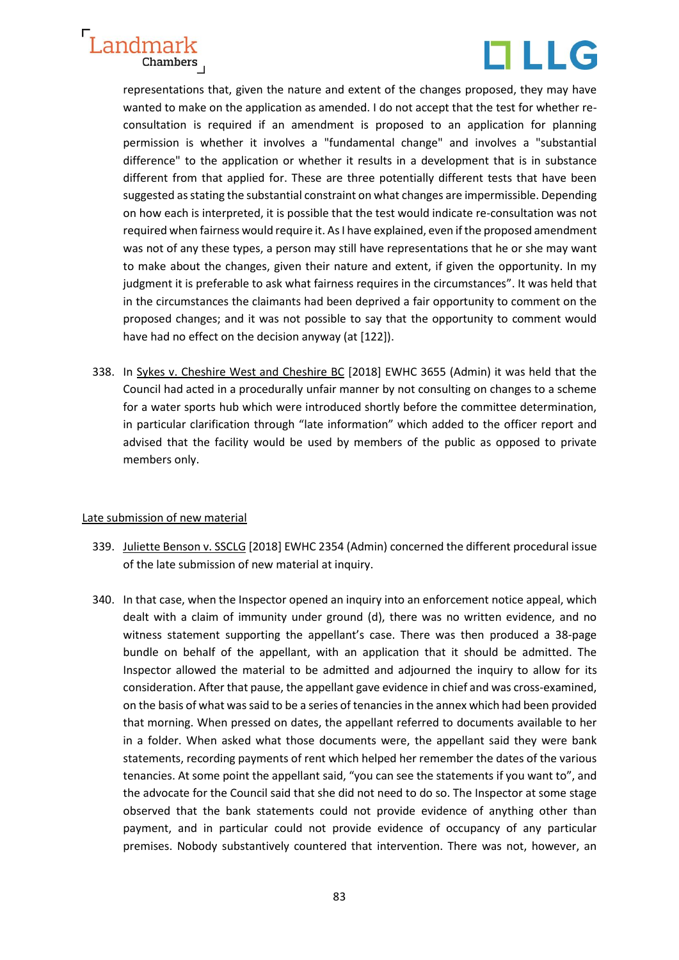



representations that, given the nature and extent of the changes proposed, they may have wanted to make on the application as amended. I do not accept that the test for whether reconsultation is required if an amendment is proposed to an application for planning permission is whether it involves a "fundamental change" and involves a "substantial difference" to the application or whether it results in a development that is in substance different from that applied for. These are three potentially different tests that have been suggested as stating the substantial constraint on what changes are impermissible. Depending on how each is interpreted, it is possible that the test would indicate re-consultation was not required when fairness would require it. As I have explained, even if the proposed amendment was not of any these types, a person may still have representations that he or she may want to make about the changes, given their nature and extent, if given the opportunity. In my judgment it is preferable to ask what fairness requires in the circumstances". It was held that in the circumstances the claimants had been deprived a fair opportunity to comment on the proposed changes; and it was not possible to say that the opportunity to comment would have had no effect on the decision anyway (at [122]).

338. In Sykes v. Cheshire West and Cheshire BC [2018] EWHC 3655 (Admin) it was held that the Council had acted in a procedurally unfair manner by not consulting on changes to a scheme for a water sports hub which were introduced shortly before the committee determination, in particular clarification through "late information" which added to the officer report and advised that the facility would be used by members of the public as opposed to private members only.

## Late submission of new material

- 339. Juliette Benson v. SSCLG [2018] EWHC 2354 (Admin) concerned the different procedural issue of the late submission of new material at inquiry.
- 340. In that case, when the Inspector opened an inquiry into an enforcement notice appeal, which dealt with a claim of immunity under ground (d), there was no written evidence, and no witness statement supporting the appellant's case. There was then produced a 38-page bundle on behalf of the appellant, with an application that it should be admitted. The Inspector allowed the material to be admitted and adjourned the inquiry to allow for its consideration. After that pause, the appellant gave evidence in chief and was cross-examined, on the basis of what was said to be a series of tenancies in the annex which had been provided that morning. When pressed on dates, the appellant referred to documents available to her in a folder. When asked what those documents were, the appellant said they were bank statements, recording payments of rent which helped her remember the dates of the various tenancies. At some point the appellant said, "you can see the statements if you want to", and the advocate for the Council said that she did not need to do so. The Inspector at some stage observed that the bank statements could not provide evidence of anything other than payment, and in particular could not provide evidence of occupancy of any particular premises. Nobody substantively countered that intervention. There was not, however, an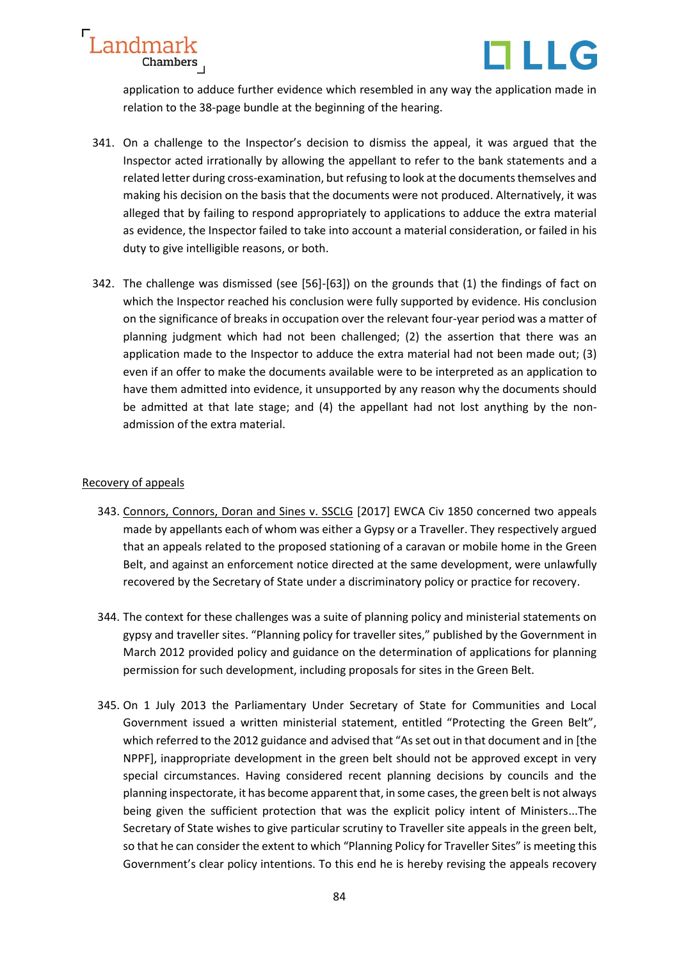



application to adduce further evidence which resembled in any way the application made in relation to the 38-page bundle at the beginning of the hearing.

- 341. On a challenge to the Inspector's decision to dismiss the appeal, it was argued that the Inspector acted irrationally by allowing the appellant to refer to the bank statements and a related letter during cross-examination, but refusing to look at the documents themselves and making his decision on the basis that the documents were not produced. Alternatively, it was alleged that by failing to respond appropriately to applications to adduce the extra material as evidence, the Inspector failed to take into account a material consideration, or failed in his duty to give intelligible reasons, or both.
- 342. The challenge was dismissed (see [56]-[63]) on the grounds that (1) the findings of fact on which the Inspector reached his conclusion were fully supported by evidence. His conclusion on the significance of breaks in occupation over the relevant four-year period was a matter of planning judgment which had not been challenged; (2) the assertion that there was an application made to the Inspector to adduce the extra material had not been made out; (3) even if an offer to make the documents available were to be interpreted as an application to have them admitted into evidence, it unsupported by any reason why the documents should be admitted at that late stage; and (4) the appellant had not lost anything by the nonadmission of the extra material.

## Recovery of appeals

- 343. Connors, Connors, Doran and Sines v. SSCLG [2017] EWCA Civ 1850 concerned two appeals made by appellants each of whom was either a Gypsy or a Traveller. They respectively argued that an appeals related to the proposed stationing of a caravan or mobile home in the Green Belt, and against an enforcement notice directed at the same development, were unlawfully recovered by the Secretary of State under a discriminatory policy or practice for recovery.
- 344. The context for these challenges was a suite of planning policy and ministerial statements on gypsy and traveller sites. "Planning policy for traveller sites," published by the Government in March 2012 provided policy and guidance on the determination of applications for planning permission for such development, including proposals for sites in the Green Belt.
- 345. On 1 July 2013 the Parliamentary Under Secretary of State for Communities and Local Government issued a written ministerial statement, entitled "Protecting the Green Belt", which referred to the 2012 guidance and advised that "As set out in that document and in [the NPPF], inappropriate development in the green belt should not be approved except in very special circumstances. Having considered recent planning decisions by councils and the planning inspectorate, it has become apparent that, in some cases, the green belt is not always being given the sufficient protection that was the explicit policy intent of Ministers...The Secretary of State wishes to give particular scrutiny to Traveller site appeals in the green belt, so that he can consider the extent to which "Planning Policy for Traveller Sites" is meeting this Government's clear policy intentions. To this end he is hereby revising the appeals recovery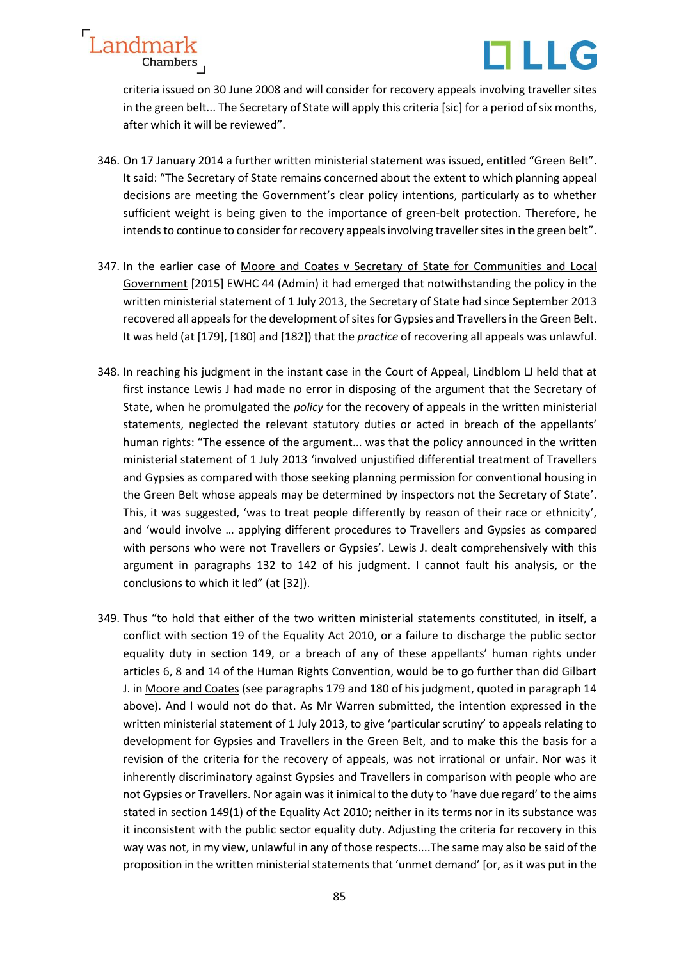

criteria issued on 30 June 2008 and will consider for recovery appeals involving traveller sites in the green belt... The Secretary of State will apply this criteria [sic] for a period of six months, after which it will be reviewed".

- 346. On 17 January 2014 a further written ministerial statement was issued, entitled "Green Belt". It said: "The Secretary of State remains concerned about the extent to which planning appeal decisions are meeting the Government's clear policy intentions, particularly as to whether sufficient weight is being given to the importance of green-belt protection. Therefore, he intends to continue to consider for recovery appeals involving traveller sites in the green belt".
- 347. In the earlier case of Moore and Coates v Secretary of State for Communities and Local Government [2015] EWHC 44 (Admin) it had emerged that notwithstanding the policy in the written ministerial statement of 1 July 2013, the Secretary of State had since September 2013 recovered all appeals for the development of sites for Gypsies and Travellers in the Green Belt. It was held (at [179], [180] and [182]) that the *practice* of recovering all appeals was unlawful.
- 348. In reaching his judgment in the instant case in the Court of Appeal, Lindblom LJ held that at first instance Lewis J had made no error in disposing of the argument that the Secretary of State, when he promulgated the *policy* for the recovery of appeals in the written ministerial statements, neglected the relevant statutory duties or acted in breach of the appellants' human rights: "The essence of the argument... was that the policy announced in the written ministerial statement of 1 July 2013 'involved unjustified differential treatment of Travellers and Gypsies as compared with those seeking planning permission for conventional housing in the Green Belt whose appeals may be determined by inspectors not the Secretary of State'. This, it was suggested, 'was to treat people differently by reason of their race or ethnicity', and 'would involve … applying different procedures to Travellers and Gypsies as compared with persons who were not Travellers or Gypsies'. Lewis J. dealt comprehensively with this argument in paragraphs 132 to 142 of his judgment. I cannot fault his analysis, or the conclusions to which it led" (at [32]).
- 349. Thus "to hold that either of the two written ministerial statements constituted, in itself, a conflict with section 19 of the Equality Act 2010, or a failure to discharge the public sector equality duty in section 149, or a breach of any of these appellants' human rights under articles 6, 8 and 14 of the Human Rights Convention, would be to go further than did Gilbart J. in Moore and Coates (see paragraphs 179 and 180 of his judgment, quoted in paragraph 14 above). And I would not do that. As Mr Warren submitted, the intention expressed in the written ministerial statement of 1 July 2013, to give 'particular scrutiny' to appeals relating to development for Gypsies and Travellers in the Green Belt, and to make this the basis for a revision of the criteria for the recovery of appeals, was not irrational or unfair. Nor was it inherently discriminatory against Gypsies and Travellers in comparison with people who are not Gypsies or Travellers. Nor again was it inimical to the duty to 'have due regard' to the aims stated in section 149(1) of the Equality Act 2010; neither in its terms nor in its substance was it inconsistent with the public sector equality duty. Adjusting the criteria for recovery in this way was not, in my view, unlawful in any of those respects....The same may also be said of the proposition in the written ministerial statements that 'unmet demand' [or, as it was put in the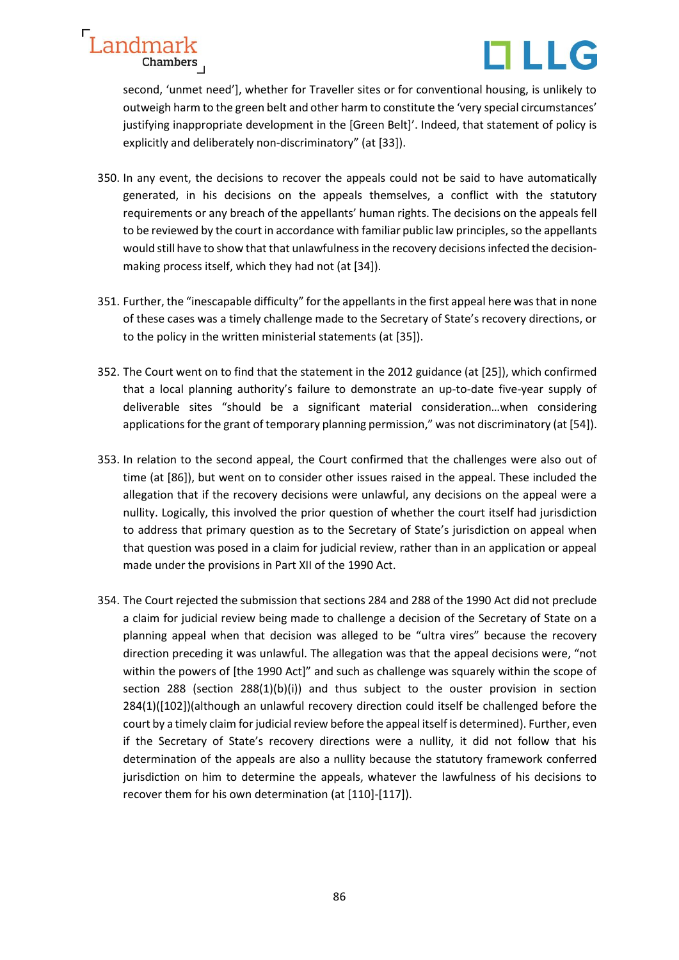

second, 'unmet need'], whether for Traveller sites or for conventional housing, is unlikely to outweigh harm to the green belt and other harm to constitute the 'very special circumstances' justifying inappropriate development in the [Green Belt]'. Indeed, that statement of policy is explicitly and deliberately non-discriminatory" (at [33]).

Landmark

Chambers

- 350. In any event, the decisions to recover the appeals could not be said to have automatically generated, in his decisions on the appeals themselves, a conflict with the statutory requirements or any breach of the appellants' human rights. The decisions on the appeals fell to be reviewed by the court in accordance with familiar public law principles, so the appellants would still have to show that that unlawfulness in the recovery decisions infected the decisionmaking process itself, which they had not (at [34]).
- 351. Further, the "inescapable difficulty" for the appellants in the first appeal here wasthat in none of these cases was a timely challenge made to the Secretary of State's recovery directions, or to the policy in the written ministerial statements (at [35]).
- 352. The Court went on to find that the statement in the 2012 guidance (at [25]), which confirmed that a local planning authority's failure to demonstrate an up-to-date five-year supply of deliverable sites "should be a significant material consideration…when considering applications for the grant of temporary planning permission," was not discriminatory (at [54]).
- 353. In relation to the second appeal, the Court confirmed that the challenges were also out of time (at [86]), but went on to consider other issues raised in the appeal. These included the allegation that if the recovery decisions were unlawful, any decisions on the appeal were a nullity. Logically, this involved the prior question of whether the court itself had jurisdiction to address that primary question as to the Secretary of State's jurisdiction on appeal when that question was posed in a claim for judicial review, rather than in an application or appeal made under the provisions in Part XII of the 1990 Act.
- 354. The Court rejected the submission that sections 284 and 288 of the 1990 Act did not preclude a claim for judicial review being made to challenge a decision of the Secretary of State on a planning appeal when that decision was alleged to be "ultra vires" because the recovery direction preceding it was unlawful. The allegation was that the appeal decisions were, "not within the powers of [the 1990 Act]" and such as challenge was squarely within the scope of section 288 (section 288(1)(b)(i)) and thus subject to the ouster provision in section 284(1)([102])(although an unlawful recovery direction could itself be challenged before the court by a timely claim for judicial review before the appeal itself is determined). Further, even if the Secretary of State's recovery directions were a nullity, it did not follow that his determination of the appeals are also a nullity because the statutory framework conferred jurisdiction on him to determine the appeals, whatever the lawfulness of his decisions to recover them for his own determination (at [110]-[117]).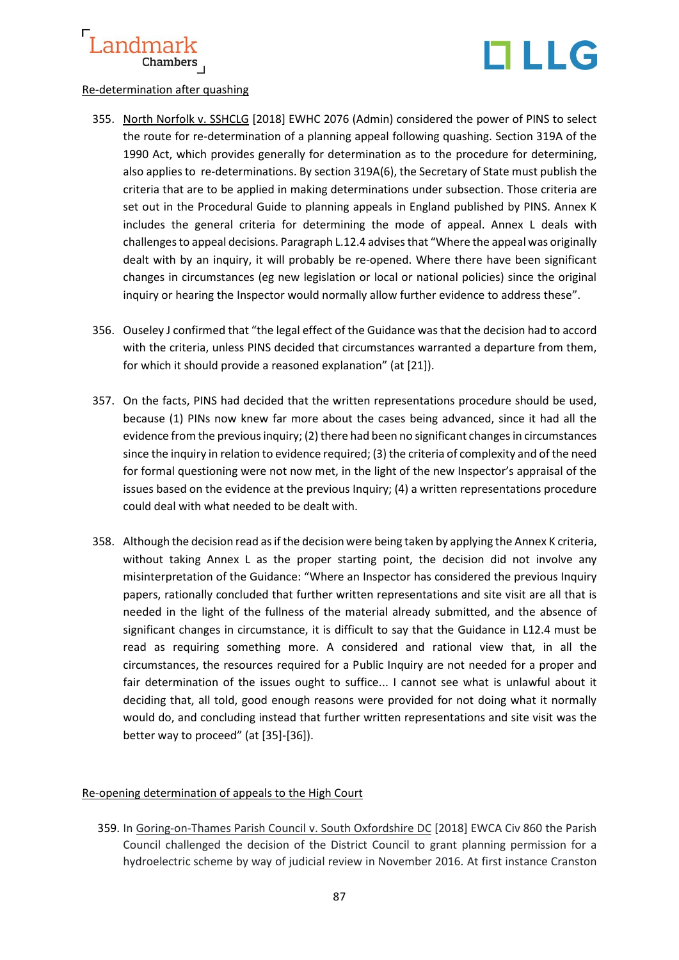

## Re-determination after quashing

- 355. North Norfolk v. SSHCLG [2018] EWHC 2076 (Admin) considered the power of PINS to select the route for re-determination of a planning appeal following quashing. Section 319A of the 1990 Act, which provides generally for determination as to the procedure for determining, also applies to re-determinations. By section 319A(6), the Secretary of State must publish the criteria that are to be applied in making determinations under subsection. Those criteria are set out in the Procedural Guide to planning appeals in England published by PINS. Annex K includes the general criteria for determining the mode of appeal. Annex L deals with challenges to appeal decisions. Paragraph L.12.4 advises that "Where the appeal was originally dealt with by an inquiry, it will probably be re-opened. Where there have been significant changes in circumstances (eg new legislation or local or national policies) since the original inquiry or hearing the Inspector would normally allow further evidence to address these".
- 356. Ouseley J confirmed that "the legal effect of the Guidance was that the decision had to accord with the criteria, unless PINS decided that circumstances warranted a departure from them, for which it should provide a reasoned explanation" (at [21]).
- 357. On the facts, PINS had decided that the written representations procedure should be used, because (1) PINs now knew far more about the cases being advanced, since it had all the evidence from the previousinquiry; (2) there had been no significant changes in circumstances since the inquiry in relation to evidence required; (3) the criteria of complexity and of the need for formal questioning were not now met, in the light of the new Inspector's appraisal of the issues based on the evidence at the previous Inquiry; (4) a written representations procedure could deal with what needed to be dealt with.
- 358. Although the decision read as if the decision were being taken by applying the Annex K criteria, without taking Annex L as the proper starting point, the decision did not involve any misinterpretation of the Guidance: "Where an Inspector has considered the previous Inquiry papers, rationally concluded that further written representations and site visit are all that is needed in the light of the fullness of the material already submitted, and the absence of significant changes in circumstance, it is difficult to say that the Guidance in L12.4 must be read as requiring something more. A considered and rational view that, in all the circumstances, the resources required for a Public Inquiry are not needed for a proper and fair determination of the issues ought to suffice... I cannot see what is unlawful about it deciding that, all told, good enough reasons were provided for not doing what it normally would do, and concluding instead that further written representations and site visit was the better way to proceed" (at [35]-[36]).

# Re-opening determination of appeals to the High Court

359. In Goring-on-Thames Parish Council v. South Oxfordshire DC [2018] EWCA Civ 860 the Parish Council challenged the decision of the District Council to grant planning permission for a hydroelectric scheme by way of judicial review in November 2016. At first instance Cranston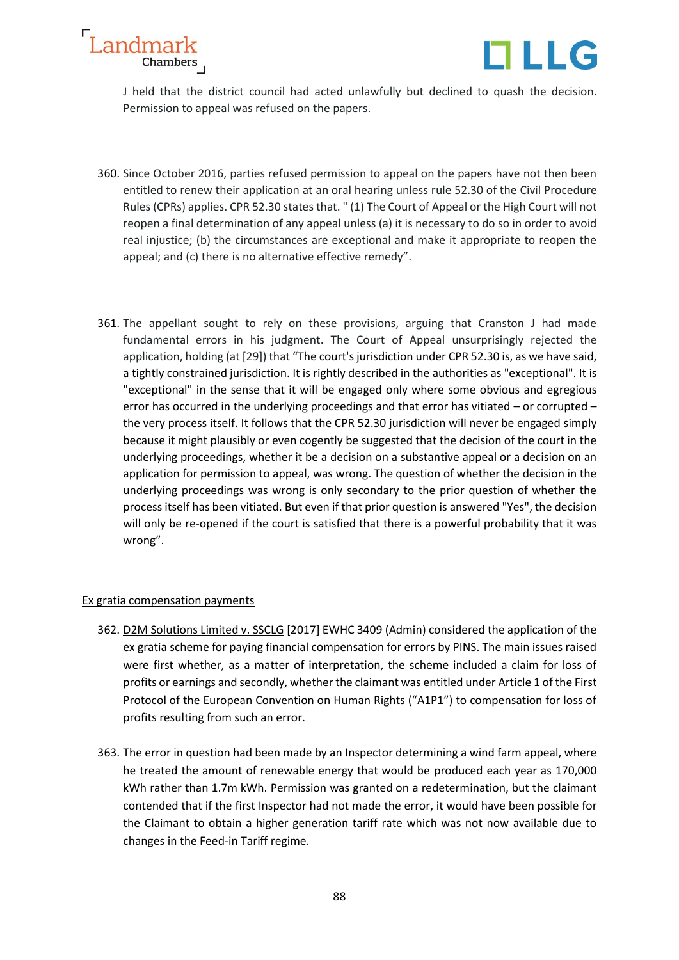



J held that the district council had acted unlawfully but declined to quash the decision. Permission to appeal was refused on the papers.

- 360. Since October 2016, parties refused permission to appeal on the papers have not then been entitled to renew their application at an oral hearing unless rule 52.30 of the Civil Procedure Rules (CPRs) applies. CPR 52.30 states that. " (1) The Court of Appeal or the High Court will not reopen a final determination of any appeal unless (a) it is necessary to do so in order to avoid real injustice; (b) the circumstances are exceptional and make it appropriate to reopen the appeal; and (c) there is no alternative effective remedy".
- 361. The appellant sought to rely on these provisions, arguing that Cranston J had made fundamental errors in his judgment. The Court of Appeal unsurprisingly rejected the application, holding (at [29]) that "The court's jurisdiction under CPR 52.30 is, as we have said, a tightly constrained jurisdiction. It is rightly described in the authorities as "exceptional". It is "exceptional" in the sense that it will be engaged only where some obvious and egregious error has occurred in the underlying proceedings and that error has vitiated – or corrupted – the very process itself. It follows that the CPR 52.30 jurisdiction will never be engaged simply because it might plausibly or even cogently be suggested that the decision of the court in the underlying proceedings, whether it be a decision on a substantive appeal or a decision on an application for permission to appeal, was wrong. The question of whether the decision in the underlying proceedings was wrong is only secondary to the prior question of whether the process itself has been vitiated. But even if that prior question is answered "Yes", the decision will only be re-opened if the court is satisfied that there is a powerful probability that it was wrong".

## Ex gratia compensation payments

- 362. D2M Solutions Limited v. SSCLG [2017] EWHC 3409 (Admin) considered the application of the ex gratia scheme for paying financial compensation for errors by PINS. The main issues raised were first whether, as a matter of interpretation, the scheme included a claim for loss of profits or earnings and secondly, whether the claimant was entitled under Article 1 of the First Protocol of the European Convention on Human Rights ("A1P1") to compensation for loss of profits resulting from such an error.
- 363. The error in question had been made by an Inspector determining a wind farm appeal, where he treated the amount of renewable energy that would be produced each year as 170,000 kWh rather than 1.7m kWh. Permission was granted on a redetermination, but the claimant contended that if the first Inspector had not made the error, it would have been possible for the Claimant to obtain a higher generation tariff rate which was not now available due to changes in the Feed-in Tariff regime.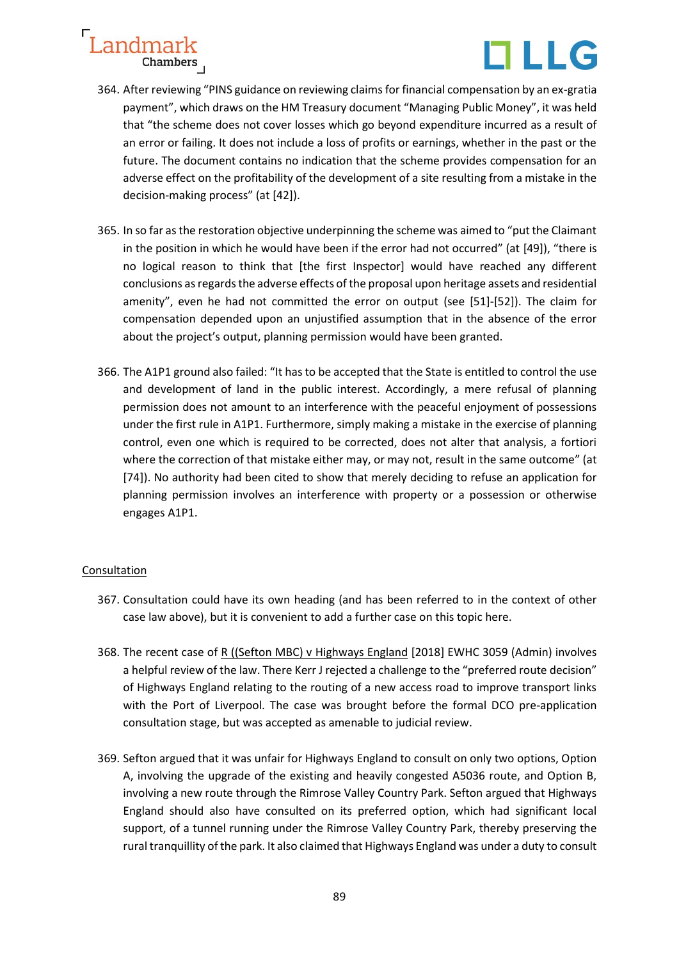

- 364. After reviewing "PINS guidance on reviewing claims for financial compensation by an ex-gratia payment", which draws on the HM Treasury document "Managing Public Money", it was held that "the scheme does not cover losses which go beyond expenditure incurred as a result of an error or failing. It does not include a loss of profits or earnings, whether in the past or the future. The document contains no indication that the scheme provides compensation for an adverse effect on the profitability of the development of a site resulting from a mistake in the decision-making process" (at [42]).
- 365. In so far as the restoration objective underpinning the scheme was aimed to "put the Claimant in the position in which he would have been if the error had not occurred" (at [49]), "there is no logical reason to think that [the first Inspector] would have reached any different conclusions as regards the adverse effects of the proposal upon heritage assets and residential amenity", even he had not committed the error on output (see [51]-[52]). The claim for compensation depended upon an unjustified assumption that in the absence of the error about the project's output, planning permission would have been granted.
- 366. The A1P1 ground also failed: "It has to be accepted that the State is entitled to control the use and development of land in the public interest. Accordingly, a mere refusal of planning permission does not amount to an interference with the peaceful enjoyment of possessions under the first rule in A1P1. Furthermore, simply making a mistake in the exercise of planning control, even one which is required to be corrected, does not alter that analysis, a fortiori where the correction of that mistake either may, or may not, result in the same outcome" (at [74]). No authority had been cited to show that merely deciding to refuse an application for planning permission involves an interference with property or a possession or otherwise engages A1P1.

# Consultation

- 367. Consultation could have its own heading (and has been referred to in the context of other case law above), but it is convenient to add a further case on this topic here.
- 368. The recent case of R ((Sefton MBC) v Highways England [2018] EWHC 3059 (Admin) involves a helpful review of the law. There Kerr J rejected a challenge to the "preferred route decision" of Highways England relating to the routing of a new access road to improve transport links with the Port of Liverpool. The case was brought before the formal DCO pre-application consultation stage, but was accepted as amenable to judicial review.
- 369. Sefton argued that it was unfair for Highways England to consult on only two options, Option A, involving the upgrade of the existing and heavily congested A5036 route, and Option B, involving a new route through the Rimrose Valley Country Park. Sefton argued that Highways England should also have consulted on its preferred option, which had significant local support, of a tunnel running under the Rimrose Valley Country Park, thereby preserving the rural tranquillity of the park. It also claimed that Highways England was under a duty to consult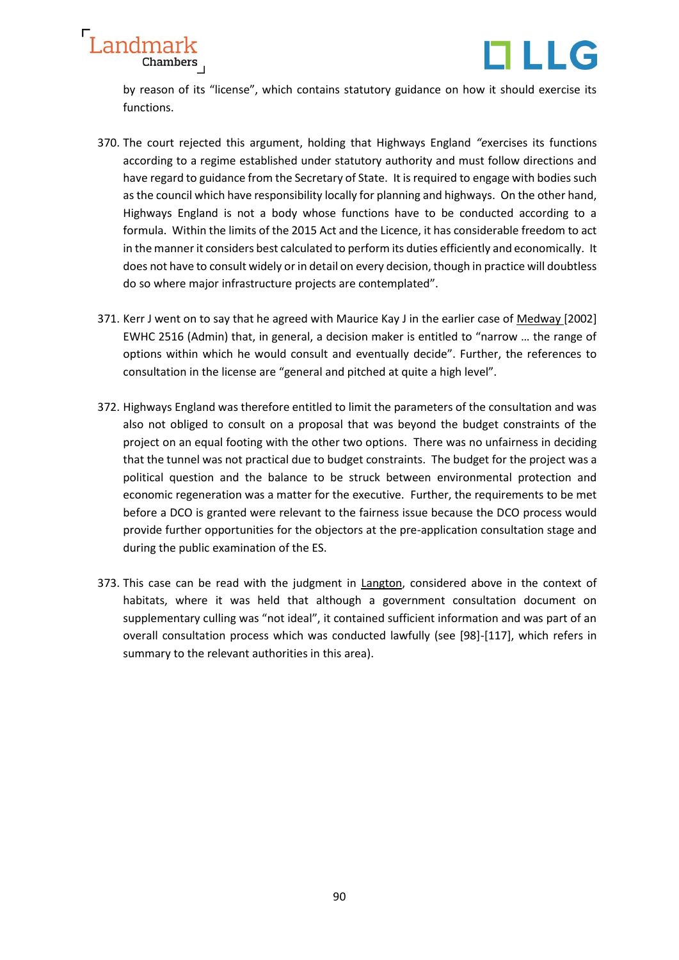



by reason of its "license", which contains statutory guidance on how it should exercise its functions.

- 370. The court rejected this argument, holding that Highways England *"e*xercises its functions according to a regime established under statutory authority and must follow directions and have regard to guidance from the Secretary of State. It is required to engage with bodies such as the council which have responsibility locally for planning and highways. On the other hand, Highways England is not a body whose functions have to be conducted according to a formula. Within the limits of the 2015 Act and the Licence, it has considerable freedom to act in the manner it considers best calculated to perform its duties efficiently and economically. It does not have to consult widely or in detail on every decision, though in practice will doubtless do so where major infrastructure projects are contemplated".
- 371. Kerr J went on to say that he agreed with Maurice Kay J in the earlier case of Medway [2002] EWHC 2516 (Admin) that, in general, a decision maker is entitled to "narrow … the range of options within which he would consult and eventually decide". Further, the references to consultation in the license are "general and pitched at quite a high level".
- 372. Highways England was therefore entitled to limit the parameters of the consultation and was also not obliged to consult on a proposal that was beyond the budget constraints of the project on an equal footing with the other two options. There was no unfairness in deciding that the tunnel was not practical due to budget constraints. The budget for the project was a political question and the balance to be struck between environmental protection and economic regeneration was a matter for the executive. Further, the requirements to be met before a DCO is granted were relevant to the fairness issue because the DCO process would provide further opportunities for the objectors at the pre-application consultation stage and during the public examination of the ES.
- 373. This case can be read with the judgment in Langton, considered above in the context of habitats, where it was held that although a government consultation document on supplementary culling was "not ideal", it contained sufficient information and was part of an overall consultation process which was conducted lawfully (see [98]-[117], which refers in summary to the relevant authorities in this area).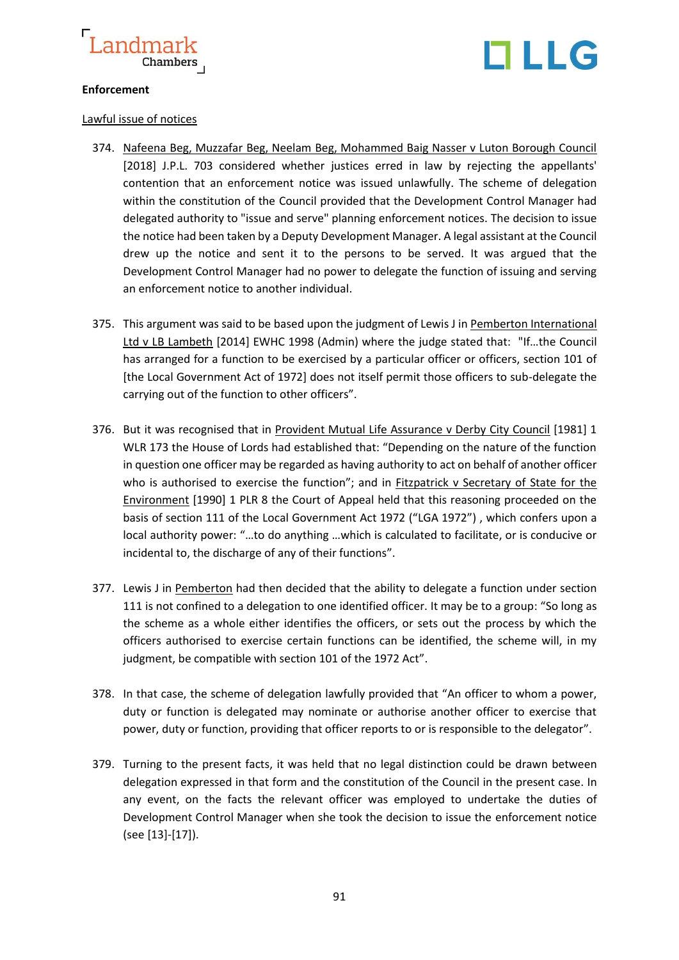

# TLLG

# **Enforcement**

## Lawful issue of notices

- 374. Nafeena Beg, Muzzafar Beg, Neelam Beg, Mohammed Baig Nasser v Luton Borough Council [2018] J.P.L. 703 considered whether justices erred in law by rejecting the appellants' contention that an enforcement notice was issued unlawfully. The scheme of delegation within the constitution of the Council provided that the Development Control Manager had delegated authority to "issue and serve" planning enforcement notices. The decision to issue the notice had been taken by a Deputy Development Manager. A legal assistant at the Council drew up the notice and sent it to the persons to be served. It was argued that the Development Control Manager had no power to delegate the function of issuing and serving an enforcement notice to another individual.
- 375. This argument was said to be based upon the judgment of Lewis J in Pemberton International Ltd v LB Lambeth [2014] EWHC 1998 (Admin) where the judge stated that: "If…the Council has arranged for a function to be exercised by a particular officer or officers, section 101 of [the Local Government Act of 1972] does not itself permit those officers to sub-delegate the carrying out of the function to other officers".
- 376. But it was recognised that in Provident Mutual Life Assurance v Derby City Council [1981] 1 WLR 173 the House of Lords had established that: "Depending on the nature of the function in question one officer may be regarded as having authority to act on behalf of another officer who is authorised to exercise the function"; and in Fitzpatrick v Secretary of State for the Environment [1990] 1 PLR 8 the Court of Appeal held that this reasoning proceeded on the basis of section 111 of the Local Government Act 1972 ("LGA 1972") , which confers upon a local authority power: "…to do anything …which is calculated to facilitate, or is conducive or incidental to, the discharge of any of their functions".
- 377. Lewis J in Pemberton had then decided that the ability to delegate a function under section 111 is not confined to a delegation to one identified officer. It may be to a group: "So long as the scheme as a whole either identifies the officers, or sets out the process by which the officers authorised to exercise certain functions can be identified, the scheme will, in my judgment, be compatible with section 101 of the 1972 Act".
- 378. In that case, the scheme of delegation lawfully provided that "An officer to whom a power, duty or function is delegated may nominate or authorise another officer to exercise that power, duty or function, providing that officer reports to or is responsible to the delegator".
- 379. Turning to the present facts, it was held that no legal distinction could be drawn between delegation expressed in that form and the constitution of the Council in the present case. In any event, on the facts the relevant officer was employed to undertake the duties of Development Control Manager when she took the decision to issue the enforcement notice (see [13]-[17]).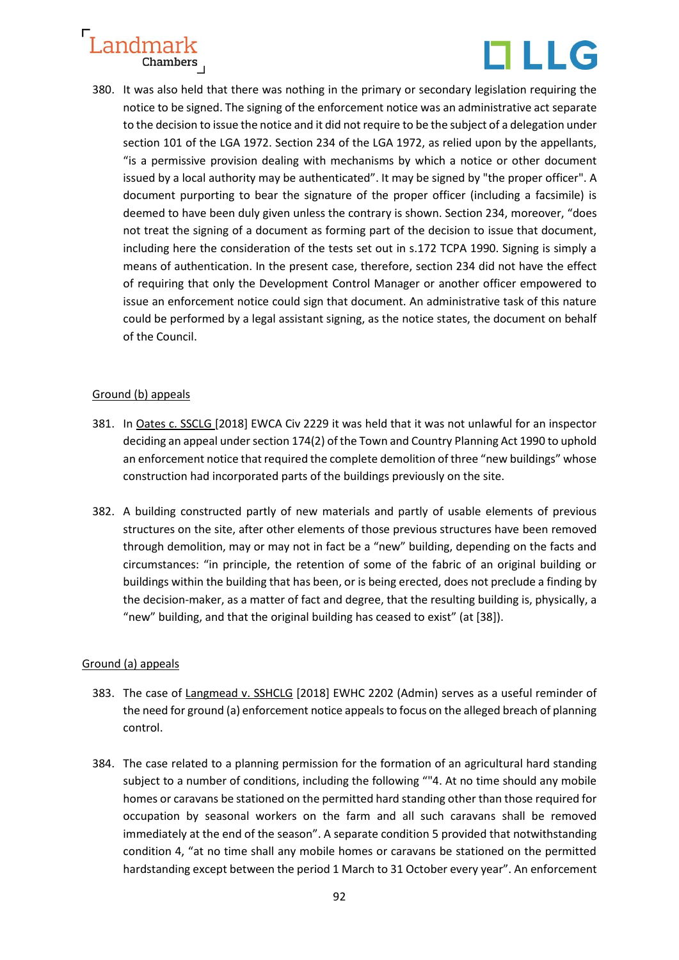

380. It was also held that there was nothing in the primary or secondary legislation requiring the notice to be signed. The signing of the enforcement notice was an administrative act separate to the decision to issue the notice and it did not require to be the subject of a delegation under section 101 of the LGA 1972. Section 234 of the LGA 1972, as relied upon by the appellants, "is a permissive provision dealing with mechanisms by which a notice or other document issued by a local authority may be authenticated". It may be signed by "the proper officer". A document purporting to bear the signature of the proper officer (including a facsimile) is deemed to have been duly given unless the contrary is shown. Section 234, moreover, "does not treat the signing of a document as forming part of the decision to issue that document, including here the consideration of the tests set out in s.172 TCPA 1990. Signing is simply a means of authentication. In the present case, therefore, section 234 did not have the effect of requiring that only the Development Control Manager or another officer empowered to issue an enforcement notice could sign that document. An administrative task of this nature could be performed by a legal assistant signing, as the notice states, the document on behalf of the Council.

# Ground (b) appeals

- 381. In Oates c. SSCLG [2018] EWCA Civ 2229 it was held that it was not unlawful for an inspector deciding an appeal under section 174(2) of the Town and Country Planning Act 1990 to uphold an enforcement notice that required the complete demolition of three "new buildings" whose construction had incorporated parts of the buildings previously on the site.
- 382. A building constructed partly of new materials and partly of usable elements of previous structures on the site, after other elements of those previous structures have been removed through demolition, may or may not in fact be a "new" building, depending on the facts and circumstances: "in principle, the retention of some of the fabric of an original building or buildings within the building that has been, or is being erected, does not preclude a finding by the decision-maker, as a matter of fact and degree, that the resulting building is, physically, a "new" building, and that the original building has ceased to exist" (at [38]).

# Ground (a) appeals

- 383. The case of Langmead v. SSHCLG [2018] EWHC 2202 (Admin) serves as a useful reminder of the need for ground (a) enforcement notice appeals to focus on the alleged breach of planning control.
- 384. The case related to a planning permission for the formation of an agricultural hard standing subject to a number of conditions, including the following ""4. At no time should any mobile homes or caravans be stationed on the permitted hard standing other than those required for occupation by seasonal workers on the farm and all such caravans shall be removed immediately at the end of the season". A separate condition 5 provided that notwithstanding condition 4, "at no time shall any mobile homes or caravans be stationed on the permitted hardstanding except between the period 1 March to 31 October every year". An enforcement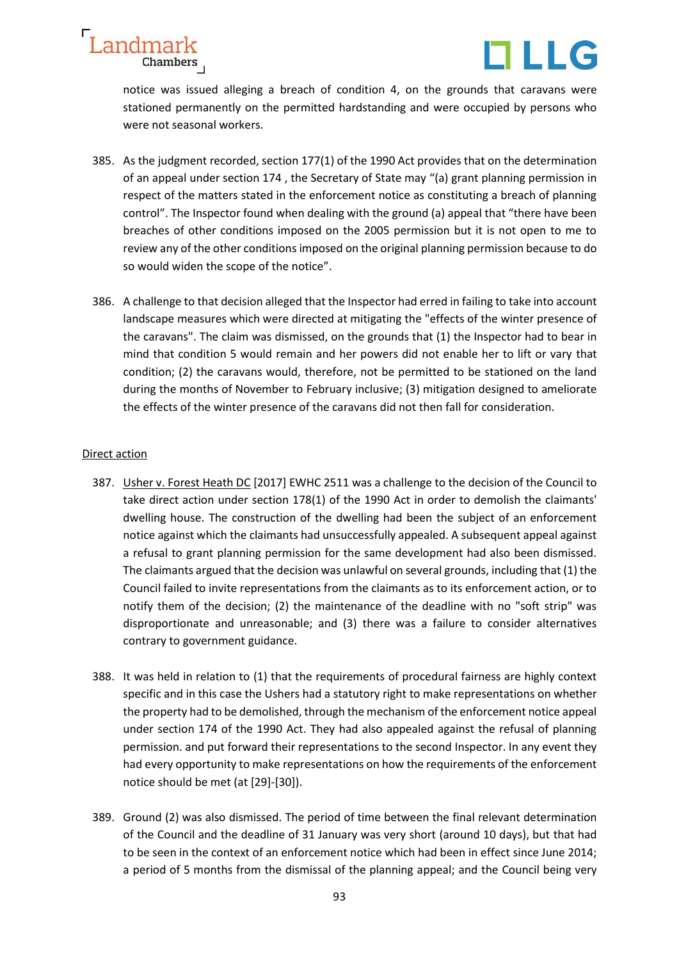



notice was issued alleging a breach of condition 4, on the grounds that caravans were stationed permanently on the permitted hardstanding and were occupied by persons who were not seasonal workers.

- 385. As the judgment recorded, section 177(1) of the 1990 Act provides that on the determination of an appeal under section 174 , the Secretary of State may "(a) grant planning permission in respect of the matters stated in the enforcement notice as constituting a breach of planning control". The Inspector found when dealing with the ground (a) appeal that "there have been breaches of other conditions imposed on the 2005 permission but it is not open to me to review any of the other conditions imposed on the original planning permission because to do so would widen the scope of the notice".
- 386. A challenge to that decision alleged that the Inspector had erred in failing to take into account landscape measures which were directed at mitigating the "effects of the winter presence of the caravans". The claim was dismissed, on the grounds that (1) the Inspector had to bear in mind that condition 5 would remain and her powers did not enable her to lift or vary that condition; (2) the caravans would, therefore, not be permitted to be stationed on the land during the months of November to February inclusive; (3) mitigation designed to ameliorate the effects of the winter presence of the caravans did not then fall for consideration.

## Direct action

- 387. Usher v. Forest Heath DC [2017] EWHC 2511 was a challenge to the decision of the Council to take direct action under section 178(1) of the 1990 Act in order to demolish the claimants' dwelling house. The construction of the dwelling had been the subject of an enforcement notice against which the claimants had unsuccessfully appealed. A subsequent appeal against a refusal to grant planning permission for the same development had also been dismissed. The claimants argued that the decision was unlawful on several grounds, including that (1) the Council failed to invite representations from the claimants as to its enforcement action, or to notify them of the decision; (2) the maintenance of the deadline with no "soft strip" was disproportionate and unreasonable; and (3) there was a failure to consider alternatives contrary to government guidance.
- 388. It was held in relation to (1) that the requirements of procedural fairness are highly context specific and in this case the Ushers had a statutory right to make representations on whether the property had to be demolished, through the mechanism of the enforcement notice appeal under section 174 of the 1990 Act. They had also appealed against the refusal of planning permission. and put forward their representations to the second Inspector. In any event they had every opportunity to make representations on how the requirements of the enforcement notice should be met (at [29]-[30]).
- 389. Ground (2) was also dismissed. The period of time between the final relevant determination of the Council and the deadline of 31 January was very short (around 10 days), but that had to be seen in the context of an enforcement notice which had been in effect since June 2014; a period of 5 months from the dismissal of the planning appeal; and the Council being very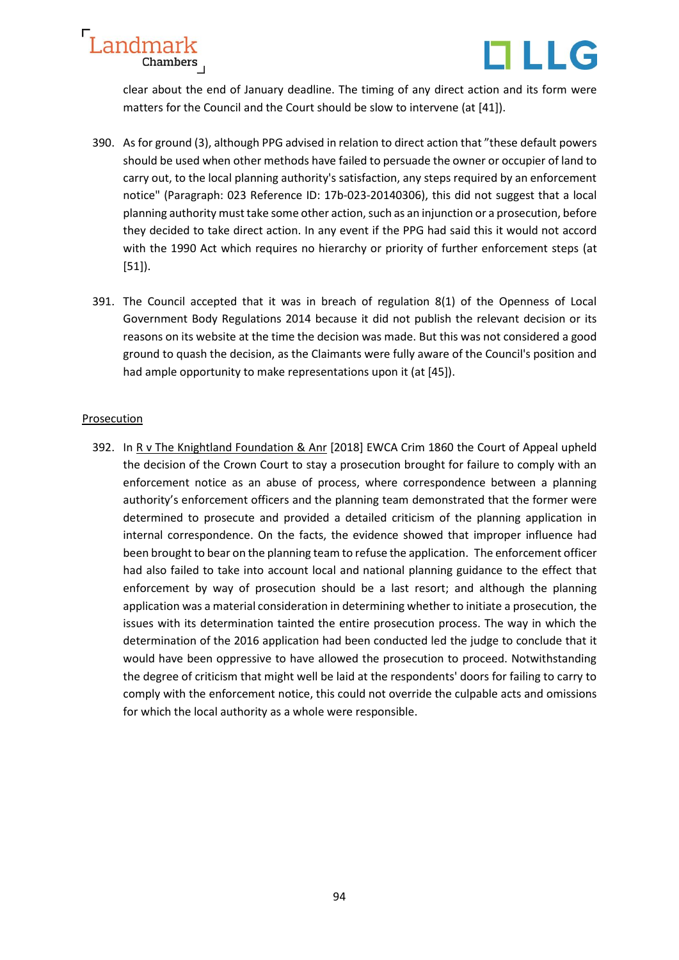

clear about the end of January deadline. The timing of any direct action and its form were matters for the Council and the Court should be slow to intervene (at [41]).

- 390. As for ground (3), although PPG advised in relation to direct action that "these default powers should be used when other methods have failed to persuade the owner or occupier of land to carry out, to the local planning authority's satisfaction, any steps required by an enforcement notice" (Paragraph: 023 Reference ID: 17b-023-20140306), this did not suggest that a local planning authority must take some other action, such as an injunction or a prosecution, before they decided to take direct action. In any event if the PPG had said this it would not accord with the 1990 Act which requires no hierarchy or priority of further enforcement steps (at [51]).
- 391. The Council accepted that it was in breach of regulation 8(1) of the Openness of Local Government Body Regulations 2014 because it did not publish the relevant decision or its reasons on its website at the time the decision was made. But this was not considered a good ground to quash the decision, as the Claimants were fully aware of the Council's position and had ample opportunity to make representations upon it (at [45]).

# Prosecution

392. In R v The Knightland Foundation & Anr [2018] EWCA Crim 1860 the Court of Appeal upheld the decision of the Crown Court to stay a prosecution brought for failure to comply with an enforcement notice as an abuse of process, where correspondence between a planning authority's enforcement officers and the planning team demonstrated that the former were determined to prosecute and provided a detailed criticism of the planning application in internal correspondence. On the facts, the evidence showed that improper influence had been brought to bear on the planning team to refuse the application. The enforcement officer had also failed to take into account local and national planning guidance to the effect that enforcement by way of prosecution should be a last resort; and although the planning application was a material consideration in determining whether to initiate a prosecution, the issues with its determination tainted the entire prosecution process. The way in which the determination of the 2016 application had been conducted led the judge to conclude that it would have been oppressive to have allowed the prosecution to proceed. Notwithstanding the degree of criticism that might well be laid at the respondents' doors for failing to carry to comply with the enforcement notice, this could not override the culpable acts and omissions for which the local authority as a whole were responsible.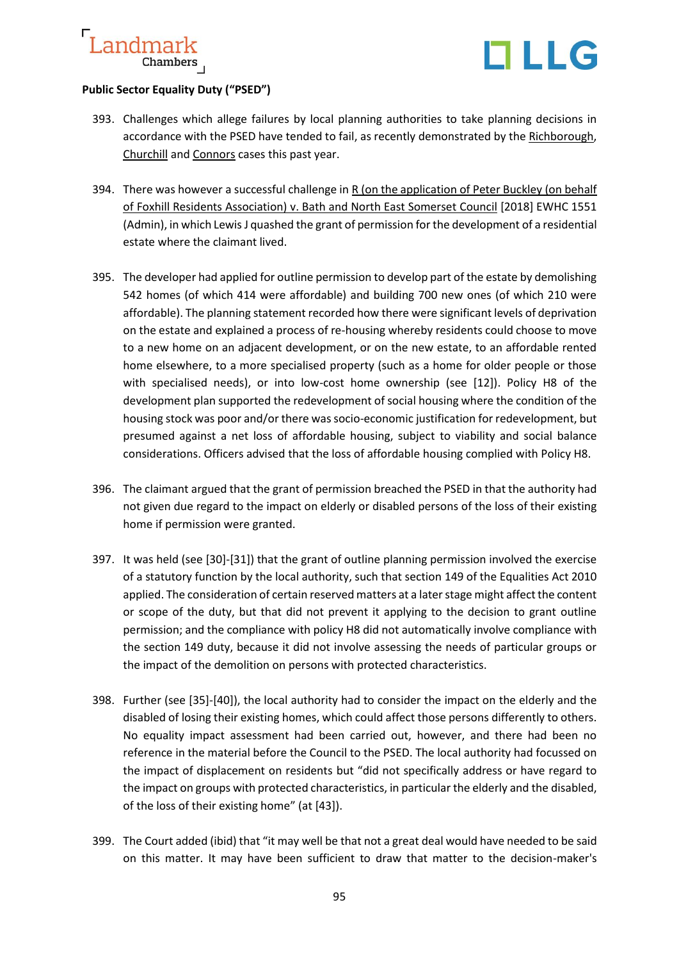

## **Public Sector Equality Duty ("PSED")**

- 393. Challenges which allege failures by local planning authorities to take planning decisions in accordance with the PSED have tended to fail, as recently demonstrated by the Richborough, Churchill and Connors cases this past year.
- 394. There was however a successful challenge in R (on the application of Peter Buckley (on behalf of Foxhill Residents Association) v. Bath and North East Somerset Council [2018] EWHC 1551 (Admin), in which Lewis J quashed the grant of permission for the development of a residential estate where the claimant lived.
- 395. The developer had applied for outline permission to develop part of the estate by demolishing 542 homes (of which 414 were affordable) and building 700 new ones (of which 210 were affordable). The planning statement recorded how there were significant levels of deprivation on the estate and explained a process of re-housing whereby residents could choose to move to a new home on an adjacent development, or on the new estate, to an affordable rented home elsewhere, to a more specialised property (such as a home for older people or those with specialised needs), or into low-cost home ownership (see [12]). Policy H8 of the development plan supported the redevelopment of social housing where the condition of the housing stock was poor and/or there was socio-economic justification for redevelopment, but presumed against a net loss of affordable housing, subject to viability and social balance considerations. Officers advised that the loss of affordable housing complied with Policy H8.
- 396. The claimant argued that the grant of permission breached the PSED in that the authority had not given due regard to the impact on elderly or disabled persons of the loss of their existing home if permission were granted.
- 397. It was held (see [30]-[31]) that the grant of outline planning permission involved the exercise of a statutory function by the local authority, such that section 149 of the Equalities Act 2010 applied. The consideration of certain reserved matters at a later stage might affect the content or scope of the duty, but that did not prevent it applying to the decision to grant outline permission; and the compliance with policy H8 did not automatically involve compliance with the section 149 duty, because it did not involve assessing the needs of particular groups or the impact of the demolition on persons with protected characteristics.
- 398. Further (see [35]-[40]), the local authority had to consider the impact on the elderly and the disabled of losing their existing homes, which could affect those persons differently to others. No equality impact assessment had been carried out, however, and there had been no reference in the material before the Council to the PSED. The local authority had focussed on the impact of displacement on residents but "did not specifically address or have regard to the impact on groups with protected characteristics, in particular the elderly and the disabled, of the loss of their existing home" (at [43]).
- 399. The Court added (ibid) that "it may well be that not a great deal would have needed to be said on this matter. It may have been sufficient to draw that matter to the decision-maker's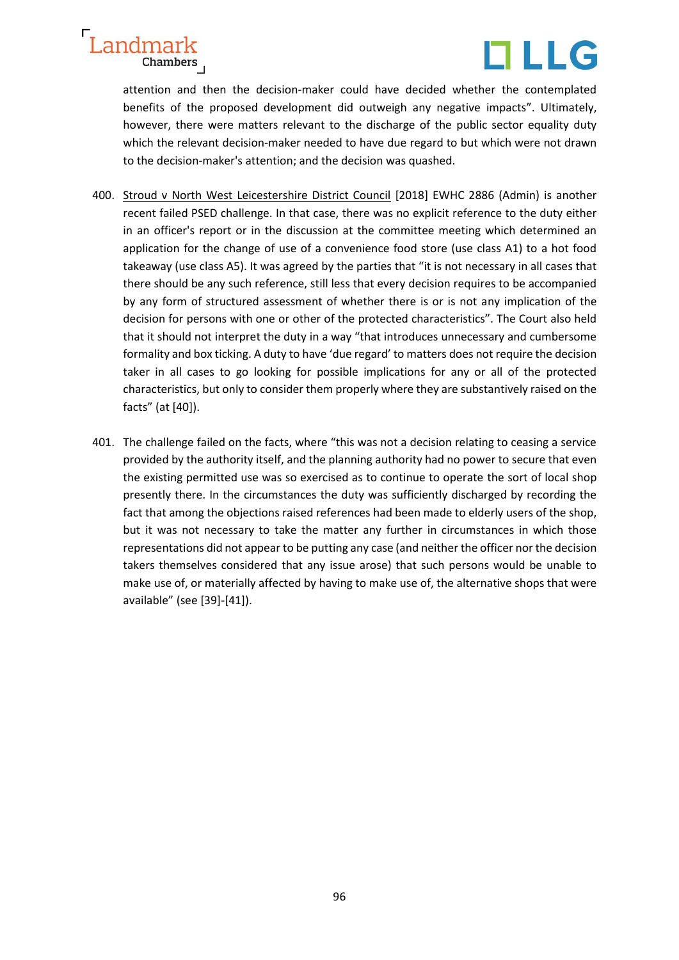



attention and then the decision-maker could have decided whether the contemplated benefits of the proposed development did outweigh any negative impacts". Ultimately, however, there were matters relevant to the discharge of the public sector equality duty which the relevant decision-maker needed to have due regard to but which were not drawn to the decision-maker's attention; and the decision was quashed.

- 400. Stroud v North West Leicestershire District Council [2018] EWHC 2886 (Admin) is another recent failed PSED challenge. In that case, there was no explicit reference to the duty either in an officer's report or in the discussion at the committee meeting which determined an application for the change of use of a convenience food store (use class A1) to a hot food takeaway (use class A5). It was agreed by the parties that "it is not necessary in all cases that there should be any such reference, still less that every decision requires to be accompanied by any form of structured assessment of whether there is or is not any implication of the decision for persons with one or other of the protected characteristics". The Court also held that it should not interpret the duty in a way "that introduces unnecessary and cumbersome formality and box ticking. A duty to have 'due regard' to matters does not require the decision taker in all cases to go looking for possible implications for any or all of the protected characteristics, but only to consider them properly where they are substantively raised on the facts" (at [40]).
- 401. The challenge failed on the facts, where "this was not a decision relating to ceasing a service provided by the authority itself, and the planning authority had no power to secure that even the existing permitted use was so exercised as to continue to operate the sort of local shop presently there. In the circumstances the duty was sufficiently discharged by recording the fact that among the objections raised references had been made to elderly users of the shop, but it was not necessary to take the matter any further in circumstances in which those representations did not appear to be putting any case (and neither the officer nor the decision takers themselves considered that any issue arose) that such persons would be unable to make use of, or materially affected by having to make use of, the alternative shops that were available" (see [39]-[41]).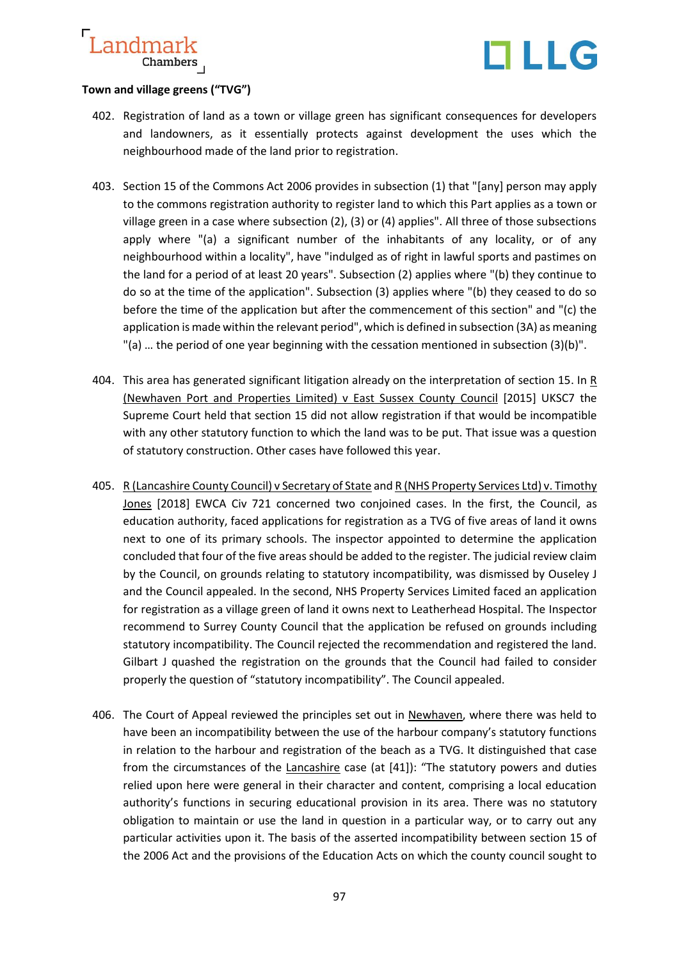



## **Town and village greens ("TVG")**

- 402. Registration of land as a town or village green has significant consequences for developers and landowners, as it essentially protects against development the uses which the neighbourhood made of the land prior to registration.
- 403. Section 15 of the Commons Act 2006 provides in subsection (1) that "[any] person may apply to the commons registration authority to register land to which this Part applies as a town or village green in a case where subsection (2), (3) or (4) applies". All three of those subsections apply where "(a) a significant number of the inhabitants of any locality, or of any neighbourhood within a locality", have "indulged as of right in lawful sports and pastimes on the land for a period of at least 20 years". Subsection (2) applies where "(b) they continue to do so at the time of the application". Subsection (3) applies where "(b) they ceased to do so before the time of the application but after the commencement of this section" and "(c) the application is made within the relevant period", which is defined in subsection (3A) as meaning "(a) … the period of one year beginning with the cessation mentioned in subsection (3)(b)".
- 404. This area has generated significant litigation already on the interpretation of section 15. In  $\underline{R}$ [\(Newhaven Port and Properties Limited\) v East Sussex County Council](https://www.supremecourt.uk/cases/docs/uksc-2013-0102-judgment.pdf) [2015] UKSC7 the Supreme Court held that section 15 did not allow registration if that would be incompatible with any other statutory function to which the land was to be put. That issue was a question of statutory construction. Other cases have followed this year.
- 405. [R \(Lancashire County Council\) v Secretary of State](http://www.bailii.org/ew/cases/EWCA/Civ/2018/721.html) and R (NHS Property Services Ltd) v. Timothy Jones [2018] EWCA Civ 721 concerned two conjoined cases. In the first, the Council, as education authority, faced applications for registration as a TVG of five areas of land it owns next to one of its primary schools. The inspector appointed to determine the application concluded that four of the five areas should be added to the register. The judicial review claim by the Council, on grounds relating to statutory incompatibility, was dismissed by Ouseley J and the Council appealed. In the second, NHS Property Services Limited faced an application for registration as a village green of land it owns next to Leatherhead Hospital. The Inspector recommend to Surrey County Council that the application be refused on grounds including statutory incompatibility. The Council rejected the recommendation and registered the land. Gilbart J quashed the registration on the grounds that the Council had failed to consider properly the question of "statutory incompatibility". The Council appealed.
- 406. The Court of Appeal reviewed the principles set out in Newhaven, where there was held to have been an incompatibility between the use of the harbour company's statutory functions in relation to the harbour and registration of the beach as a TVG. It distinguished that case from the circumstances of the Lancashire case (at [41]): "The statutory powers and duties relied upon here were general in their character and content, comprising a local education authority's functions in securing educational provision in its area. There was no statutory obligation to maintain or use the land in question in a particular way, or to carry out any particular activities upon it. The basis of the asserted incompatibility between section 15 of the 2006 Act and the provisions of the Education Acts on which the county council sought to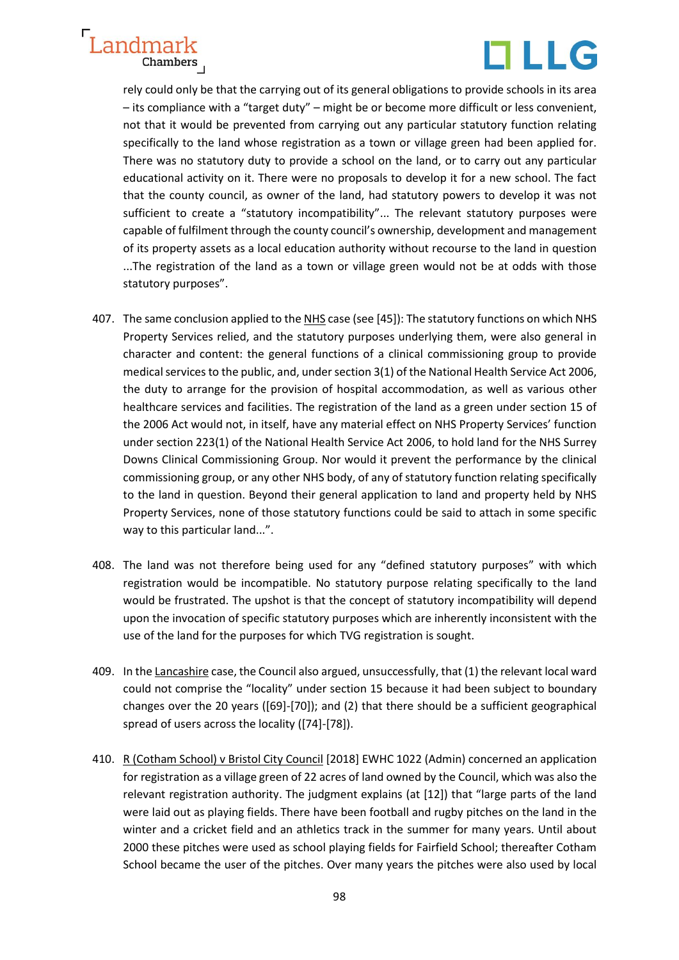



rely could only be that the carrying out of its general obligations to provide schools in its area – its compliance with a "target duty" – might be or become more difficult or less convenient, not that it would be prevented from carrying out any particular statutory function relating specifically to the land whose registration as a town or village green had been applied for. There was no statutory duty to provide a school on the land, or to carry out any particular educational activity on it. There were no proposals to develop it for a new school. The fact that the county council, as owner of the land, had statutory powers to develop it was not sufficient to create a "statutory incompatibility"... The relevant statutory purposes were capable of fulfilment through the county council's ownership, development and management of its property assets as a local education authority without recourse to the land in question ...The registration of the land as a town or village green would not be at odds with those statutory purposes".

- 407. The same conclusion applied to the NHS case (see [45]): The statutory functions on which NHS Property Services relied, and the statutory purposes underlying them, were also general in character and content: the general functions of a clinical commissioning group to provide medical services to the public, and, under section 3(1) of the National Health Service Act 2006, the duty to arrange for the provision of hospital accommodation, as well as various other healthcare services and facilities. The registration of the land as a green under section 15 of the 2006 Act would not, in itself, have any material effect on NHS Property Services' function under section 223(1) of the National Health Service Act 2006, to hold land for the NHS Surrey Downs Clinical Commissioning Group. Nor would it prevent the performance by the clinical commissioning group, or any other NHS body, of any of statutory function relating specifically to the land in question. Beyond their general application to land and property held by NHS Property Services, none of those statutory functions could be said to attach in some specific way to this particular land...".
- 408. The land was not therefore being used for any "defined statutory purposes" with which registration would be incompatible. No statutory purpose relating specifically to the land would be frustrated. The upshot is that the concept of statutory incompatibility will depend upon the invocation of specific statutory purposes which are inherently inconsistent with the use of the land for the purposes for which TVG registration is sought.
- 409. In the Lancashire case, the Council also argued, unsuccessfully, that (1) the relevant local ward could not comprise the "locality" under section 15 because it had been subject to boundary changes over the 20 years ([69]-[70]); and (2) that there should be a sufficient geographical spread of users across the locality ([74]-[78]).
- 410. [R \(Cotham School\) v Bristol City Council](https://cornerstonebarristers.com/cmsAdmin/uploads/cotham-judgment_.pdf) [2018] EWHC 1022 (Admin) concerned an application for registration as a village green of 22 acres of land owned by the Council, which was also the relevant registration authority. The judgment explains (at [12]) that "large parts of the land were laid out as playing fields. There have been football and rugby pitches on the land in the winter and a cricket field and an athletics track in the summer for many years. Until about 2000 these pitches were used as school playing fields for Fairfield School; thereafter Cotham School became the user of the pitches. Over many years the pitches were also used by local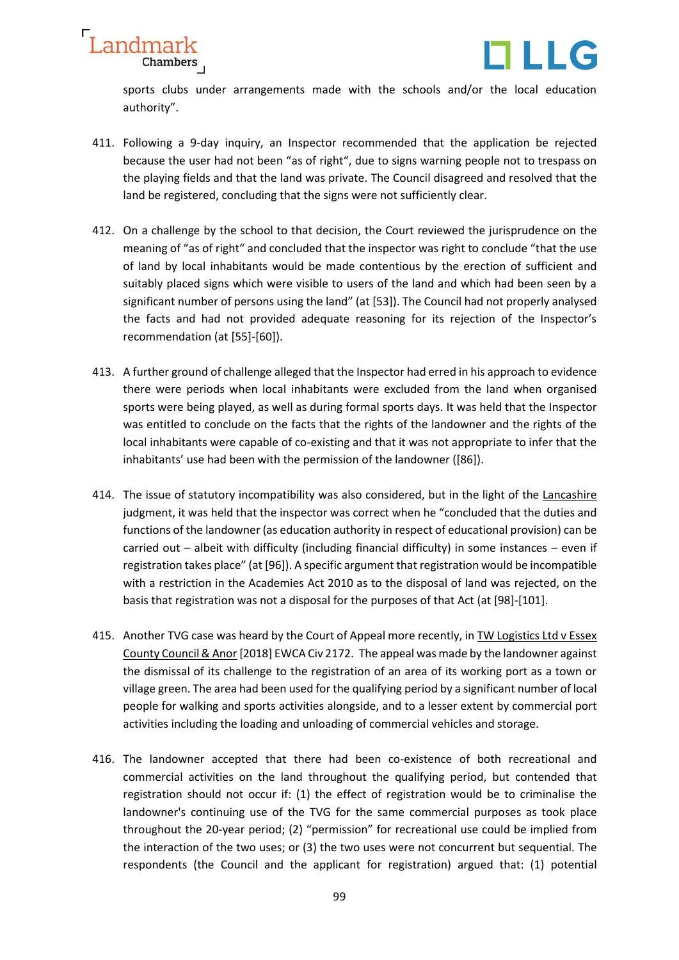



sports clubs under arrangements made with the schools and/or the local education authority".

- 411. Following a 9-day inquiry, an Inspector recommended that the application be rejected because the user had not been "as of right", due to signs warning people not to trespass on the playing fields and that the land was private. The Council disagreed and resolved that the land be registered, concluding that the signs were not sufficiently clear.
- 412. On a challenge by the school to that decision, the Court reviewed the jurisprudence on the meaning of "as of right" and concluded that the inspector was right to conclude "that the use of land by local inhabitants would be made contentious by the erection of sufficient and suitably placed signs which were visible to users of the land and which had been seen by a significant number of persons using the land" (at [53]). The Council had not properly analysed the facts and had not provided adequate reasoning for its rejection of the Inspector's recommendation (at [55]-[60]).
- 413. A further ground of challenge alleged that the Inspector had erred in his approach to evidence there were periods when local inhabitants were excluded from the land when organised sports were being played, as well as during formal sports days. It was held that the Inspector was entitled to conclude on the facts that the rights of the landowner and the rights of the local inhabitants were capable of co-existing and that it was not appropriate to infer that the inhabitants' use had been with the permission of the landowner ([86]).
- 414. The issue of statutory incompatibility was also considered, but in the light of the Lancashire judgment, it was held that the inspector was correct when he "concluded that the duties and functions of the landowner (as education authority in respect of educational provision) can be carried out – albeit with difficulty (including financial difficulty) in some instances – even if registration takes place" (at [96]). A specific argument that registration would be incompatible with a restriction in the Academies Act 2010 as to the disposal of land was rejected, on the basis that registration was not a disposal for the purposes of that Act (at [98]-[101].
- 415. Another TVG case was heard by the Court of Appeal more recently, in TW Logistics Ltd v Essex County Council & Anor [2018] EWCA Civ 2172. The appeal was made by the landowner against the dismissal of its challenge to the registration of an area of its working port as a town or village green. The area had been used for the qualifying period by a significant number of local people for walking and sports activities alongside, and to a lesser extent by commercial port activities including the loading and unloading of commercial vehicles and storage.
- 416. The landowner accepted that there had been co-existence of both recreational and commercial activities on the land throughout the qualifying period, but contended that registration should not occur if: (1) the effect of registration would be to criminalise the landowner's continuing use of the TVG for the same commercial purposes as took place throughout the 20-year period; (2) "permission" for recreational use could be implied from the interaction of the two uses; or (3) the two uses were not concurrent but sequential. The respondents (the Council and the applicant for registration) argued that: (1) potential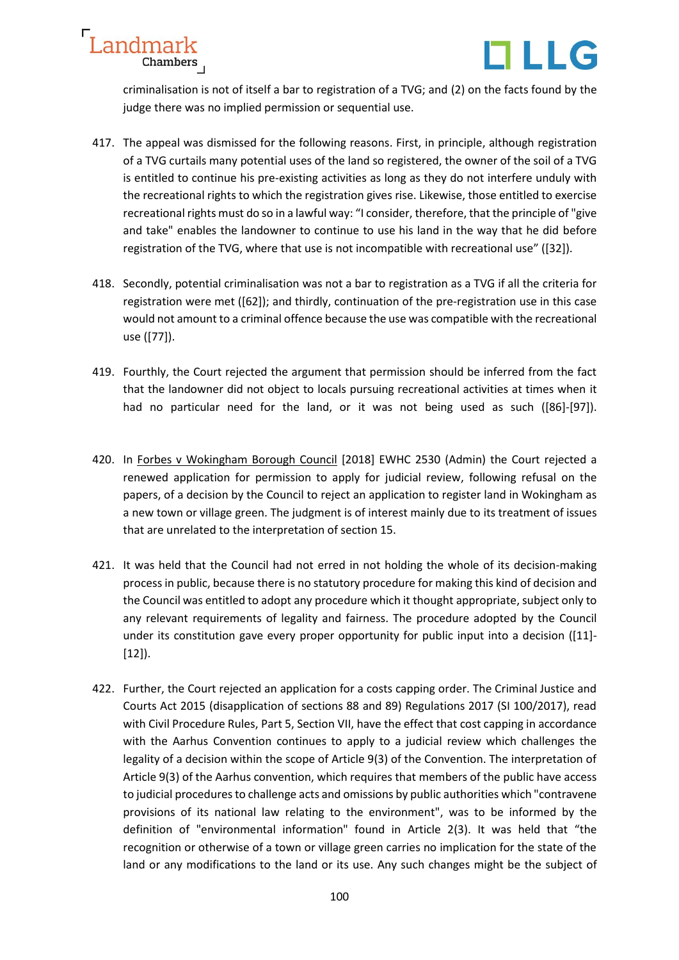



criminalisation is not of itself a bar to registration of a TVG; and (2) on the facts found by the judge there was no implied permission or sequential use.

- 417. The appeal was dismissed for the following reasons. First, in principle, although registration of a TVG curtails many potential uses of the land so registered, the owner of the soil of a TVG is entitled to continue his pre-existing activities as long as they do not interfere unduly with the recreational rights to which the registration gives rise. Likewise, those entitled to exercise recreational rights must do so in a lawful way: "I consider, therefore, that the principle of "give and take" enables the landowner to continue to use his land in the way that he did before registration of the TVG, where that use is not incompatible with recreational use" ([32]).
- 418. Secondly, potential criminalisation was not a bar to registration as a TVG if all the criteria for registration were met ([62]); and thirdly, continuation of the pre-registration use in this case would not amount to a criminal offence because the use was compatible with the recreational use ([77]).
- 419. Fourthly, the Court rejected the argument that permission should be inferred from the fact that the landowner did not object to locals pursuing recreational activities at times when it had no particular need for the land, or it was not being used as such ([86]-[97]).
- 420. In Forbes v Wokingham Borough Council [2018] EWHC 2530 (Admin) the Court rejected a renewed application for permission to apply for judicial review, following refusal on the papers, of a decision by the Council to reject an application to register land in Wokingham as a new town or village green. The judgment is of interest mainly due to its treatment of issues that are unrelated to the interpretation of section 15.
- 421. It was held that the Council had not erred in not holding the whole of its decision-making process in public, because there is no statutory procedure for making this kind of decision and the Council was entitled to adopt any procedure which it thought appropriate, subject only to any relevant requirements of legality and fairness. The procedure adopted by the Council under its constitution gave every proper opportunity for public input into a decision ([11]- [12]).
- 422. Further, the Court rejected an application for a costs capping order. The Criminal Justice and Courts Act 2015 (disapplication of sections 88 and 89) Regulations 2017 (SI 100/2017), read with Civil Procedure Rules, Part 5, Section VII, have the effect that cost capping in accordance with the Aarhus Convention continues to apply to a judicial review which challenges the legality of a decision within the scope of Article 9(3) of the Convention. The interpretation of Article 9(3) of the Aarhus convention, which requires that members of the public have access to judicial procedures to challenge acts and omissions by public authorities which "contravene provisions of its national law relating to the environment", was to be informed by the definition of "environmental information" found in Article 2(3). It was held that "the recognition or otherwise of a town or village green carries no implication for the state of the land or any modifications to the land or its use. Any such changes might be the subject of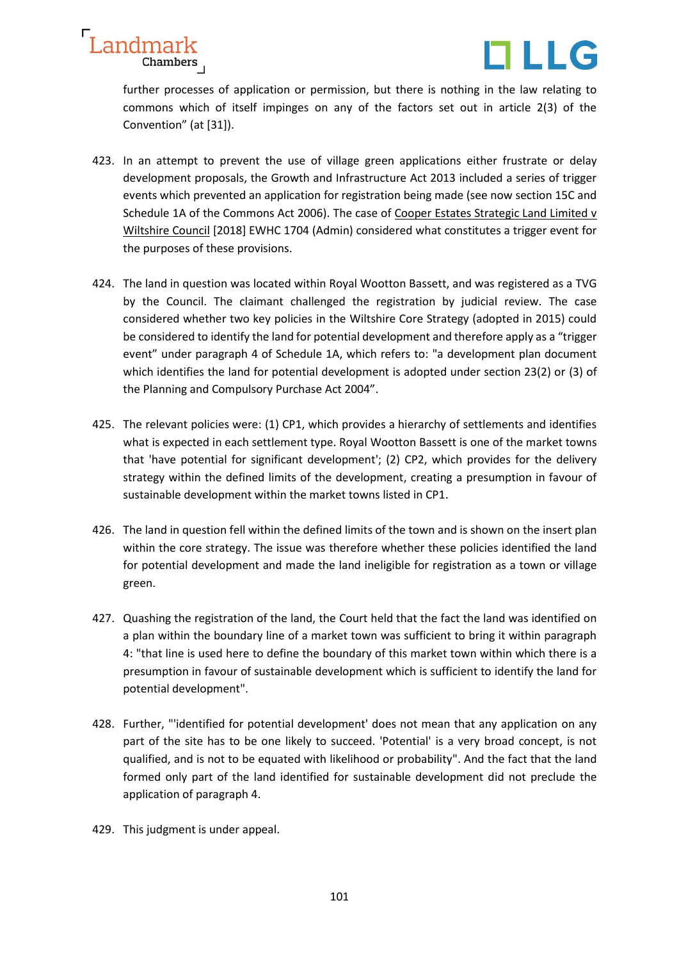



further processes of application or permission, but there is nothing in the law relating to commons which of itself impinges on any of the factors set out in article 2(3) of the Convention" (at [31]).

- 423. In an attempt to prevent the use of village green applications either frustrate or delay development proposals, the Growth and Infrastructure Act 2013 included a series of trigger events which prevented an application for registration being made (see now section 15C and Schedule 1A of the Commons Act 2006). The case of Cooper Estates Strategic Land Limited v Wiltshire Council [2018] EWHC 1704 (Admin) considered what constitutes a trigger event for the purposes of these provisions.
- 424. The land in question was located within Royal Wootton Bassett, and was registered as a TVG by the Council. The claimant challenged the registration by judicial review. The case considered whether two key policies in the Wiltshire Core Strategy (adopted in 2015) could be considered to identify the land for potential development and therefore apply as a "trigger event" under paragraph 4 of Schedule 1A, which refers to: "a development plan document which identifies the land for potential development is adopted under section 23(2) or (3) of the Planning and Compulsory Purchase Act 2004".
- 425. The relevant policies were: (1) CP1, which provides a hierarchy of settlements and identifies what is expected in each settlement type. Royal Wootton Bassett is one of the market towns that 'have potential for significant development'; (2) CP2, which provides for the delivery strategy within the defined limits of the development, creating a presumption in favour of sustainable development within the market towns listed in CP1.
- 426. The land in question fell within the defined limits of the town and is shown on the insert plan within the core strategy. The issue was therefore whether these policies identified the land for potential development and made the land ineligible for registration as a town or village green.
- 427. Quashing the registration of the land, the Court held that the fact the land was identified on a plan within the boundary line of a market town was sufficient to bring it within paragraph 4: "that line is used here to define the boundary of this market town within which there is a presumption in favour of sustainable development which is sufficient to identify the land for potential development".
- 428. Further, "'identified for potential development' does not mean that any application on any part of the site has to be one likely to succeed. 'Potential' is a very broad concept, is not qualified, and is not to be equated with likelihood or probability". And the fact that the land formed only part of the land identified for sustainable development did not preclude the application of paragraph 4.
- 429. This judgment is under appeal.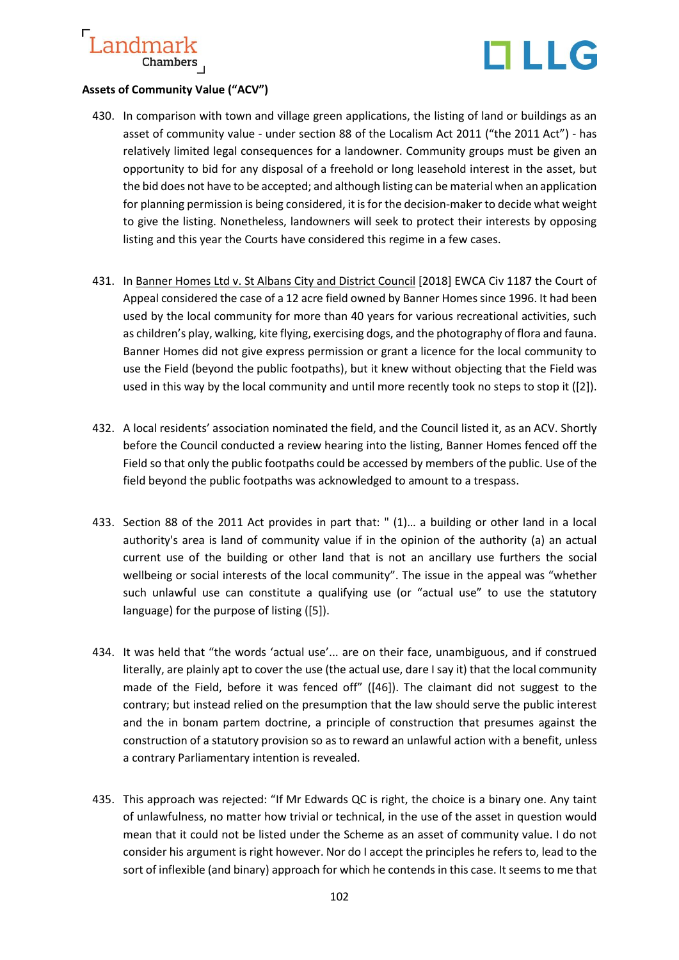

# **Assets of Community Value ("ACV")**

- 430. In comparison with town and village green applications, the listing of land or buildings as an asset of community value - under section 88 of the Localism Act 2011 ("the 2011 Act") - has relatively limited legal consequences for a landowner. Community groups must be given an opportunity to bid for any disposal of a freehold or long leasehold interest in the asset, but the bid does not have to be accepted; and although listing can be material when an application for planning permission is being considered, it is for the decision-maker to decide what weight to give the listing. Nonetheless, landowners will seek to protect their interests by opposing listing and this year the Courts have considered this regime in a few cases.
- 431. In Banner Homes Ltd v. St Albans City and District Council [2018] EWCA Civ 1187 the Court of Appeal considered the case of a 12 acre field owned by Banner Homes since 1996. It had been used by the local community for more than 40 years for various recreational activities, such as children's play, walking, kite flying, exercising dogs, and the photography of flora and fauna. Banner Homes did not give express permission or grant a licence for the local community to use the Field (beyond the public footpaths), but it knew without objecting that the Field was used in this way by the local community and until more recently took no steps to stop it ([2]).
- 432. A local residents' association nominated the field, and the Council listed it, as an ACV. Shortly before the Council conducted a review hearing into the listing, Banner Homes fenced off the Field so that only the public footpaths could be accessed by members of the public. Use of the field beyond the public footpaths was acknowledged to amount to a trespass.
- 433. Section 88 of the 2011 Act provides in part that: " (1)… a building or other land in a local authority's area is land of community value if in the opinion of the authority (a) an actual current use of the building or other land that is not an ancillary use furthers the social wellbeing or social interests of the local community". The issue in the appeal was "whether such unlawful use can constitute a qualifying use (or "actual use" to use the statutory language) for the purpose of listing ([5]).
- 434. It was held that "the words 'actual use'... are on their face, unambiguous, and if construed literally, are plainly apt to cover the use (the actual use, dare I say it) that the local community made of the Field, before it was fenced off" ([46]). The claimant did not suggest to the contrary; but instead relied on the presumption that the law should serve the public interest and the in bonam partem doctrine, a principle of construction that presumes against the construction of a statutory provision so as to reward an unlawful action with a benefit, unless a contrary Parliamentary intention is revealed.
- 435. This approach was rejected: "If Mr Edwards QC is right, the choice is a binary one. Any taint of unlawfulness, no matter how trivial or technical, in the use of the asset in question would mean that it could not be listed under the Scheme as an asset of community value. I do not consider his argument is right however. Nor do I accept the principles he refers to, lead to the sort of inflexible (and binary) approach for which he contends in this case. It seems to me that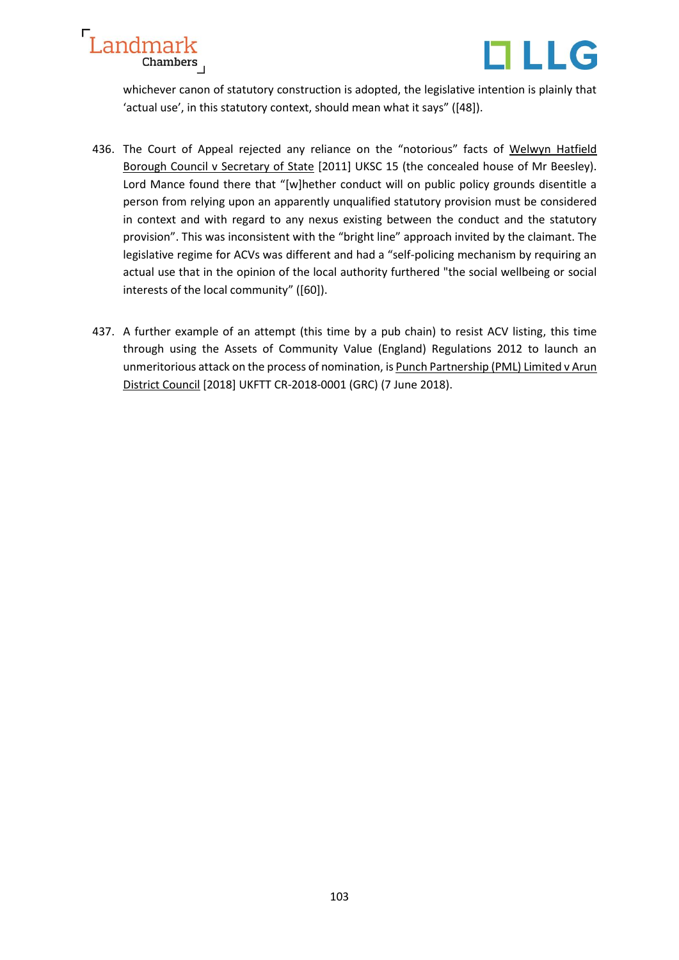



whichever canon of statutory construction is adopted, the legislative intention is plainly that 'actual use', in this statutory context, should mean what it says" ([48]).

- 436. The Court of Appeal rejected any reliance on the "notorious" facts of [Welwyn Hatfield](https://www.supremecourt.uk/cases/docs/uksc-2010-0036-judgment.pdf) [Borough Council v Secretary of State](https://www.supremecourt.uk/cases/docs/uksc-2010-0036-judgment.pdf) [2011] UKSC 15 (the concealed house of Mr Beesley). Lord Mance found there that "[w]hether conduct will on public policy grounds disentitle a person from relying upon an apparently unqualified statutory provision must be considered in context and with regard to any nexus existing between the conduct and the statutory provision". This was inconsistent with the "bright line" approach invited by the claimant. The legislative regime for ACVs was different and had a "self-policing mechanism by requiring an actual use that in the opinion of the local authority furthered "the social wellbeing or social interests of the local community" ([60]).
- 437. A further example of an attempt (this time by a pub chain) to resist ACV listing, this time through using the Assets of Community Value (England) Regulations 2012 to launch an unmeritorious attack on the process of nomination, is Punch Partnership (PML) Limited v Arun [District Council](http://www.bailii.org/uk/cases/UKFTT/GRC/2018/CR-2018-0001.html) [2018] UKFTT CR-2018-0001 (GRC) (7 June 2018).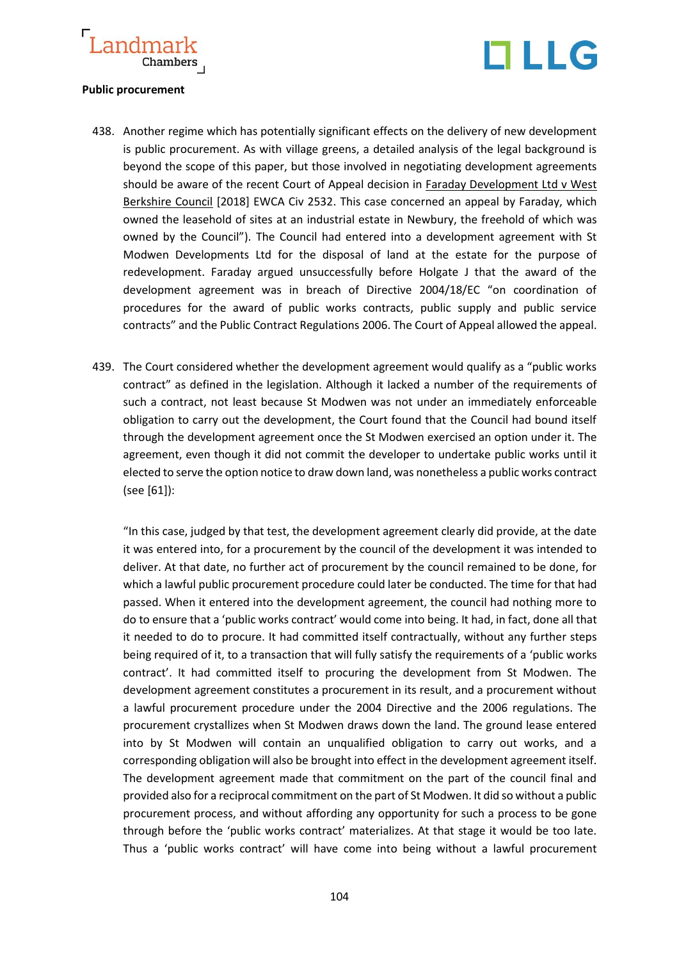



## **Public procurement**

- 438. Another regime which has potentially significant effects on the delivery of new development is public procurement. As with village greens, a detailed analysis of the legal background is beyond the scope of this paper, but those involved in negotiating development agreements should be aware of the recent Court of Appeal decision in Faraday Development Ltd v West Berkshire Council [2018] EWCA Civ 2532. This case concerned an appeal by Faraday, which owned the leasehold of sites at an industrial estate in Newbury, the freehold of which was owned by the Council"). The Council had entered into a development agreement with St Modwen Developments Ltd for the disposal of land at the estate for the purpose of redevelopment. Faraday argued unsuccessfully before Holgate J that the award of the development agreement was in breach of Directive 2004/18/EC "on coordination of procedures for the award of public works contracts, public supply and public service contracts" and the Public Contract Regulations 2006. The Court of Appeal allowed the appeal.
- 439. The Court considered whether the development agreement would qualify as a "public works contract" as defined in the legislation. Although it lacked a number of the requirements of such a contract, not least because St Modwen was not under an immediately enforceable obligation to carry out the development, the Court found that the Council had bound itself through the development agreement once the St Modwen exercised an option under it. The agreement, even though it did not commit the developer to undertake public works until it elected to serve the option notice to draw down land, was nonetheless a public works contract (see [61]):

"In this case, judged by that test, the development agreement clearly did provide, at the date it was entered into, for a procurement by the council of the development it was intended to deliver. At that date, no further act of procurement by the council remained to be done, for which a lawful public procurement procedure could later be conducted. The time for that had passed. When it entered into the development agreement, the council had nothing more to do to ensure that a 'public works contract' would come into being. It had, in fact, done all that it needed to do to procure. It had committed itself contractually, without any further steps being required of it, to a transaction that will fully satisfy the requirements of a 'public works contract'. It had committed itself to procuring the development from St Modwen. The development agreement constitutes a procurement in its result, and a procurement without a lawful procurement procedure under the 2004 Directive and the 2006 regulations. The procurement crystallizes when St Modwen draws down the land. The ground lease entered into by St Modwen will contain an unqualified obligation to carry out works, and a corresponding obligation will also be brought into effect in the development agreement itself. The development agreement made that commitment on the part of the council final and provided also for a reciprocal commitment on the part of St Modwen. It did so without a public procurement process, and without affording any opportunity for such a process to be gone through before the 'public works contract' materializes. At that stage it would be too late. Thus a 'public works contract' will have come into being without a lawful procurement